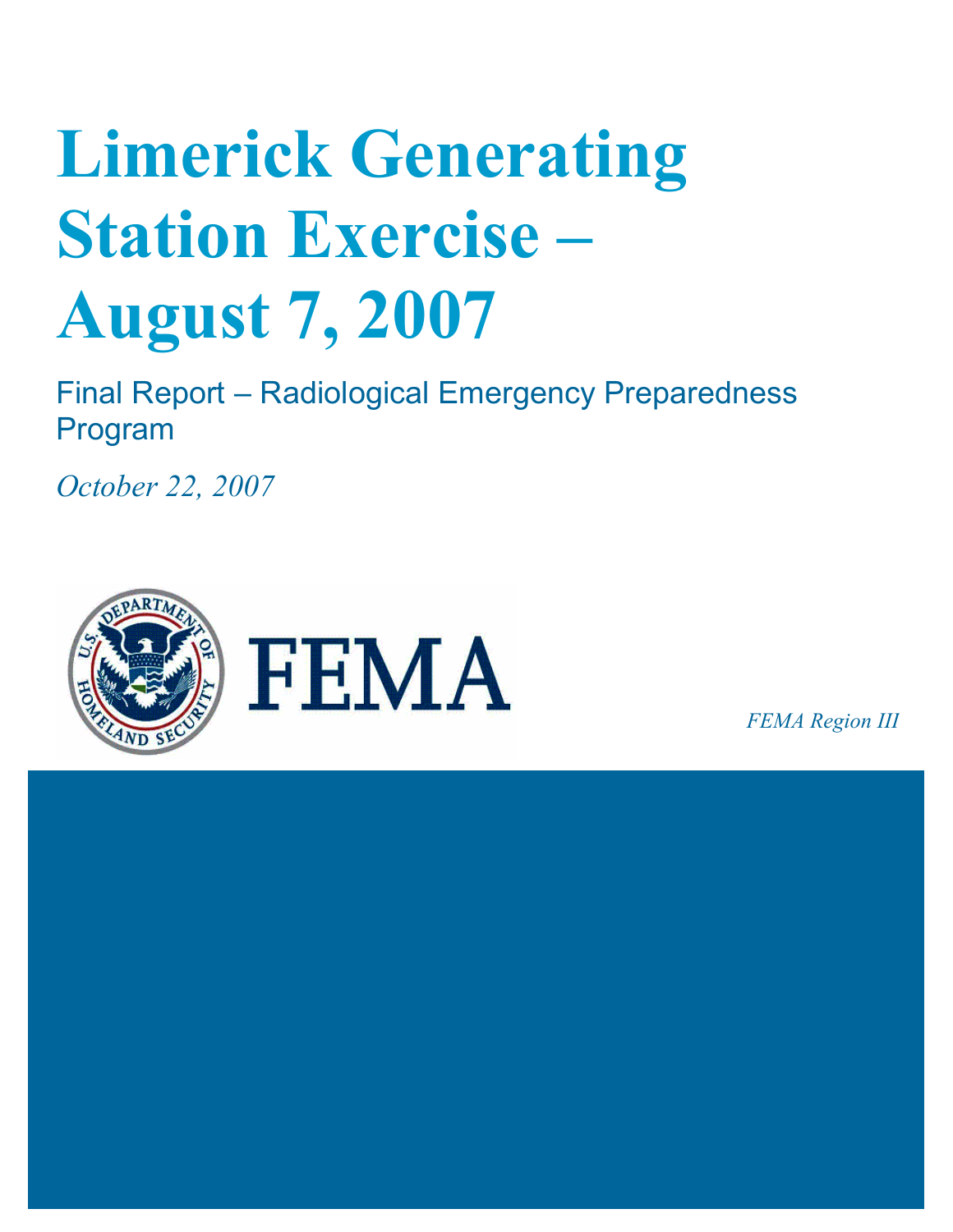# **Limerick Generating Station Exercise – August 7, 2007**

Final Report – Radiological Emergency Preparedness Program

*October 22, 2007* 



*FEMA Region III*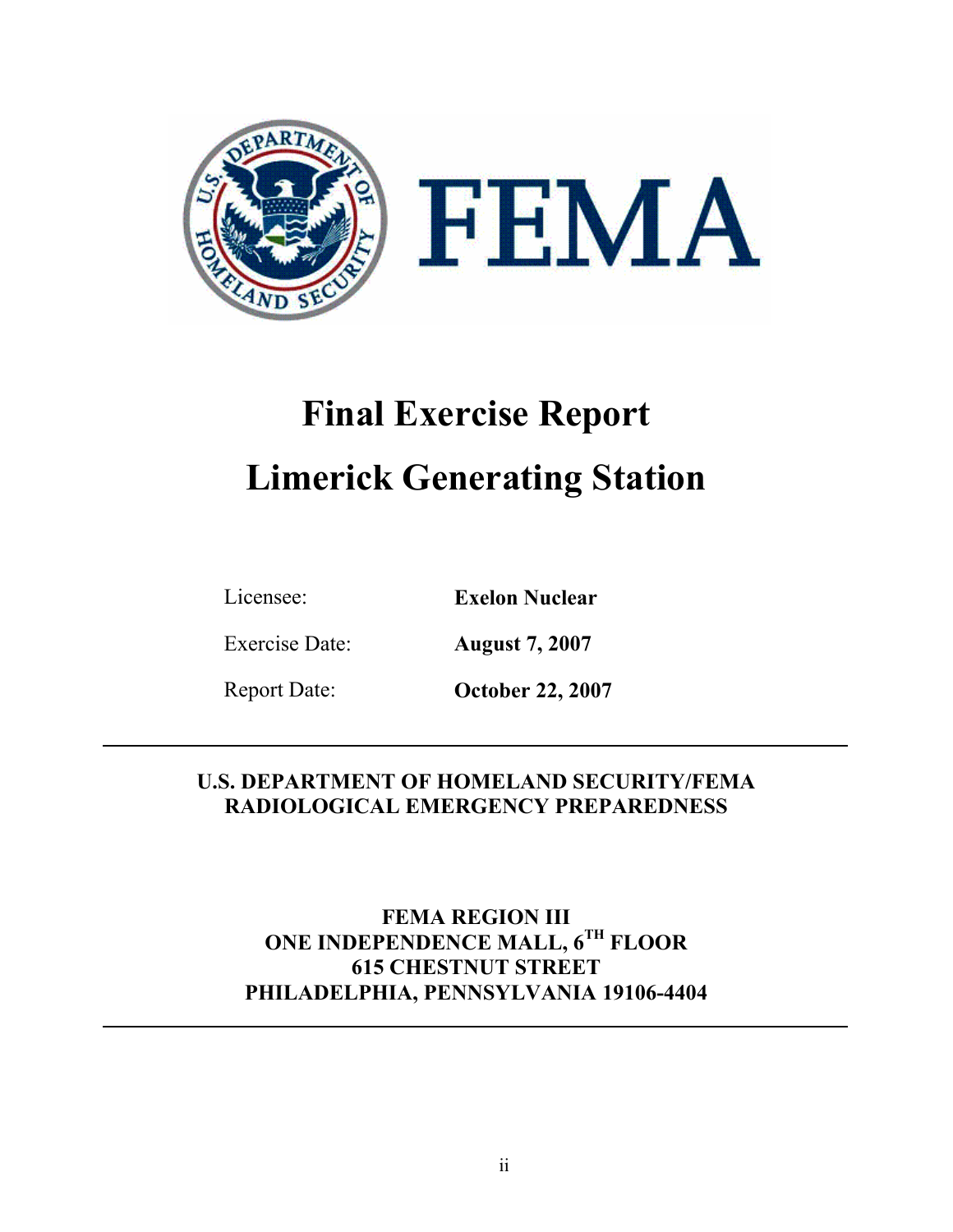

## **Final Exercise Report Limerick Generating Station**

Licensee: **Exelon Nuclear** 

Exercise Date: **August 7, 2007** 

Report Date: **October 22, 2007** 

### **U.S. DEPARTMENT OF HOMELAND SECURITY/FEMA RADIOLOGICAL EMERGENCY PREPAREDNESS**

**FEMA REGION III ONE INDEPENDENCE MALL, 6TH FLOOR 615 CHESTNUT STREET PHILADELPHIA, PENNSYLVANIA 19106-4404**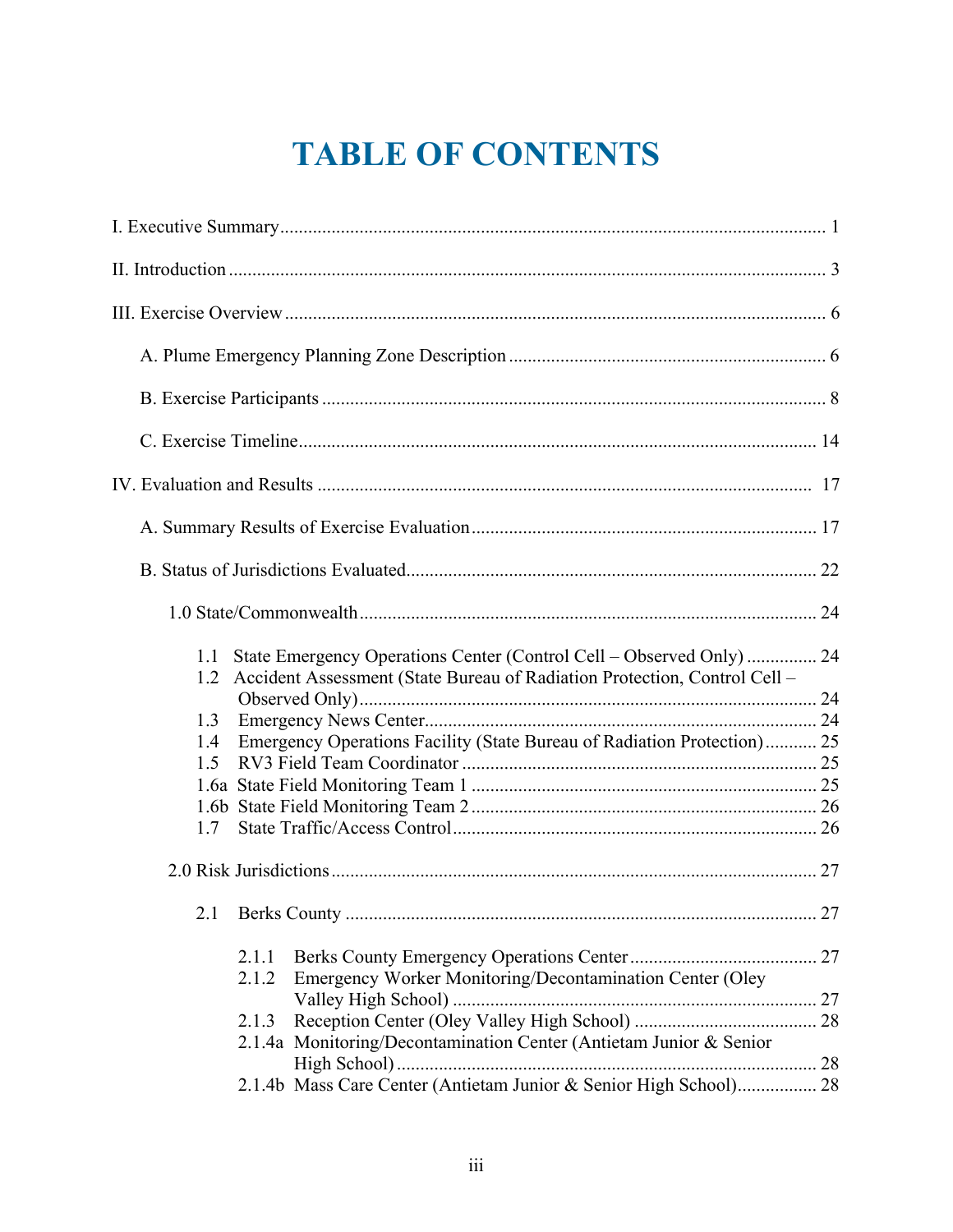## **TABLE OF CONTENTS**

| 1.2 | Accident Assessment (State Bureau of Radiation Protection, Control Cell -  |    |
|-----|----------------------------------------------------------------------------|----|
|     |                                                                            |    |
| 1.3 |                                                                            |    |
| 1.4 | Emergency Operations Facility (State Bureau of Radiation Protection) 25    |    |
| 15  |                                                                            |    |
|     |                                                                            |    |
|     |                                                                            |    |
| 1.7 |                                                                            |    |
|     |                                                                            |    |
| 2.1 |                                                                            | 27 |
|     | 2.1.1<br>Emergency Worker Monitoring/Decontamination Center (Oley<br>2.1.2 |    |
|     |                                                                            |    |
|     | 2.1.3                                                                      |    |
|     | 2.1.4a Monitoring/Decontamination Center (Antietam Junior & Senior         |    |
|     | 2.1.4b Mass Care Center (Antietam Junior & Senior High School) 28          |    |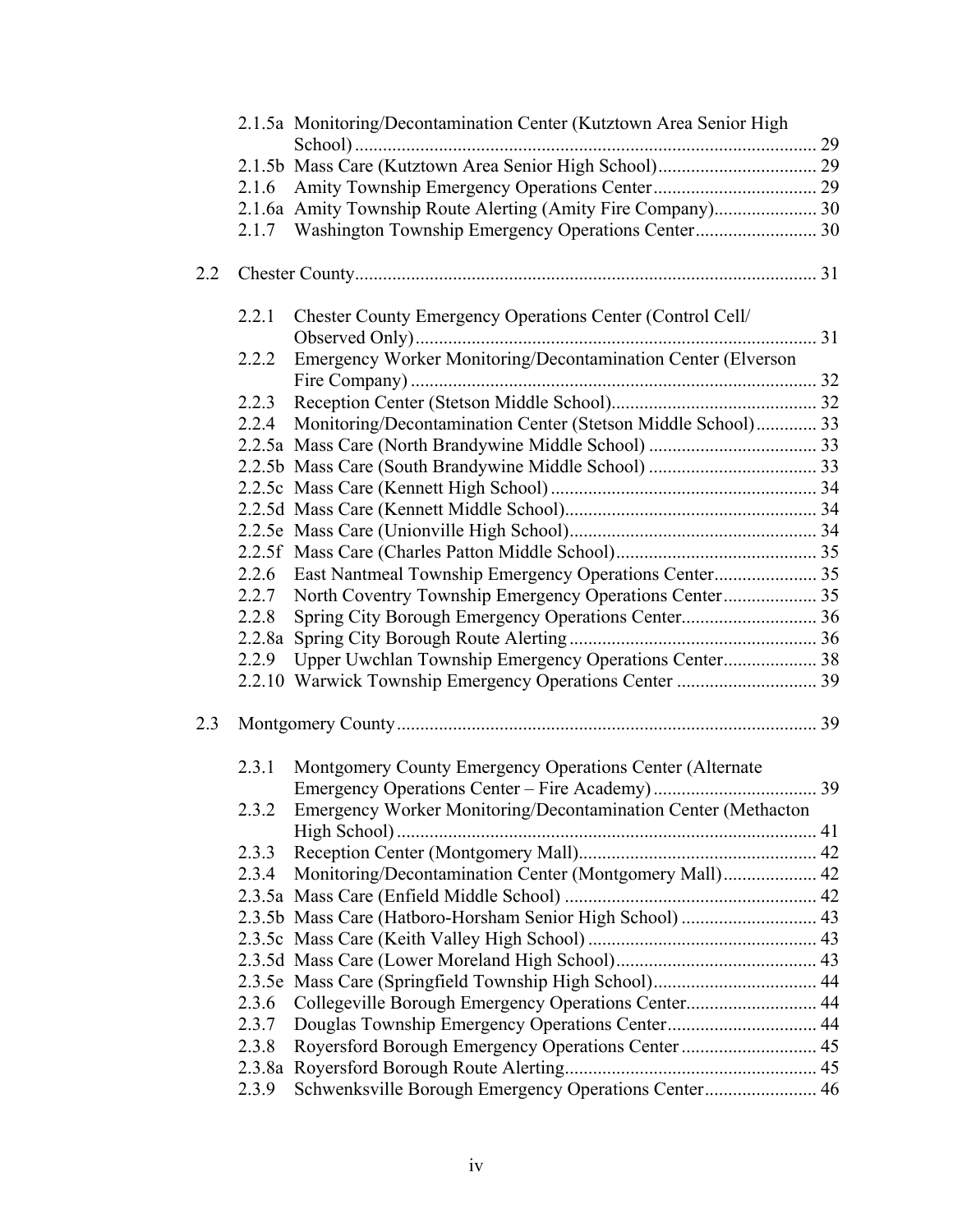|     |       | 2.1.5a Monitoring/Decontamination Center (Kutztown Area Senior High |  |
|-----|-------|---------------------------------------------------------------------|--|
|     |       |                                                                     |  |
|     |       |                                                                     |  |
|     | 2.1.6 |                                                                     |  |
|     |       | 2.1.6a Amity Township Route Alerting (Amity Fire Company) 30        |  |
|     |       | 2.1.7 Washington Township Emergency Operations Center 30            |  |
| 2.2 |       |                                                                     |  |
|     | 2.2.1 | Chester County Emergency Operations Center (Control Cell/           |  |
|     | 2.2.2 | Emergency Worker Monitoring/Decontamination Center (Elverson        |  |
|     |       |                                                                     |  |
|     | 2.2.3 |                                                                     |  |
|     | 2.2.4 | Monitoring/Decontamination Center (Stetson Middle School) 33        |  |
|     |       |                                                                     |  |
|     |       |                                                                     |  |
|     |       |                                                                     |  |
|     |       |                                                                     |  |
|     |       |                                                                     |  |
|     |       |                                                                     |  |
|     | 2.2.6 |                                                                     |  |
|     |       | 2.2.7 North Coventry Township Emergency Operations Center 35        |  |
|     | 2.2.8 |                                                                     |  |
|     |       |                                                                     |  |
|     | 2.2.9 | Upper Uwchlan Township Emergency Operations Center 38               |  |
|     |       | 2.2.10 Warwick Township Emergency Operations Center  39             |  |
|     |       |                                                                     |  |
| 2.3 |       |                                                                     |  |
|     |       | 2.3.1 Montgomery County Emergency Operations Center (Alternate      |  |
|     |       |                                                                     |  |
|     | 2.3.2 | Emergency Worker Monitoring/Decontamination Center (Methacton       |  |
|     |       |                                                                     |  |
|     | 2.3.3 |                                                                     |  |
|     | 2.3.4 | Monitoring/Decontamination Center (Montgomery Mall) 42              |  |
|     |       |                                                                     |  |
|     |       |                                                                     |  |
|     |       |                                                                     |  |
|     |       |                                                                     |  |
|     |       |                                                                     |  |
|     | 2.3.6 | Collegeville Borough Emergency Operations Center 44                 |  |
|     | 2.3.7 |                                                                     |  |
|     | 2.3.8 | Royersford Borough Emergency Operations Center  45                  |  |
|     |       |                                                                     |  |
|     | 2.3.9 | Schwenksville Borough Emergency Operations Center 46                |  |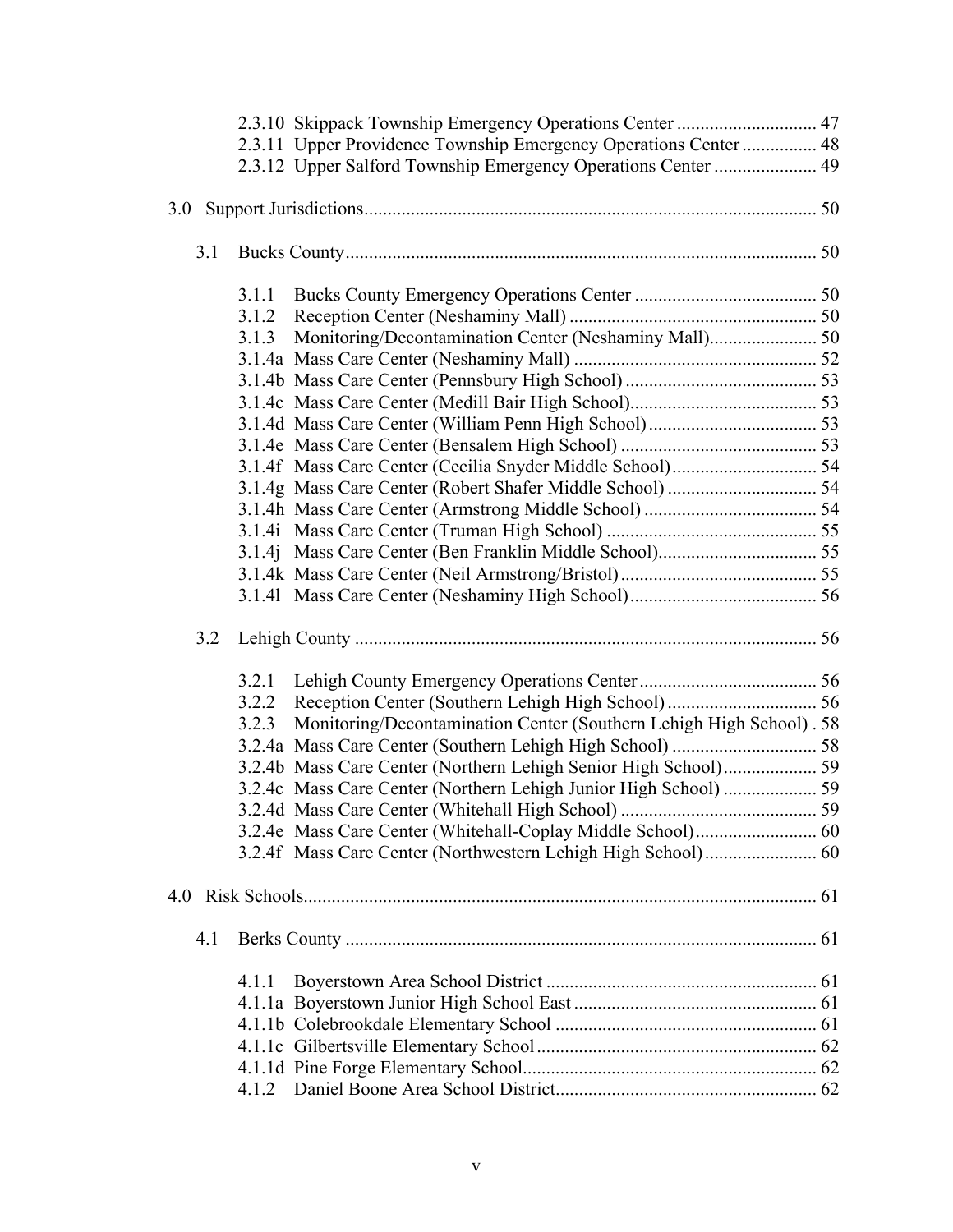|     |       | 2.3.11 Upper Providence Township Emergency Operations Center  48    |  |
|-----|-------|---------------------------------------------------------------------|--|
|     |       | 2.3.12 Upper Salford Township Emergency Operations Center  49       |  |
|     |       |                                                                     |  |
| 3.1 |       |                                                                     |  |
|     |       |                                                                     |  |
|     | 3.1.1 |                                                                     |  |
|     |       |                                                                     |  |
|     | 3.1.3 |                                                                     |  |
|     |       |                                                                     |  |
|     |       |                                                                     |  |
|     |       |                                                                     |  |
|     |       |                                                                     |  |
|     |       |                                                                     |  |
|     |       |                                                                     |  |
|     |       |                                                                     |  |
|     |       |                                                                     |  |
|     |       |                                                                     |  |
|     |       |                                                                     |  |
|     |       |                                                                     |  |
|     |       |                                                                     |  |
| 3.2 |       |                                                                     |  |
|     | 3.2.1 |                                                                     |  |
|     | 3.2.2 |                                                                     |  |
|     | 3.2.3 | Monitoring/Decontamination Center (Southern Lehigh High School). 58 |  |
|     |       |                                                                     |  |
|     |       |                                                                     |  |
|     |       | 3.2.4c Mass Care Center (Northern Lehigh Junior High School)  59    |  |
|     |       |                                                                     |  |
|     |       |                                                                     |  |
|     |       |                                                                     |  |
|     |       |                                                                     |  |
| 4.1 |       |                                                                     |  |
|     | 4.1.1 |                                                                     |  |
|     |       |                                                                     |  |
|     |       |                                                                     |  |
|     |       |                                                                     |  |
|     |       |                                                                     |  |
|     | 4.1.2 |                                                                     |  |
|     |       |                                                                     |  |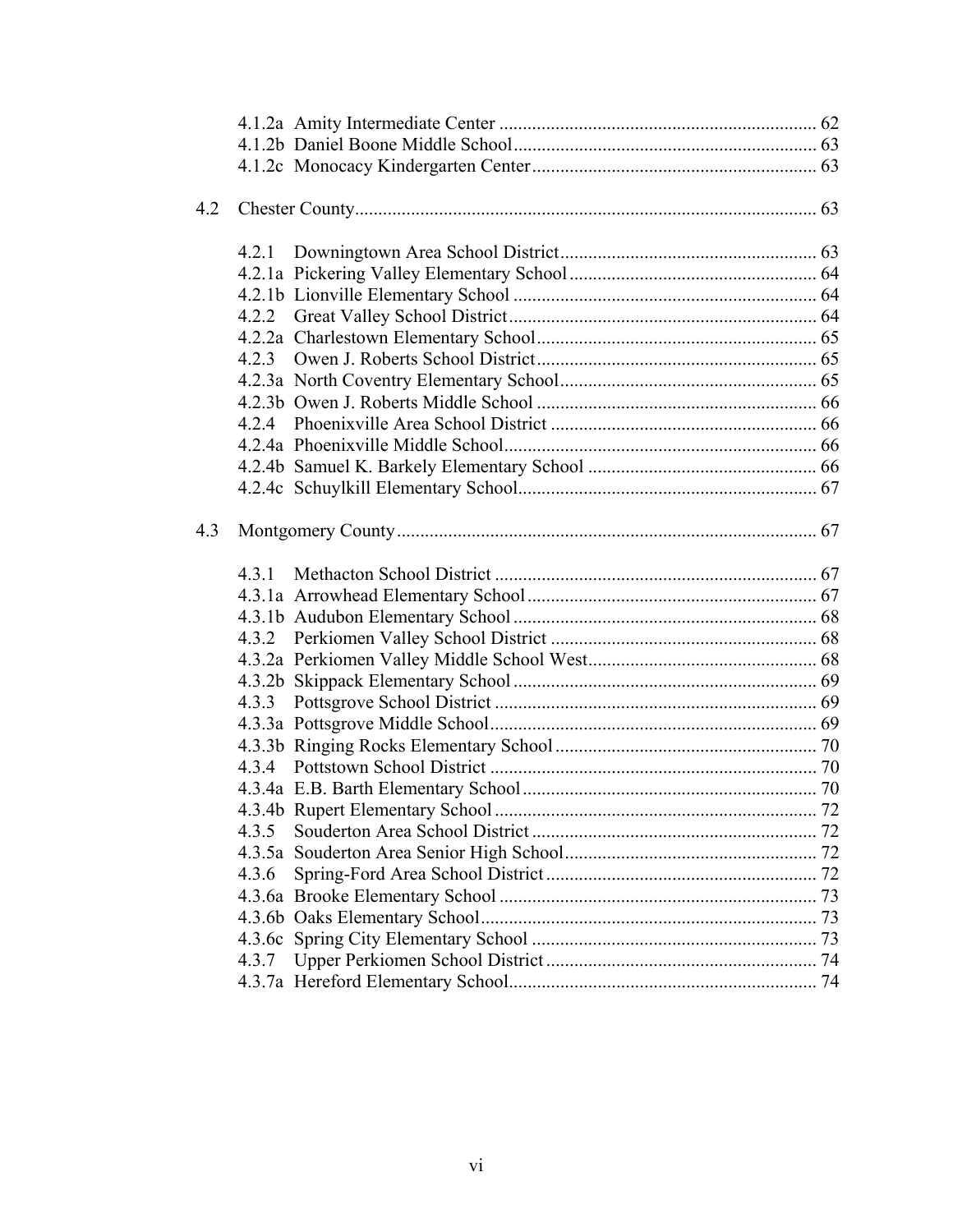| 4.2 |       |  |
|-----|-------|--|
|     |       |  |
|     |       |  |
|     |       |  |
|     |       |  |
|     |       |  |
|     |       |  |
|     | 4.2.3 |  |
|     |       |  |
|     |       |  |
|     | 424   |  |
|     |       |  |
|     |       |  |
|     |       |  |
| 4.3 |       |  |
|     |       |  |
|     |       |  |
|     |       |  |
|     |       |  |
|     | 4.3.2 |  |
|     |       |  |
|     |       |  |
|     | 4.3.3 |  |
|     |       |  |
|     |       |  |
|     |       |  |
|     |       |  |
|     |       |  |
|     | 4.3.5 |  |
|     |       |  |
|     | 4.3.6 |  |
|     |       |  |
|     |       |  |
|     |       |  |
|     |       |  |
|     |       |  |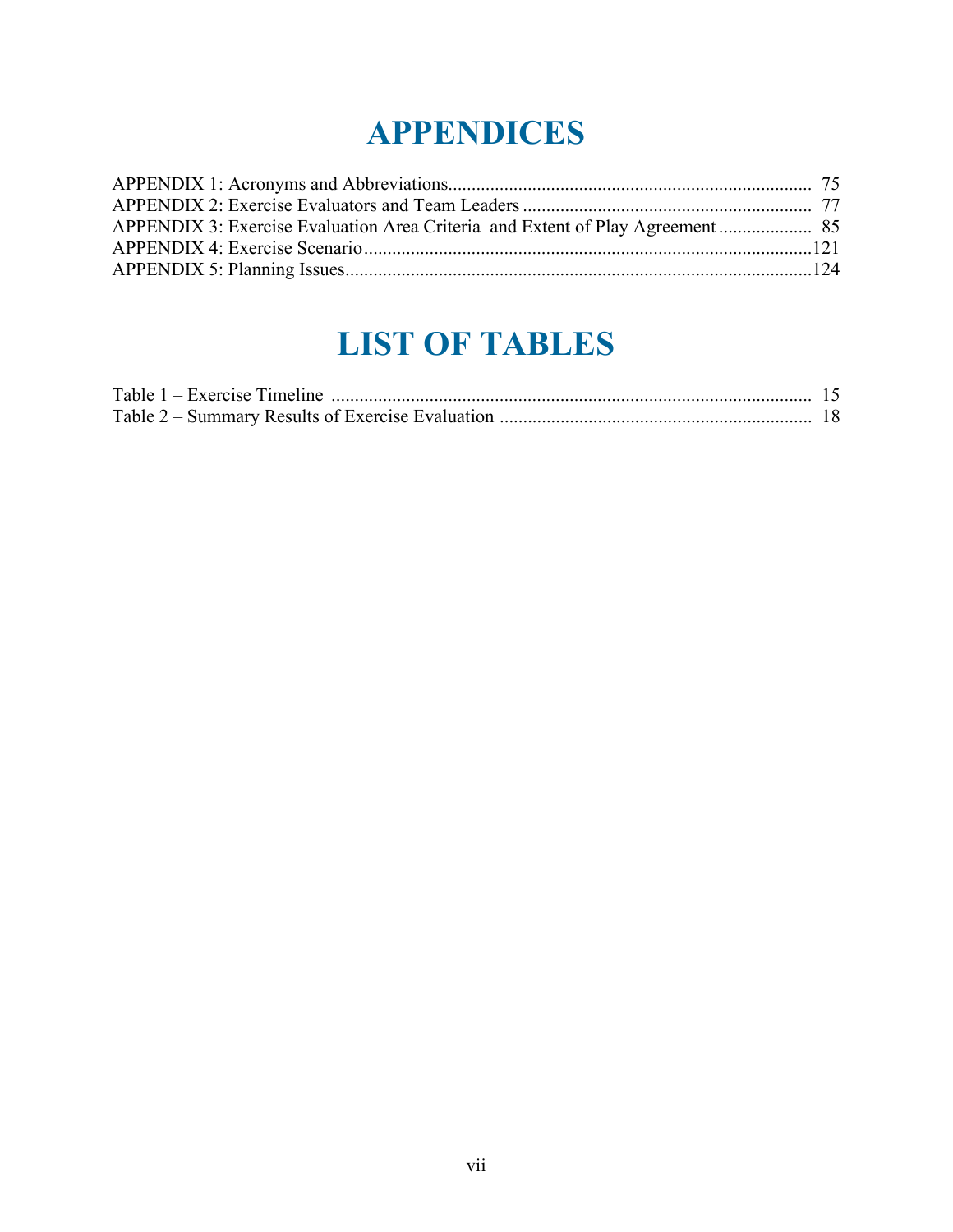## **APPENDICES**

## **LIST OF TABLES**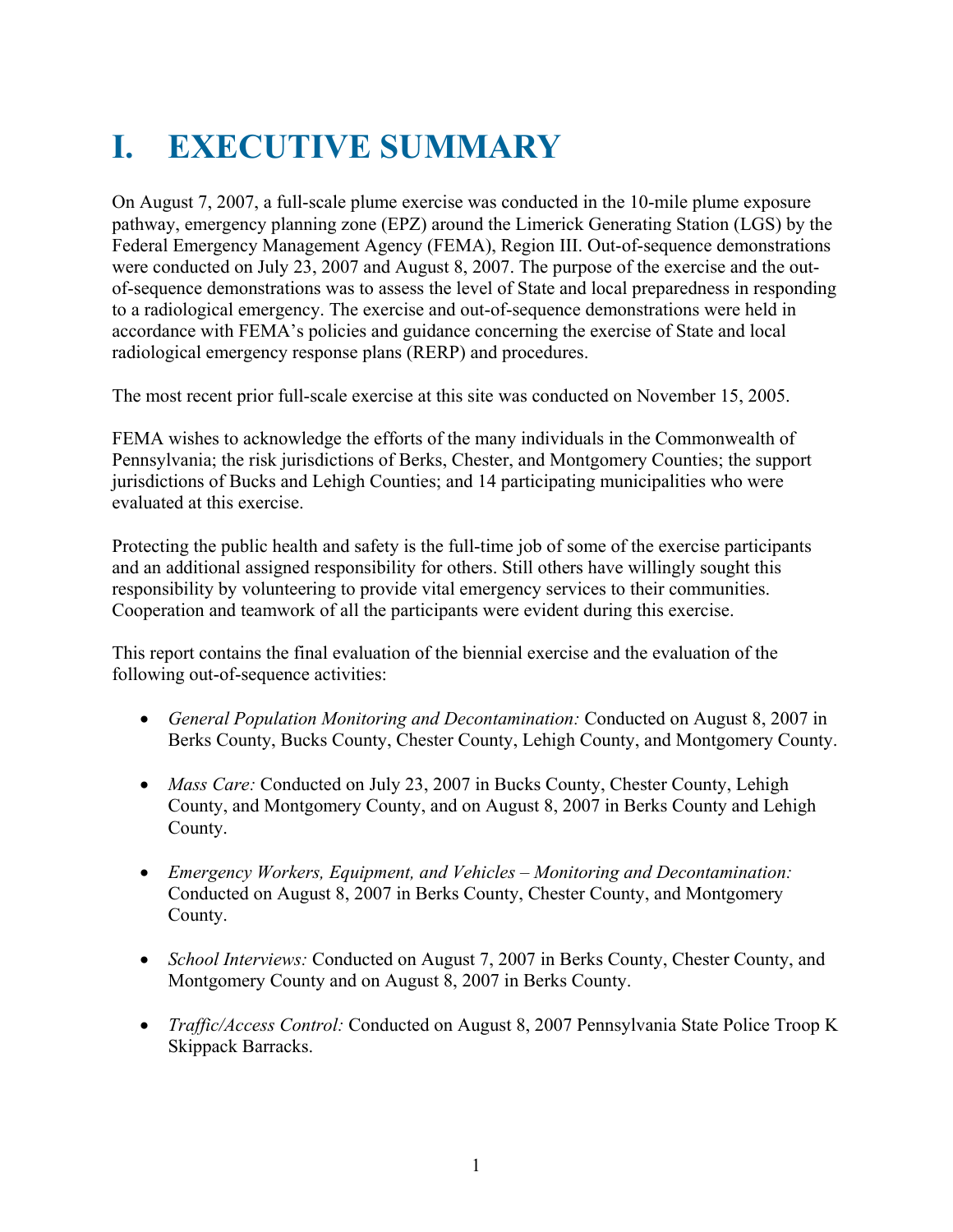## **I. EXECUTIVE SUMMARY**

On August 7, 2007, a full-scale plume exercise was conducted in the 10-mile plume exposure pathway, emergency planning zone (EPZ) around the Limerick Generating Station (LGS) by the Federal Emergency Management Agency (FEMA), Region III. Out-of-sequence demonstrations were conducted on July 23, 2007 and August 8, 2007. The purpose of the exercise and the outof-sequence demonstrations was to assess the level of State and local preparedness in responding to a radiological emergency. The exercise and out-of-sequence demonstrations were held in accordance with FEMA's policies and guidance concerning the exercise of State and local radiological emergency response plans (RERP) and procedures.

The most recent prior full-scale exercise at this site was conducted on November 15, 2005.

FEMA wishes to acknowledge the efforts of the many individuals in the Commonwealth of Pennsylvania; the risk jurisdictions of Berks, Chester, and Montgomery Counties; the support jurisdictions of Bucks and Lehigh Counties; and 14 participating municipalities who were evaluated at this exercise.

Protecting the public health and safety is the full-time job of some of the exercise participants and an additional assigned responsibility for others. Still others have willingly sought this responsibility by volunteering to provide vital emergency services to their communities. Cooperation and teamwork of all the participants were evident during this exercise.

This report contains the final evaluation of the biennial exercise and the evaluation of the following out-of-sequence activities:

- *General Population Monitoring and Decontamination:* Conducted on August 8, 2007 in Berks County, Bucks County, Chester County, Lehigh County, and Montgomery County.
- *Mass Care:* Conducted on July 23, 2007 in Bucks County, Chester County, Lehigh County, and Montgomery County, and on August 8, 2007 in Berks County and Lehigh County.
- *Emergency Workers, Equipment, and Vehicles Monitoring and Decontamination:*  Conducted on August 8, 2007 in Berks County, Chester County, and Montgomery County.
- *School Interviews:* Conducted on August 7, 2007 in Berks County, Chester County, and Montgomery County and on August 8, 2007 in Berks County.
- *Traffic/Access Control:* Conducted on August 8, 2007 Pennsylvania State Police Troop K Skippack Barracks.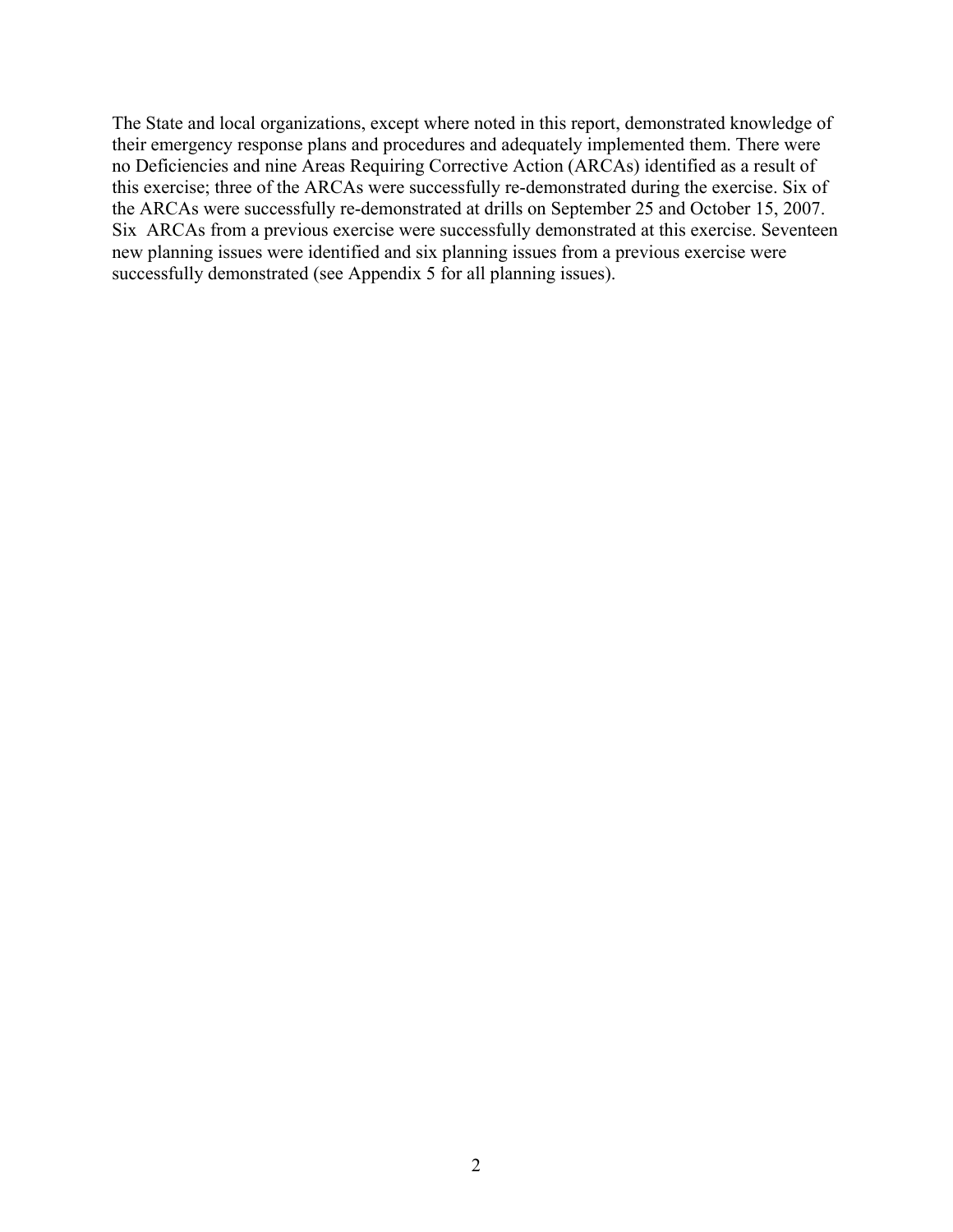The State and local organizations, except where noted in this report, demonstrated knowledge of their emergency response plans and procedures and adequately implemented them. There were no Deficiencies and nine Areas Requiring Corrective Action (ARCAs) identified as a result of this exercise; three of the ARCAs were successfully re-demonstrated during the exercise. Six of the ARCAs were successfully re-demonstrated at drills on September 25 and October 15, 2007. Six ARCAs from a previous exercise were successfully demonstrated at this exercise. Seventeen new planning issues were identified and six planning issues from a previous exercise were successfully demonstrated (see Appendix 5 for all planning issues).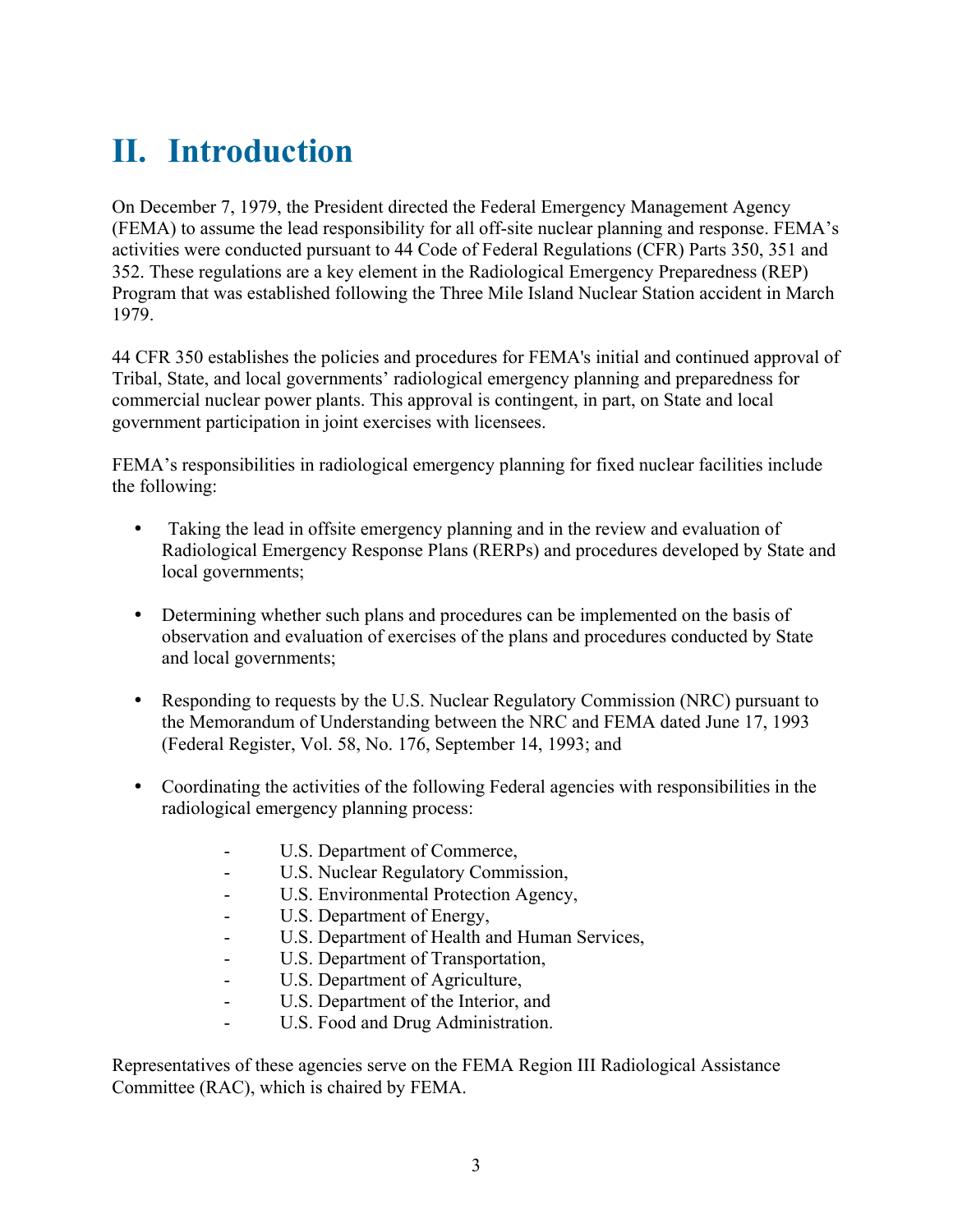## **II. Introduction**

On December 7, 1979, the President directed the Federal Emergency Management Agency (FEMA) to assume the lead responsibility for all off-site nuclear planning and response. FEMA's activities were conducted pursuant to 44 Code of Federal Regulations (CFR) Parts 350, 351 and 352. These regulations are a key element in the Radiological Emergency Preparedness (REP) Program that was established following the Three Mile Island Nuclear Station accident in March 1979.

44 CFR 350 establishes the policies and procedures for FEMA's initial and continued approval of Tribal, State, and local governments' radiological emergency planning and preparedness for commercial nuclear power plants. This approval is contingent, in part, on State and local government participation in joint exercises with licensees.

FEMA's responsibilities in radiological emergency planning for fixed nuclear facilities include the following:

- Taking the lead in offsite emergency planning and in the review and evaluation of Radiological Emergency Response Plans (RERPs) and procedures developed by State and local governments;
- Determining whether such plans and procedures can be implemented on the basis of observation and evaluation of exercises of the plans and procedures conducted by State and local governments;
- Responding to requests by the U.S. Nuclear Regulatory Commission (NRC) pursuant to the Memorandum of Understanding between the NRC and FEMA dated June 17, 1993 (Federal Register, Vol. 58, No. 176, September 14, 1993; and
- Coordinating the activities of the following Federal agencies with responsibilities in the radiological emergency planning process:
	- U.S. Department of Commerce,
	- U.S. Nuclear Regulatory Commission,
	- U.S. Environmental Protection Agency,
	- U.S. Department of Energy,
	- U.S. Department of Health and Human Services,
	- U.S. Department of Transportation,
	- U.S. Department of Agriculture,
	- U.S. Department of the Interior, and
	- U.S. Food and Drug Administration.

Representatives of these agencies serve on the FEMA Region III Radiological Assistance Committee (RAC), which is chaired by FEMA.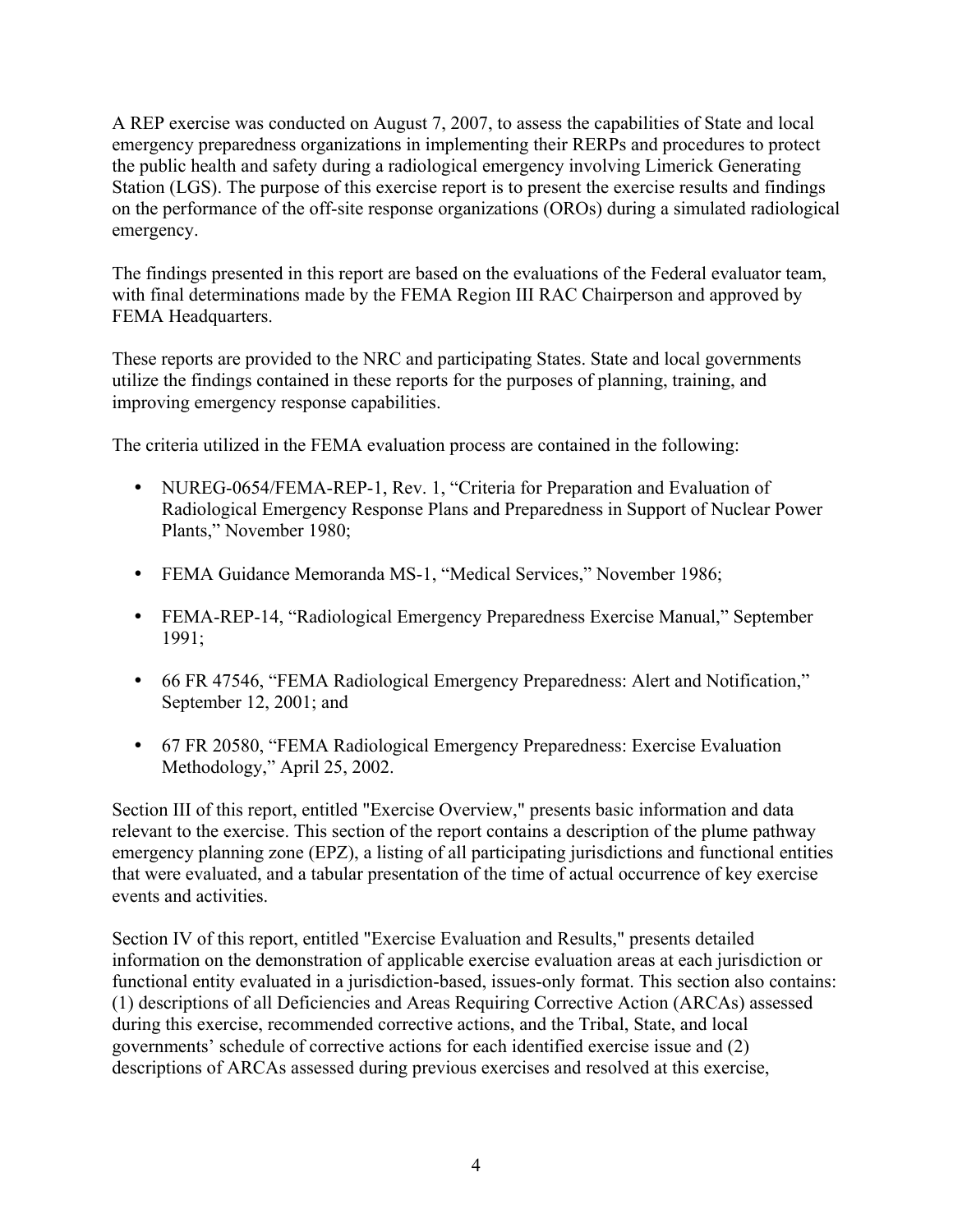A REP exercise was conducted on August 7, 2007, to assess the capabilities of State and local emergency preparedness organizations in implementing their RERPs and procedures to protect the public health and safety during a radiological emergency involving Limerick Generating Station (LGS). The purpose of this exercise report is to present the exercise results and findings on the performance of the off-site response organizations (OROs) during a simulated radiological emergency.

The findings presented in this report are based on the evaluations of the Federal evaluator team, with final determinations made by the FEMA Region III RAC Chairperson and approved by FEMA Headquarters.

These reports are provided to the NRC and participating States. State and local governments utilize the findings contained in these reports for the purposes of planning, training, and improving emergency response capabilities.

The criteria utilized in the FEMA evaluation process are contained in the following:

- NUREG-0654/FEMA-REP-1, Rev. 1, "Criteria for Preparation and Evaluation of Radiological Emergency Response Plans and Preparedness in Support of Nuclear Power Plants," November 1980;
- FEMA Guidance Memoranda MS-1, "Medical Services," November 1986;
- y FEMA-REP-14, "Radiological Emergency Preparedness Exercise Manual," September 1991;
- y 66 FR 47546, "FEMA Radiological Emergency Preparedness: Alert and Notification," September 12, 2001; and
- y 67 FR 20580, "FEMA Radiological Emergency Preparedness: Exercise Evaluation Methodology," April 25, 2002.

Section III of this report, entitled "Exercise Overview," presents basic information and data relevant to the exercise. This section of the report contains a description of the plume pathway emergency planning zone (EPZ), a listing of all participating jurisdictions and functional entities that were evaluated, and a tabular presentation of the time of actual occurrence of key exercise events and activities.

Section IV of this report, entitled "Exercise Evaluation and Results," presents detailed information on the demonstration of applicable exercise evaluation areas at each jurisdiction or functional entity evaluated in a jurisdiction-based, issues-only format. This section also contains: (1) descriptions of all Deficiencies and Areas Requiring Corrective Action (ARCAs) assessed during this exercise, recommended corrective actions, and the Tribal, State, and local governments' schedule of corrective actions for each identified exercise issue and (2) descriptions of ARCAs assessed during previous exercises and resolved at this exercise,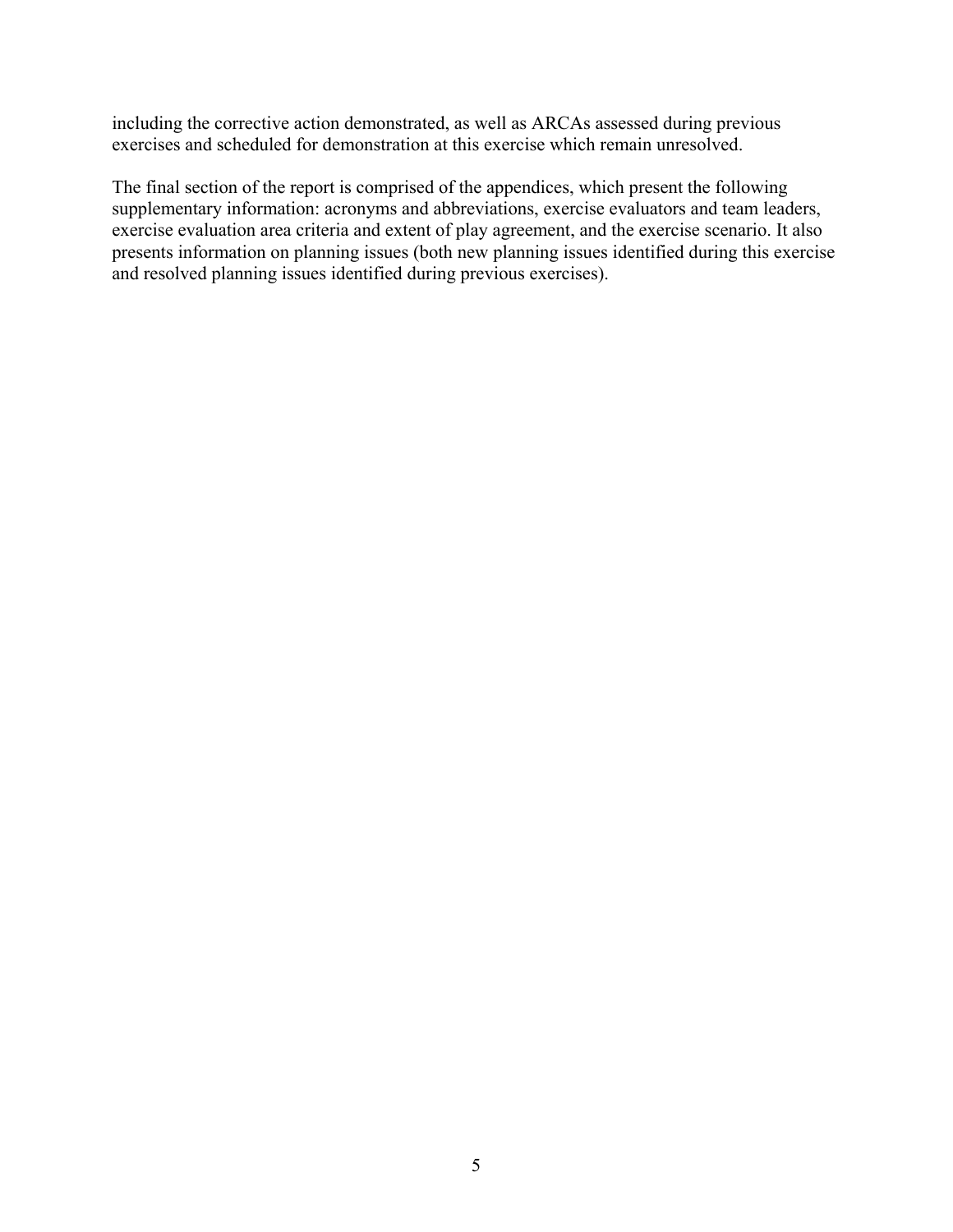including the corrective action demonstrated, as well as ARCAs assessed during previous exercises and scheduled for demonstration at this exercise which remain unresolved.

The final section of the report is comprised of the appendices, which present the following supplementary information: acronyms and abbreviations, exercise evaluators and team leaders, exercise evaluation area criteria and extent of play agreement, and the exercise scenario. It also presents information on planning issues (both new planning issues identified during this exercise and resolved planning issues identified during previous exercises).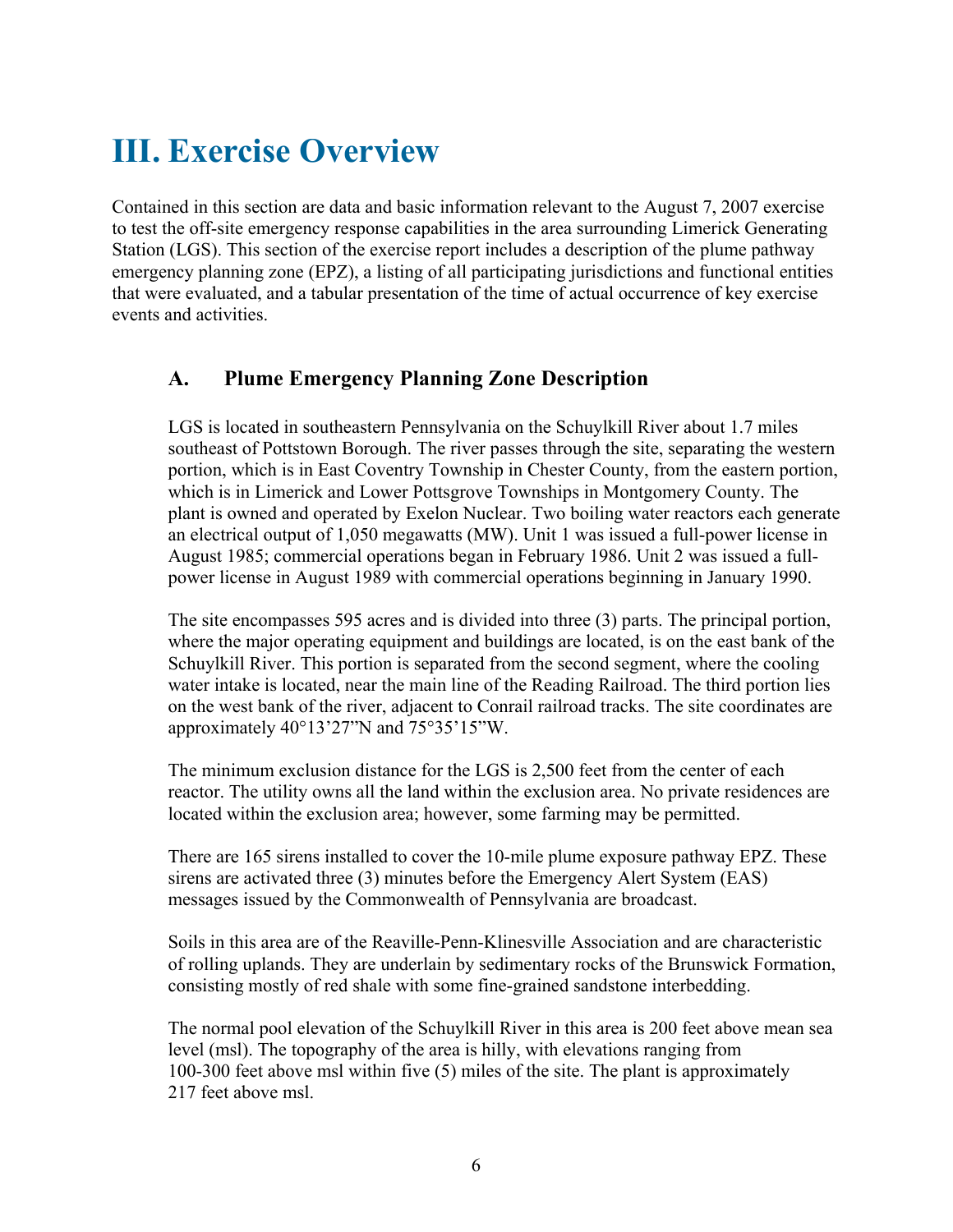## **III. Exercise Overview**

Contained in this section are data and basic information relevant to the August 7, 2007 exercise to test the off-site emergency response capabilities in the area surrounding Limerick Generating Station (LGS). This section of the exercise report includes a description of the plume pathway emergency planning zone (EPZ), a listing of all participating jurisdictions and functional entities that were evaluated, and a tabular presentation of the time of actual occurrence of key exercise events and activities.

### **A. Plume Emergency Planning Zone Description**

LGS is located in southeastern Pennsylvania on the Schuylkill River about 1.7 miles southeast of Pottstown Borough. The river passes through the site, separating the western portion, which is in East Coventry Township in Chester County, from the eastern portion, which is in Limerick and Lower Pottsgrove Townships in Montgomery County. The plant is owned and operated by Exelon Nuclear. Two boiling water reactors each generate an electrical output of 1,050 megawatts (MW). Unit 1 was issued a full-power license in August 1985; commercial operations began in February 1986. Unit 2 was issued a fullpower license in August 1989 with commercial operations beginning in January 1990.

The site encompasses 595 acres and is divided into three (3) parts. The principal portion, where the major operating equipment and buildings are located, is on the east bank of the Schuylkill River. This portion is separated from the second segment, where the cooling water intake is located, near the main line of the Reading Railroad. The third portion lies on the west bank of the river, adjacent to Conrail railroad tracks. The site coordinates are approximately 40°13'27"N and 75°35'15"W.

The minimum exclusion distance for the LGS is 2,500 feet from the center of each reactor. The utility owns all the land within the exclusion area. No private residences are located within the exclusion area; however, some farming may be permitted.

There are 165 sirens installed to cover the 10-mile plume exposure pathway EPZ. These sirens are activated three (3) minutes before the Emergency Alert System (EAS) messages issued by the Commonwealth of Pennsylvania are broadcast.

Soils in this area are of the Reaville-Penn-Klinesville Association and are characteristic of rolling uplands. They are underlain by sedimentary rocks of the Brunswick Formation, consisting mostly of red shale with some fine-grained sandstone interbedding.

The normal pool elevation of the Schuylkill River in this area is 200 feet above mean sea level (msl). The topography of the area is hilly, with elevations ranging from 100-300 feet above msl within five (5) miles of the site. The plant is approximately 217 feet above msl.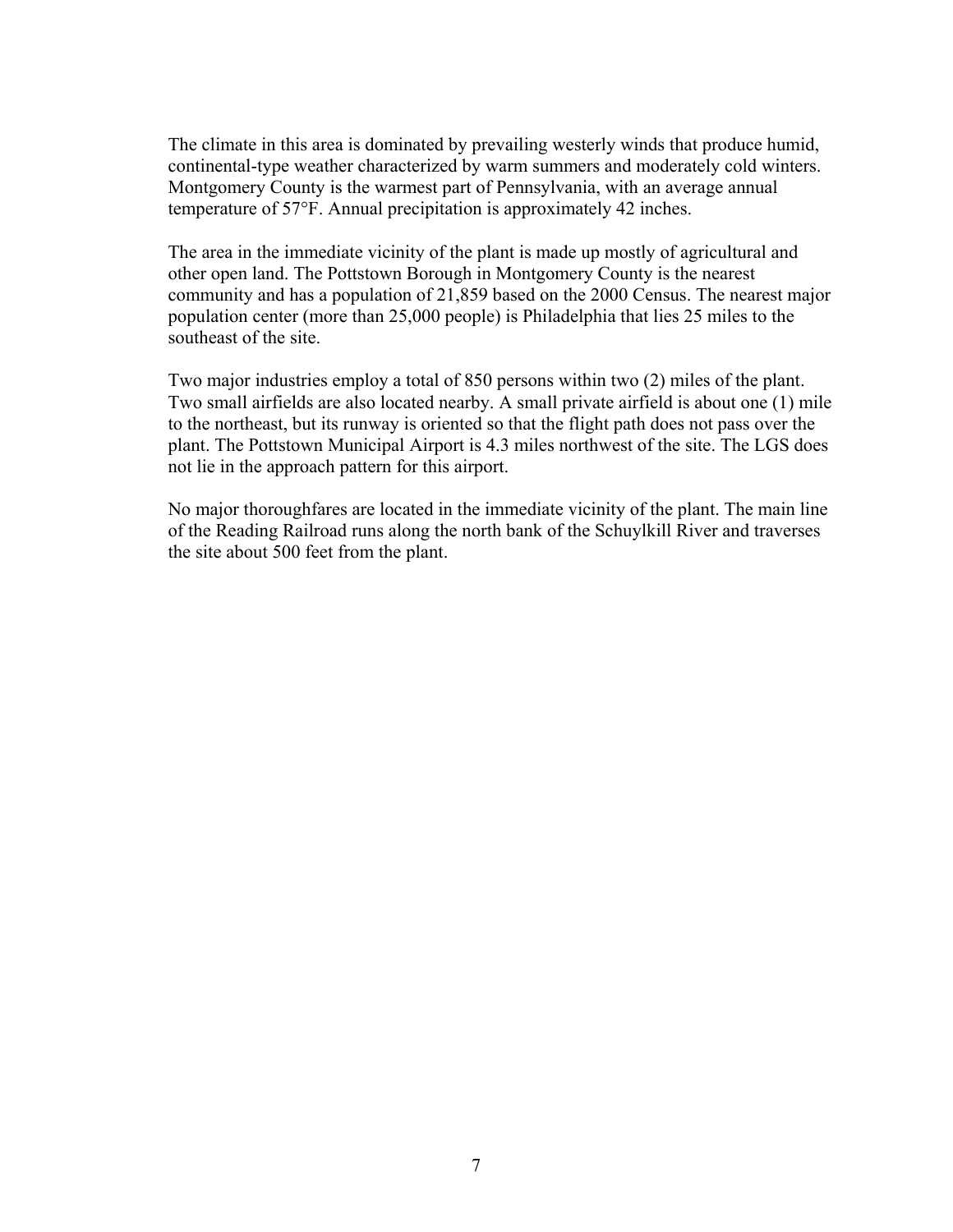The climate in this area is dominated by prevailing westerly winds that produce humid, continental-type weather characterized by warm summers and moderately cold winters. Montgomery County is the warmest part of Pennsylvania, with an average annual temperature of 57°F. Annual precipitation is approximately 42 inches.

The area in the immediate vicinity of the plant is made up mostly of agricultural and other open land. The Pottstown Borough in Montgomery County is the nearest community and has a population of 21,859 based on the 2000 Census. The nearest major population center (more than 25,000 people) is Philadelphia that lies 25 miles to the southeast of the site.

Two major industries employ a total of 850 persons within two (2) miles of the plant. Two small airfields are also located nearby. A small private airfield is about one (1) mile to the northeast, but its runway is oriented so that the flight path does not pass over the plant. The Pottstown Municipal Airport is 4.3 miles northwest of the site. The LGS does not lie in the approach pattern for this airport.

No major thoroughfares are located in the immediate vicinity of the plant. The main line of the Reading Railroad runs along the north bank of the Schuylkill River and traverses the site about 500 feet from the plant.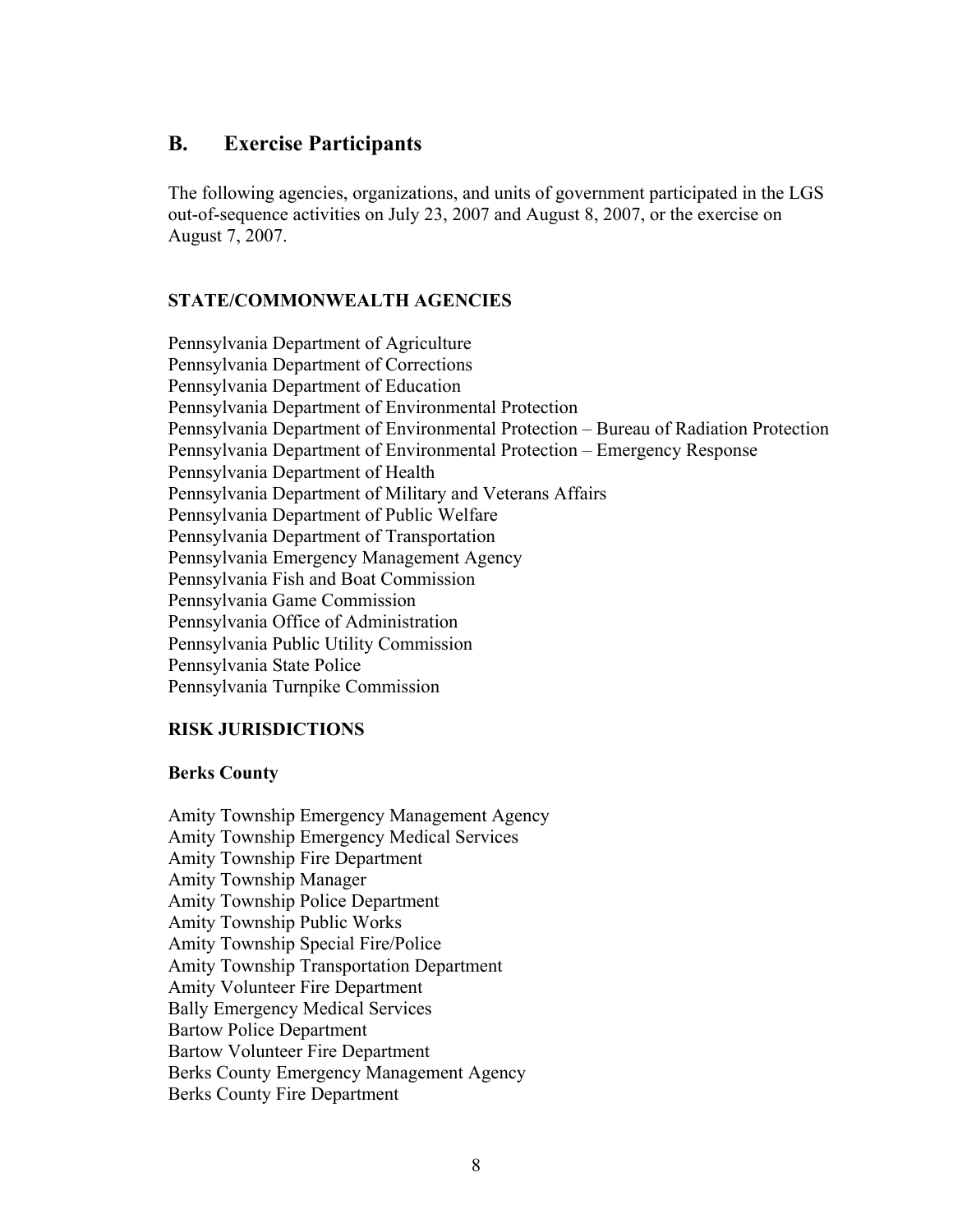### **B. Exercise Participants**

The following agencies, organizations, and units of government participated in the LGS out-of-sequence activities on July 23, 2007 and August 8, 2007, or the exercise on August 7, 2007.

### **STATE/COMMONWEALTH AGENCIES**

Pennsylvania Department of Agriculture Pennsylvania Department of Corrections Pennsylvania Department of Education Pennsylvania Department of Environmental Protection Pennsylvania Department of Environmental Protection – Bureau of Radiation Protection Pennsylvania Department of Environmental Protection – Emergency Response Pennsylvania Department of Health Pennsylvania Department of Military and Veterans Affairs Pennsylvania Department of Public Welfare Pennsylvania Department of Transportation Pennsylvania Emergency Management Agency Pennsylvania Fish and Boat Commission Pennsylvania Game Commission Pennsylvania Office of Administration Pennsylvania Public Utility Commission Pennsylvania State Police Pennsylvania Turnpike Commission

### **RISK JURISDICTIONS**

### **Berks County**

Amity Township Emergency Management Agency Amity Township Emergency Medical Services Amity Township Fire Department Amity Township Manager Amity Township Police Department Amity Township Public Works Amity Township Special Fire/Police Amity Township Transportation Department Amity Volunteer Fire Department Bally Emergency Medical Services Bartow Police Department Bartow Volunteer Fire Department Berks County Emergency Management Agency Berks County Fire Department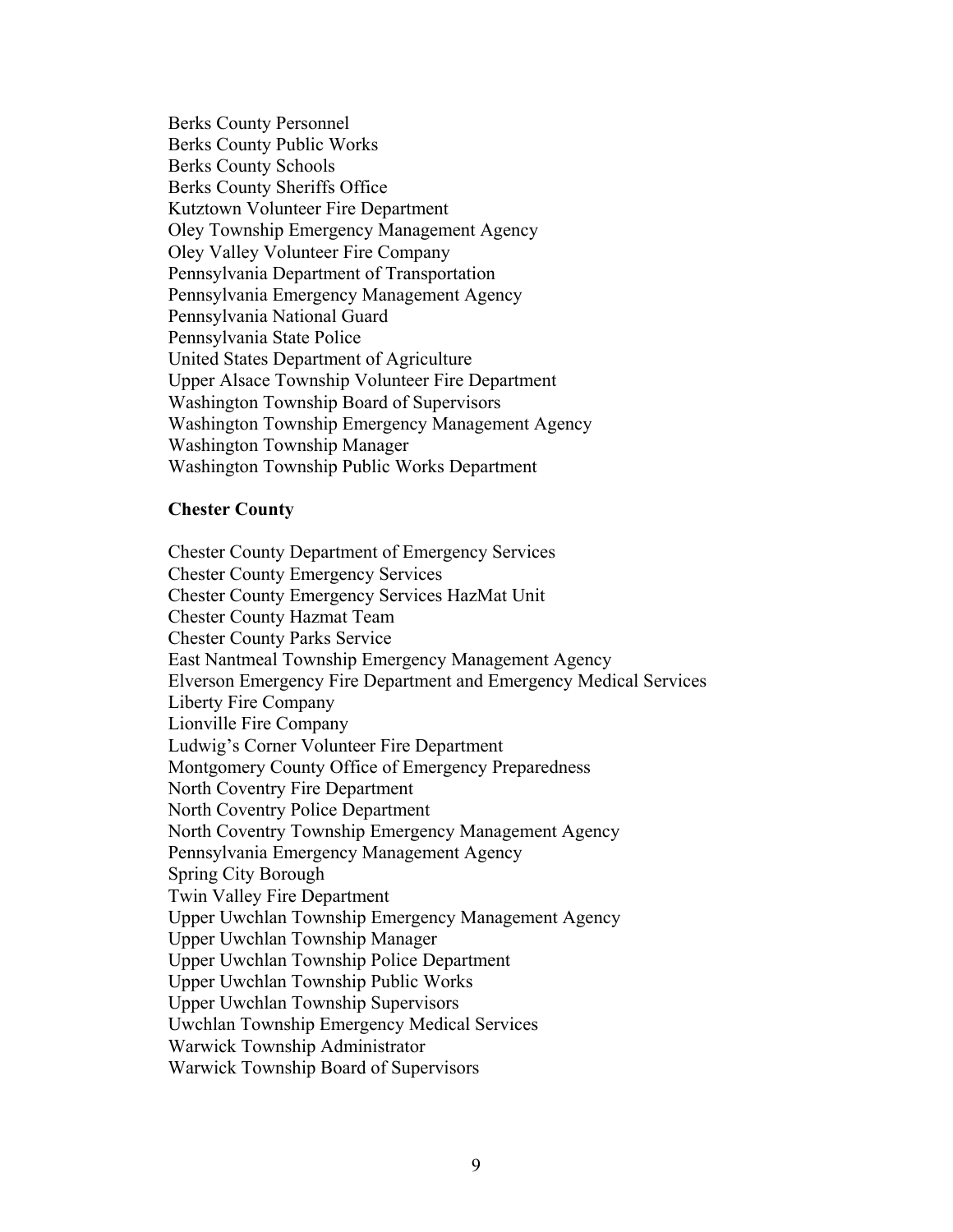Berks County Personnel Berks County Public Works Berks County Schools Berks County Sheriffs Office Kutztown Volunteer Fire Department Oley Township Emergency Management Agency Oley Valley Volunteer Fire Company Pennsylvania Department of Transportation Pennsylvania Emergency Management Agency Pennsylvania National Guard Pennsylvania State Police United States Department of Agriculture Upper Alsace Township Volunteer Fire Department Washington Township Board of Supervisors Washington Township Emergency Management Agency Washington Township Manager Washington Township Public Works Department

### **Chester County**

Chester County Department of Emergency Services Chester County Emergency Services Chester County Emergency Services HazMat Unit Chester County Hazmat Team Chester County Parks Service East Nantmeal Township Emergency Management Agency Elverson Emergency Fire Department and Emergency Medical Services Liberty Fire Company Lionville Fire Company Ludwig's Corner Volunteer Fire Department Montgomery County Office of Emergency Preparedness North Coventry Fire Department North Coventry Police Department North Coventry Township Emergency Management Agency Pennsylvania Emergency Management Agency Spring City Borough Twin Valley Fire Department Upper Uwchlan Township Emergency Management Agency Upper Uwchlan Township Manager Upper Uwchlan Township Police Department Upper Uwchlan Township Public Works Upper Uwchlan Township Supervisors Uwchlan Township Emergency Medical Services Warwick Township Administrator Warwick Township Board of Supervisors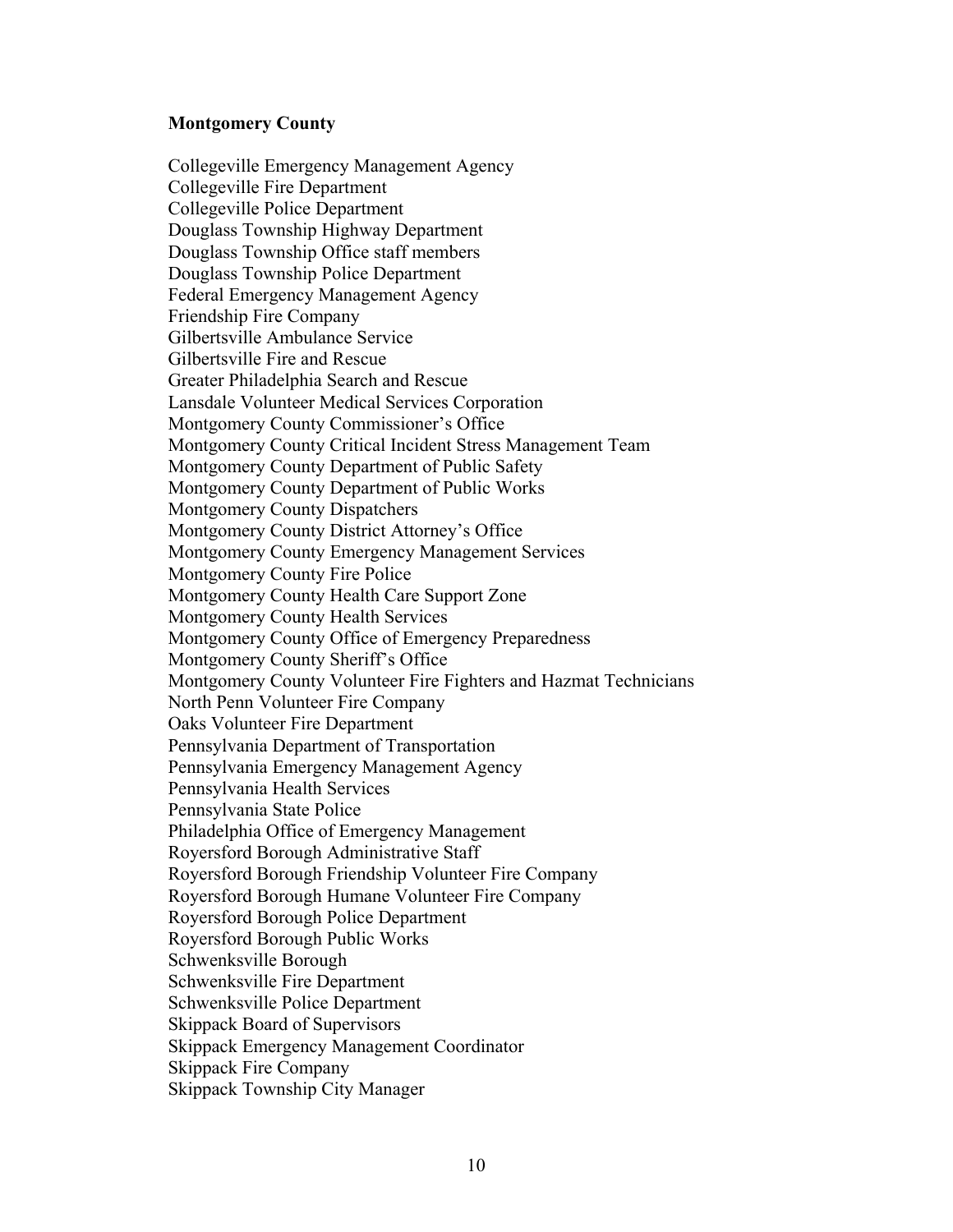### **Montgomery County**

Collegeville Emergency Management Agency Collegeville Fire Department Collegeville Police Department Douglass Township Highway Department Douglass Township Office staff members Douglass Township Police Department Federal Emergency Management Agency Friendship Fire Company Gilbertsville Ambulance Service Gilbertsville Fire and Rescue Greater Philadelphia Search and Rescue Lansdale Volunteer Medical Services Corporation Montgomery County Commissioner's Office Montgomery County Critical Incident Stress Management Team Montgomery County Department of Public Safety Montgomery County Department of Public Works Montgomery County Dispatchers Montgomery County District Attorney's Office Montgomery County Emergency Management Services Montgomery County Fire Police Montgomery County Health Care Support Zone Montgomery County Health Services Montgomery County Office of Emergency Preparedness Montgomery County Sheriff's Office Montgomery County Volunteer Fire Fighters and Hazmat Technicians North Penn Volunteer Fire Company Oaks Volunteer Fire Department Pennsylvania Department of Transportation Pennsylvania Emergency Management Agency Pennsylvania Health Services Pennsylvania State Police Philadelphia Office of Emergency Management Royersford Borough Administrative Staff Royersford Borough Friendship Volunteer Fire Company Royersford Borough Humane Volunteer Fire Company Royersford Borough Police Department Royersford Borough Public Works Schwenksville Borough Schwenksville Fire Department Schwenksville Police Department Skippack Board of Supervisors Skippack Emergency Management Coordinator Skippack Fire Company Skippack Township City Manager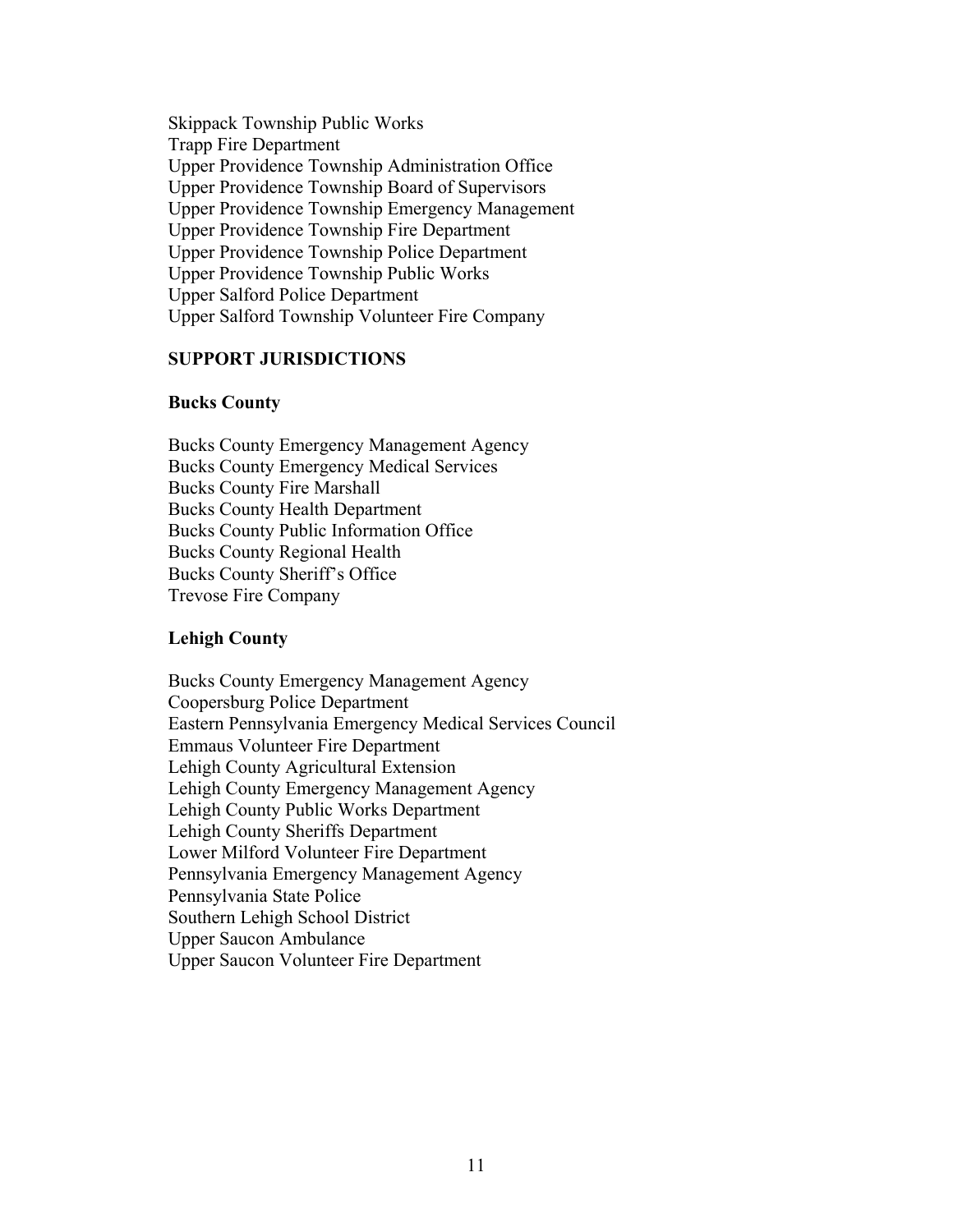Skippack Township Public Works Trapp Fire Department Upper Providence Township Administration Office Upper Providence Township Board of Supervisors Upper Providence Township Emergency Management Upper Providence Township Fire Department Upper Providence Township Police Department Upper Providence Township Public Works Upper Salford Police Department Upper Salford Township Volunteer Fire Company

### **SUPPORT JURISDICTIONS**

### **Bucks County**

Bucks County Emergency Management Agency Bucks County Emergency Medical Services Bucks County Fire Marshall Bucks County Health Department Bucks County Public Information Office Bucks County Regional Health Bucks County Sheriff's Office Trevose Fire Company

### **Lehigh County**

Bucks County Emergency Management Agency Coopersburg Police Department Eastern Pennsylvania Emergency Medical Services Council Emmaus Volunteer Fire Department Lehigh County Agricultural Extension Lehigh County Emergency Management Agency Lehigh County Public Works Department Lehigh County Sheriffs Department Lower Milford Volunteer Fire Department Pennsylvania Emergency Management Agency Pennsylvania State Police Southern Lehigh School District Upper Saucon Ambulance Upper Saucon Volunteer Fire Department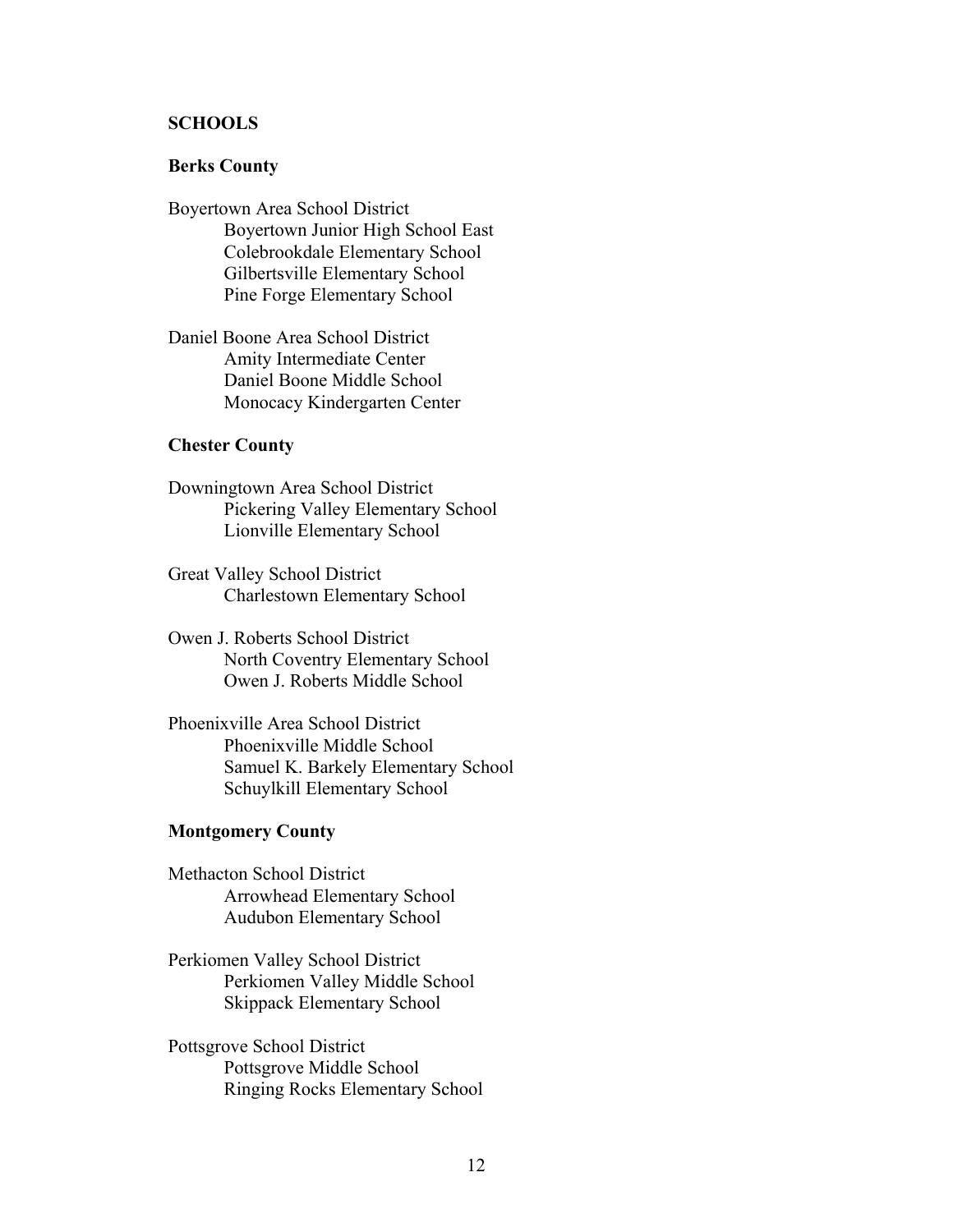### **SCHOOLS**

### **Berks County**

- Boyertown Area School District Boyertown Junior High School East Colebrookdale Elementary School Gilbertsville Elementary School Pine Forge Elementary School
- Daniel Boone Area School District Amity Intermediate Center Daniel Boone Middle School Monocacy Kindergarten Center

### **Chester County**

- Downingtown Area School District Pickering Valley Elementary School Lionville Elementary School
- Great Valley School District Charlestown Elementary School
- Owen J. Roberts School District North Coventry Elementary School Owen J. Roberts Middle School
- Phoenixville Area School District Phoenixville Middle School Samuel K. Barkely Elementary School Schuylkill Elementary School

### **Montgomery County**

- Methacton School District Arrowhead Elementary School Audubon Elementary School
- Perkiomen Valley School District Perkiomen Valley Middle School Skippack Elementary School
- Pottsgrove School District Pottsgrove Middle School Ringing Rocks Elementary School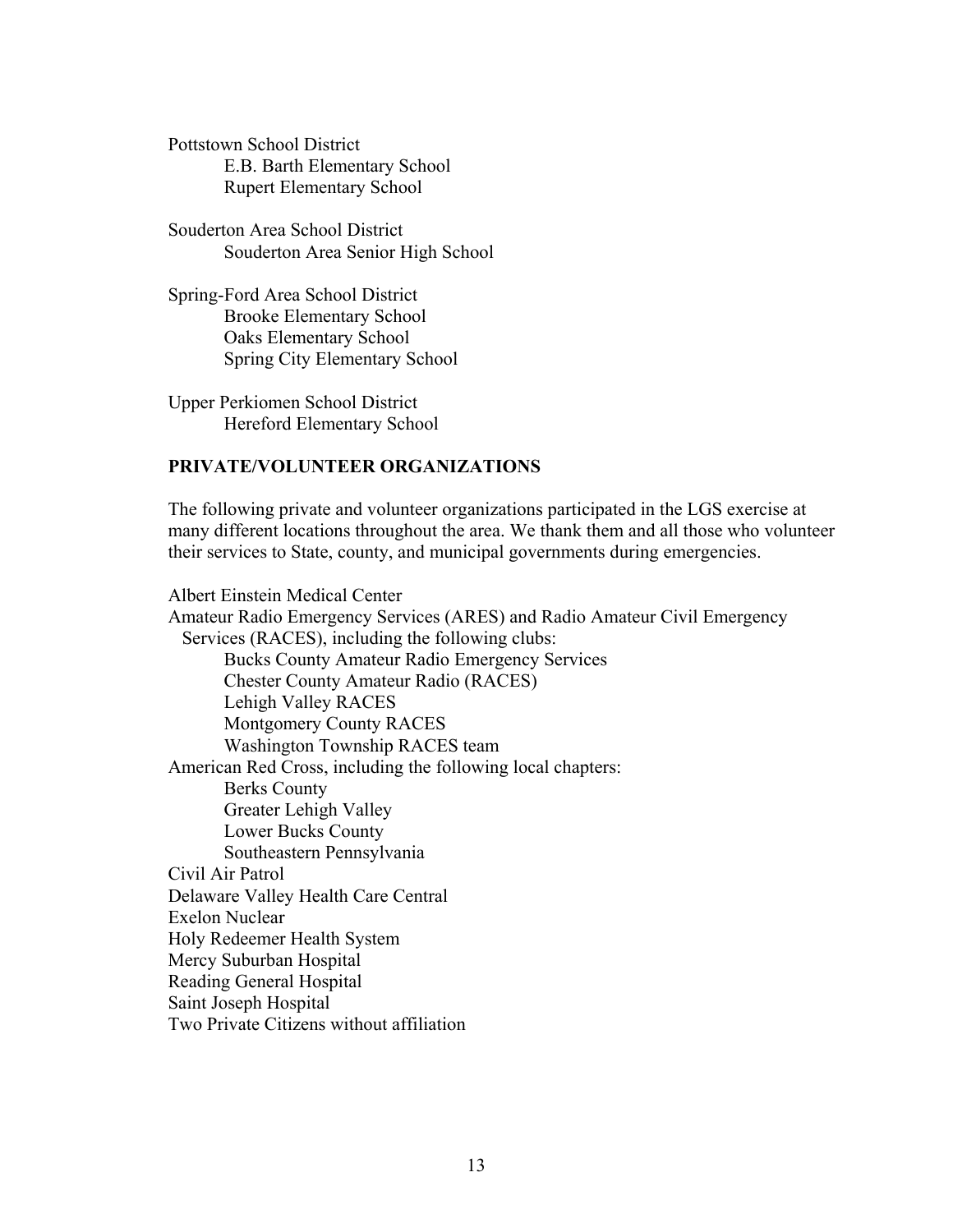Pottstown School District E.B. Barth Elementary School Rupert Elementary School

Souderton Area School District Souderton Area Senior High School

Spring-Ford Area School District Brooke Elementary School Oaks Elementary School Spring City Elementary School

Upper Perkiomen School District Hereford Elementary School

### **PRIVATE/VOLUNTEER ORGANIZATIONS**

The following private and volunteer organizations participated in the LGS exercise at many different locations throughout the area. We thank them and all those who volunteer their services to State, county, and municipal governments during emergencies.

Albert Einstein Medical Center Amateur Radio Emergency Services (ARES) and Radio Amateur Civil Emergency Services (RACES), including the following clubs: Bucks County Amateur Radio Emergency Services Chester County Amateur Radio (RACES) Lehigh Valley RACES Montgomery County RACES Washington Township RACES team American Red Cross, including the following local chapters: Berks County Greater Lehigh Valley Lower Bucks County Southeastern Pennsylvania Civil Air Patrol Delaware Valley Health Care Central Exelon Nuclear Holy Redeemer Health System Mercy Suburban Hospital Reading General Hospital Saint Joseph Hospital Two Private Citizens without affiliation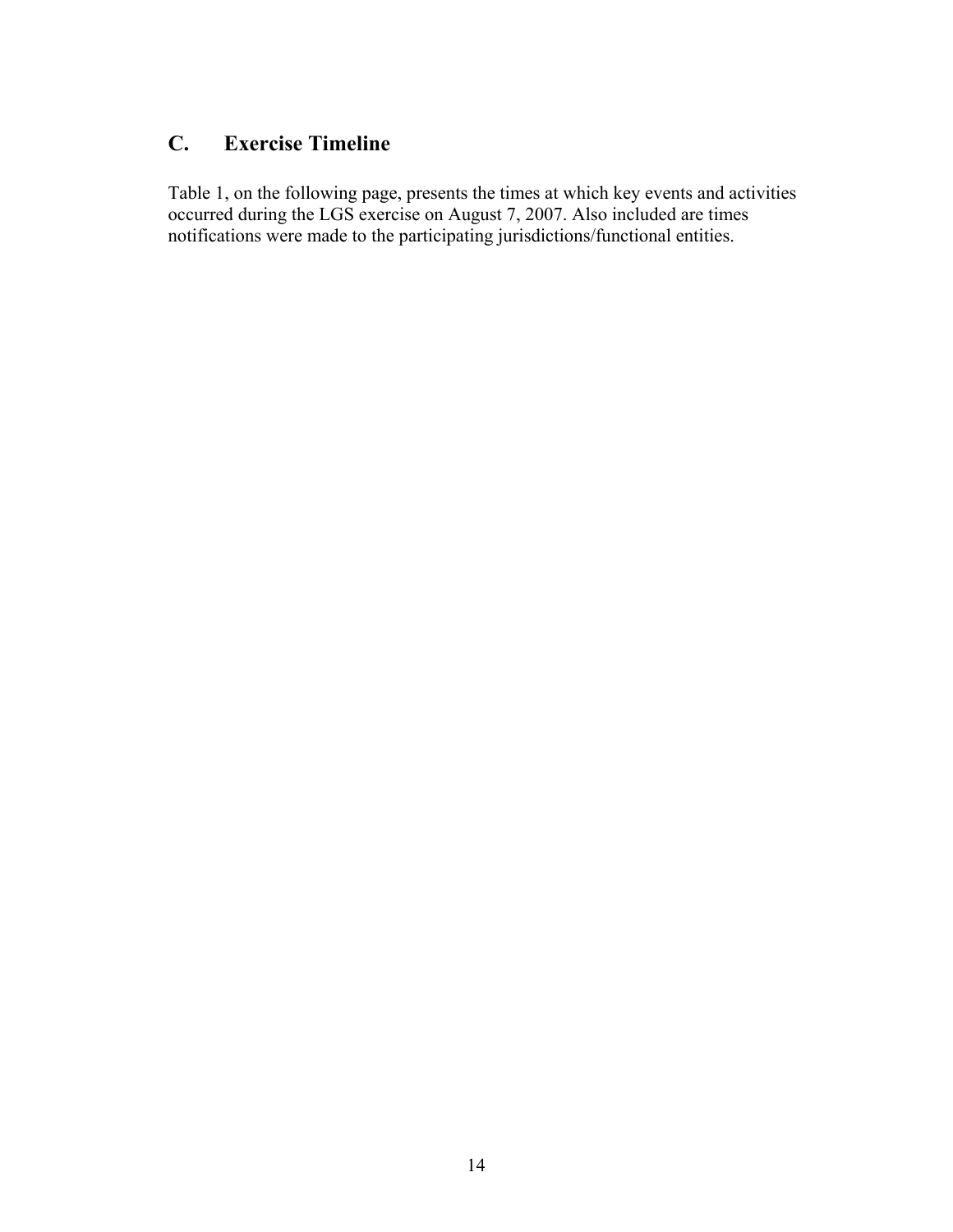### **C. Exercise Timeline**

Table 1, on the following page, presents the times at which key events and activities occurred during the LGS exercise on August 7, 2007. Also included are times notifications were made to the participating jurisdictions/functional entities.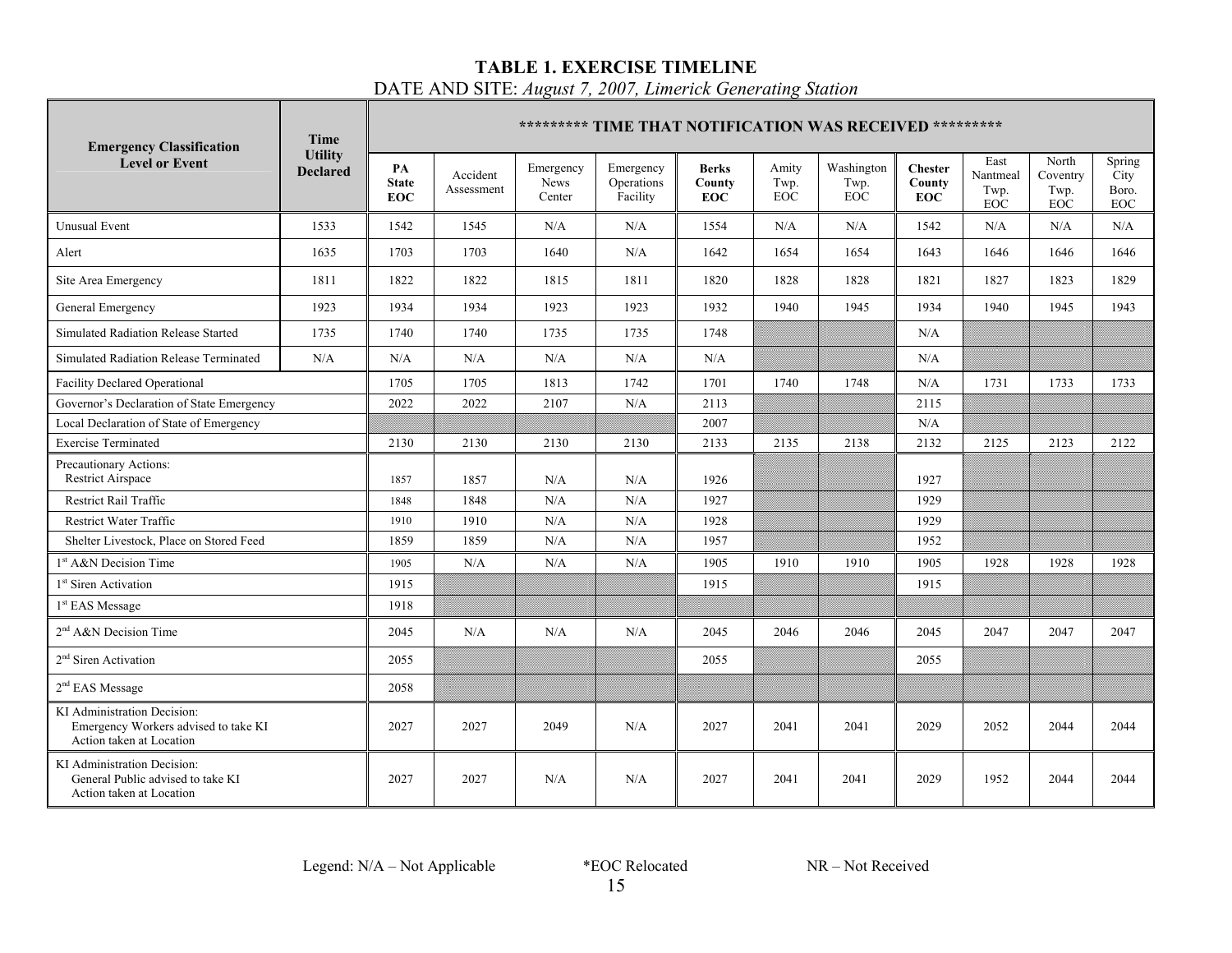### **TABLE 1. EXERCISE TIMELINE**

DATE AND SITE: *August 7, 2007, Limerick Generating Station*

| <b>Emergency Classification</b>                                                                 | <b>Time</b>                       |                           |                        |                             | ********* TIME THAT NOTIFICATION WAS RECEIVED ********* |                                      |                      |                                  |                                        |                                 |                                  |                                       |
|-------------------------------------------------------------------------------------------------|-----------------------------------|---------------------------|------------------------|-----------------------------|---------------------------------------------------------|--------------------------------------|----------------------|----------------------------------|----------------------------------------|---------------------------------|----------------------------------|---------------------------------------|
| <b>Level or Event</b>                                                                           | <b>Utility</b><br><b>Declared</b> | PA<br><b>State</b><br>EOC | Accident<br>Assessment | Emergency<br>News<br>Center | Emergency<br>Operations<br>Facility                     | <b>Berks</b><br>County<br><b>EOC</b> | Amity<br>Twp.<br>EOC | Washington<br>Twp.<br><b>EOC</b> | <b>Chester</b><br>County<br><b>EOC</b> | East<br>Nantmeal<br>Twp.<br>EOC | North<br>Coventry<br>Twp.<br>EOC | Spring<br>City<br>Boro.<br><b>EOC</b> |
| <b>Unusual Event</b>                                                                            | 1533                              | 1542                      | 1545                   | N/A                         | N/A                                                     | 1554                                 | N/A                  | N/A                              | 1542                                   | N/A                             | N/A                              | N/A                                   |
| Alert                                                                                           | 1635                              | 1703                      | 1703                   | 1640                        | N/A                                                     | 1642                                 | 1654                 | 1654                             | 1643                                   | 1646                            | 1646                             | 1646                                  |
| Site Area Emergency                                                                             | 1811                              | 1822                      | 1822                   | 1815                        | 1811                                                    | 1820                                 | 1828                 | 1828                             | 1821                                   | 1827                            | 1823                             | 1829                                  |
| General Emergency                                                                               | 1923                              | 1934                      | 1934                   | 1923                        | 1923                                                    | 1932                                 | 1940                 | 1945                             | 1934                                   | 1940                            | 1945                             | 1943                                  |
| Simulated Radiation Release Started                                                             | 1735                              | 1740                      | 1740                   | 1735                        | 1735                                                    | 1748                                 |                      |                                  | N/A                                    |                                 |                                  |                                       |
| Simulated Radiation Release Terminated                                                          | N/A                               | N/A                       | N/A                    | N/A                         | N/A                                                     | N/A                                  |                      |                                  | N/A                                    |                                 |                                  |                                       |
| <b>Facility Declared Operational</b>                                                            |                                   | 1705                      | 1705                   | 1813                        | 1742                                                    | 1701                                 | 1740                 | 1748                             | N/A                                    | 1731                            | 1733                             | 1733                                  |
| Governor's Declaration of State Emergency                                                       |                                   | 2022                      | 2022                   | 2107                        | N/A                                                     | 2113                                 |                      |                                  | 2115                                   |                                 |                                  |                                       |
| Local Declaration of State of Emergency                                                         |                                   |                           |                        |                             |                                                         | 2007                                 |                      |                                  | N/A                                    |                                 |                                  |                                       |
| <b>Exercise Terminated</b>                                                                      |                                   | 2130                      | 2130                   | 2130                        | 2130                                                    | 2133                                 | 2135                 | 2138                             | 2132                                   | 2125                            | 2123                             | 2122                                  |
| Precautionary Actions:<br>Restrict Airspace                                                     |                                   | 1857                      | 1857                   | N/A                         | N/A                                                     | 1926                                 |                      |                                  | 1927                                   |                                 |                                  |                                       |
| Restrict Rail Traffic                                                                           |                                   | 1848                      | 1848                   | N/A                         | N/A                                                     | 1927                                 |                      |                                  | 1929                                   |                                 |                                  |                                       |
| Restrict Water Traffic                                                                          |                                   | 1910                      | 1910                   | N/A                         | N/A                                                     | 1928                                 |                      |                                  | 1929                                   |                                 |                                  |                                       |
| Shelter Livestock, Place on Stored Feed                                                         |                                   | 1859                      | 1859                   | N/A                         | $\rm N/A$                                               | 1957                                 |                      |                                  | 1952                                   |                                 |                                  |                                       |
| 1 <sup>st</sup> A&N Decision Time                                                               |                                   | 1905                      | N/A                    | N/A                         | N/A                                                     | 1905                                 | 1910                 | 1910                             | 1905                                   | 1928                            | 1928                             | 1928                                  |
| 1 <sup>st</sup> Siren Activation                                                                |                                   | 1915                      |                        |                             |                                                         | 1915                                 |                      |                                  | 1915                                   |                                 |                                  |                                       |
| $1st$ EAS Message                                                                               |                                   | 1918                      |                        |                             |                                                         |                                      |                      |                                  |                                        |                                 |                                  |                                       |
| 2 <sup>nd</sup> A&N Decision Time                                                               |                                   | 2045                      | N/A                    | N/A                         | N/A                                                     | 2045                                 | 2046                 | 2046                             | 2045                                   | 2047                            | 2047                             | 2047                                  |
| 2 <sup>nd</sup> Siren Activation                                                                |                                   | 2055                      |                        |                             |                                                         | 2055                                 |                      |                                  | 2055                                   |                                 |                                  |                                       |
| $2nd$ EAS Message                                                                               |                                   | 2058                      |                        |                             |                                                         |                                      |                      |                                  |                                        |                                 |                                  |                                       |
| KI Administration Decision:<br>Emergency Workers advised to take KI<br>Action taken at Location |                                   | 2027                      | 2027                   | 2049                        | N/A                                                     | 2027                                 | 2041                 | 2041                             | 2029                                   | 2052                            | 2044                             | 2044                                  |
| KI Administration Decision:<br>General Public advised to take KI<br>Action taken at Location    |                                   | 2027                      | 2027                   | N/A                         | N/A                                                     | 2027                                 | 2041                 | 2041                             | 2029                                   | 1952                            | 2044                             | 2044                                  |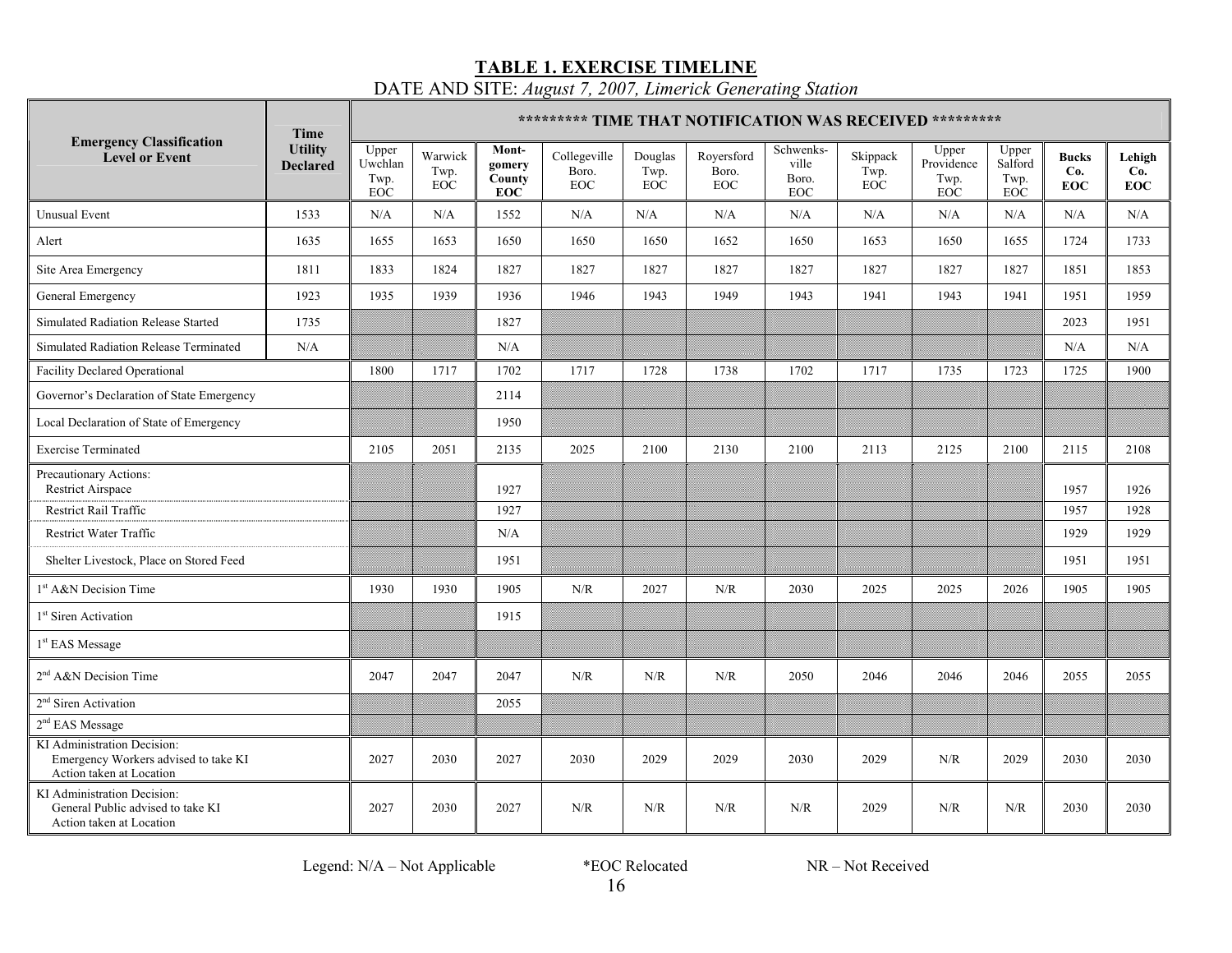**TABLE 1. EXERCISE TIMELINE** DATE AND SITE: *August 7, 2007, Limerick Generating Station*

|                                                                                                 | Time                              |                                 |                               |                                         | ********* TIME THAT NOTIFICATION WAS RECEIVED ********* |                               |                                   |                                           |                                |                                    |                                        |                                   |                             |
|-------------------------------------------------------------------------------------------------|-----------------------------------|---------------------------------|-------------------------------|-----------------------------------------|---------------------------------------------------------|-------------------------------|-----------------------------------|-------------------------------------------|--------------------------------|------------------------------------|----------------------------------------|-----------------------------------|-----------------------------|
| <b>Emergency Classification</b><br><b>Level or Event</b>                                        | <b>Utility</b><br><b>Declared</b> | Upper<br>Uwchlan<br>Twp.<br>EOC | Warwick<br>Twp.<br><b>EOC</b> | Mont-<br>gomery<br>County<br><b>EOC</b> | Collegeville<br>Boro.<br><b>EOC</b>                     | Douglas<br>Twp.<br><b>EOC</b> | Royersford<br>Boro.<br><b>EOC</b> | Schwenks-<br>ville<br>Boro.<br><b>EOC</b> | Skippack<br>Twp.<br><b>EOC</b> | Upper<br>Providence<br>Twp.<br>EOC | Upper<br>Salford<br>Twp.<br><b>EOC</b> | <b>Bucks</b><br>Co.<br><b>EOC</b> | Lehigh<br>Co.<br><b>EOC</b> |
| <b>Unusual Event</b>                                                                            | 1533                              | N/A                             | N/A                           | 1552                                    | N/A                                                     | N/A                           | N/A                               | $\rm N/A$                                 | N/A                            | N/A                                | N/A                                    | $\rm N/A$                         | N/A                         |
| Alert                                                                                           | 1635                              | 1655                            | 1653                          | 1650                                    | 1650                                                    | 1650                          | 1652                              | 1650                                      | 1653                           | 1650                               | 1655                                   | 1724                              | 1733                        |
| Site Area Emergency                                                                             | 1811                              | 1833                            | 1824                          | 1827                                    | 1827                                                    | 1827                          | 1827                              | 1827                                      | 1827                           | 1827                               | 1827                                   | 1851                              | 1853                        |
| General Emergency                                                                               | 1923                              | 1935                            | 1939                          | 1936                                    | 1946                                                    | 1943                          | 1949                              | 1943                                      | 1941                           | 1943                               | 1941                                   | 1951                              | 1959                        |
| Simulated Radiation Release Started                                                             | 1735                              |                                 |                               | 1827                                    |                                                         |                               |                                   |                                           |                                |                                    |                                        | 2023                              | 1951                        |
| Simulated Radiation Release Terminated                                                          | N/A                               |                                 |                               | N/A                                     |                                                         |                               |                                   |                                           |                                |                                    |                                        | N/A                               | N/A                         |
| <b>Facility Declared Operational</b>                                                            |                                   | 1800                            | 1717                          | 1702                                    | 1717                                                    | 1728                          | 1738                              | 1702                                      | 1717                           | 1735                               | 1723                                   | 1725                              | 1900                        |
| Governor's Declaration of State Emergency                                                       |                                   |                                 |                               | 2114                                    |                                                         |                               |                                   |                                           |                                |                                    |                                        |                                   |                             |
| Local Declaration of State of Emergency                                                         |                                   |                                 |                               | 1950                                    |                                                         |                               |                                   |                                           |                                |                                    |                                        |                                   |                             |
| <b>Exercise Terminated</b>                                                                      |                                   | 2105                            | 2051                          | 2135                                    | 2025                                                    | 2100                          | 2130                              | 2100                                      | 2113                           | 2125                               | 2100                                   | 2115                              | 2108                        |
| Precautionary Actions:<br>Restrict Airspace                                                     |                                   |                                 |                               | 1927                                    |                                                         |                               |                                   |                                           |                                |                                    |                                        | 1957                              | 1926                        |
| Restrict Rail Traffic                                                                           |                                   |                                 |                               | 1927                                    |                                                         |                               |                                   |                                           |                                |                                    |                                        | 1957                              | 1928                        |
| <b>Restrict Water Traffic</b>                                                                   |                                   |                                 |                               | N/A                                     |                                                         |                               |                                   |                                           |                                |                                    |                                        | 1929                              | 1929                        |
| Shelter Livestock, Place on Stored Feed                                                         |                                   |                                 |                               | 1951                                    |                                                         |                               |                                   |                                           |                                |                                    |                                        | 1951                              | 1951                        |
| 1 <sup>st</sup> A&N Decision Time                                                               |                                   | 1930                            | 1930                          | 1905                                    | N/R                                                     | 2027                          | N/R                               | 2030                                      | 2025                           | 2025                               | 2026                                   | 1905                              | 1905                        |
| 1 <sup>st</sup> Siren Activation                                                                |                                   |                                 |                               | 1915                                    |                                                         |                               |                                   |                                           |                                |                                    |                                        |                                   |                             |
| $1st$ EAS Message                                                                               |                                   |                                 |                               |                                         |                                                         |                               |                                   |                                           |                                |                                    |                                        |                                   |                             |
| $2nd A&N$ Decision Time                                                                         |                                   | 2047                            | 2047                          | 2047                                    | N/R                                                     | N/R                           | N/R                               | 2050                                      | 2046                           | 2046                               | 2046                                   | 2055                              | 2055                        |
| 2 <sup>nd</sup> Siren Activation                                                                |                                   |                                 |                               | 2055                                    |                                                         |                               |                                   |                                           |                                |                                    |                                        |                                   |                             |
| $2nd$ EAS Message                                                                               |                                   |                                 |                               |                                         |                                                         |                               |                                   |                                           |                                |                                    |                                        |                                   |                             |
| KI Administration Decision:<br>Emergency Workers advised to take KI<br>Action taken at Location |                                   | 2027                            | 2030                          | 2027                                    | 2030                                                    | 2029                          | 2029                              | 2030                                      | 2029                           | N/R                                | 2029                                   | 2030                              | 2030                        |
| KI Administration Decision:<br>General Public advised to take KI<br>Action taken at Location    |                                   | 2027                            | 2030                          | 2027                                    | N/R                                                     | N/R                           | N/R                               | N/R                                       | 2029                           | N/R                                | N/R                                    | 2030                              | 2030                        |

Legend: N/A – Not Applicable \* EOC Relocated NR – Not Received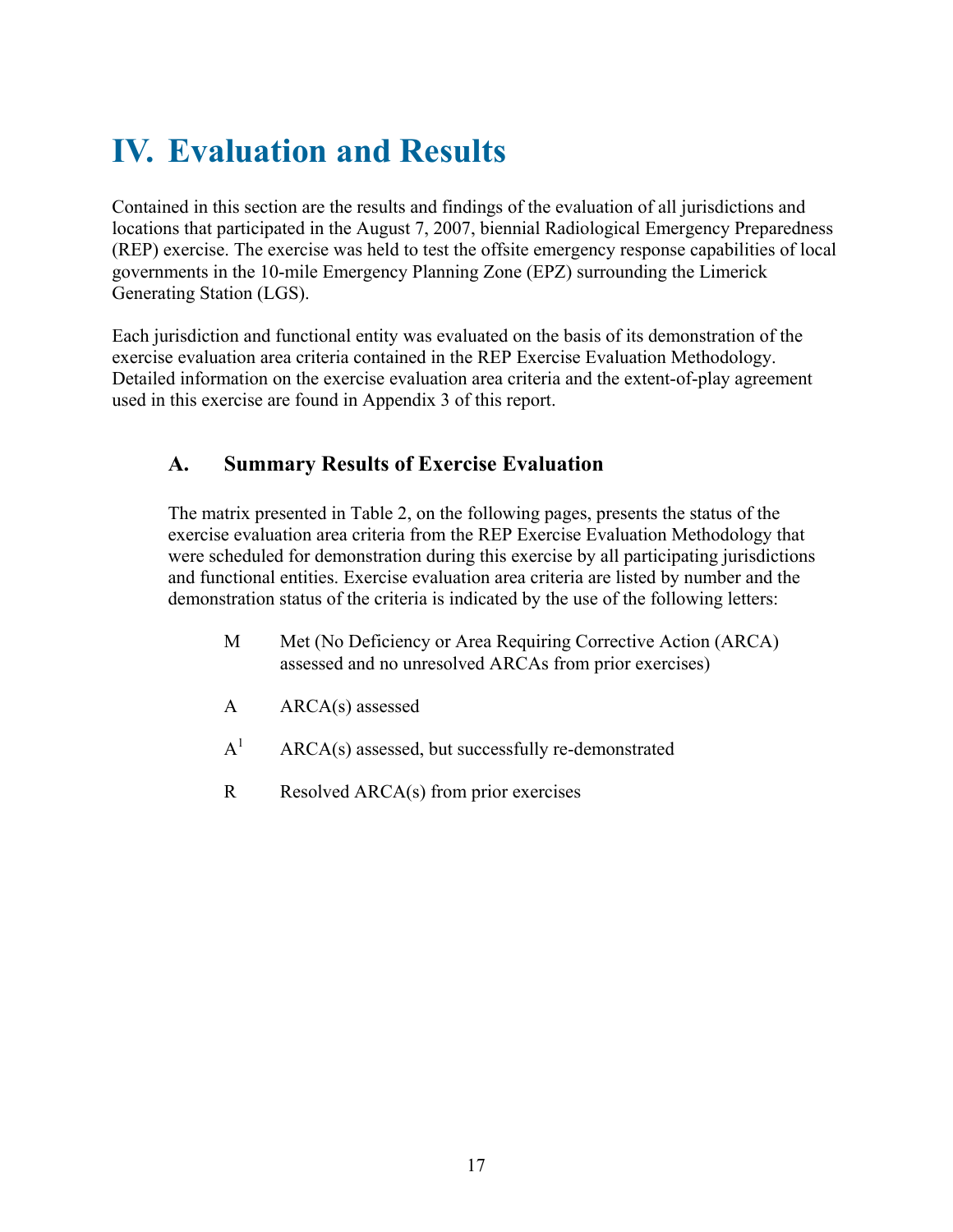## **IV. Evaluation and Results**

Contained in this section are the results and findings of the evaluation of all jurisdictions and locations that participated in the August 7, 2007, biennial Radiological Emergency Preparedness (REP) exercise. The exercise was held to test the offsite emergency response capabilities of local governments in the 10-mile Emergency Planning Zone (EPZ) surrounding the Limerick Generating Station (LGS).

Each jurisdiction and functional entity was evaluated on the basis of its demonstration of the exercise evaluation area criteria contained in the REP Exercise Evaluation Methodology. Detailed information on the exercise evaluation area criteria and the extent-of-play agreement used in this exercise are found in Appendix 3 of this report.

### **A. Summary Results of Exercise Evaluation**

The matrix presented in Table 2, on the following pages, presents the status of the exercise evaluation area criteria from the REP Exercise Evaluation Methodology that were scheduled for demonstration during this exercise by all participating jurisdictions and functional entities. Exercise evaluation area criteria are listed by number and the demonstration status of the criteria is indicated by the use of the following letters:

- M Met (No Deficiency or Area Requiring Corrective Action (ARCA) assessed and no unresolved ARCAs from prior exercises)
- A ARCA(s) assessed
- $A^1$ ARCA(s) assessed, but successfully re-demonstrated
- R Resolved ARCA(s) from prior exercises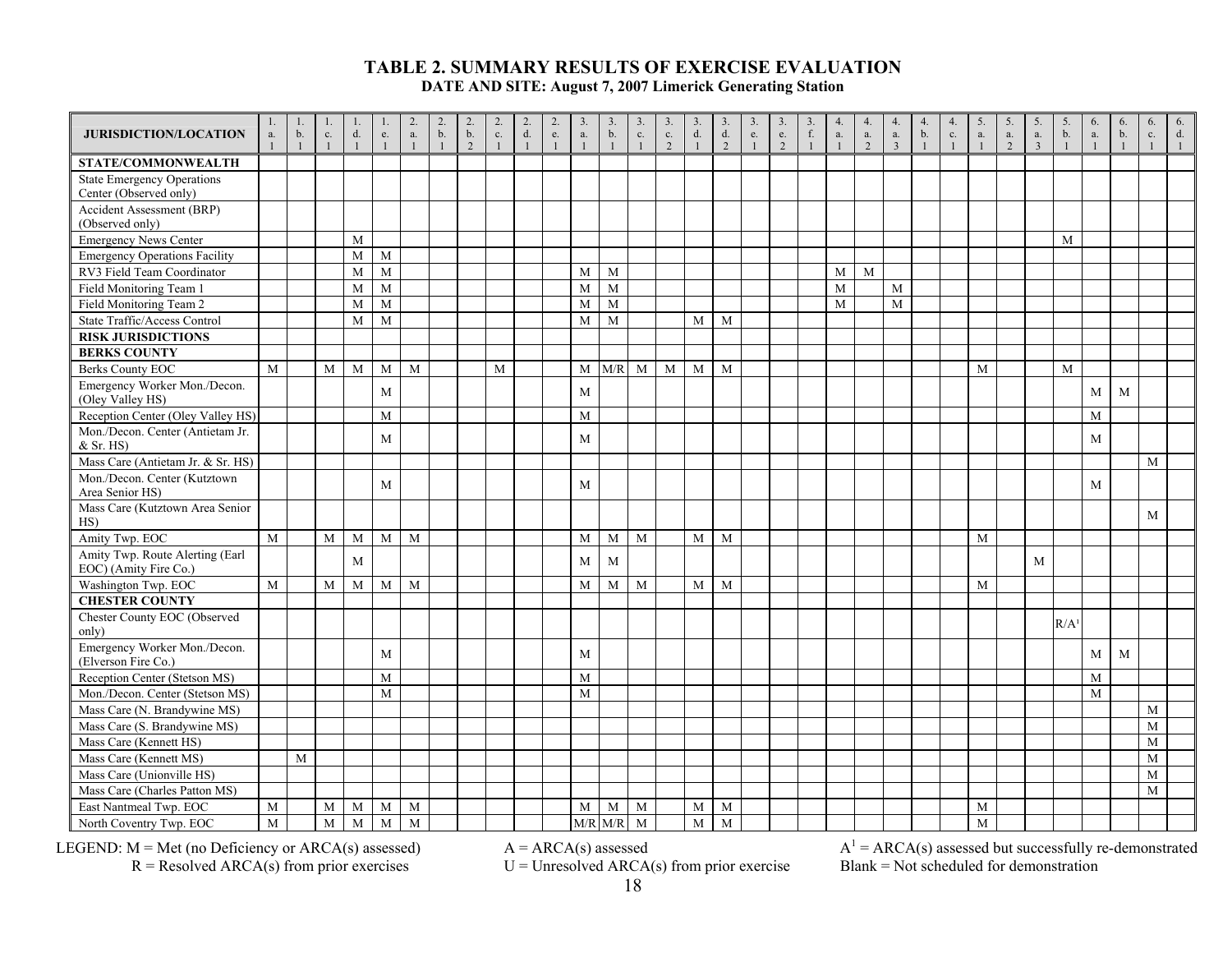| <b>JURISDICTION/LOCATION</b>                                | 1.<br>$a$ . | 1.<br>b.     | c.           | 1<br>d. | e.             | 2.<br>a.       | $\overline{2}$ .<br>$\mathbf b.$ | 2.<br>b.       | 2.<br>$\mathbf{c}.$ | $\begin{array}{c} 2. \\ d. \end{array}$ | 2.<br>e.     | 3.<br>a.    | $\mathbf{3}$ .<br>b. | $\overline{3}$ .<br>c. | 3<br>$\mathbf{c}.$ | 3.<br>$\mathrm{d}.$ | 3.<br>$\mathrm{d}.$ | 3.<br>e.     | 3.<br>${\rm e}.$ | 3.<br>f. | 4.<br>a.     | 4.<br>${\bf a}.$ | 4.<br>$\mathbf{a}.$ | 4.<br>b. | 4.<br>c.       | 5.<br>a.     | 5.<br>$a$ .   | 5.<br>a.       | 5.<br>b.         | 6.<br>a. | 6.<br>b. | 6.<br>$\mathbf{c}.$ | 6.<br>$d_{\cdot}$ |
|-------------------------------------------------------------|-------------|--------------|--------------|---------|----------------|----------------|----------------------------------|----------------|---------------------|-----------------------------------------|--------------|-------------|----------------------|------------------------|--------------------|---------------------|---------------------|--------------|------------------|----------|--------------|------------------|---------------------|----------|----------------|--------------|---------------|----------------|------------------|----------|----------|---------------------|-------------------|
|                                                             |             | $\mathbf{1}$ | $\mathbf{1}$ |         | $\overline{1}$ | $\mathbf{1}$   | $\mathbf{1}$                     | $\overline{2}$ | $\overline{1}$      | $\mathbf{1}$                            | $\mathbf{1}$ |             | $\overline{1}$       | $\overline{1}$         | $\overline{2}$     |                     | 2                   | $\mathbf{1}$ | $\overline{2}$   |          | $\mathbf{1}$ | 2                | $\overline{3}$      |          | $\overline{1}$ | $\mathbf{1}$ | $\mathcal{L}$ | $\overline{3}$ |                  |          |          |                     |                   |
| STATE/COMMONWEALTH                                          |             |              |              |         |                |                |                                  |                |                     |                                         |              |             |                      |                        |                    |                     |                     |              |                  |          |              |                  |                     |          |                |              |               |                |                  |          |          |                     |                   |
| <b>State Emergency Operations</b><br>Center (Observed only) |             |              |              |         |                |                |                                  |                |                     |                                         |              |             |                      |                        |                    |                     |                     |              |                  |          |              |                  |                     |          |                |              |               |                |                  |          |          |                     |                   |
| <b>Accident Assessment (BRP)</b>                            |             |              |              |         |                |                |                                  |                |                     |                                         |              |             |                      |                        |                    |                     |                     |              |                  |          |              |                  |                     |          |                |              |               |                |                  |          |          |                     |                   |
| (Observed only)                                             |             |              |              |         |                |                |                                  |                |                     |                                         |              |             |                      |                        |                    |                     |                     |              |                  |          |              |                  |                     |          |                |              |               |                |                  |          |          |                     |                   |
| <b>Emergency News Center</b>                                |             |              |              | M       |                |                |                                  |                |                     |                                         |              |             |                      |                        |                    |                     |                     |              |                  |          |              |                  |                     |          |                |              |               |                | M                |          |          |                     |                   |
| <b>Emergency Operations Facility</b>                        |             |              |              | M       | M              |                |                                  |                |                     |                                         |              |             |                      |                        |                    |                     |                     |              |                  |          |              |                  |                     |          |                |              |               |                |                  |          |          |                     |                   |
| RV3 Field Team Coordinator                                  |             |              |              | M       | M              |                |                                  |                |                     |                                         |              | M           | M                    |                        |                    |                     |                     |              |                  |          | M            | M                |                     |          |                |              |               |                |                  |          |          |                     |                   |
| Field Monitoring Team 1                                     |             |              |              | M       | M              |                |                                  |                |                     |                                         |              | M           | M                    |                        |                    |                     |                     |              |                  |          | M            |                  | M                   |          |                |              |               |                |                  |          |          |                     |                   |
| Field Monitoring Team 2                                     |             |              |              | M       | M              |                |                                  |                |                     |                                         |              | M           | M                    |                        |                    |                     |                     |              |                  |          | M            |                  | M                   |          |                |              |               |                |                  |          |          |                     |                   |
| State Traffic/Access Control                                |             |              |              | M       | M              |                |                                  |                |                     |                                         |              | M           | M                    |                        |                    | M                   | M                   |              |                  |          |              |                  |                     |          |                |              |               |                |                  |          |          |                     |                   |
| <b>RISK JURISDICTIONS</b>                                   |             |              |              |         |                |                |                                  |                |                     |                                         |              |             |                      |                        |                    |                     |                     |              |                  |          |              |                  |                     |          |                |              |               |                |                  |          |          |                     |                   |
| <b>BERKS COUNTY</b>                                         |             |              |              |         |                |                |                                  |                |                     |                                         |              |             |                      |                        |                    |                     |                     |              |                  |          |              |                  |                     |          |                |              |               |                |                  |          |          |                     |                   |
| <b>Berks County EOC</b>                                     | M           |              | M            | M       | M              | M              |                                  |                | M                   |                                         |              |             | $M$ $M/R$            | M                      | M                  | M                   | M                   |              |                  |          |              |                  |                     |          |                | M            |               |                | M                |          |          |                     |                   |
| Emergency Worker Mon./Decon.<br>(Oley Valley HS)            |             |              |              |         | M              |                |                                  |                |                     |                                         |              | M           |                      |                        |                    |                     |                     |              |                  |          |              |                  |                     |          |                |              |               |                |                  | M        | M        |                     |                   |
| Reception Center (Oley Valley HS)                           |             |              |              |         | M              |                |                                  |                |                     |                                         |              | $\mathbf M$ |                      |                        |                    |                     |                     |              |                  |          |              |                  |                     |          |                |              |               |                |                  | M        |          |                     |                   |
| Mon./Decon. Center (Antietam Jr.<br>$&$ Sr. HS)             |             |              |              |         | M              |                |                                  |                |                     |                                         |              | M           |                      |                        |                    |                     |                     |              |                  |          |              |                  |                     |          |                |              |               |                |                  | M        |          |                     |                   |
| Mass Care (Antietam Jr. & Sr. HS)                           |             |              |              |         |                |                |                                  |                |                     |                                         |              |             |                      |                        |                    |                     |                     |              |                  |          |              |                  |                     |          |                |              |               |                |                  |          |          | M                   |                   |
| Mon./Decon. Center (Kutztown                                |             |              |              |         |                |                |                                  |                |                     |                                         |              |             |                      |                        |                    |                     |                     |              |                  |          |              |                  |                     |          |                |              |               |                |                  |          |          |                     |                   |
| Area Senior HS)                                             |             |              |              |         | M              |                |                                  |                |                     |                                         |              | M           |                      |                        |                    |                     |                     |              |                  |          |              |                  |                     |          |                |              |               |                |                  | M        |          |                     |                   |
| Mass Care (Kutztown Area Senior<br>HS)                      |             |              |              |         |                |                |                                  |                |                     |                                         |              |             |                      |                        |                    |                     |                     |              |                  |          |              |                  |                     |          |                |              |               |                |                  |          |          | M                   |                   |
| Amity Twp. EOC                                              | M           |              | M            | M       | M              | M              |                                  |                |                     |                                         |              | M           | M                    | M                      |                    | M                   | M                   |              |                  |          |              |                  |                     |          |                | M            |               |                |                  |          |          |                     |                   |
| Amity Twp. Route Alerting (Earl<br>EOC) (Amity Fire Co.)    |             |              |              | M       |                |                |                                  |                |                     |                                         |              | M           | M                    |                        |                    |                     |                     |              |                  |          |              |                  |                     |          |                |              |               | M              |                  |          |          |                     |                   |
| Washington Twp. EOC                                         | M           |              | M            | M       | M              | $\overline{M}$ |                                  |                |                     |                                         |              | M           | M                    | $\overline{M}$         |                    | $\mathbf M$         | M                   |              |                  |          |              |                  |                     |          |                | $\mathbf M$  |               |                |                  |          |          |                     |                   |
| <b>CHESTER COUNTY</b>                                       |             |              |              |         |                |                |                                  |                |                     |                                         |              |             |                      |                        |                    |                     |                     |              |                  |          |              |                  |                     |          |                |              |               |                |                  |          |          |                     |                   |
| Chester County EOC (Observed<br>only)                       |             |              |              |         |                |                |                                  |                |                     |                                         |              |             |                      |                        |                    |                     |                     |              |                  |          |              |                  |                     |          |                |              |               |                | R/A <sup>1</sup> |          |          |                     |                   |
| Emergency Worker Mon./Decon.<br>(Elverson Fire Co.)         |             |              |              |         | M              |                |                                  |                |                     |                                         |              | M           |                      |                        |                    |                     |                     |              |                  |          |              |                  |                     |          |                |              |               |                |                  | M        | M        |                     |                   |
| Reception Center (Stetson MS)                               |             |              |              |         | M              |                |                                  |                |                     |                                         |              | $\mathbf M$ |                      |                        |                    |                     |                     |              |                  |          |              |                  |                     |          |                |              |               |                |                  | M        |          |                     |                   |
| Mon./Decon. Center (Stetson MS)                             |             |              |              |         | M              |                |                                  |                |                     |                                         |              | M           |                      |                        |                    |                     |                     |              |                  |          |              |                  |                     |          |                |              |               |                |                  | M        |          |                     |                   |
| Mass Care (N. Brandywine MS)                                |             |              |              |         |                |                |                                  |                |                     |                                         |              |             |                      |                        |                    |                     |                     |              |                  |          |              |                  |                     |          |                |              |               |                |                  |          |          | M                   |                   |
| Mass Care (S. Brandywine MS)                                |             |              |              |         |                |                |                                  |                |                     |                                         |              |             |                      |                        |                    |                     |                     |              |                  |          |              |                  |                     |          |                |              |               |                |                  |          |          | M                   |                   |
| Mass Care (Kennett HS)                                      |             |              |              |         |                |                |                                  |                |                     |                                         |              |             |                      |                        |                    |                     |                     |              |                  |          |              |                  |                     |          |                |              |               |                |                  |          |          | $\mathbf{M}$        |                   |
| Mass Care (Kennett MS)                                      |             | M            |              |         |                |                |                                  |                |                     |                                         |              |             |                      |                        |                    |                     |                     |              |                  |          |              |                  |                     |          |                |              |               |                |                  |          |          | M                   |                   |
| Mass Care (Unionville HS)                                   |             |              |              |         |                |                |                                  |                |                     |                                         |              |             |                      |                        |                    |                     |                     |              |                  |          |              |                  |                     |          |                |              |               |                |                  |          |          | M                   |                   |
| Mass Care (Charles Patton MS)                               |             |              |              |         |                |                |                                  |                |                     |                                         |              |             |                      |                        |                    |                     |                     |              |                  |          |              |                  |                     |          |                |              |               |                |                  |          |          | M                   |                   |
| East Nantmeal Twp. EOC                                      | M           |              | M            | M       | M              | M              |                                  |                |                     |                                         |              | M           | M                    | M                      |                    | M                   | M                   |              |                  |          |              |                  |                     |          |                | M            |               |                |                  |          |          |                     |                   |
| North Coventry Twp. EOC                                     | M           |              | M            | M       | M              | M              |                                  |                |                     |                                         |              |             | $M/R$ $M/R$          | M                      |                    | $\mathbf M$         | M                   |              |                  |          |              |                  |                     |          |                | M            |               |                |                  |          |          |                     |                   |

 $R =$ Resolved ARCA(s) from prior exercises  $U =$  Unresolved ARCA(s) from prior exercise Blank = Not scheduled for demonstration

LEGEND:  $M = Met$  (no Deficiency or ARCA(s) assessed)  $A = ARCA(s)$  assessed  $A^1 = ARCA(s)$  assessed but successfully re-demonstrated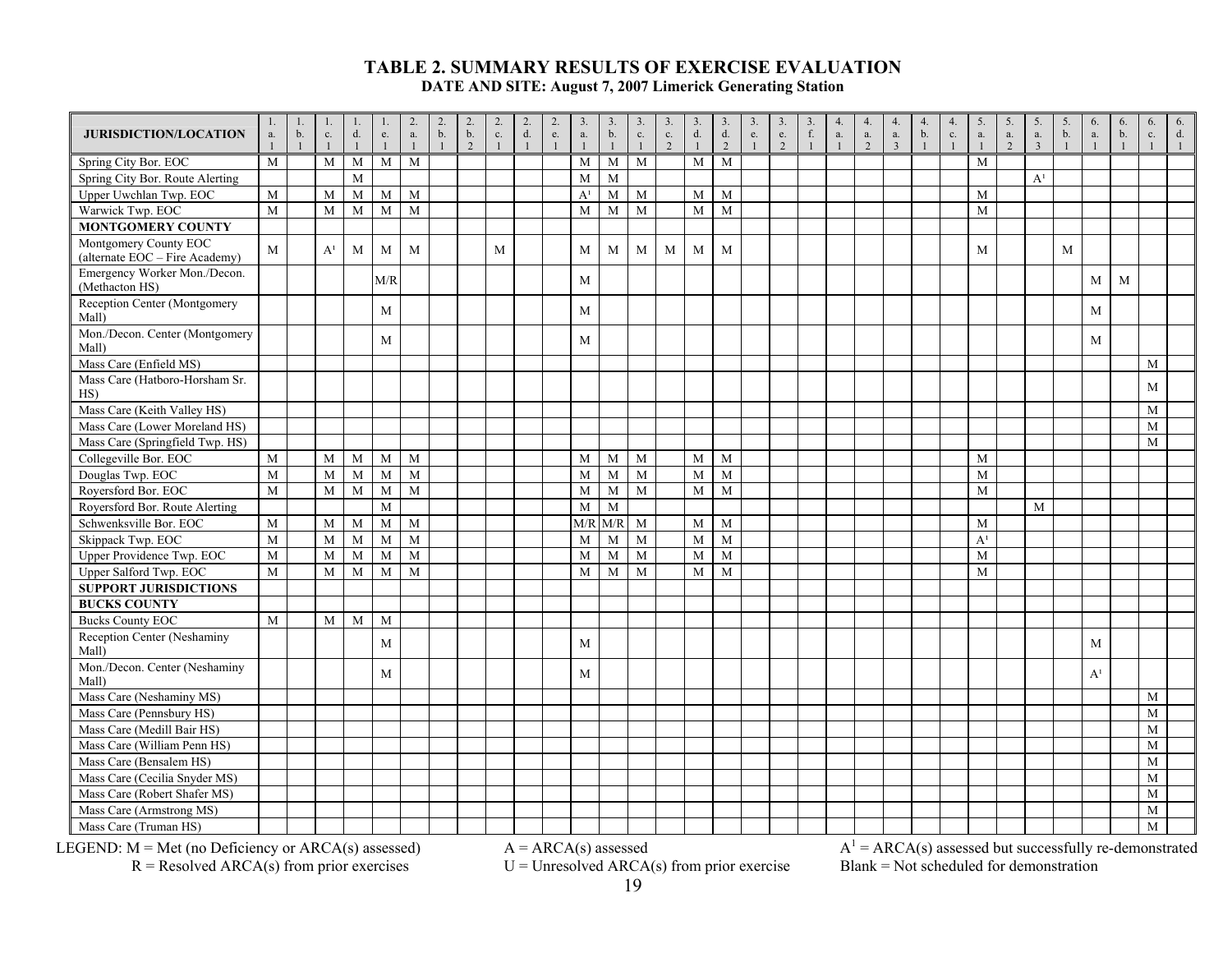| <b>JURISDICTION/LOCATION</b>                            | 1.<br>$\mathbf{a}.$ | 1.<br>b. | 1.<br>$\mathbf{c}.$ | -1.<br>$d$ . | 1.<br>$\rm e.$ | 2.<br>$\mathbf{a}.$ | $\overline{2}$ .<br>b. | 2.<br>b.<br>$\overline{2}$ | $\overline{2}$ .<br>$\mathbf{c}.$<br>$\overline{1}$ | 2.<br>$\mathrm{d}.$<br>$\mathbf{1}$ | 2.<br>$\rm e.$<br>$\overline{1}$ | $\overline{3}$ .<br>a. | 3.<br>b. | $\overline{3}$ .<br>$\mathbf{c}.$<br>$\mathbf{1}$ | 3.<br>$\mathbf{c}.$<br>$\mathfrak{D}$ | 3.<br>$d$ . | 3.<br>$\mathrm{d}.$<br>2 | 3.<br>${\rm e}.$ | 3.<br>$\rm e.$<br>$\mathcal{L}$ | 3.<br>$f_{\cdot}$ | 4.<br>$\mathbf{a}.$<br>$\mathbf{1}$ | 4.<br>a.<br>$\overline{2}$ | 4.<br>${\mathfrak{a}}.$<br>$\overline{3}$ | 4.<br>b. | 4.<br>$\mathbf{c}.$ | 5.<br>$\mathbf{a}.$ | 5.<br>$\mathbf{a}.$<br>$\mathcal{L}$ | 5.<br>$\mathbf{a}.$<br>$\mathcal{L}$ | 5.<br>b. | 6.<br>$a$ .    | 6.<br>b. | 6.<br>$\mathbf{c}.$ | 6.<br>$d_{\cdot}$ |
|---------------------------------------------------------|---------------------|----------|---------------------|--------------|----------------|---------------------|------------------------|----------------------------|-----------------------------------------------------|-------------------------------------|----------------------------------|------------------------|----------|---------------------------------------------------|---------------------------------------|-------------|--------------------------|------------------|---------------------------------|-------------------|-------------------------------------|----------------------------|-------------------------------------------|----------|---------------------|---------------------|--------------------------------------|--------------------------------------|----------|----------------|----------|---------------------|-------------------|
| Spring City Bor. EOC                                    | M                   |          | M                   | M            | M              | M                   |                        |                            |                                                     |                                     |                                  | M                      | M        | M                                                 |                                       | M           | M                        |                  |                                 |                   |                                     |                            |                                           |          |                     | M                   |                                      |                                      |          |                |          |                     |                   |
| Spring City Bor. Route Alerting                         |                     |          |                     | M            |                |                     |                        |                            |                                                     |                                     |                                  | $\mathbf M$            | M        |                                                   |                                       |             |                          |                  |                                 |                   |                                     |                            |                                           |          |                     |                     |                                      | A <sup>1</sup>                       |          |                |          |                     |                   |
| Upper Uwchlan Twp. EOC                                  | M                   |          | $\mathbf M$         | M            | $\mathbf M$    | M                   |                        |                            |                                                     |                                     |                                  | A <sup>1</sup>         | M        | $\mathbf M$                                       |                                       | M           | M                        |                  |                                 |                   |                                     |                            |                                           |          |                     | M                   |                                      |                                      |          |                |          |                     |                   |
| Warwick Twp. EOC                                        | M                   |          | $\mathbf M$         | M            | M              | M                   |                        |                            |                                                     |                                     |                                  | M                      | M        | M                                                 |                                       | M           | M                        |                  |                                 |                   |                                     |                            |                                           |          |                     | M                   |                                      |                                      |          |                |          |                     |                   |
| <b>MONTGOMERY COUNTY</b>                                |                     |          |                     |              |                |                     |                        |                            |                                                     |                                     |                                  |                        |          |                                                   |                                       |             |                          |                  |                                 |                   |                                     |                            |                                           |          |                     |                     |                                      |                                      |          |                |          |                     |                   |
| Montgomery County EOC<br>(alternate EOC - Fire Academy) | M                   |          | A <sup>1</sup>      | M            | M              | M                   |                        |                            | M                                                   |                                     |                                  | M                      | M        | M                                                 | M                                     | M           | M                        |                  |                                 |                   |                                     |                            |                                           |          |                     | M                   |                                      |                                      | M        |                |          |                     |                   |
| Emergency Worker Mon./Decon.<br>(Methacton HS)          |                     |          |                     |              | M/R            |                     |                        |                            |                                                     |                                     |                                  | M                      |          |                                                   |                                       |             |                          |                  |                                 |                   |                                     |                            |                                           |          |                     |                     |                                      |                                      |          | M              | M        |                     |                   |
| Reception Center (Montgomery<br>Mall)                   |                     |          |                     |              | M              |                     |                        |                            |                                                     |                                     |                                  | M                      |          |                                                   |                                       |             |                          |                  |                                 |                   |                                     |                            |                                           |          |                     |                     |                                      |                                      |          | M              |          |                     |                   |
| Mon./Decon. Center (Montgomery<br>Mall)                 |                     |          |                     |              | M              |                     |                        |                            |                                                     |                                     |                                  | M                      |          |                                                   |                                       |             |                          |                  |                                 |                   |                                     |                            |                                           |          |                     |                     |                                      |                                      |          | M              |          |                     |                   |
| Mass Care (Enfield MS)                                  |                     |          |                     |              |                |                     |                        |                            |                                                     |                                     |                                  |                        |          |                                                   |                                       |             |                          |                  |                                 |                   |                                     |                            |                                           |          |                     |                     |                                      |                                      |          |                |          | M                   |                   |
| Mass Care (Hatboro-Horsham Sr.<br>HS)                   |                     |          |                     |              |                |                     |                        |                            |                                                     |                                     |                                  |                        |          |                                                   |                                       |             |                          |                  |                                 |                   |                                     |                            |                                           |          |                     |                     |                                      |                                      |          |                |          | M                   |                   |
| Mass Care (Keith Valley HS)                             |                     |          |                     |              |                |                     |                        |                            |                                                     |                                     |                                  |                        |          |                                                   |                                       |             |                          |                  |                                 |                   |                                     |                            |                                           |          |                     |                     |                                      |                                      |          |                |          | M                   |                   |
| Mass Care (Lower Moreland HS)                           |                     |          |                     |              |                |                     |                        |                            |                                                     |                                     |                                  |                        |          |                                                   |                                       |             |                          |                  |                                 |                   |                                     |                            |                                           |          |                     |                     |                                      |                                      |          |                |          | M                   |                   |
| Mass Care (Springfield Twp. HS)                         |                     |          |                     |              |                |                     |                        |                            |                                                     |                                     |                                  |                        |          |                                                   |                                       |             |                          |                  |                                 |                   |                                     |                            |                                           |          |                     |                     |                                      |                                      |          |                |          | M                   |                   |
| Collegeville Bor. EOC                                   | M                   |          | M                   | M            | M              | M                   |                        |                            |                                                     |                                     |                                  | M                      | M        | M                                                 |                                       | M           | M                        |                  |                                 |                   |                                     |                            |                                           |          |                     | M                   |                                      |                                      |          |                |          |                     |                   |
| Douglas Twp. EOC                                        | M                   |          | $\mathbf M$         | M            | M              | M                   |                        |                            |                                                     |                                     |                                  | M                      | M        | $\mathbf M$                                       |                                       | M           | M                        |                  |                                 |                   |                                     |                            |                                           |          |                     | $\mathbf M$         |                                      |                                      |          |                |          |                     |                   |
| Royersford Bor. EOC                                     | M                   |          | $\mathbf M$         | M            | M              | M                   |                        |                            |                                                     |                                     |                                  | M                      | M        | $\mathbf{M}$                                      |                                       | M           | M                        |                  |                                 |                   |                                     |                            |                                           |          |                     | M                   |                                      |                                      |          |                |          |                     |                   |
| Royersford Bor. Route Alerting                          |                     |          |                     |              | M              |                     |                        |                            |                                                     |                                     |                                  | M                      | M        |                                                   |                                       |             |                          |                  |                                 |                   |                                     |                            |                                           |          |                     |                     |                                      | M                                    |          |                |          |                     |                   |
| Schwenksville Bor. EOC                                  | M                   |          | M                   | M            | M              | M                   |                        |                            |                                                     |                                     |                                  | M/R                    | M/R      | M                                                 |                                       | M           | M                        |                  |                                 |                   |                                     |                            |                                           |          |                     | $\mathbf{M}$        |                                      |                                      |          |                |          |                     |                   |
| Skippack Twp. EOC                                       | M                   |          | $\mathbf M$         | M            | M              | M                   |                        |                            |                                                     |                                     |                                  | M                      | M        | M                                                 |                                       | M           | M                        |                  |                                 |                   |                                     |                            |                                           |          |                     | A <sup>1</sup>      |                                      |                                      |          |                |          |                     |                   |
| Upper Providence Twp. EOC                               | M                   |          | M                   | M            | M              | M                   |                        |                            |                                                     |                                     |                                  | M                      | M        | M                                                 |                                       | M           | M                        |                  |                                 |                   |                                     |                            |                                           |          |                     | M                   |                                      |                                      |          |                |          |                     |                   |
| Upper Salford Twp. EOC                                  | M                   |          | $\mathbf M$         | M            | M              | M                   |                        |                            |                                                     |                                     |                                  | $\mathbf M$            | M        | $\mathbf M$                                       |                                       | M           | M                        |                  |                                 |                   |                                     |                            |                                           |          |                     | M                   |                                      |                                      |          |                |          |                     |                   |
| <b>SUPPORT JURISDICTIONS</b>                            |                     |          |                     |              |                |                     |                        |                            |                                                     |                                     |                                  |                        |          |                                                   |                                       |             |                          |                  |                                 |                   |                                     |                            |                                           |          |                     |                     |                                      |                                      |          |                |          |                     |                   |
| <b>BUCKS COUNTY</b>                                     |                     |          |                     |              |                |                     |                        |                            |                                                     |                                     |                                  |                        |          |                                                   |                                       |             |                          |                  |                                 |                   |                                     |                            |                                           |          |                     |                     |                                      |                                      |          |                |          |                     |                   |
| <b>Bucks County EOC</b>                                 | M                   |          | $\mathbf M$         | M            | M              |                     |                        |                            |                                                     |                                     |                                  |                        |          |                                                   |                                       |             |                          |                  |                                 |                   |                                     |                            |                                           |          |                     |                     |                                      |                                      |          |                |          |                     |                   |
| Reception Center (Neshaminy<br>Mall)                    |                     |          |                     |              | M              |                     |                        |                            |                                                     |                                     |                                  | M                      |          |                                                   |                                       |             |                          |                  |                                 |                   |                                     |                            |                                           |          |                     |                     |                                      |                                      |          | M              |          |                     |                   |
| Mon./Decon. Center (Neshaminy<br>Mall)                  |                     |          |                     |              | M              |                     |                        |                            |                                                     |                                     |                                  | M                      |          |                                                   |                                       |             |                          |                  |                                 |                   |                                     |                            |                                           |          |                     |                     |                                      |                                      |          | A <sup>1</sup> |          |                     |                   |
| Mass Care (Neshaminy MS)                                |                     |          |                     |              |                |                     |                        |                            |                                                     |                                     |                                  |                        |          |                                                   |                                       |             |                          |                  |                                 |                   |                                     |                            |                                           |          |                     |                     |                                      |                                      |          |                |          | M                   |                   |
| Mass Care (Pennsbury HS)                                |                     |          |                     |              |                |                     |                        |                            |                                                     |                                     |                                  |                        |          |                                                   |                                       |             |                          |                  |                                 |                   |                                     |                            |                                           |          |                     |                     |                                      |                                      |          |                |          | M                   |                   |
| Mass Care (Medill Bair HS)                              |                     |          |                     |              |                |                     |                        |                            |                                                     |                                     |                                  |                        |          |                                                   |                                       |             |                          |                  |                                 |                   |                                     |                            |                                           |          |                     |                     |                                      |                                      |          |                |          | M                   |                   |
| Mass Care (William Penn HS)                             |                     |          |                     |              |                |                     |                        |                            |                                                     |                                     |                                  |                        |          |                                                   |                                       |             |                          |                  |                                 |                   |                                     |                            |                                           |          |                     |                     |                                      |                                      |          |                |          | M                   |                   |
| Mass Care (Bensalem HS)                                 |                     |          |                     |              |                |                     |                        |                            |                                                     |                                     |                                  |                        |          |                                                   |                                       |             |                          |                  |                                 |                   |                                     |                            |                                           |          |                     |                     |                                      |                                      |          |                |          | M                   |                   |
| Mass Care (Cecilia Snyder MS)                           |                     |          |                     |              |                |                     |                        |                            |                                                     |                                     |                                  |                        |          |                                                   |                                       |             |                          |                  |                                 |                   |                                     |                            |                                           |          |                     |                     |                                      |                                      |          |                |          | M                   |                   |
| Mass Care (Robert Shafer MS)                            |                     |          |                     |              |                |                     |                        |                            |                                                     |                                     |                                  |                        |          |                                                   |                                       |             |                          |                  |                                 |                   |                                     |                            |                                           |          |                     |                     |                                      |                                      |          |                |          | M                   |                   |
| Mass Care (Armstrong MS)                                |                     |          |                     |              |                |                     |                        |                            |                                                     |                                     |                                  |                        |          |                                                   |                                       |             |                          |                  |                                 |                   |                                     |                            |                                           |          |                     |                     |                                      |                                      |          |                |          | M                   |                   |
| Mass Care (Truman HS)                                   |                     |          |                     |              |                |                     |                        |                            |                                                     |                                     |                                  |                        |          |                                                   |                                       |             |                          |                  |                                 |                   |                                     |                            |                                           |          |                     |                     |                                      |                                      |          |                |          | M                   |                   |

 $R =$ Resolved ARCA(s) from prior exercises  $U =$  Unresolved ARCA(s) from prior exercise Blank = Not scheduled for demonstration

LEGEND:  $M = Met$  (no Deficiency or ARCA(s) assessed)  $A = ARCA(s)$  assessed  $A^1 = ARCA(s)$  assessed but successfully re-demonstrated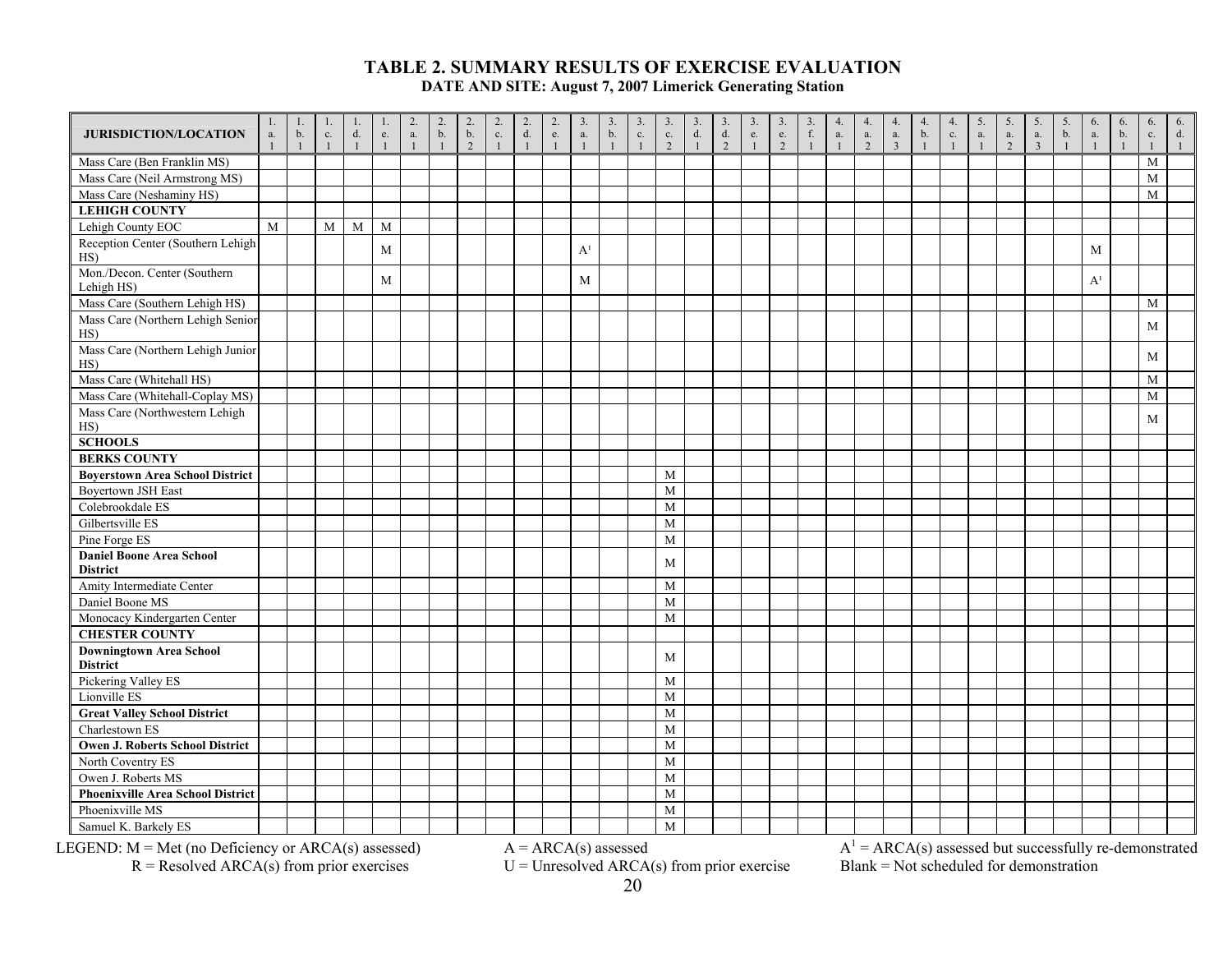| <b>JURISDICTION/LOCATION</b>                       | 1.<br>a.<br>$\mathbf{1}$ | 1.<br>b.<br>$\mathbf{1}$ | 1.<br>$\mathbf{c}.$<br>$\mathbf{1}$ | 1.<br>$d$ .<br>$\mathbf{1}$ | 1.<br>${\rm e}.$<br>$\mathbf{1}$ | 2.<br>${\bf a}.$<br>$\mathbf{1}$ | $\overline{2}$ .<br>$\mathbf b.$<br>$\overline{1}$ | 2.<br>$\mathbf b$ .<br>$\overline{2}$ | $\frac{2}{c}$ .<br>$\overline{1}$ | $_{\rm d.}^{2.}$<br>$\mathbf{1}$ | 2.<br>$\rm e.$<br>$\overline{1}$ | 3.<br>$\mathbf{a}.$<br>$\mathbf{1}$ | $\overline{3}$ .<br>$\mathbf b$ .<br>$\mathbf{1}$ | $\overline{3}$ .<br>$\mathbf{c}.$<br>$\overline{1}$ | 3.<br>$\mathbf{c}.$<br>$\overline{2}$ | 3.<br>$\mathrm{d}.$<br>$\mathbf{1}$ | $\overline{3}$ .<br>$\mathrm{d}.$<br>2 | 3.<br>e.<br>$\mathbf{1}$ | 3.<br>$\rm e.$<br>2 | 3.<br>$f_{\cdot}$<br>$\mathbf{1}$ | 4.<br>a.<br>$\overline{1}$ | 4.<br>a.<br>2 | 4.<br>a.<br>$\overline{3}$ | 4.<br>b.<br>$\mathbf{1}$ | 4.<br>$\rm c.$<br>$\blacksquare$ | 5.<br>$\mathbf{a}.$<br>$\overline{1}$ | 5.<br>a.<br>$\mathfrak{D}$ | 5.<br>a.<br>$\overline{3}$ | 5.<br>b.<br>$\overline{1}$ | 6.<br>a.<br>$\mathbf{1}$ | 6.<br>b.<br>$\overline{1}$ | 6.<br>$\mathbf{c}.$ | 6.<br>d. |
|----------------------------------------------------|--------------------------|--------------------------|-------------------------------------|-----------------------------|----------------------------------|----------------------------------|----------------------------------------------------|---------------------------------------|-----------------------------------|----------------------------------|----------------------------------|-------------------------------------|---------------------------------------------------|-----------------------------------------------------|---------------------------------------|-------------------------------------|----------------------------------------|--------------------------|---------------------|-----------------------------------|----------------------------|---------------|----------------------------|--------------------------|----------------------------------|---------------------------------------|----------------------------|----------------------------|----------------------------|--------------------------|----------------------------|---------------------|----------|
| Mass Care (Ben Franklin MS)                        |                          |                          |                                     |                             |                                  |                                  |                                                    |                                       |                                   |                                  |                                  |                                     |                                                   |                                                     |                                       |                                     |                                        |                          |                     |                                   |                            |               |                            |                          |                                  |                                       |                            |                            |                            |                          |                            | M                   |          |
| Mass Care (Neil Armstrong MS)                      |                          |                          |                                     |                             |                                  |                                  |                                                    |                                       |                                   |                                  |                                  |                                     |                                                   |                                                     |                                       |                                     |                                        |                          |                     |                                   |                            |               |                            |                          |                                  |                                       |                            |                            |                            |                          |                            | M                   |          |
| Mass Care (Neshaminy HS)                           |                          |                          |                                     |                             |                                  |                                  |                                                    |                                       |                                   |                                  |                                  |                                     |                                                   |                                                     |                                       |                                     |                                        |                          |                     |                                   |                            |               |                            |                          |                                  |                                       |                            |                            |                            |                          |                            | M                   |          |
| <b>LEHIGH COUNTY</b>                               |                          |                          |                                     |                             |                                  |                                  |                                                    |                                       |                                   |                                  |                                  |                                     |                                                   |                                                     |                                       |                                     |                                        |                          |                     |                                   |                            |               |                            |                          |                                  |                                       |                            |                            |                            |                          |                            |                     |          |
| Lehigh County EOC                                  | M                        |                          | M                                   | $\mathbf M$                 | M                                |                                  |                                                    |                                       |                                   |                                  |                                  |                                     |                                                   |                                                     |                                       |                                     |                                        |                          |                     |                                   |                            |               |                            |                          |                                  |                                       |                            |                            |                            |                          |                            |                     |          |
| Reception Center (Southern Lehigh<br>HS)           |                          |                          |                                     |                             | M                                |                                  |                                                    |                                       |                                   |                                  |                                  | A <sup>1</sup>                      |                                                   |                                                     |                                       |                                     |                                        |                          |                     |                                   |                            |               |                            |                          |                                  |                                       |                            |                            |                            | M                        |                            |                     |          |
| Mon./Decon. Center (Southern<br>Lehigh HS)         |                          |                          |                                     |                             | M                                |                                  |                                                    |                                       |                                   |                                  |                                  | M                                   |                                                   |                                                     |                                       |                                     |                                        |                          |                     |                                   |                            |               |                            |                          |                                  |                                       |                            |                            |                            | A <sup>1</sup>           |                            |                     |          |
| Mass Care (Southern Lehigh HS)                     |                          |                          |                                     |                             |                                  |                                  |                                                    |                                       |                                   |                                  |                                  |                                     |                                                   |                                                     |                                       |                                     |                                        |                          |                     |                                   |                            |               |                            |                          |                                  |                                       |                            |                            |                            |                          |                            | M                   |          |
| Mass Care (Northern Lehigh Senior<br>HS)           |                          |                          |                                     |                             |                                  |                                  |                                                    |                                       |                                   |                                  |                                  |                                     |                                                   |                                                     |                                       |                                     |                                        |                          |                     |                                   |                            |               |                            |                          |                                  |                                       |                            |                            |                            |                          |                            | M                   |          |
| Mass Care (Northern Lehigh Junior<br>HS)           |                          |                          |                                     |                             |                                  |                                  |                                                    |                                       |                                   |                                  |                                  |                                     |                                                   |                                                     |                                       |                                     |                                        |                          |                     |                                   |                            |               |                            |                          |                                  |                                       |                            |                            |                            |                          |                            | M                   |          |
| Mass Care (Whitehall HS)                           |                          |                          |                                     |                             |                                  |                                  |                                                    |                                       |                                   |                                  |                                  |                                     |                                                   |                                                     |                                       |                                     |                                        |                          |                     |                                   |                            |               |                            |                          |                                  |                                       |                            |                            |                            |                          |                            | M                   |          |
| Mass Care (Whitehall-Coplay MS)                    |                          |                          |                                     |                             |                                  |                                  |                                                    |                                       |                                   |                                  |                                  |                                     |                                                   |                                                     |                                       |                                     |                                        |                          |                     |                                   |                            |               |                            |                          |                                  |                                       |                            |                            |                            |                          |                            | M                   |          |
| Mass Care (Northwestern Lehigh<br>HS)              |                          |                          |                                     |                             |                                  |                                  |                                                    |                                       |                                   |                                  |                                  |                                     |                                                   |                                                     |                                       |                                     |                                        |                          |                     |                                   |                            |               |                            |                          |                                  |                                       |                            |                            |                            |                          |                            | M                   |          |
| <b>SCHOOLS</b>                                     |                          |                          |                                     |                             |                                  |                                  |                                                    |                                       |                                   |                                  |                                  |                                     |                                                   |                                                     |                                       |                                     |                                        |                          |                     |                                   |                            |               |                            |                          |                                  |                                       |                            |                            |                            |                          |                            |                     |          |
| <b>BERKS COUNTY</b>                                |                          |                          |                                     |                             |                                  |                                  |                                                    |                                       |                                   |                                  |                                  |                                     |                                                   |                                                     |                                       |                                     |                                        |                          |                     |                                   |                            |               |                            |                          |                                  |                                       |                            |                            |                            |                          |                            |                     |          |
| <b>Boyerstown Area School District</b>             |                          |                          |                                     |                             |                                  |                                  |                                                    |                                       |                                   |                                  |                                  |                                     |                                                   |                                                     | M                                     |                                     |                                        |                          |                     |                                   |                            |               |                            |                          |                                  |                                       |                            |                            |                            |                          |                            |                     |          |
| <b>Boyertown JSH East</b>                          |                          |                          |                                     |                             |                                  |                                  |                                                    |                                       |                                   |                                  |                                  |                                     |                                                   |                                                     | $\mathbf M$                           |                                     |                                        |                          |                     |                                   |                            |               |                            |                          |                                  |                                       |                            |                            |                            |                          |                            |                     |          |
| Colebrookdale ES                                   |                          |                          |                                     |                             |                                  |                                  |                                                    |                                       |                                   |                                  |                                  |                                     |                                                   |                                                     | $\mathbf M$                           |                                     |                                        |                          |                     |                                   |                            |               |                            |                          |                                  |                                       |                            |                            |                            |                          |                            |                     |          |
| Gilbertsville ES                                   |                          |                          |                                     |                             |                                  |                                  |                                                    |                                       |                                   |                                  |                                  |                                     |                                                   |                                                     | M                                     |                                     |                                        |                          |                     |                                   |                            |               |                            |                          |                                  |                                       |                            |                            |                            |                          |                            |                     |          |
| Pine Forge ES                                      |                          |                          |                                     |                             |                                  |                                  |                                                    |                                       |                                   |                                  |                                  |                                     |                                                   |                                                     | M                                     |                                     |                                        |                          |                     |                                   |                            |               |                            |                          |                                  |                                       |                            |                            |                            |                          |                            |                     |          |
| <b>Daniel Boone Area School</b><br><b>District</b> |                          |                          |                                     |                             |                                  |                                  |                                                    |                                       |                                   |                                  |                                  |                                     |                                                   |                                                     | M                                     |                                     |                                        |                          |                     |                                   |                            |               |                            |                          |                                  |                                       |                            |                            |                            |                          |                            |                     |          |
| Amity Intermediate Center                          |                          |                          |                                     |                             |                                  |                                  |                                                    |                                       |                                   |                                  |                                  |                                     |                                                   |                                                     | M                                     |                                     |                                        |                          |                     |                                   |                            |               |                            |                          |                                  |                                       |                            |                            |                            |                          |                            |                     |          |
| Daniel Boone MS                                    |                          |                          |                                     |                             |                                  |                                  |                                                    |                                       |                                   |                                  |                                  |                                     |                                                   |                                                     | M                                     |                                     |                                        |                          |                     |                                   |                            |               |                            |                          |                                  |                                       |                            |                            |                            |                          |                            |                     |          |
| Monocacy Kindergarten Center                       |                          |                          |                                     |                             |                                  |                                  |                                                    |                                       |                                   |                                  |                                  |                                     |                                                   |                                                     | M                                     |                                     |                                        |                          |                     |                                   |                            |               |                            |                          |                                  |                                       |                            |                            |                            |                          |                            |                     |          |
| <b>CHESTER COUNTY</b>                              |                          |                          |                                     |                             |                                  |                                  |                                                    |                                       |                                   |                                  |                                  |                                     |                                                   |                                                     |                                       |                                     |                                        |                          |                     |                                   |                            |               |                            |                          |                                  |                                       |                            |                            |                            |                          |                            |                     |          |
| Downingtown Area School<br><b>District</b>         |                          |                          |                                     |                             |                                  |                                  |                                                    |                                       |                                   |                                  |                                  |                                     |                                                   |                                                     | M                                     |                                     |                                        |                          |                     |                                   |                            |               |                            |                          |                                  |                                       |                            |                            |                            |                          |                            |                     |          |
| Pickering Valley ES                                |                          |                          |                                     |                             |                                  |                                  |                                                    |                                       |                                   |                                  |                                  |                                     |                                                   |                                                     | M                                     |                                     |                                        |                          |                     |                                   |                            |               |                            |                          |                                  |                                       |                            |                            |                            |                          |                            |                     |          |
| Lionville ES                                       |                          |                          |                                     |                             |                                  |                                  |                                                    |                                       |                                   |                                  |                                  |                                     |                                                   |                                                     | M                                     |                                     |                                        |                          |                     |                                   |                            |               |                            |                          |                                  |                                       |                            |                            |                            |                          |                            |                     |          |
| <b>Great Valley School District</b>                |                          |                          |                                     |                             |                                  |                                  |                                                    |                                       |                                   |                                  |                                  |                                     |                                                   |                                                     | M                                     |                                     |                                        |                          |                     |                                   |                            |               |                            |                          |                                  |                                       |                            |                            |                            |                          |                            |                     |          |
| Charlestown ES                                     |                          |                          |                                     |                             |                                  |                                  |                                                    |                                       |                                   |                                  |                                  |                                     |                                                   |                                                     | M                                     |                                     |                                        |                          |                     |                                   |                            |               |                            |                          |                                  |                                       |                            |                            |                            |                          |                            |                     |          |
| Owen J. Roberts School District                    |                          |                          |                                     |                             |                                  |                                  |                                                    |                                       |                                   |                                  |                                  |                                     |                                                   |                                                     | M                                     |                                     |                                        |                          |                     |                                   |                            |               |                            |                          |                                  |                                       |                            |                            |                            |                          |                            |                     |          |
| North Coventry ES                                  |                          |                          |                                     |                             |                                  |                                  |                                                    |                                       |                                   |                                  |                                  |                                     |                                                   |                                                     | M                                     |                                     |                                        |                          |                     |                                   |                            |               |                            |                          |                                  |                                       |                            |                            |                            |                          |                            |                     |          |
| Owen J. Roberts MS                                 |                          |                          |                                     |                             |                                  |                                  |                                                    |                                       |                                   |                                  |                                  |                                     |                                                   |                                                     | M                                     |                                     |                                        |                          |                     |                                   |                            |               |                            |                          |                                  |                                       |                            |                            |                            |                          |                            |                     |          |
| <b>Phoenixville Area School District</b>           |                          |                          |                                     |                             |                                  |                                  |                                                    |                                       |                                   |                                  |                                  |                                     |                                                   |                                                     | M                                     |                                     |                                        |                          |                     |                                   |                            |               |                            |                          |                                  |                                       |                            |                            |                            |                          |                            |                     |          |
| Phoenixville MS                                    |                          |                          |                                     |                             |                                  |                                  |                                                    |                                       |                                   |                                  |                                  |                                     |                                                   |                                                     | M                                     |                                     |                                        |                          |                     |                                   |                            |               |                            |                          |                                  |                                       |                            |                            |                            |                          |                            |                     |          |
| Samuel K. Barkely ES                               |                          |                          |                                     |                             |                                  |                                  |                                                    |                                       |                                   |                                  |                                  |                                     |                                                   |                                                     | M                                     |                                     |                                        |                          |                     |                                   |                            |               |                            |                          |                                  |                                       |                            |                            |                            |                          |                            |                     |          |

 $R =$ Resolved ARCA(s) from prior exercises  $U =$  Unresolved ARCA(s) from prior exercise Blank = Not scheduled for demonstration

LEGEND:  $M = Met$  (no Deficiency or ARCA(s) assessed)  $A = ARCA(s)$  assessed  $A^1 = ARCA(s)$  assessed but successfully re-demonstrated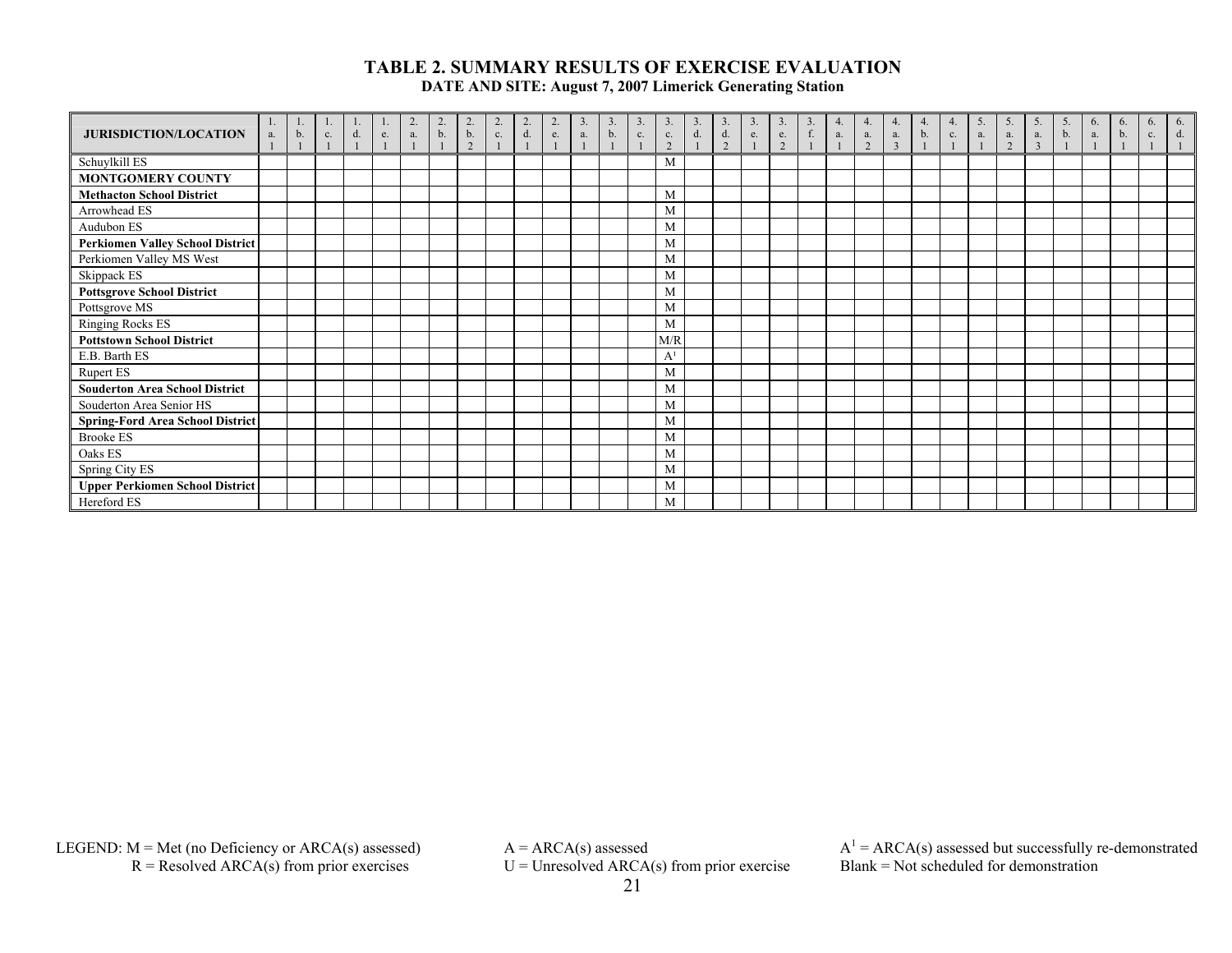| <b>JURISDICTION/LOCATION</b>            | a. | b. | c. | d. | e. | a. | $\overline{2}$<br>b. | $\overline{2}$<br>b.<br>$\Omega$ | 2.<br>c. | $\overline{2}$ .<br>d. | 2.<br>e. | 3.<br>a. | 3.<br>b. | 3<br>c. | c.<br>$\Omega$ | d. | 3.<br>d.<br>$\gamma$ | 3.<br>e. | 3.<br>e.<br>$\gamma$ | 3.<br>$\mathbf f$ | 4.<br>a. | 4.<br>a.<br>2 | $\overline{4}$<br>a.<br>$\overline{3}$ | 4.<br>b. | 4.<br>c. | 5.<br>a. | 5<br>a.<br>2 | 5.<br>а.<br>3 | 5.<br>b. | 6.<br>a. | $\sigma$<br>b. | 6<br>c. | 6.<br>d. |
|-----------------------------------------|----|----|----|----|----|----|----------------------|----------------------------------|----------|------------------------|----------|----------|----------|---------|----------------|----|----------------------|----------|----------------------|-------------------|----------|---------------|----------------------------------------|----------|----------|----------|--------------|---------------|----------|----------|----------------|---------|----------|
| Schuylkill ES                           |    |    |    |    |    |    |                      |                                  |          |                        |          |          |          |         | M              |    |                      |          |                      |                   |          |               |                                        |          |          |          |              |               |          |          |                |         |          |
| <b>MONTGOMERY COUNTY</b>                |    |    |    |    |    |    |                      |                                  |          |                        |          |          |          |         |                |    |                      |          |                      |                   |          |               |                                        |          |          |          |              |               |          |          |                |         |          |
| <b>Methacton School District</b>        |    |    |    |    |    |    |                      |                                  |          |                        |          |          |          |         | M              |    |                      |          |                      |                   |          |               |                                        |          |          |          |              |               |          |          |                |         |          |
| Arrowhead ES                            |    |    |    |    |    |    |                      |                                  |          |                        |          |          |          |         | M              |    |                      |          |                      |                   |          |               |                                        |          |          |          |              |               |          |          |                |         |          |
| Audubon ES                              |    |    |    |    |    |    |                      |                                  |          |                        |          |          |          |         | M              |    |                      |          |                      |                   |          |               |                                        |          |          |          |              |               |          |          |                |         |          |
| <b>Perkiomen Valley School District</b> |    |    |    |    |    |    |                      |                                  |          |                        |          |          |          |         | M              |    |                      |          |                      |                   |          |               |                                        |          |          |          |              |               |          |          |                |         |          |
| Perkiomen Valley MS West                |    |    |    |    |    |    |                      |                                  |          |                        |          |          |          |         | M              |    |                      |          |                      |                   |          |               |                                        |          |          |          |              |               |          |          |                |         |          |
| Skippack ES                             |    |    |    |    |    |    |                      |                                  |          |                        |          |          |          |         | M              |    |                      |          |                      |                   |          |               |                                        |          |          |          |              |               |          |          |                |         |          |
| <b>Pottsgrove School District</b>       |    |    |    |    |    |    |                      |                                  |          |                        |          |          |          |         | M              |    |                      |          |                      |                   |          |               |                                        |          |          |          |              |               |          |          |                |         |          |
| Pottsgrove MS                           |    |    |    |    |    |    |                      |                                  |          |                        |          |          |          |         | M              |    |                      |          |                      |                   |          |               |                                        |          |          |          |              |               |          |          |                |         |          |
| <b>Ringing Rocks ES</b>                 |    |    |    |    |    |    |                      |                                  |          |                        |          |          |          |         | M              |    |                      |          |                      |                   |          |               |                                        |          |          |          |              |               |          |          |                |         |          |
| <b>Pottstown School District</b>        |    |    |    |    |    |    |                      |                                  |          |                        |          |          |          |         | M/R            |    |                      |          |                      |                   |          |               |                                        |          |          |          |              |               |          |          |                |         |          |
| E.B. Barth ES                           |    |    |    |    |    |    |                      |                                  |          |                        |          |          |          |         | A <sup>1</sup> |    |                      |          |                      |                   |          |               |                                        |          |          |          |              |               |          |          |                |         |          |
| <b>Rupert ES</b>                        |    |    |    |    |    |    |                      |                                  |          |                        |          |          |          |         | M              |    |                      |          |                      |                   |          |               |                                        |          |          |          |              |               |          |          |                |         |          |
| <b>Souderton Area School District</b>   |    |    |    |    |    |    |                      |                                  |          |                        |          |          |          |         | M              |    |                      |          |                      |                   |          |               |                                        |          |          |          |              |               |          |          |                |         |          |
| Souderton Area Senior HS                |    |    |    |    |    |    |                      |                                  |          |                        |          |          |          |         | M              |    |                      |          |                      |                   |          |               |                                        |          |          |          |              |               |          |          |                |         |          |
| <b>Spring-Ford Area School District</b> |    |    |    |    |    |    |                      |                                  |          |                        |          |          |          |         | M              |    |                      |          |                      |                   |          |               |                                        |          |          |          |              |               |          |          |                |         |          |
| <b>Brooke ES</b>                        |    |    |    |    |    |    |                      |                                  |          |                        |          |          |          |         | M              |    |                      |          |                      |                   |          |               |                                        |          |          |          |              |               |          |          |                |         |          |
| Oaks ES                                 |    |    |    |    |    |    |                      |                                  |          |                        |          |          |          |         | M              |    |                      |          |                      |                   |          |               |                                        |          |          |          |              |               |          |          |                |         |          |
| Spring City ES                          |    |    |    |    |    |    |                      |                                  |          |                        |          |          |          |         | M              |    |                      |          |                      |                   |          |               |                                        |          |          |          |              |               |          |          |                |         |          |
| <b>Upper Perkiomen School District</b>  |    |    |    |    |    |    |                      |                                  |          |                        |          |          |          |         | M              |    |                      |          |                      |                   |          |               |                                        |          |          |          |              |               |          |          |                |         |          |
| Hereford ES                             |    |    |    |    |    |    |                      |                                  |          |                        |          |          |          |         | M              |    |                      |          |                      |                   |          |               |                                        |          |          |          |              |               |          |          |                |         |          |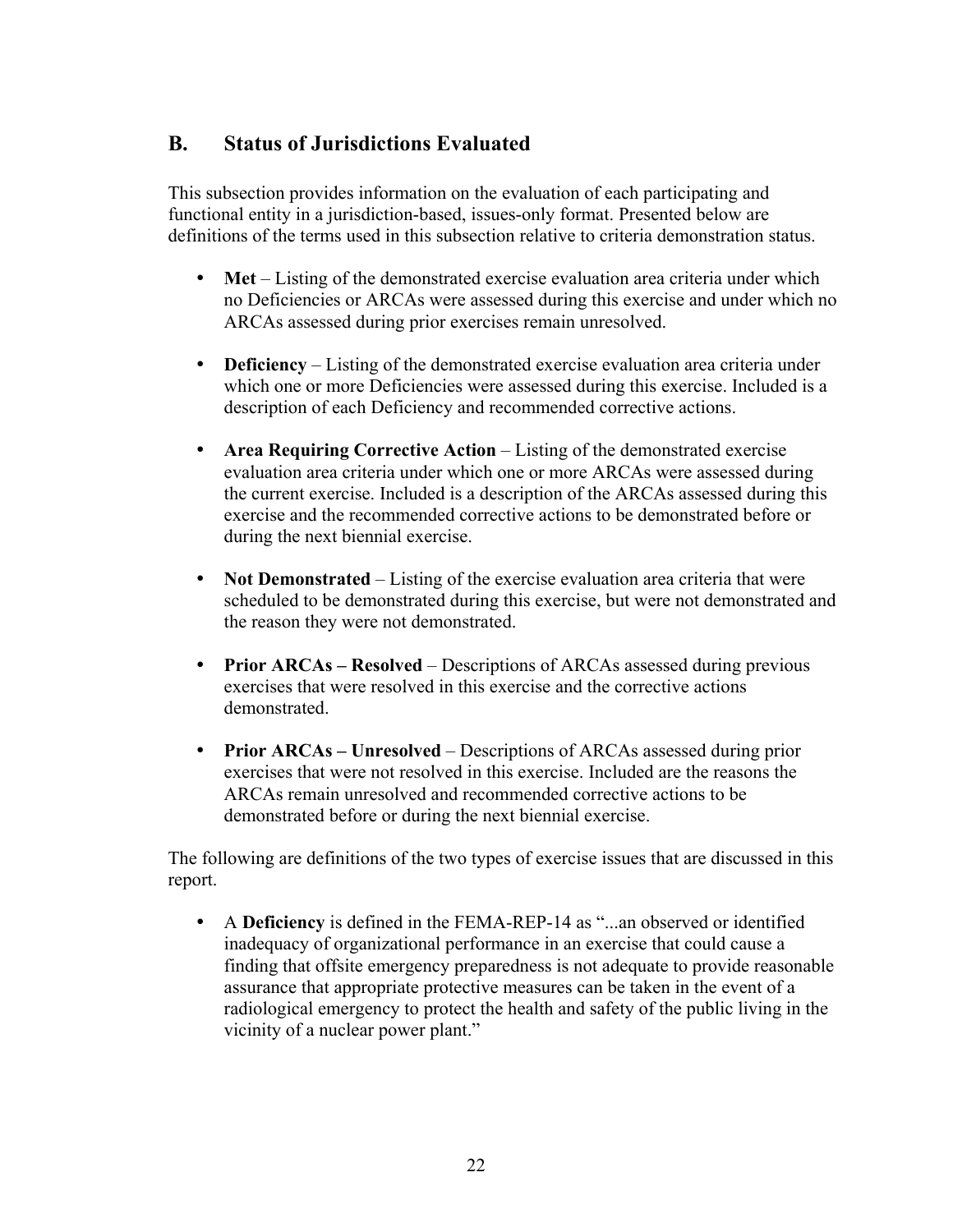### **B. Status of Jurisdictions Evaluated**

This subsection provides information on the evaluation of each participating and functional entity in a jurisdiction-based, issues-only format. Presented below are definitions of the terms used in this subsection relative to criteria demonstration status.

- Met Listing of the demonstrated exercise evaluation area criteria under which no Deficiencies or ARCAs were assessed during this exercise and under which no ARCAs assessed during prior exercises remain unresolved.
- **Deficiency** Listing of the demonstrated exercise evaluation area criteria under which one or more Deficiencies were assessed during this exercise. Included is a description of each Deficiency and recommended corrective actions.
- **Area Requiring Corrective Action** Listing of the demonstrated exercise evaluation area criteria under which one or more ARCAs were assessed during the current exercise. Included is a description of the ARCAs assessed during this exercise and the recommended corrective actions to be demonstrated before or during the next biennial exercise.
- Not Demonstrated Listing of the exercise evaluation area criteria that were scheduled to be demonstrated during this exercise, but were not demonstrated and the reason they were not demonstrated.
- **Prior ARCAs Resolved** Descriptions of ARCAs assessed during previous exercises that were resolved in this exercise and the corrective actions demonstrated.
- **Prior ARCAs Unresolved** Descriptions of ARCAs assessed during prior exercises that were not resolved in this exercise. Included are the reasons the ARCAs remain unresolved and recommended corrective actions to be demonstrated before or during the next biennial exercise.

The following are definitions of the two types of exercise issues that are discussed in this report.

y A **Deficiency** is defined in the FEMA-REP-14 as "...an observed or identified inadequacy of organizational performance in an exercise that could cause a finding that offsite emergency preparedness is not adequate to provide reasonable assurance that appropriate protective measures can be taken in the event of a radiological emergency to protect the health and safety of the public living in the vicinity of a nuclear power plant."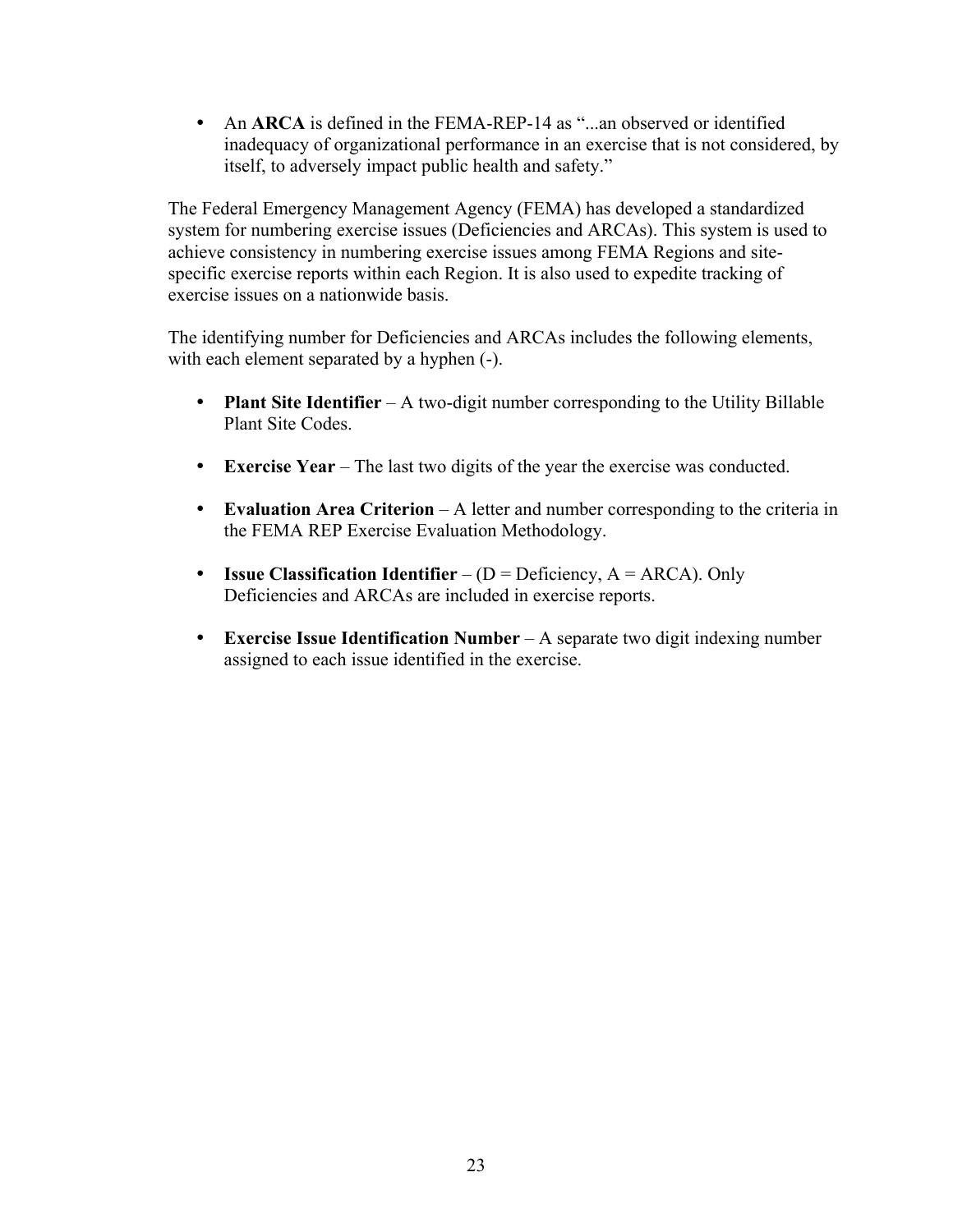• An **ARCA** is defined in the FEMA-REP-14 as "...an observed or identified inadequacy of organizational performance in an exercise that is not considered, by itself, to adversely impact public health and safety."

The Federal Emergency Management Agency (FEMA) has developed a standardized system for numbering exercise issues (Deficiencies and ARCAs). This system is used to achieve consistency in numbering exercise issues among FEMA Regions and sitespecific exercise reports within each Region. It is also used to expedite tracking of exercise issues on a nationwide basis.

The identifying number for Deficiencies and ARCAs includes the following elements, with each element separated by a hyphen (-).

- **Plant Site Identifier** A two-digit number corresponding to the Utility Billable Plant Site Codes.
- y **Exercise Year** The last two digits of the year the exercise was conducted.
- **Evaluation Area Criterion** A letter and number corresponding to the criteria in the FEMA REP Exercise Evaluation Methodology.
- **Issue Classification Identifier** ( $D = Deficiency$ ,  $A = ARCA$ ). Only Deficiencies and ARCAs are included in exercise reports.
- **Exercise Issue Identification Number** A separate two digit indexing number assigned to each issue identified in the exercise.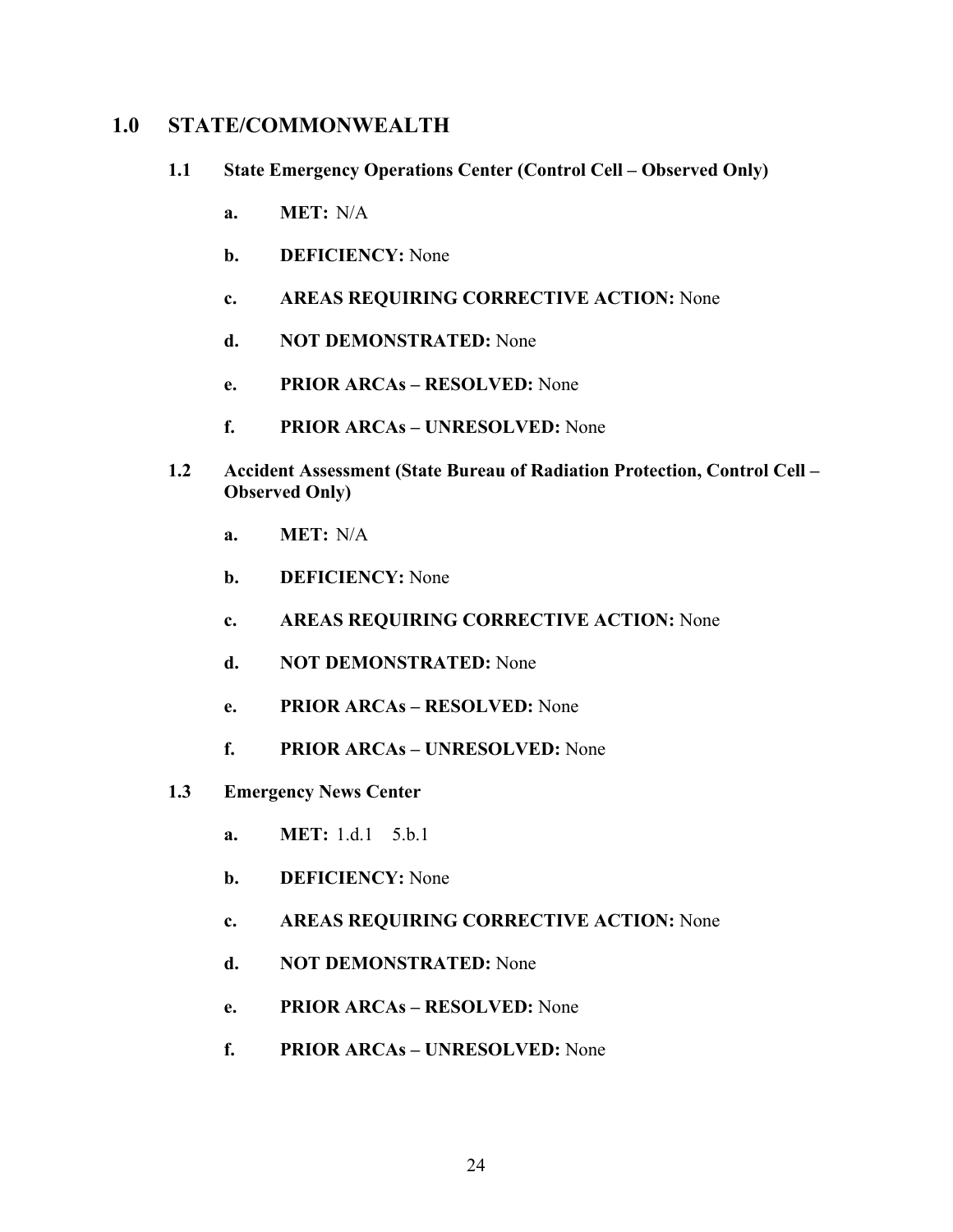### **1.0 STATE/COMMONWEALTH**

- **1.1 State Emergency Operations Center (Control Cell Observed Only)** 
	- **a. MET:** N/A
	- **b. DEFICIENCY:** None
	- **c. AREAS REQUIRING CORRECTIVE ACTION:** None
	- **d. NOT DEMONSTRATED:** None
	- **e. PRIOR ARCAs RESOLVED:** None
	- **f. PRIOR ARCAs UNRESOLVED:** None
- **1.2 Accident Assessment (State Bureau of Radiation Protection, Control Cell Observed Only)** 
	- **a. MET:** N/A
	- **b. DEFICIENCY:** None
	- **c. AREAS REQUIRING CORRECTIVE ACTION:** None
	- **d. NOT DEMONSTRATED:** None
	- **e. PRIOR ARCAs RESOLVED:** None
	- **f. PRIOR ARCAs UNRESOLVED:** None
- **1.3 Emergency News Center** 
	- **a. MET:** 1.d.1 5.b.1
	- **b. DEFICIENCY:** None
	- **c. AREAS REQUIRING CORRECTIVE ACTION:** None
	- **d. NOT DEMONSTRATED:** None
	- **e. PRIOR ARCAs RESOLVED:** None
	- **f. PRIOR ARCAs UNRESOLVED:** None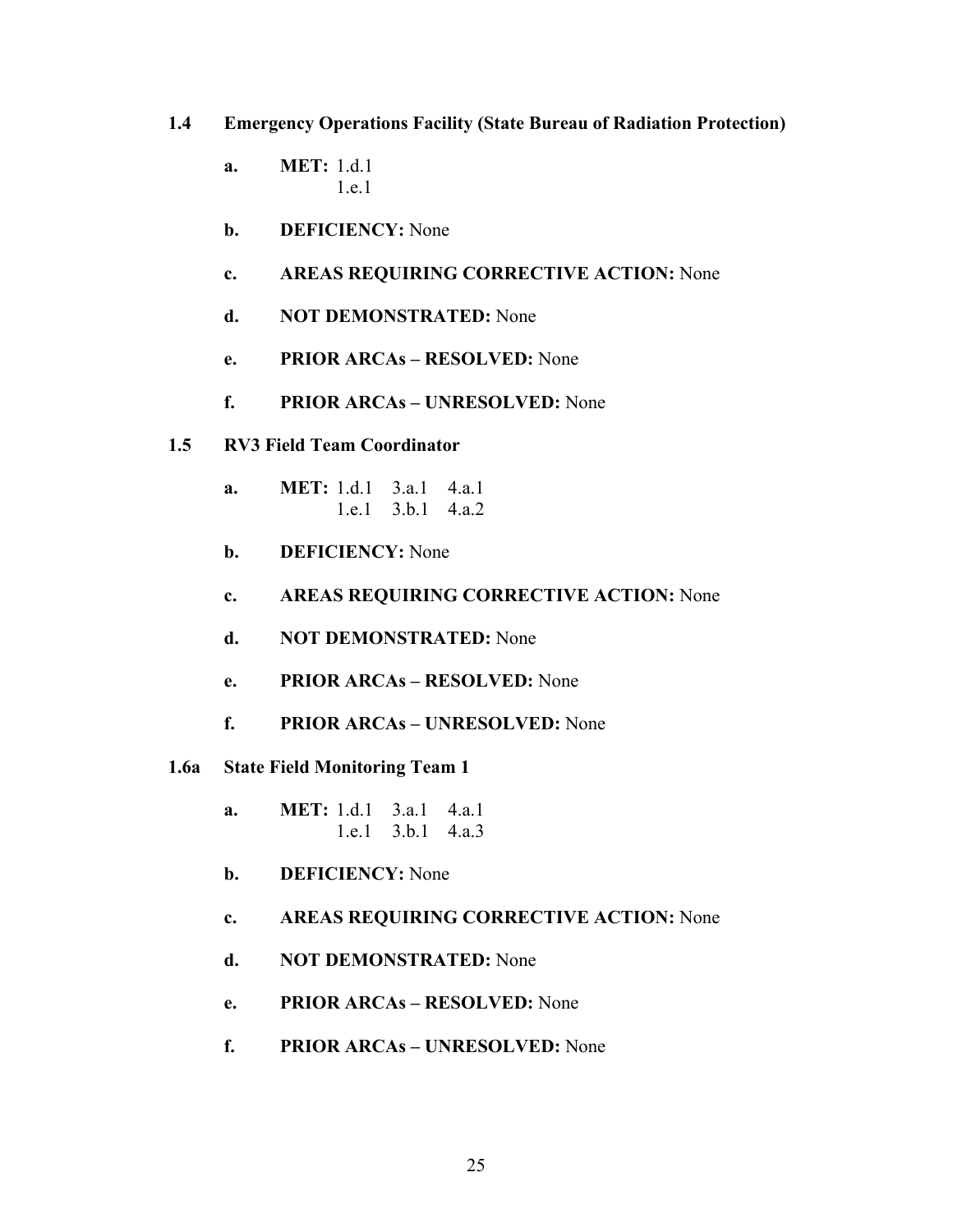### **1.4 Emergency Operations Facility (State Bureau of Radiation Protection)**

- **a. MET:** 1.d.1 1.e.1
- **b. DEFICIENCY:** None
- **c. AREAS REQUIRING CORRECTIVE ACTION:** None
- **d. NOT DEMONSTRATED:** None
- **e. PRIOR ARCAs RESOLVED:** None
- **f. PRIOR ARCAs UNRESOLVED:** None
- **1.5 RV3 Field Team Coordinator** 
	- **a. MET:** 1.d.1 3.a.1 4.a.1 1.e.1 3.b.1 4.a.2
	- **b. DEFICIENCY:** None
	- **c. AREAS REQUIRING CORRECTIVE ACTION:** None
	- **d. NOT DEMONSTRATED:** None
	- **e. PRIOR ARCAs RESOLVED:** None
	- **f. PRIOR ARCAs UNRESOLVED:** None
- **1.6a State Field Monitoring Team 1** 
	- **a. MET:** 1.d.1 3.a.1 4.a.1 1.e.1 3.b.1 4.a.3
	- **b. DEFICIENCY:** None

### **c. AREAS REQUIRING CORRECTIVE ACTION:** None

- **d. NOT DEMONSTRATED:** None
- **e. PRIOR ARCAs RESOLVED:** None
- **f. PRIOR ARCAs UNRESOLVED:** None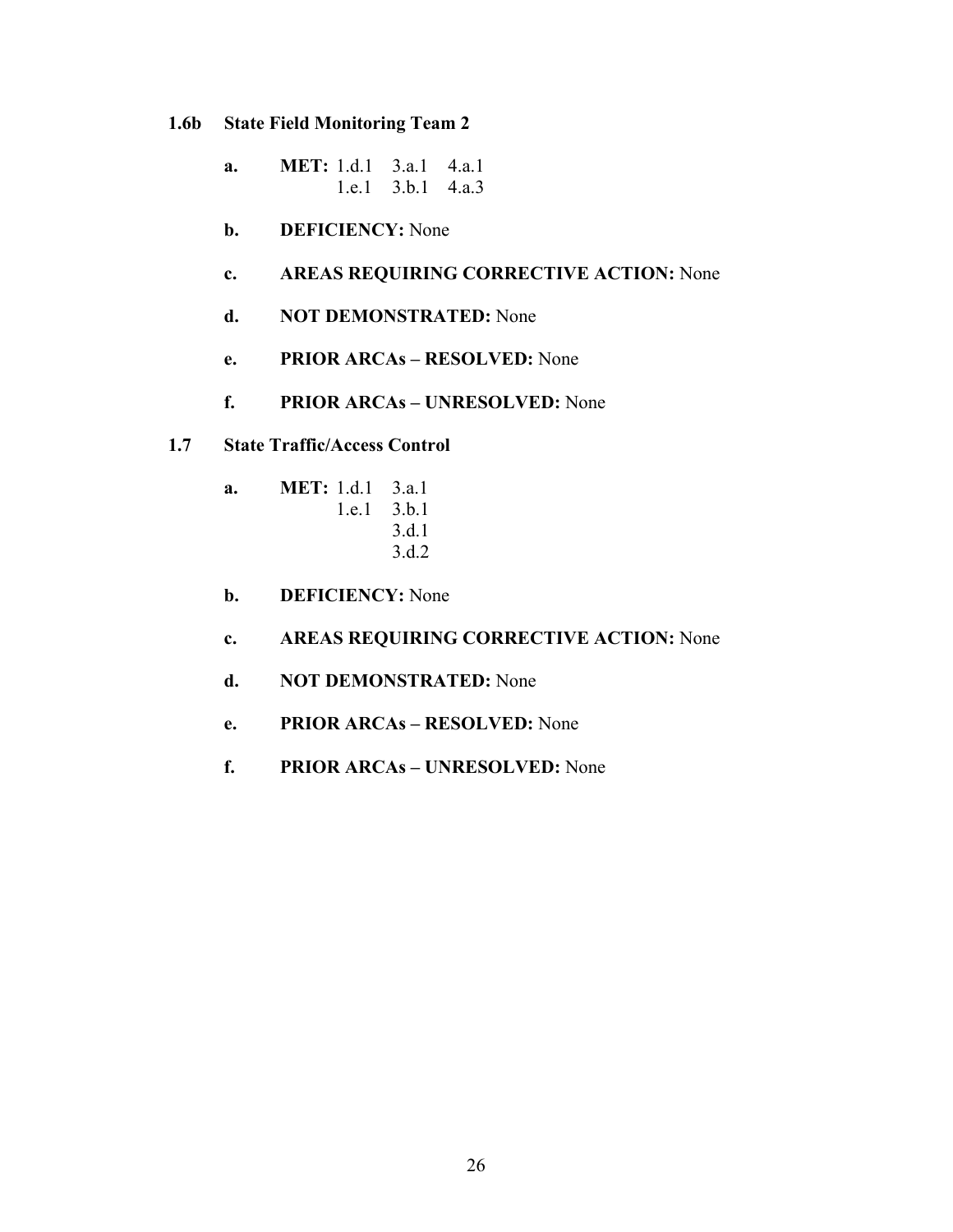- **1.6b State Field Monitoring Team 2** 
	- **a. MET:** 1.d.1 3.a.1 4.a.1 1.e.1 3.b.1 4.a.3
	- **b. DEFICIENCY:** None

### **c. AREAS REQUIRING CORRECTIVE ACTION:** None

- **d. NOT DEMONSTRATED:** None
- **e. PRIOR ARCAs RESOLVED:** None
- **f. PRIOR ARCAs UNRESOLVED:** None
- **1.7 State Traffic/Access Control** 
	- **a. MET:** 1.d.1 3.a.1 1.e.1 3.b.1 3.d.1 3.d.2
	- **b. DEFICIENCY:** None
	- **c. AREAS REQUIRING CORRECTIVE ACTION:** None
	- **d. NOT DEMONSTRATED:** None
	- **e. PRIOR ARCAs RESOLVED:** None
	- **f. PRIOR ARCAs UNRESOLVED:** None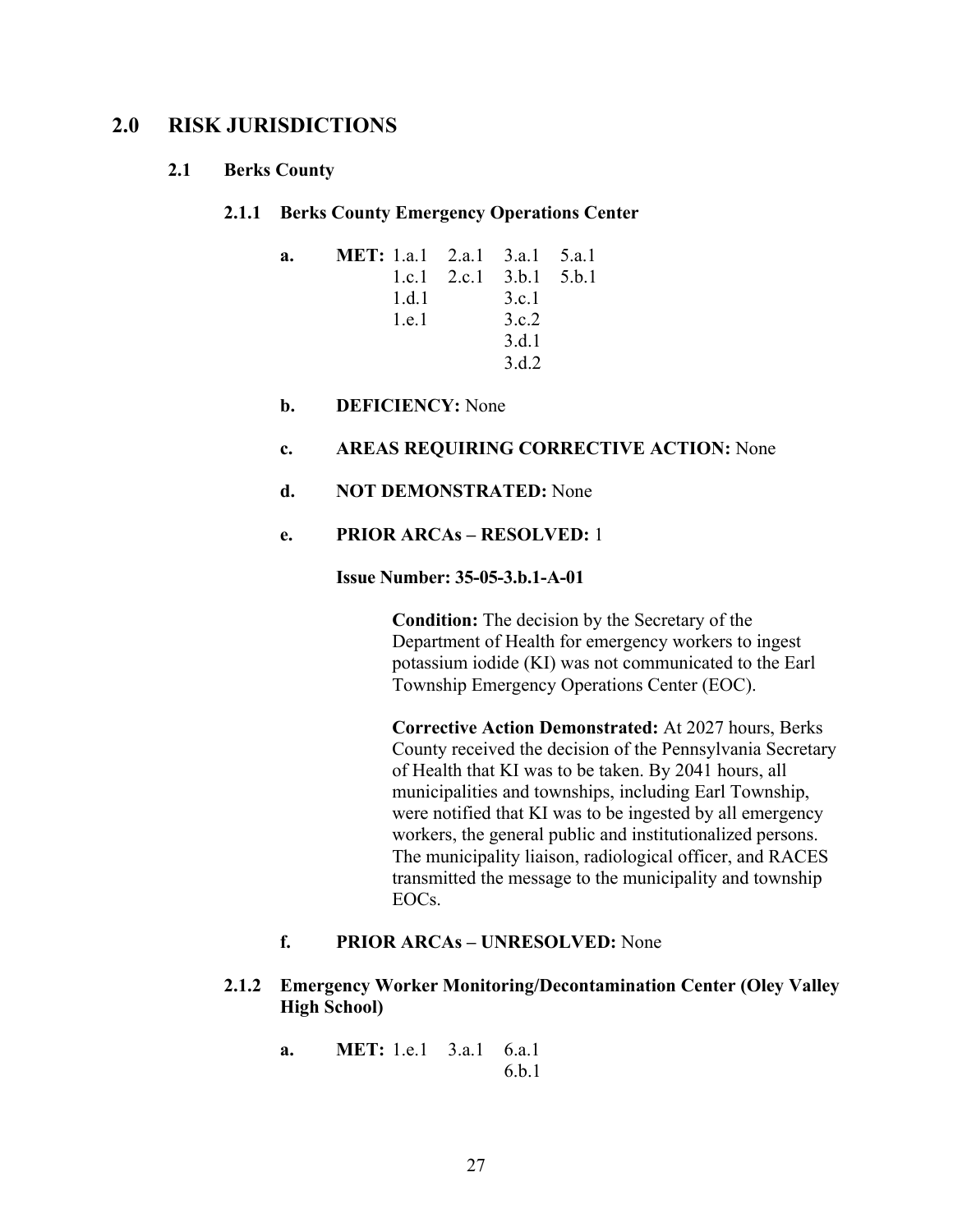### **2.0 RISK JURISDICTIONS**

### **2.1 Berks County**

### **2.1.1 Berks County Emergency Operations Center**

| a. | <b>MET:</b> 1.a.1 2.a.1 3.a.1 5.a.1 |                           |  |
|----|-------------------------------------|---------------------------|--|
|    |                                     | 1.c.1 2.c.1 $3.b.1 5.b.1$ |  |
|    | 1.d.1                               | 3.c.1                     |  |
|    | 1 e 1                               | 3.c.2                     |  |
|    |                                     | 3.d.1                     |  |
|    |                                     | 3 d 2                     |  |

**b. DEFICIENCY:** None

### **c. AREAS REQUIRING CORRECTIVE ACTION:** None

### **d. NOT DEMONSTRATED:** None

### **e. PRIOR ARCAs – RESOLVED:** 1

### **Issue Number: 35-05-3.b.1-A-01**

**Condition:** The decision by the Secretary of the Department of Health for emergency workers to ingest potassium iodide (KI) was not communicated to the Earl Township Emergency Operations Center (EOC).

**Corrective Action Demonstrated:** At 2027 hours, Berks County received the decision of the Pennsylvania Secretary of Health that KI was to be taken. By 2041 hours, all municipalities and townships, including Earl Township, were notified that KI was to be ingested by all emergency workers, the general public and institutionalized persons. The municipality liaison, radiological officer, and RACES transmitted the message to the municipality and township EOCs.

### **f. PRIOR ARCAs – UNRESOLVED:** None

### **2.1.2 Emergency Worker Monitoring/Decontamination Center (Oley Valley High School)**

**a. MET:** 1.e.1 3.a.1 6.a.1 6.b.1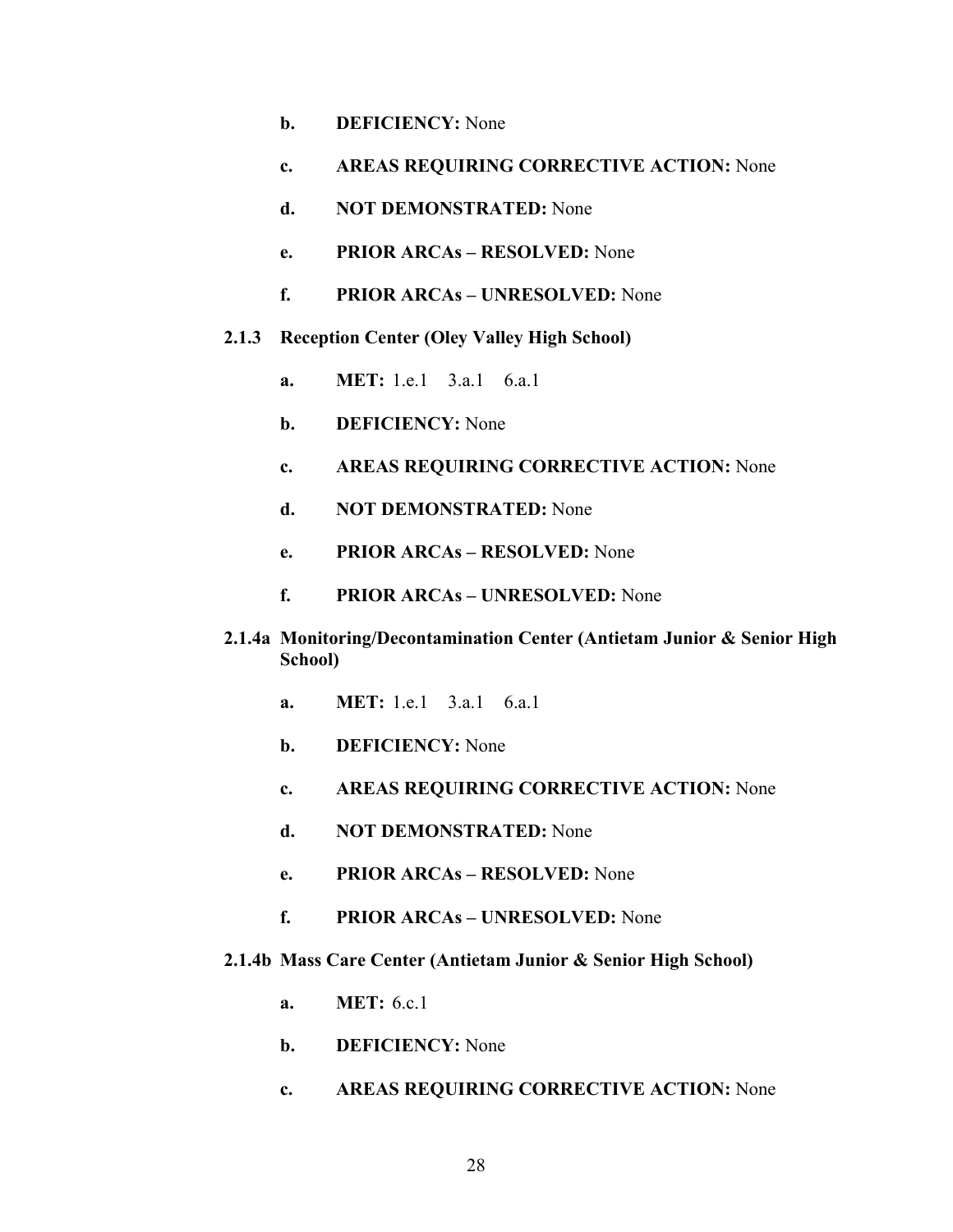- **b. DEFICIENCY:** None
- **c. AREAS REQUIRING CORRECTIVE ACTION:** None
- **d. NOT DEMONSTRATED:** None
- **e. PRIOR ARCAs RESOLVED:** None
- **f. PRIOR ARCAs UNRESOLVED:** None
- **2.1.3 Reception Center (Oley Valley High School)** 
	- **a. MET:** 1.e.1 3.a.1 6.a.1
	- **b. DEFICIENCY:** None
	- **c. AREAS REQUIRING CORRECTIVE ACTION:** None
	- **d. NOT DEMONSTRATED:** None
	- **e. PRIOR ARCAs RESOLVED:** None
	- **f. PRIOR ARCAs UNRESOLVED:** None
- **2.1.4a Monitoring/Decontamination Center (Antietam Junior & Senior High School)** 
	- **a. MET:** 1.e.1 3.a.1 6.a.1
	- **b. DEFICIENCY:** None
	- **c. AREAS REQUIRING CORRECTIVE ACTION:** None
	- **d. NOT DEMONSTRATED:** None
	- **e. PRIOR ARCAs RESOLVED:** None
	- **f. PRIOR ARCAs UNRESOLVED:** None

### **2.1.4b Mass Care Center (Antietam Junior & Senior High School)**

- **a. MET:** 6.c.1
- **b. DEFICIENCY:** None
- **c. AREAS REQUIRING CORRECTIVE ACTION:** None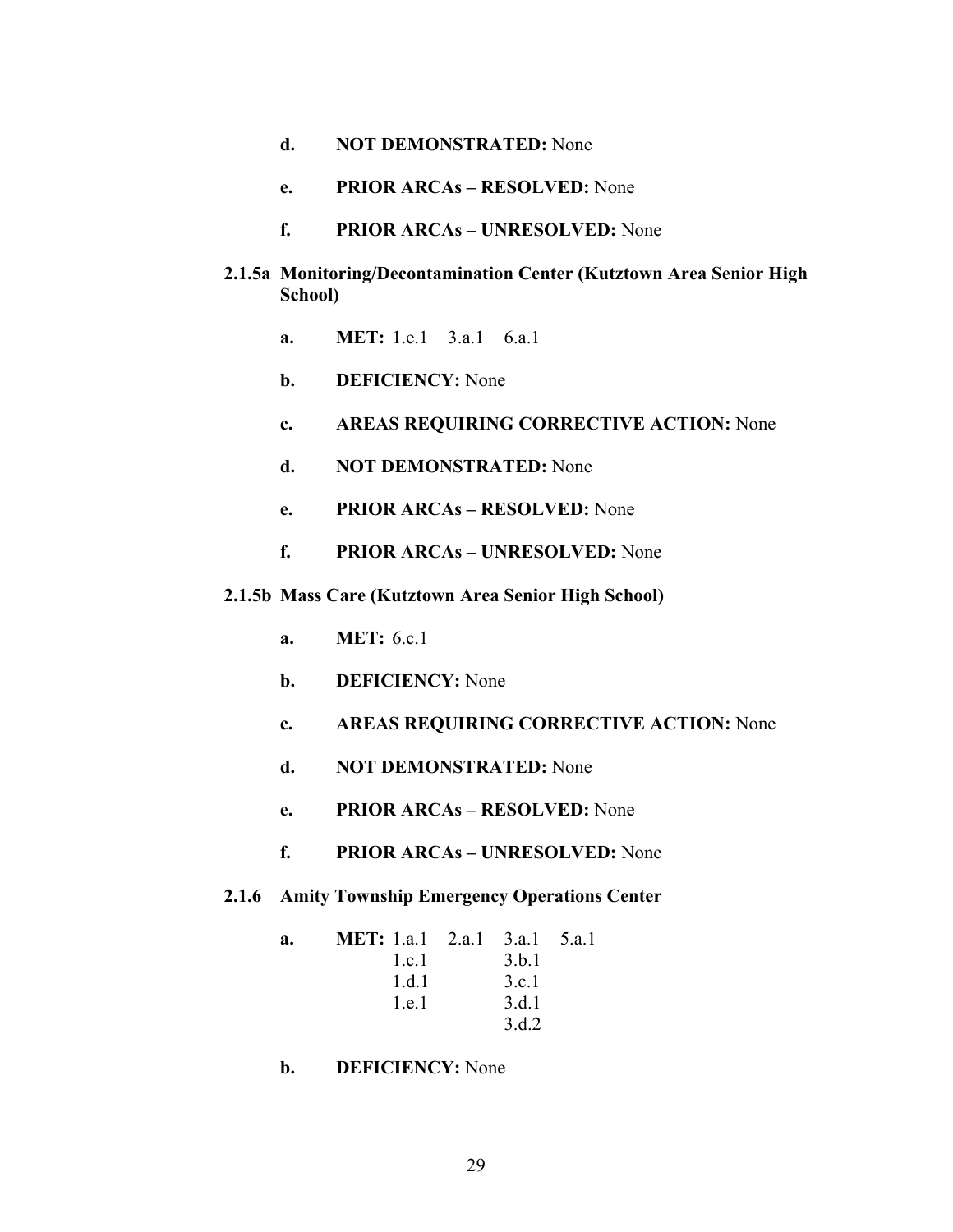- **d. NOT DEMONSTRATED:** None
- **e. PRIOR ARCAs RESOLVED:** None
- **f. PRIOR ARCAs UNRESOLVED:** None
- **2.1.5a Monitoring/Decontamination Center (Kutztown Area Senior High School)** 
	- **a. MET:** 1.e.1 3.a.1 6.a.1
	- **b. DEFICIENCY:** None
	- **c. AREAS REQUIRING CORRECTIVE ACTION:** None
	- **d. NOT DEMONSTRATED:** None
	- **e. PRIOR ARCAs RESOLVED:** None
	- **f. PRIOR ARCAs UNRESOLVED:** None
- **2.1.5b Mass Care (Kutztown Area Senior High School)** 
	- **a. MET:** 6.c.1
	- **b. DEFICIENCY:** None
	- **c. AREAS REQUIRING CORRECTIVE ACTION:** None
	- **d. NOT DEMONSTRATED:** None
	- **e. PRIOR ARCAs RESOLVED:** None
	- **f. PRIOR ARCAs UNRESOLVED:** None
- **2.1.6 Amity Township Emergency Operations Center**

**a. MET:** 1.a.1 2.a.1 3.a.1 5.a.1 1.c.1 3.b.1 1.d.1 3.c.1 1.e.1 3.d.1 3.d.2

**b. DEFICIENCY:** None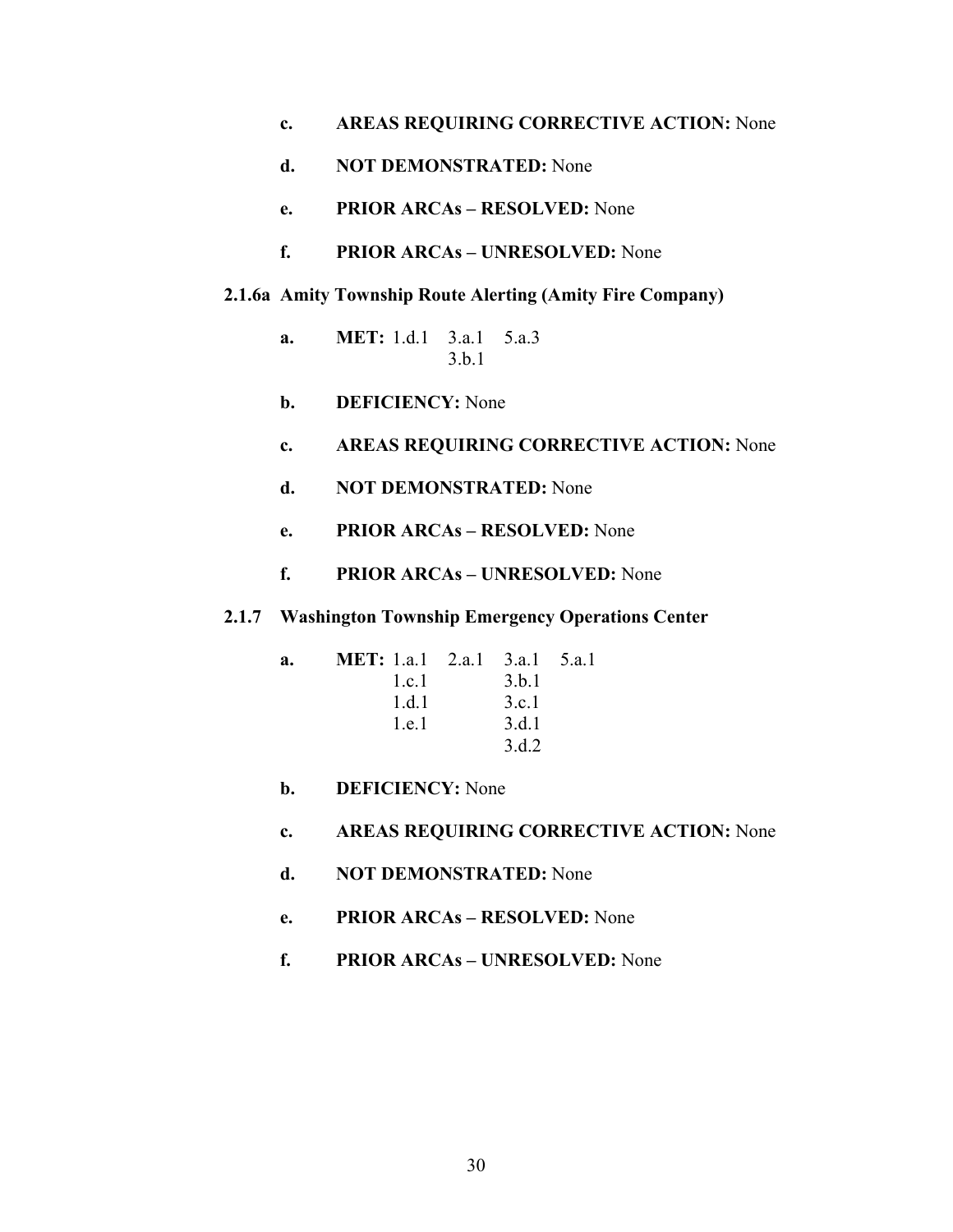- **c. AREAS REQUIRING CORRECTIVE ACTION:** None
- **d. NOT DEMONSTRATED:** None
- **e. PRIOR ARCAs RESOLVED:** None
- **f. PRIOR ARCAs UNRESOLVED:** None
- **2.1.6a Amity Township Route Alerting (Amity Fire Company)** 
	- **a. MET:** 1.d.1 3.a.1 5.a.3 3.b.1
	- **b. DEFICIENCY:** None
	- **c. AREAS REQUIRING CORRECTIVE ACTION:** None
	- **d. NOT DEMONSTRATED:** None
	- **e. PRIOR ARCAs RESOLVED:** None
	- **f. PRIOR ARCAs UNRESOLVED:** None
- **2.1.7 Washington Township Emergency Operations Center**

| a. | <b>MET:</b> 1.a.1 2.a.1 3.a.1 5.a.1 |       |  |
|----|-------------------------------------|-------|--|
|    | 1c1                                 | 3.b.1 |  |
|    | 1 d 1                               | 3.c.1 |  |
|    | 1.e.1                               | 3.d.1 |  |
|    |                                     | 3.d.2 |  |

- **b. DEFICIENCY:** None
- **c. AREAS REQUIRING CORRECTIVE ACTION:** None
- **d. NOT DEMONSTRATED:** None
- **e. PRIOR ARCAs RESOLVED:** None
- **f. PRIOR ARCAs UNRESOLVED:** None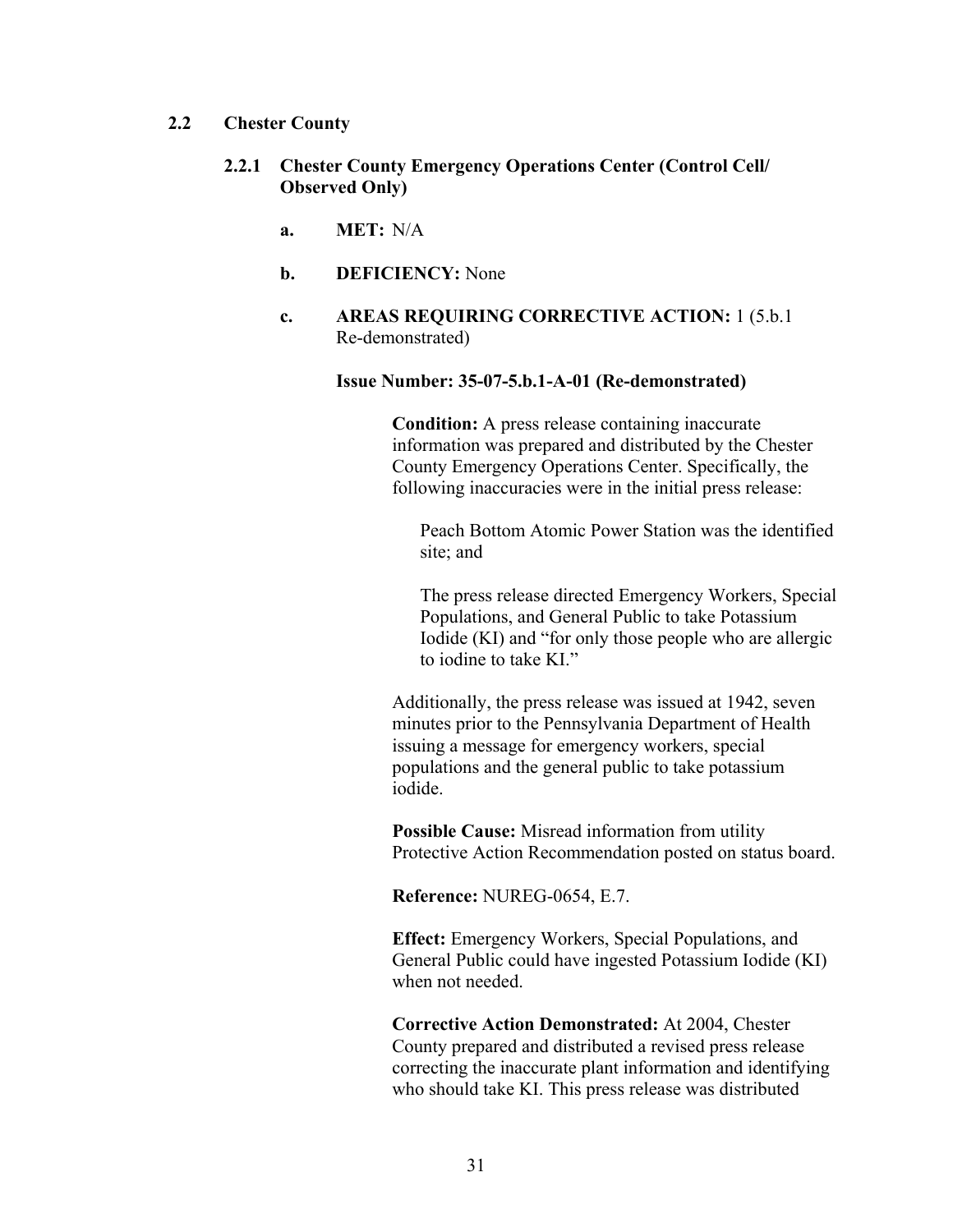# **2.2 Chester County**

- **2.2.1 Chester County Emergency Operations Center (Control Cell/ Observed Only)** 
	- **a. MET:** N/A
	- **b. DEFICIENCY:** None
	- **c. AREAS REQUIRING CORRECTIVE ACTION:** 1 (5.b.1 Re-demonstrated)

## **Issue Number: 35-07-5.b.1-A-01 (Re-demonstrated)**

**Condition:** A press release containing inaccurate information was prepared and distributed by the Chester County Emergency Operations Center. Specifically, the following inaccuracies were in the initial press release:

Peach Bottom Atomic Power Station was the identified site; and

The press release directed Emergency Workers, Special Populations, and General Public to take Potassium Iodide (KI) and "for only those people who are allergic to iodine to take KI."

Additionally, the press release was issued at 1942, seven minutes prior to the Pennsylvania Department of Health issuing a message for emergency workers, special populations and the general public to take potassium iodide.

**Possible Cause:** Misread information from utility Protective Action Recommendation posted on status board.

**Reference:** NUREG-0654, E.7.

**Effect:** Emergency Workers, Special Populations, and General Public could have ingested Potassium Iodide (KI) when not needed.

**Corrective Action Demonstrated:** At 2004, Chester County prepared and distributed a revised press release correcting the inaccurate plant information and identifying who should take KI. This press release was distributed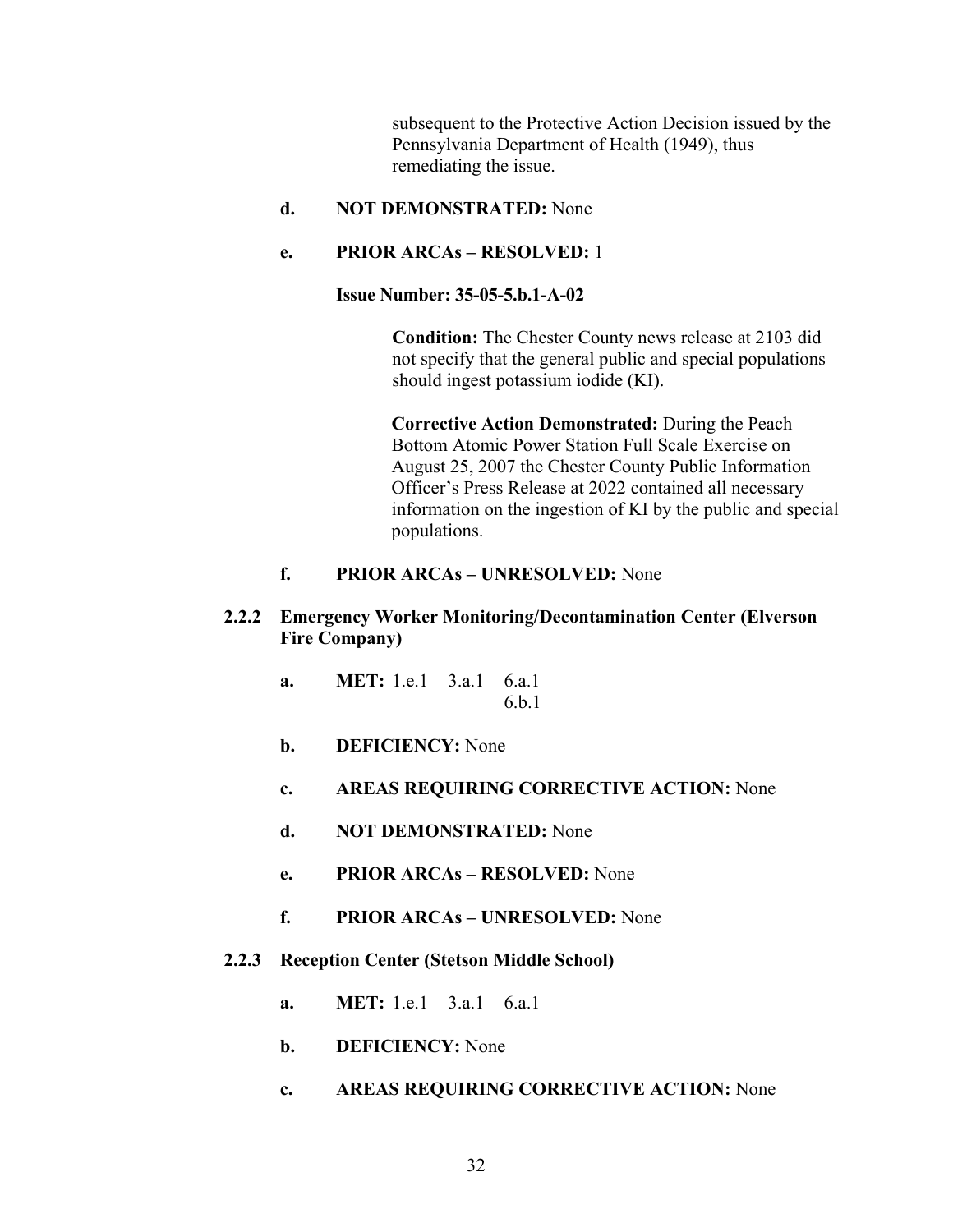subsequent to the Protective Action Decision issued by the Pennsylvania Department of Health (1949), thus remediating the issue.

**d. NOT DEMONSTRATED:** None

# **e. PRIOR ARCAs – RESOLVED:** 1

**Issue Number: 35-05-5.b.1-A-02** 

**Condition:** The Chester County news release at 2103 did not specify that the general public and special populations should ingest potassium iodide (KI).

**Corrective Action Demonstrated:** During the Peach Bottom Atomic Power Station Full Scale Exercise on August 25, 2007 the Chester County Public Information Officer's Press Release at 2022 contained all necessary information on the ingestion of KI by the public and special populations.

# **f. PRIOR ARCAs – UNRESOLVED:** None

- **2.2.2 Emergency Worker Monitoring/Decontamination Center (Elverson Fire Company)** 
	- **a. MET:** 1.e.1 3.a.1 6.a.1 6.b.1
	- **b. DEFICIENCY:** None
	- **c. AREAS REQUIRING CORRECTIVE ACTION:** None
	- **d. NOT DEMONSTRATED:** None
	- **e. PRIOR ARCAs RESOLVED:** None
	- **f. PRIOR ARCAs UNRESOLVED:** None
- **2.2.3 Reception Center (Stetson Middle School)** 
	- **a. MET:** 1.e.1 3.a.1 6.a.1
	- **b. DEFICIENCY:** None
	- **c. AREAS REQUIRING CORRECTIVE ACTION:** None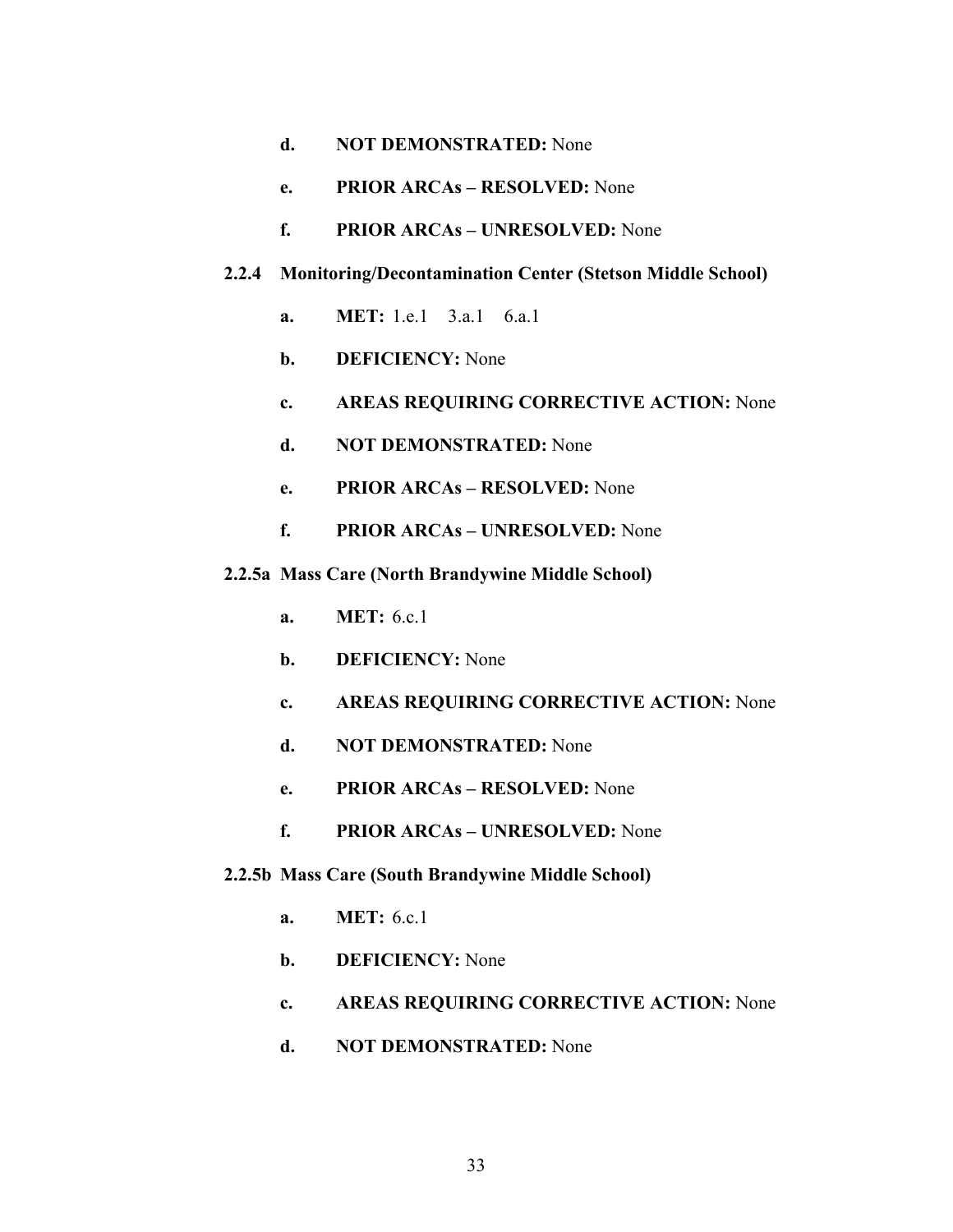- **d. NOT DEMONSTRATED:** None
- **e. PRIOR ARCAs RESOLVED:** None
- **f. PRIOR ARCAs UNRESOLVED:** None
- **2.2.4 Monitoring/Decontamination Center (Stetson Middle School)** 
	- **a. MET:** 1.e.1 3.a.1 6.a.1
	- **b. DEFICIENCY:** None
	- **c. AREAS REQUIRING CORRECTIVE ACTION:** None
	- **d. NOT DEMONSTRATED:** None
	- **e. PRIOR ARCAs RESOLVED:** None
	- **f. PRIOR ARCAs UNRESOLVED:** None
- **2.2.5a Mass Care (North Brandywine Middle School)** 
	- **a. MET:** 6.c.1
	- **b. DEFICIENCY:** None
	- **c. AREAS REQUIRING CORRECTIVE ACTION:** None
	- **d. NOT DEMONSTRATED:** None
	- **e. PRIOR ARCAs RESOLVED:** None
	- **f. PRIOR ARCAs UNRESOLVED:** None
- **2.2.5b Mass Care (South Brandywine Middle School)** 
	- **a. MET:** 6.c.1
	- **b. DEFICIENCY:** None
	- **c. AREAS REQUIRING CORRECTIVE ACTION:** None
	- **d. NOT DEMONSTRATED:** None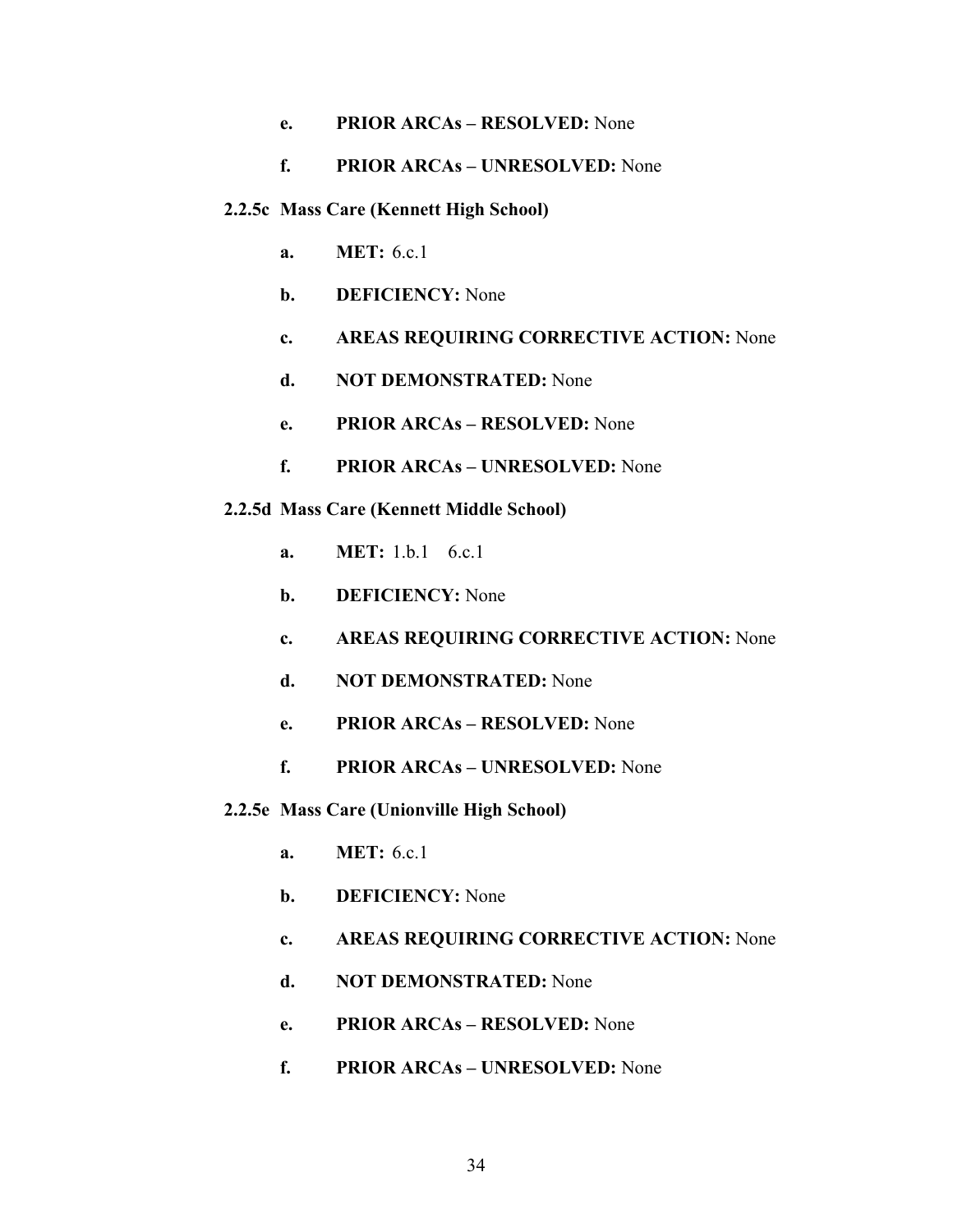- **e. PRIOR ARCAs RESOLVED:** None
- **f. PRIOR ARCAs UNRESOLVED:** None
- **2.2.5c Mass Care (Kennett High School)** 
	- **a. MET:** 6.c.1
	- **b. DEFICIENCY:** None
	- **c. AREAS REQUIRING CORRECTIVE ACTION:** None
	- **d. NOT DEMONSTRATED:** None
	- **e. PRIOR ARCAs RESOLVED:** None
	- **f. PRIOR ARCAs UNRESOLVED:** None
- **2.2.5d Mass Care (Kennett Middle School)** 
	- **a. MET:** 1.b.1 6.c.1
	- **b. DEFICIENCY:** None
	- **c. AREAS REQUIRING CORRECTIVE ACTION:** None
	- **d. NOT DEMONSTRATED:** None
	- **e. PRIOR ARCAs RESOLVED:** None
	- **f. PRIOR ARCAs UNRESOLVED:** None
- **2.2.5e Mass Care (Unionville High School)** 
	- **a. MET:** 6.c.1
	- **b. DEFICIENCY:** None
	- **c. AREAS REQUIRING CORRECTIVE ACTION:** None
	- **d. NOT DEMONSTRATED:** None
	- **e. PRIOR ARCAs RESOLVED:** None
	- **f. PRIOR ARCAs UNRESOLVED:** None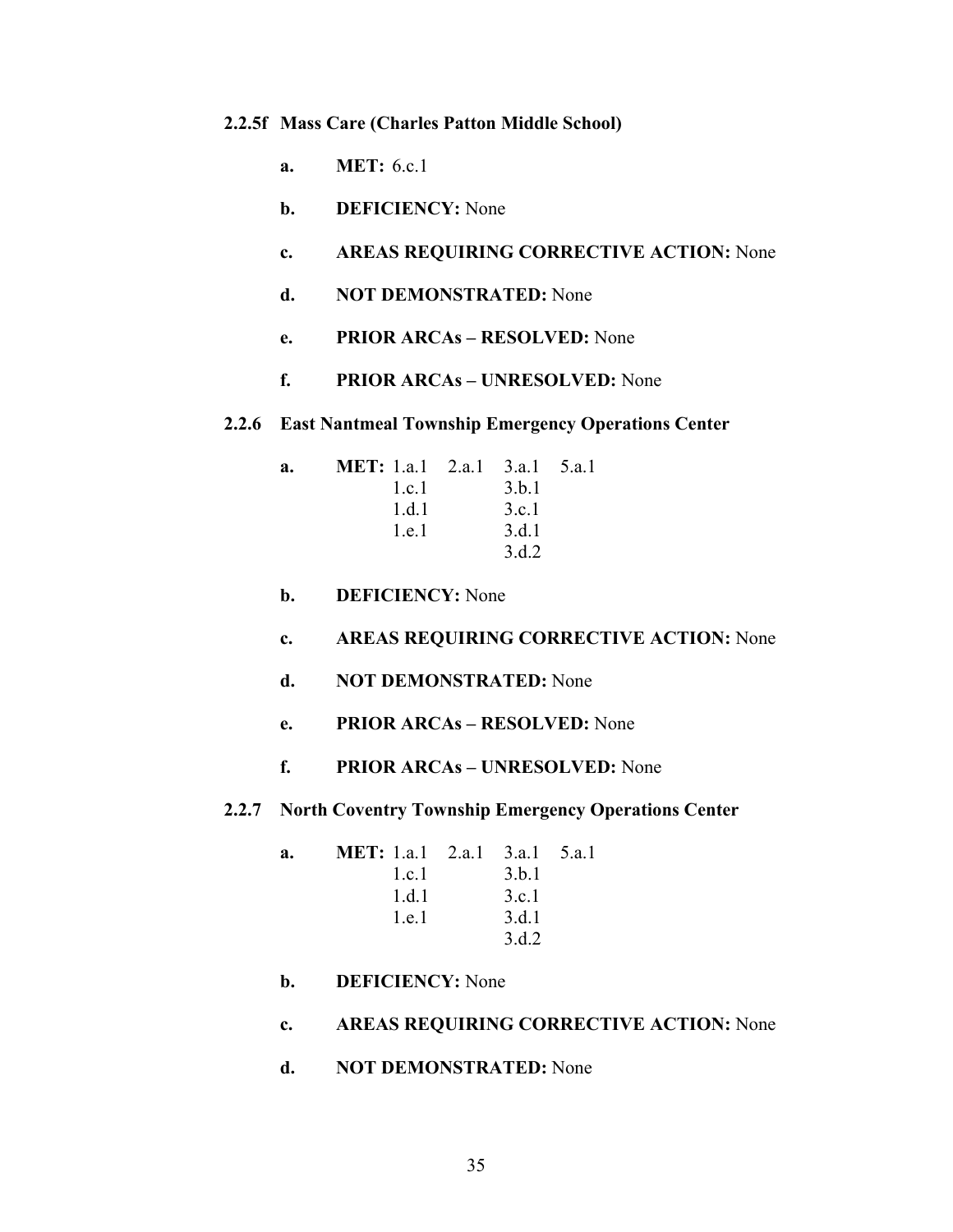### **2.2.5f Mass Care (Charles Patton Middle School)**

- **a. MET:** 6.c.1
- **b. DEFICIENCY:** None
- **c. AREAS REQUIRING CORRECTIVE ACTION:** None
- **d. NOT DEMONSTRATED:** None
- **e. PRIOR ARCAs RESOLVED:** None
- **f. PRIOR ARCAs UNRESOLVED:** None

### **2.2.6 East Nantmeal Township Emergency Operations Center**

| a. | <b>MET:</b> 1.a.1 2.a.1 3.a.1 5.a.1 |       |  |
|----|-------------------------------------|-------|--|
|    | l.c.                                | 3.b.1 |  |
|    | 1.d.1                               | 3.c.1 |  |
|    | 1.e.1                               | 3.d.1 |  |
|    |                                     | 3 d 2 |  |

- **b. DEFICIENCY:** None
- **c. AREAS REQUIRING CORRECTIVE ACTION:** None
- **d. NOT DEMONSTRATED:** None
- **e. PRIOR ARCAs RESOLVED:** None
- **f. PRIOR ARCAs UNRESOLVED:** None
- **2.2.7 North Coventry Township Emergency Operations Center**

| a. | <b>MET:</b> 1.a.1 2.a.1 3.a.1 5.a.1 |       |  |
|----|-------------------------------------|-------|--|
|    | l.c.                                | 3.b.1 |  |
|    | 1 d 1                               | 3.c.1 |  |
|    | 1 e 1                               | 3.d.1 |  |
|    |                                     | 3.d.2 |  |
|    |                                     |       |  |

- **b. DEFICIENCY:** None
- **c. AREAS REQUIRING CORRECTIVE ACTION:** None
- **d. NOT DEMONSTRATED:** None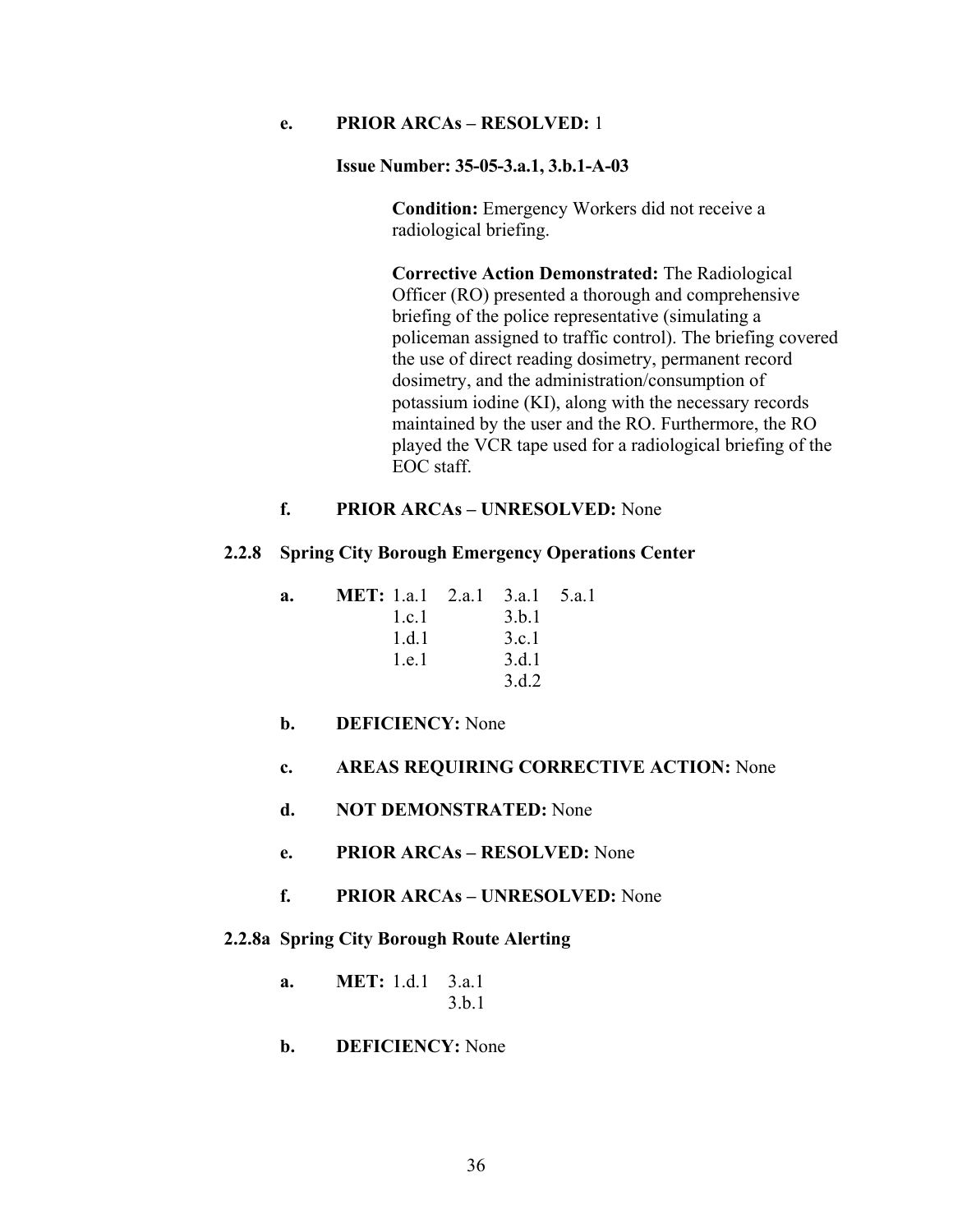# **e. PRIOR ARCAs – RESOLVED:** 1

#### **Issue Number: 35-05-3.a.1, 3.b.1-A-03**

**Condition:** Emergency Workers did not receive a radiological briefing.

**Corrective Action Demonstrated:** The Radiological Officer (RO) presented a thorough and comprehensive briefing of the police representative (simulating a policeman assigned to traffic control). The briefing covered the use of direct reading dosimetry, permanent record dosimetry, and the administration/consumption of potassium iodine (KI), along with the necessary records maintained by the user and the RO. Furthermore, the RO played the VCR tape used for a radiological briefing of the EOC staff.

# **f. PRIOR ARCAs – UNRESOLVED:** None

#### **2.2.8 Spring City Borough Emergency Operations Center**

| a. | <b>MET:</b> 1.a.1 2.a.1 3.a.1 5.a.1 |       |  |
|----|-------------------------------------|-------|--|
|    | l.c.                                | 3.b.1 |  |
|    | 1.d.1                               | 3.c.1 |  |
|    | 1.e.1                               | 3.d.1 |  |
|    |                                     | 3 d 2 |  |

## **b. DEFICIENCY:** None

### **c. AREAS REQUIRING CORRECTIVE ACTION:** None

- **d. NOT DEMONSTRATED:** None
- **e. PRIOR ARCAs RESOLVED:** None
- **f. PRIOR ARCAs UNRESOLVED:** None

### **2.2.8a Spring City Borough Route Alerting**

| я. | <b>MET:</b> 1.d.1 $3.a.1$ |       |
|----|---------------------------|-------|
|    |                           | 3.b.1 |

# **b. DEFICIENCY:** None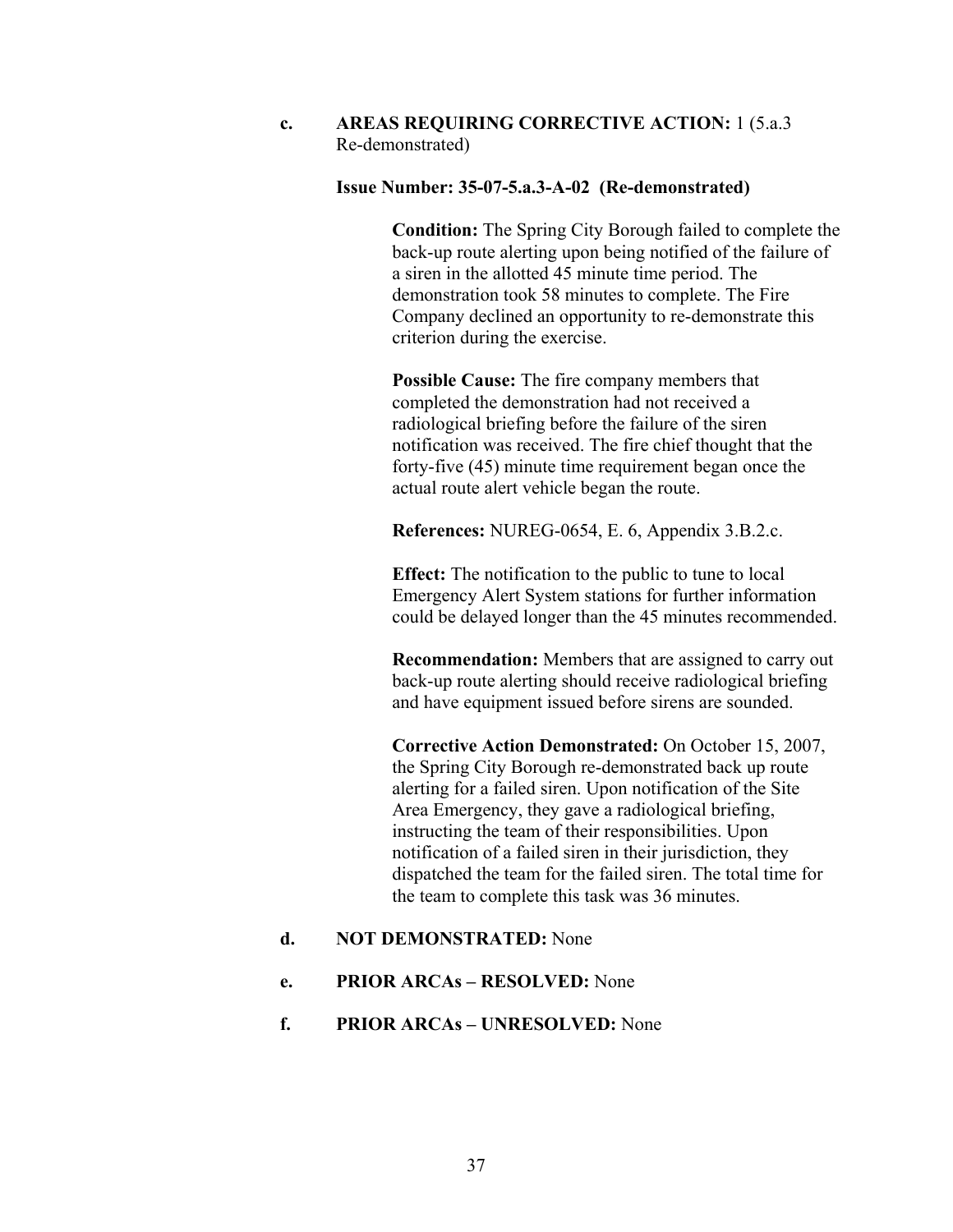**c. AREAS REQUIRING CORRECTIVE ACTION:** 1 (5.a.3 Re-demonstrated)

### **Issue Number: 35-07-5.a.3-A-02 (Re-demonstrated)**

**Condition:** The Spring City Borough failed to complete the back-up route alerting upon being notified of the failure of a siren in the allotted 45 minute time period. The demonstration took 58 minutes to complete. The Fire Company declined an opportunity to re-demonstrate this criterion during the exercise.

**Possible Cause:** The fire company members that completed the demonstration had not received a radiological briefing before the failure of the siren notification was received. The fire chief thought that the forty-five (45) minute time requirement began once the actual route alert vehicle began the route.

**References:** NUREG-0654, E. 6, Appendix 3.B.2.c.

**Effect:** The notification to the public to tune to local Emergency Alert System stations for further information could be delayed longer than the 45 minutes recommended.

**Recommendation:** Members that are assigned to carry out back-up route alerting should receive radiological briefing and have equipment issued before sirens are sounded.

**Corrective Action Demonstrated:** On October 15, 2007, the Spring City Borough re-demonstrated back up route alerting for a failed siren. Upon notification of the Site Area Emergency, they gave a radiological briefing, instructing the team of their responsibilities. Upon notification of a failed siren in their jurisdiction, they dispatched the team for the failed siren. The total time for the team to complete this task was 36 minutes.

### **d. NOT DEMONSTRATED:** None

- **e. PRIOR ARCAs RESOLVED:** None
- **f. PRIOR ARCAs UNRESOLVED:** None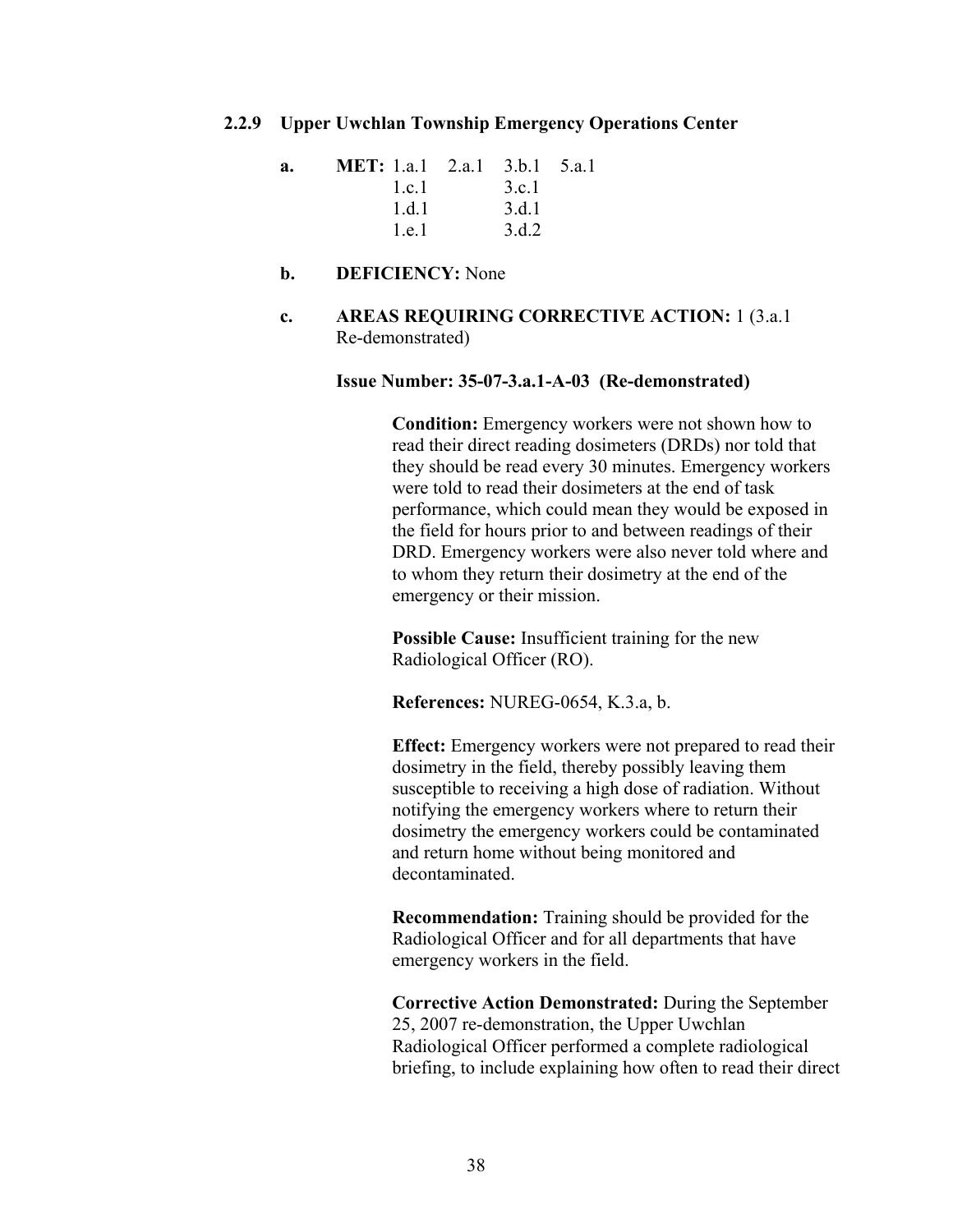### **2.2.9 Upper Uwchlan Township Emergency Operations Center**

| a. | <b>MET:</b> 1.a.1 2.a.1 3.b.1 5.a.1 |       |  |
|----|-------------------------------------|-------|--|
|    | 1.c.1                               | 3 c.1 |  |
|    | 1 d 1                               | 3.d.1 |  |
|    | 1e1                                 | 3.d.2 |  |

# **b. DEFICIENCY:** None

**c. AREAS REQUIRING CORRECTIVE ACTION:** 1 (3.a.1 Re-demonstrated)

#### **Issue Number: 35-07-3.a.1-A-03 (Re-demonstrated)**

**Condition:** Emergency workers were not shown how to read their direct reading dosimeters (DRDs) nor told that they should be read every 30 minutes. Emergency workers were told to read their dosimeters at the end of task performance, which could mean they would be exposed in the field for hours prior to and between readings of their DRD. Emergency workers were also never told where and to whom they return their dosimetry at the end of the emergency or their mission.

**Possible Cause:** Insufficient training for the new Radiological Officer (RO).

**References:** NUREG-0654, K.3.a, b.

**Effect:** Emergency workers were not prepared to read their dosimetry in the field, thereby possibly leaving them susceptible to receiving a high dose of radiation. Without notifying the emergency workers where to return their dosimetry the emergency workers could be contaminated and return home without being monitored and decontaminated.

**Recommendation:** Training should be provided for the Radiological Officer and for all departments that have emergency workers in the field.

**Corrective Action Demonstrated:** During the September 25, 2007 re-demonstration, the Upper Uwchlan Radiological Officer performed a complete radiological briefing, to include explaining how often to read their direct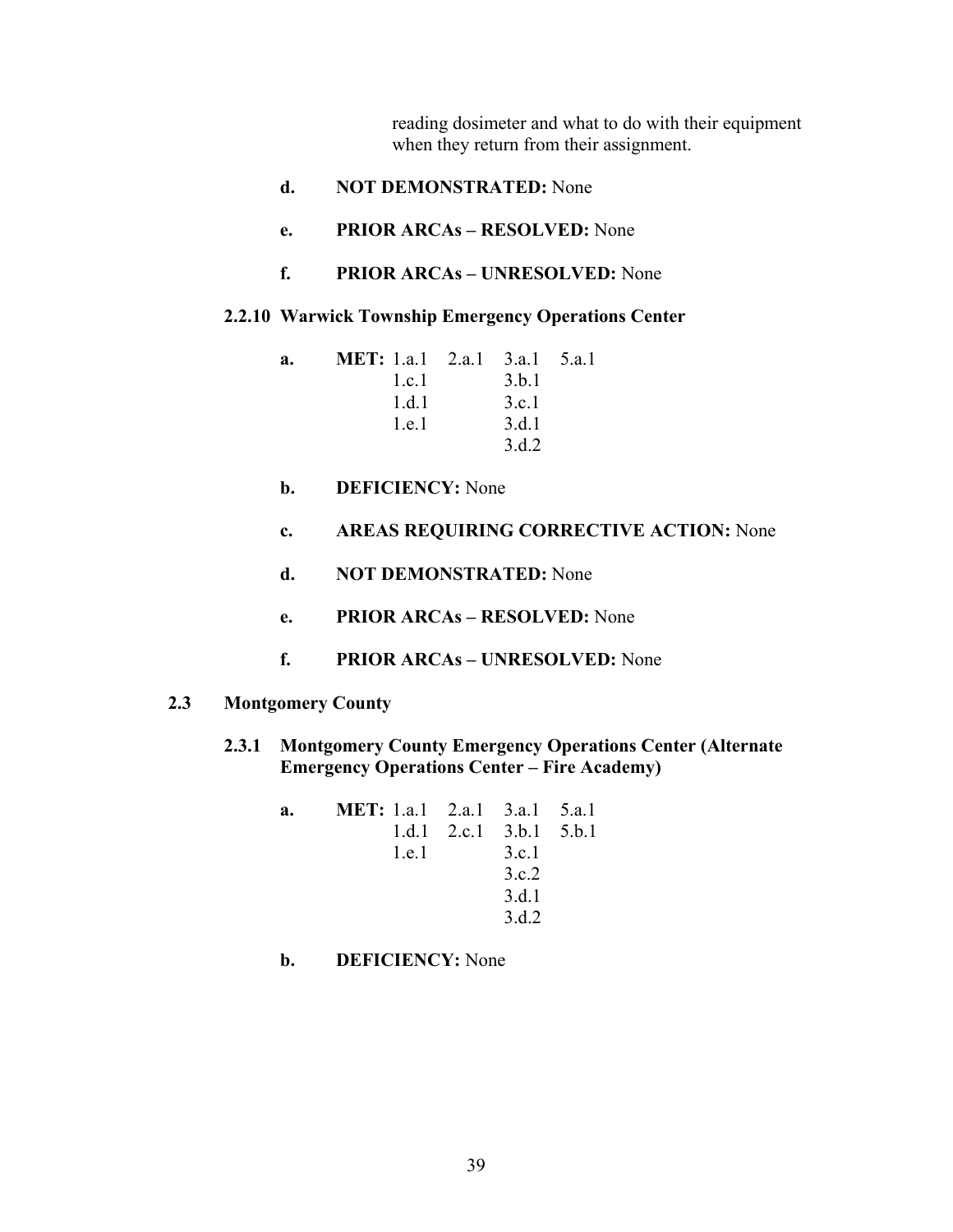reading dosimeter and what to do with their equipment when they return from their assignment.

- **d. NOT DEMONSTRATED:** None
- **e. PRIOR ARCAs RESOLVED:** None
- **f. PRIOR ARCAs UNRESOLVED:** None

#### **2.2.10 Warwick Township Emergency Operations Center**

| a. | <b>MET:</b> 1.a.1 2.a.1 3.a.1 5.a.1 |       |  |
|----|-------------------------------------|-------|--|
|    | 1 c 1                               | 3.b.1 |  |
|    | 1.d.1                               | 3.c.1 |  |
|    | 1.e.1                               | 3.d.1 |  |
|    |                                     | 3 d 2 |  |

- **b. DEFICIENCY:** None
- **c. AREAS REQUIRING CORRECTIVE ACTION:** None
- **d. NOT DEMONSTRATED:** None
- **e. PRIOR ARCAs RESOLVED:** None
- **f. PRIOR ARCAs UNRESOLVED:** None

# **2.3 Montgomery County**

**2.3.1 Montgomery County Emergency Operations Center (Alternate Emergency Operations Center – Fire Academy)** 

| a. | <b>MET:</b> 1.a.1 2.a.1 3.a.1 5.a.1 |                           |  |
|----|-------------------------------------|---------------------------|--|
|    |                                     | 1.d.1 2.c.1 $3.b.1 5.b.1$ |  |
|    | 1.e.1                               | 3.c.1                     |  |
|    |                                     | 3 c 2                     |  |
|    |                                     | 3.d.1                     |  |
|    |                                     | 3.d.2                     |  |

# **b. DEFICIENCY:** None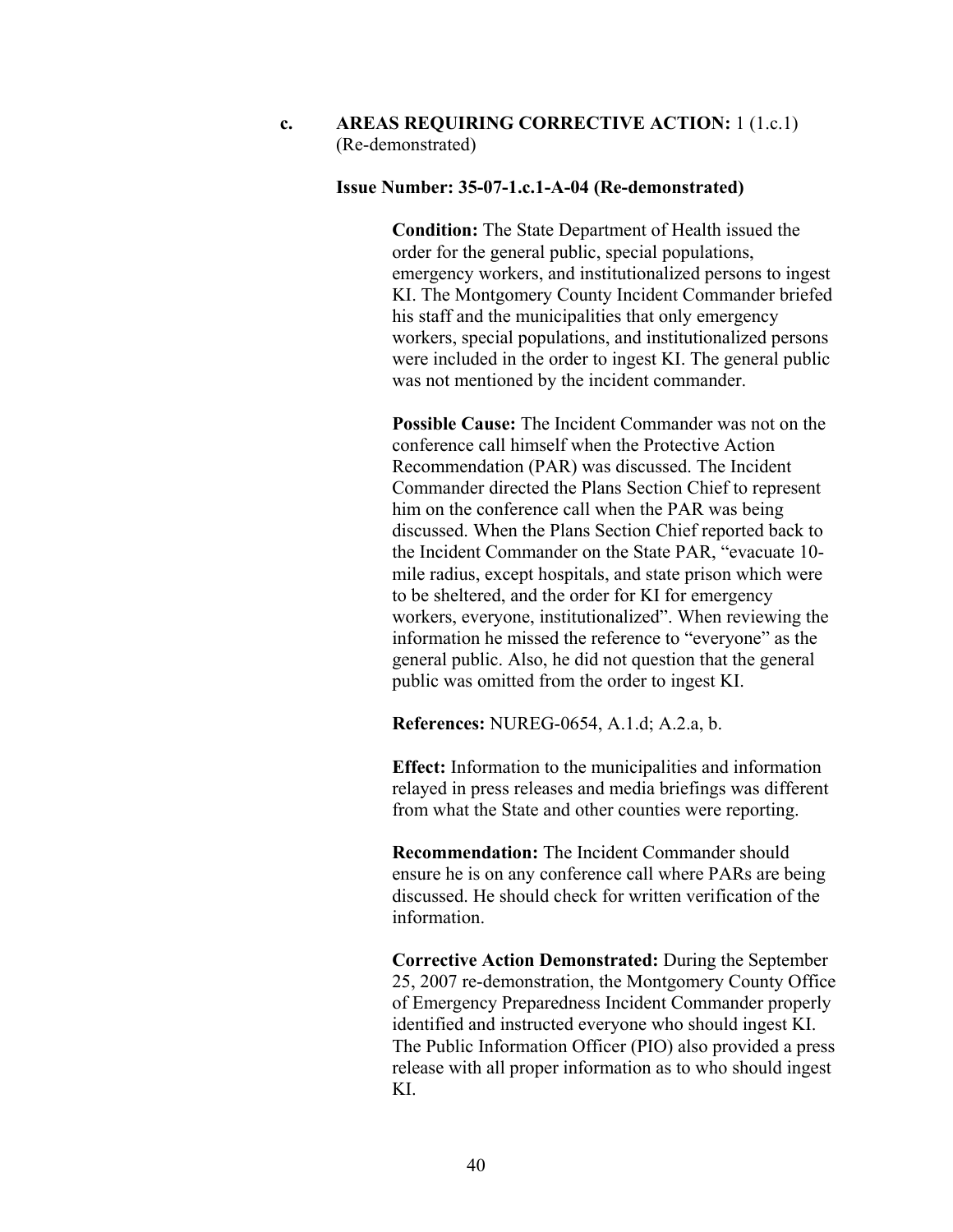# **c. AREAS REQUIRING CORRECTIVE ACTION:** 1 (1.c.1) (Re-demonstrated)

# **Issue Number: 35-07-1.c.1-A-04 (Re-demonstrated)**

**Condition:** The State Department of Health issued the order for the general public, special populations, emergency workers, and institutionalized persons to ingest KI. The Montgomery County Incident Commander briefed his staff and the municipalities that only emergency workers, special populations, and institutionalized persons were included in the order to ingest KI. The general public was not mentioned by the incident commander.

**Possible Cause:** The Incident Commander was not on the conference call himself when the Protective Action Recommendation (PAR) was discussed. The Incident Commander directed the Plans Section Chief to represent him on the conference call when the PAR was being discussed. When the Plans Section Chief reported back to the Incident Commander on the State PAR, "evacuate 10 mile radius, except hospitals, and state prison which were to be sheltered, and the order for KI for emergency workers, everyone, institutionalized". When reviewing the information he missed the reference to "everyone" as the general public. Also, he did not question that the general public was omitted from the order to ingest KI.

**References:** NUREG-0654, A.1.d; A.2.a, b.

**Effect:** Information to the municipalities and information relayed in press releases and media briefings was different from what the State and other counties were reporting.

**Recommendation:** The Incident Commander should ensure he is on any conference call where PARs are being discussed. He should check for written verification of the information.

**Corrective Action Demonstrated:** During the September 25, 2007 re-demonstration, the Montgomery County Office of Emergency Preparedness Incident Commander properly identified and instructed everyone who should ingest KI. The Public Information Officer (PIO) also provided a press release with all proper information as to who should ingest KI.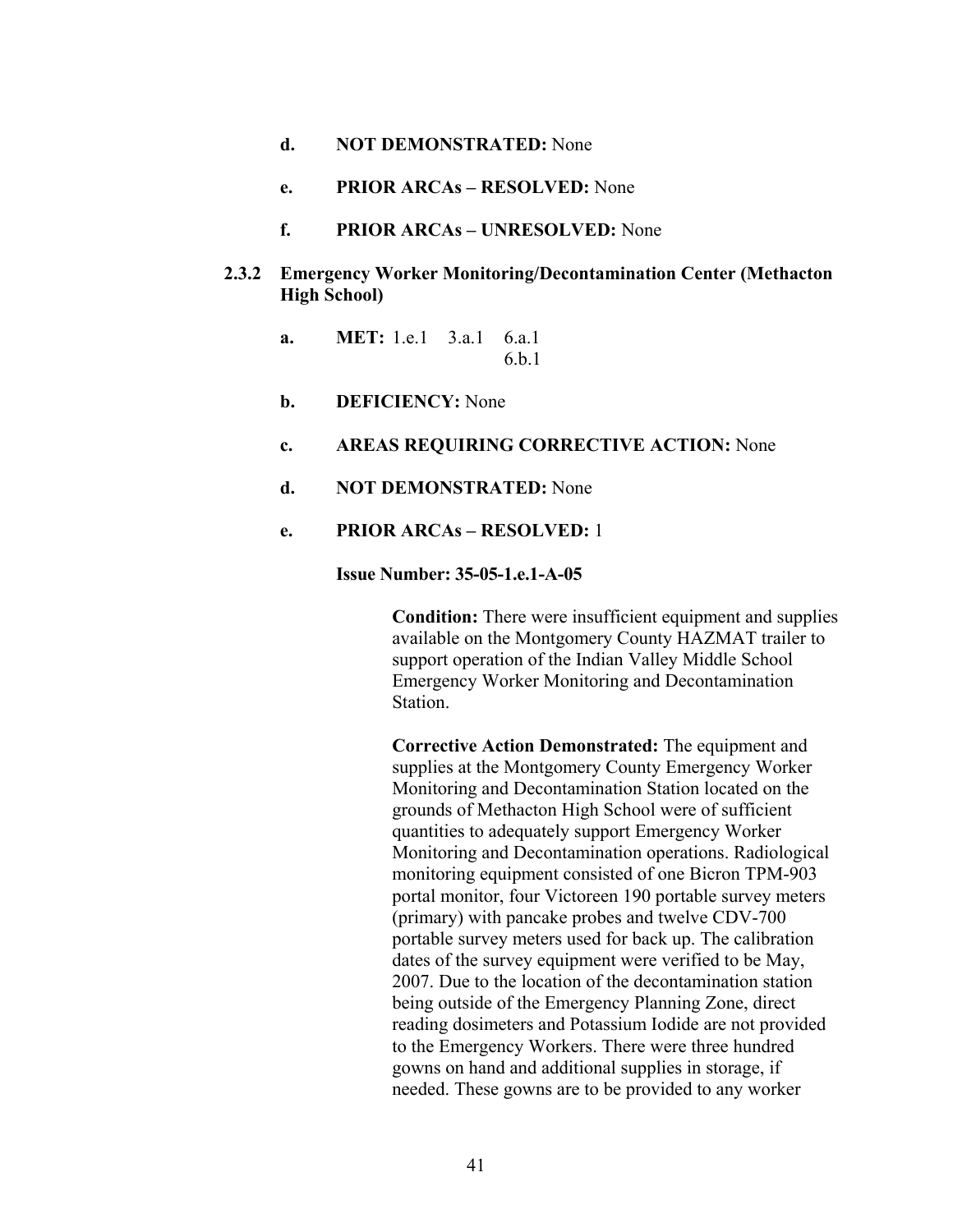- **d. NOT DEMONSTRATED:** None
- **e. PRIOR ARCAs RESOLVED:** None
- **f. PRIOR ARCAs UNRESOLVED:** None
- **2.3.2 Emergency Worker Monitoring/Decontamination Center (Methacton High School)** 
	- **a. MET:** 1.e.1 3.a.1 6.a.1 6.b.1
	- **b. DEFICIENCY:** None
	- **c. AREAS REQUIRING CORRECTIVE ACTION:** None
	- **d. NOT DEMONSTRATED:** None
	- **e. PRIOR ARCAs RESOLVED:** 1

## **Issue Number: 35-05-1.e.1-A-05**

**Condition:** There were insufficient equipment and supplies available on the Montgomery County HAZMAT trailer to support operation of the Indian Valley Middle School Emergency Worker Monitoring and Decontamination Station.

**Corrective Action Demonstrated:** The equipment and supplies at the Montgomery County Emergency Worker Monitoring and Decontamination Station located on the grounds of Methacton High School were of sufficient quantities to adequately support Emergency Worker Monitoring and Decontamination operations. Radiological monitoring equipment consisted of one Bicron TPM-903 portal monitor, four Victoreen 190 portable survey meters (primary) with pancake probes and twelve CDV-700 portable survey meters used for back up. The calibration dates of the survey equipment were verified to be May, 2007. Due to the location of the decontamination station being outside of the Emergency Planning Zone, direct reading dosimeters and Potassium Iodide are not provided to the Emergency Workers. There were three hundred gowns on hand and additional supplies in storage, if needed. These gowns are to be provided to any worker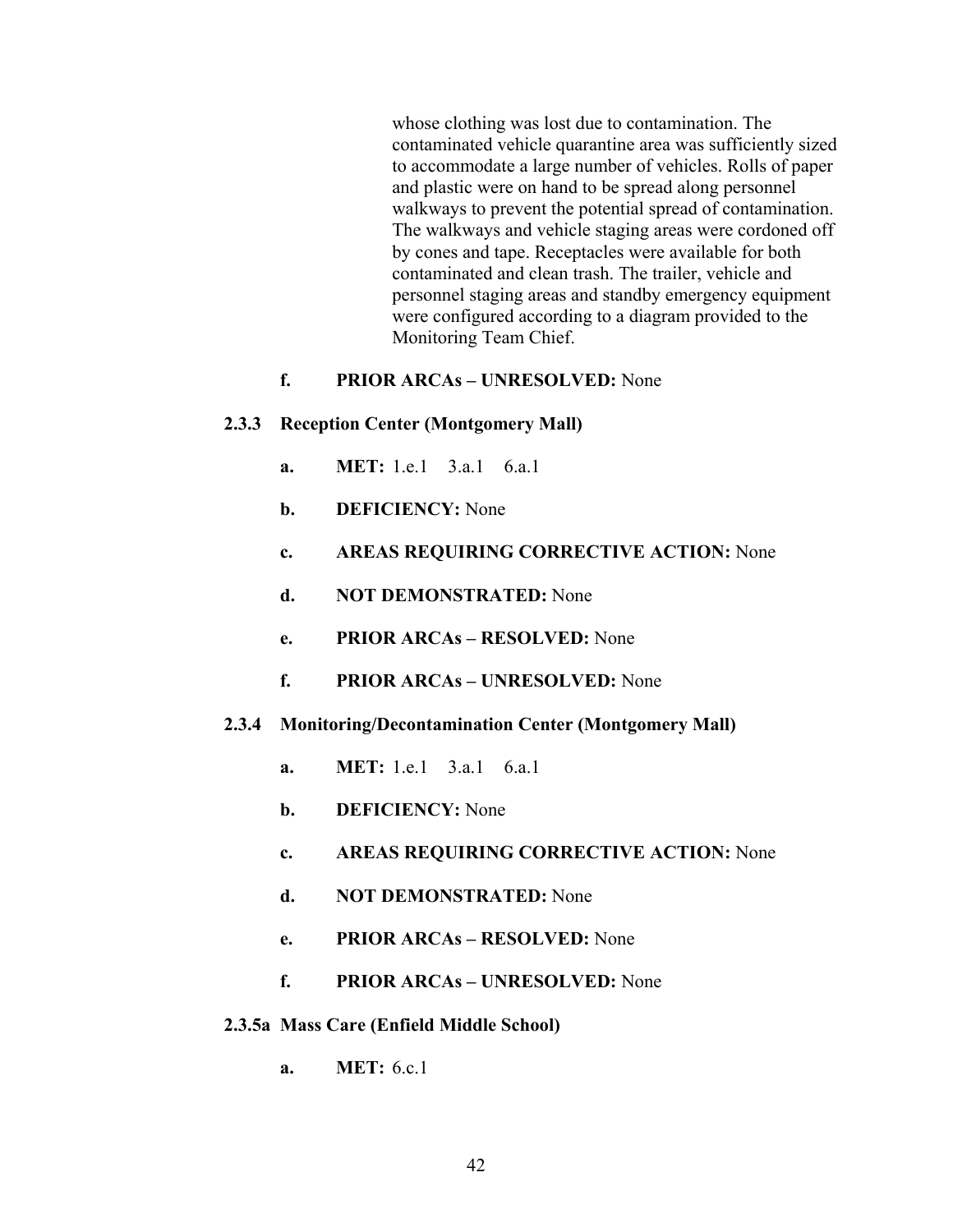whose clothing was lost due to contamination. The contaminated vehicle quarantine area was sufficiently sized to accommodate a large number of vehicles. Rolls of paper and plastic were on hand to be spread along personnel walkways to prevent the potential spread of contamination. The walkways and vehicle staging areas were cordoned off by cones and tape. Receptacles were available for both contaminated and clean trash. The trailer, vehicle and personnel staging areas and standby emergency equipment were configured according to a diagram provided to the Monitoring Team Chief.

# **f. PRIOR ARCAs – UNRESOLVED:** None

#### **2.3.3 Reception Center (Montgomery Mall)**

- **a. MET:** 1.e.1 3.a.1 6.a.1
- **b. DEFICIENCY:** None
- **c. AREAS REQUIRING CORRECTIVE ACTION:** None
- **d. NOT DEMONSTRATED:** None
- **e. PRIOR ARCAs RESOLVED:** None
- **f. PRIOR ARCAs UNRESOLVED:** None
- **2.3.4 Monitoring/Decontamination Center (Montgomery Mall)** 
	- **a. MET:** 1.e.1 3.a.1 6.a.1
	- **b. DEFICIENCY:** None
	- **c. AREAS REQUIRING CORRECTIVE ACTION:** None
	- **d. NOT DEMONSTRATED:** None
	- **e. PRIOR ARCAs RESOLVED:** None
	- **f. PRIOR ARCAs UNRESOLVED:** None
- **2.3.5a Mass Care (Enfield Middle School)** 
	- **a. MET:** 6.c.1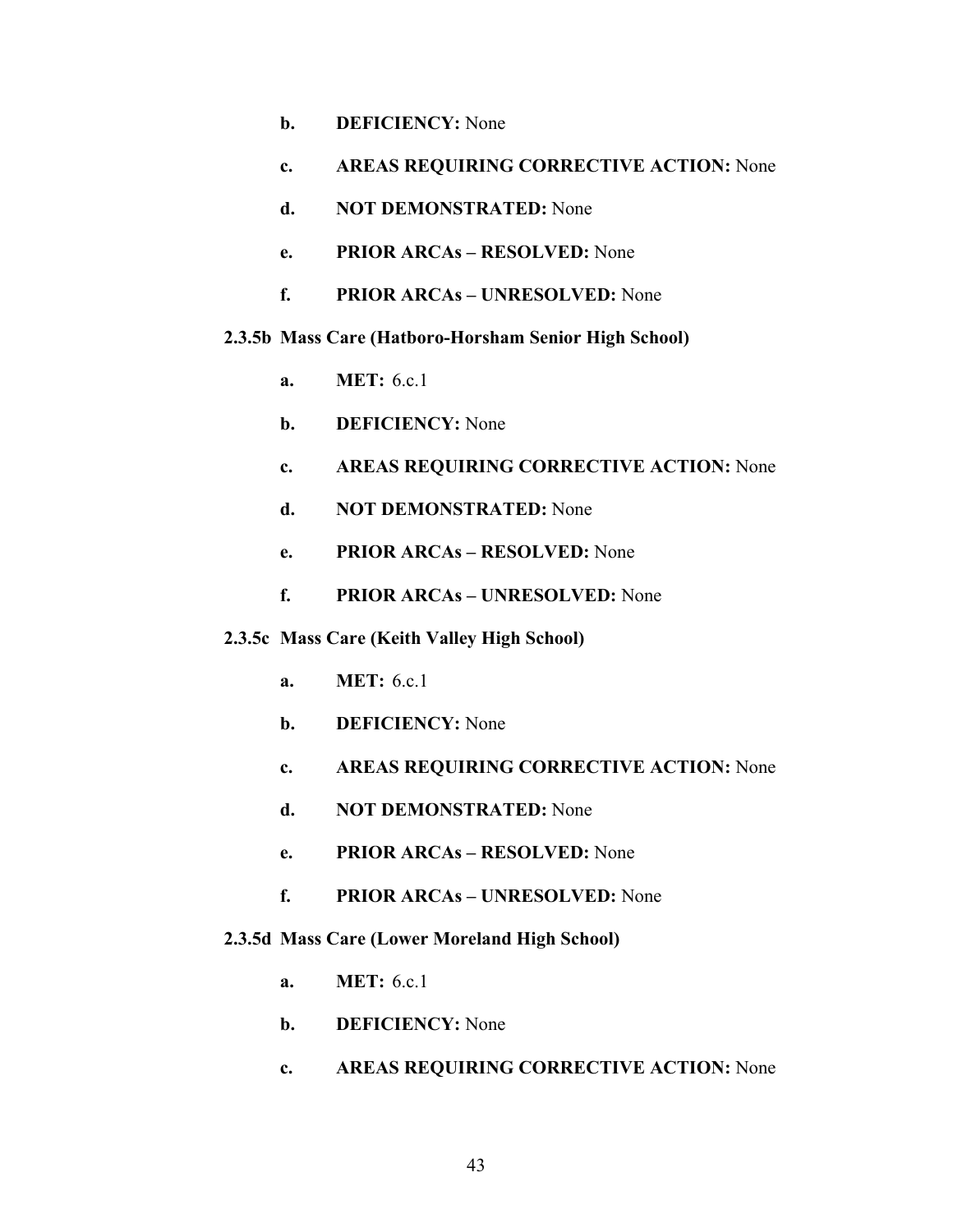- **b. DEFICIENCY:** None
- **c. AREAS REQUIRING CORRECTIVE ACTION:** None
- **d. NOT DEMONSTRATED:** None
- **e. PRIOR ARCAs RESOLVED:** None
- **f. PRIOR ARCAs UNRESOLVED:** None

## **2.3.5b Mass Care (Hatboro-Horsham Senior High School)**

- **a. MET:** 6.c.1
- **b. DEFICIENCY:** None
- **c. AREAS REQUIRING CORRECTIVE ACTION:** None
- **d. NOT DEMONSTRATED:** None
- **e. PRIOR ARCAs RESOLVED:** None
- **f. PRIOR ARCAs UNRESOLVED:** None

### **2.3.5c Mass Care (Keith Valley High School)**

- **a. MET:** 6.c.1
- **b. DEFICIENCY:** None
- **c. AREAS REQUIRING CORRECTIVE ACTION:** None
- **d. NOT DEMONSTRATED:** None
- **e. PRIOR ARCAs RESOLVED:** None
- **f. PRIOR ARCAs UNRESOLVED:** None

### **2.3.5d Mass Care (Lower Moreland High School)**

- **a. MET:** 6.c.1
- **b. DEFICIENCY:** None
- **c. AREAS REQUIRING CORRECTIVE ACTION:** None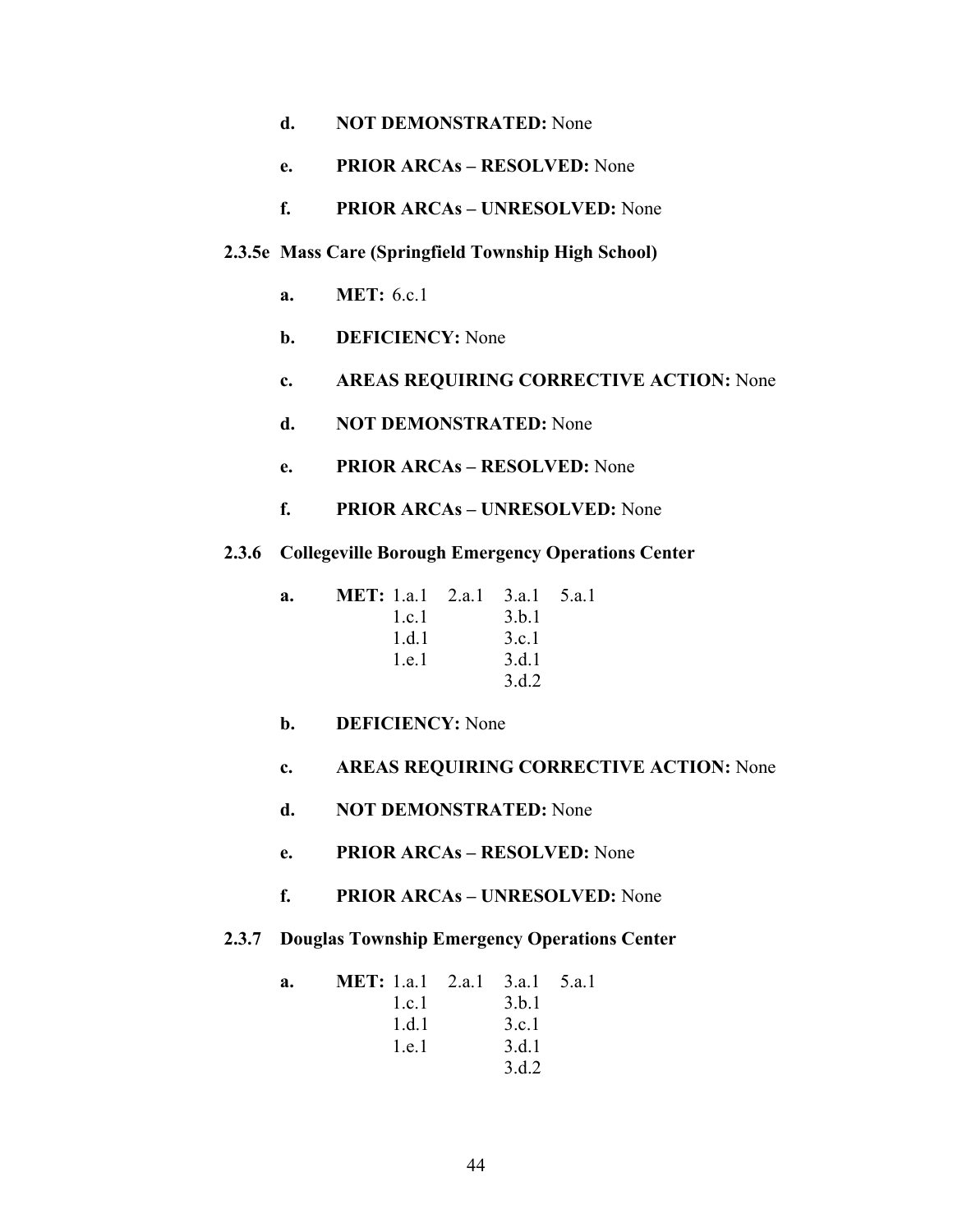- **e. PRIOR ARCAs RESOLVED:** None
- **f. PRIOR ARCAs UNRESOLVED:** None

# **2.3.5e Mass Care (Springfield Township High School)**

- **a. MET:** 6.c.1
- **b. DEFICIENCY:** None
- **c. AREAS REQUIRING CORRECTIVE ACTION:** None
- **d. NOT DEMONSTRATED:** None
- **e. PRIOR ARCAs RESOLVED:** None
- **f. PRIOR ARCAs UNRESOLVED:** None
- **2.3.6 Collegeville Borough Emergency Operations Center**

| a. | <b>MET:</b> 1.a.1 2.a.1 3.a.1 5.a.1 |       |  |
|----|-------------------------------------|-------|--|
|    | l.c.                                | 3.b.1 |  |
|    | 1.d.1                               | 3.c.1 |  |
|    | 1.e.1                               | 3.d.1 |  |
|    |                                     | 3 d 2 |  |

- **b. DEFICIENCY:** None
- **c. AREAS REQUIRING CORRECTIVE ACTION:** None
- **d. NOT DEMONSTRATED:** None
- **e. PRIOR ARCAs RESOLVED:** None
- **f. PRIOR ARCAs UNRESOLVED:** None
- **2.3.7 Douglas Township Emergency Operations Center**

| a. | <b>MET:</b> 1.a.1 2.a.1 3.a.1 5.a.1 |       |  |
|----|-------------------------------------|-------|--|
|    | 1 c 1                               | 3.b.1 |  |
|    | 1.d.1                               | 3.c.1 |  |
|    | 1.e.1                               | 3.d.1 |  |
|    |                                     | 3.d.2 |  |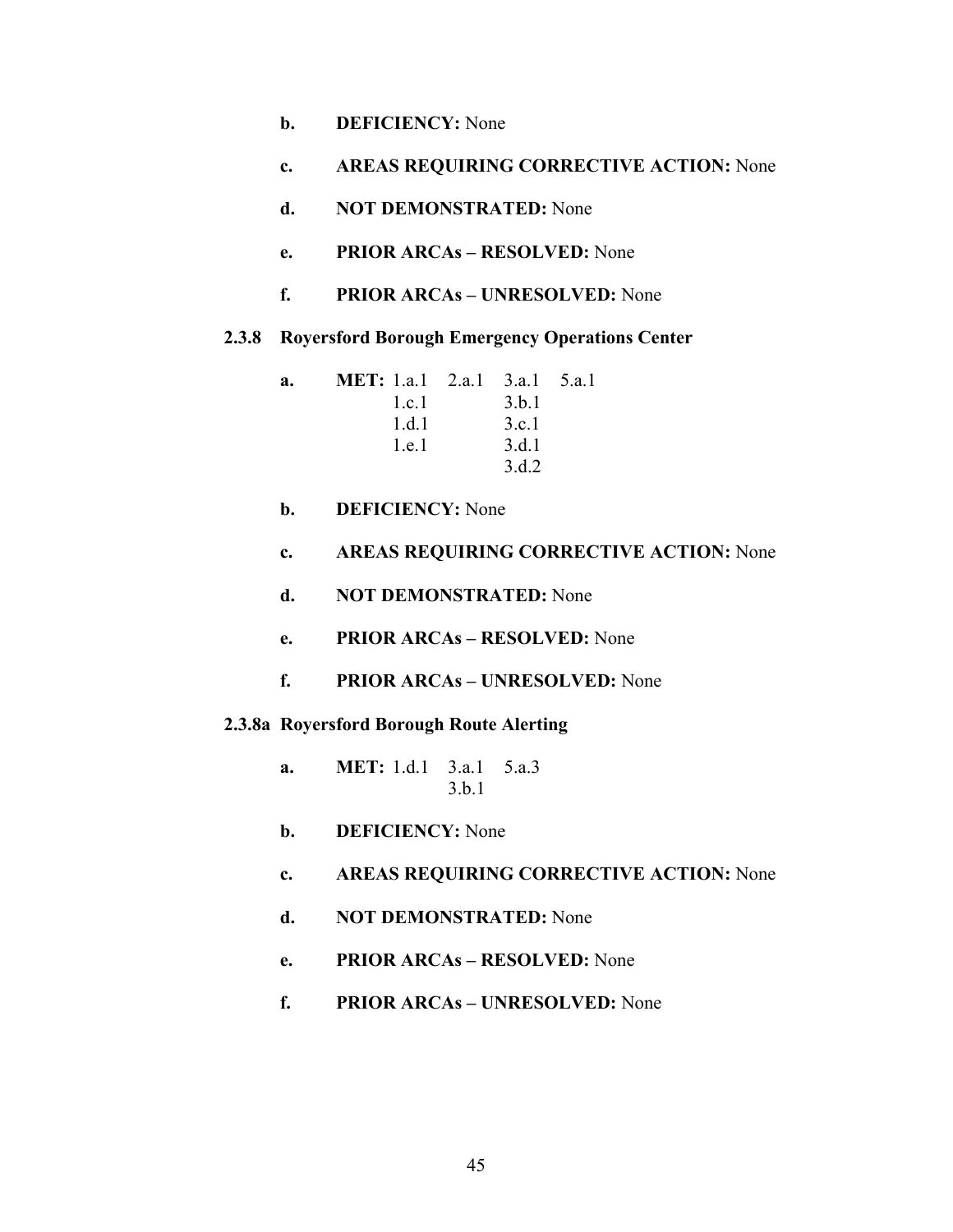- **b. DEFICIENCY:** None
- **c. AREAS REQUIRING CORRECTIVE ACTION:** None
- **d. NOT DEMONSTRATED:** None
- **e. PRIOR ARCAs RESOLVED:** None
- **f. PRIOR ARCAs UNRESOLVED:** None
- **2.3.8 Royersford Borough Emergency Operations Center**

**a. MET:** 1.a.1 2.a.1 3.a.1 5.a.1 1.c.1 3.b.1 1.d.1 3.c.1 1.e.1 3.d.1 3.d.2

- **b. DEFICIENCY:** None
- **c. AREAS REQUIRING CORRECTIVE ACTION:** None
- **d. NOT DEMONSTRATED:** None
- **e. PRIOR ARCAs RESOLVED:** None
- **f. PRIOR ARCAs UNRESOLVED:** None

### **2.3.8a Royersford Borough Route Alerting**

- **a. MET:** 1.d.1 3.a.1 5.a.3 3.b.1
- **b. DEFICIENCY:** None
- **c. AREAS REQUIRING CORRECTIVE ACTION:** None
- **d. NOT DEMONSTRATED:** None
- **e. PRIOR ARCAs RESOLVED:** None
- **f. PRIOR ARCAs UNRESOLVED:** None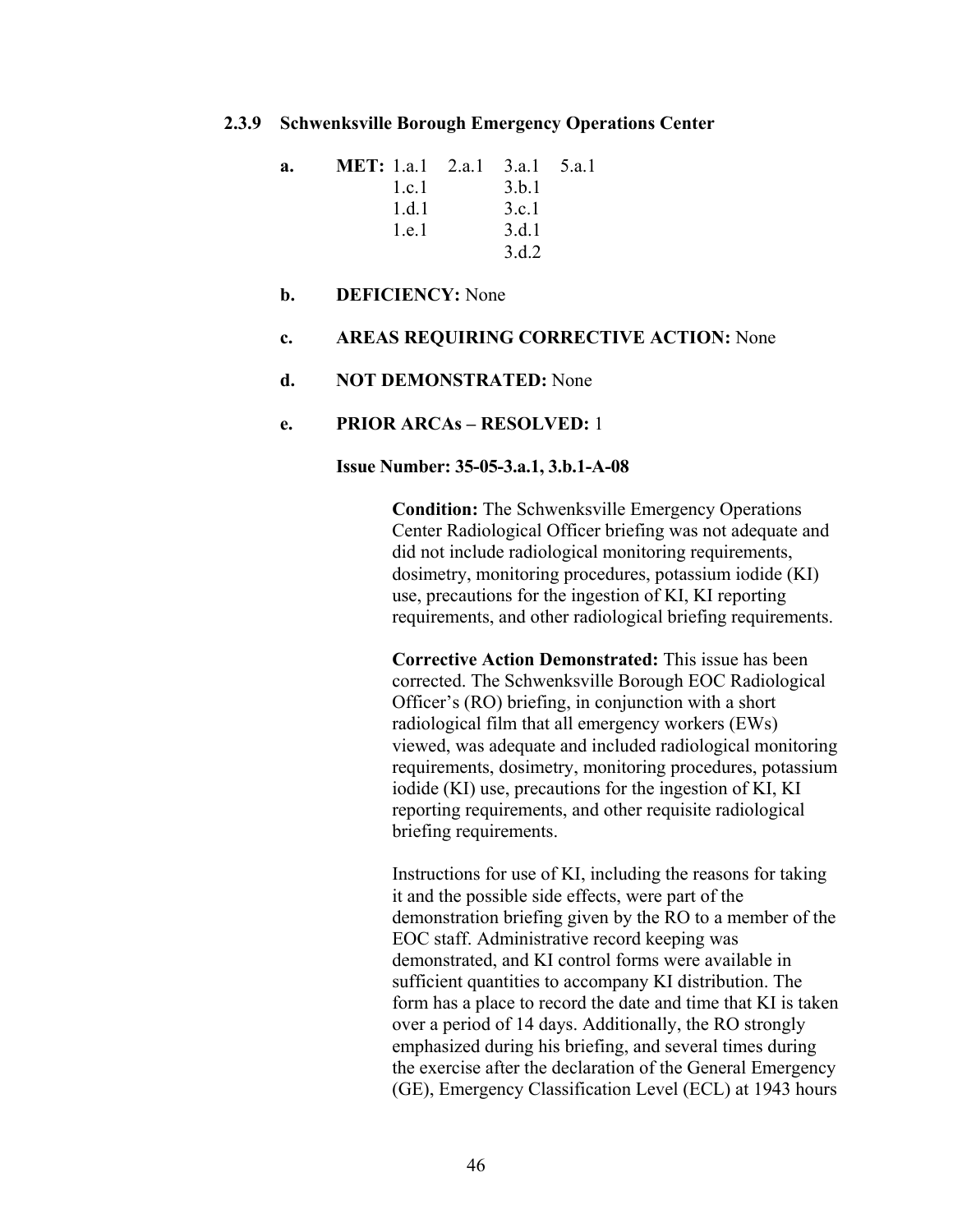#### **2.3.9 Schwenksville Borough Emergency Operations Center**

| a. | <b>MET:</b> 1.a.1 2.a.1 3.a.1 5.a.1 |       |  |
|----|-------------------------------------|-------|--|
|    | 1.c.1                               | 3 h 1 |  |
|    | 1.d.1                               | 3.c.1 |  |
|    | 1.e.1                               | 3.d.1 |  |
|    |                                     | 3 d 2 |  |

### **b. DEFICIENCY:** None

### **c. AREAS REQUIRING CORRECTIVE ACTION:** None

#### **d. NOT DEMONSTRATED:** None

#### **e. PRIOR ARCAs – RESOLVED:** 1

#### **Issue Number: 35-05-3.a.1, 3.b.1-A-08**

**Condition:** The Schwenksville Emergency Operations Center Radiological Officer briefing was not adequate and did not include radiological monitoring requirements, dosimetry, monitoring procedures, potassium iodide (KI) use, precautions for the ingestion of KI, KI reporting requirements, and other radiological briefing requirements.

**Corrective Action Demonstrated:** This issue has been corrected. The Schwenksville Borough EOC Radiological Officer's (RO) briefing, in conjunction with a short radiological film that all emergency workers (EWs) viewed, was adequate and included radiological monitoring requirements, dosimetry, monitoring procedures, potassium iodide (KI) use, precautions for the ingestion of KI, KI reporting requirements, and other requisite radiological briefing requirements.

Instructions for use of KI, including the reasons for taking it and the possible side effects, were part of the demonstration briefing given by the RO to a member of the EOC staff. Administrative record keeping was demonstrated, and KI control forms were available in sufficient quantities to accompany KI distribution. The form has a place to record the date and time that KI is taken over a period of 14 days. Additionally, the RO strongly emphasized during his briefing, and several times during the exercise after the declaration of the General Emergency (GE), Emergency Classification Level (ECL) at 1943 hours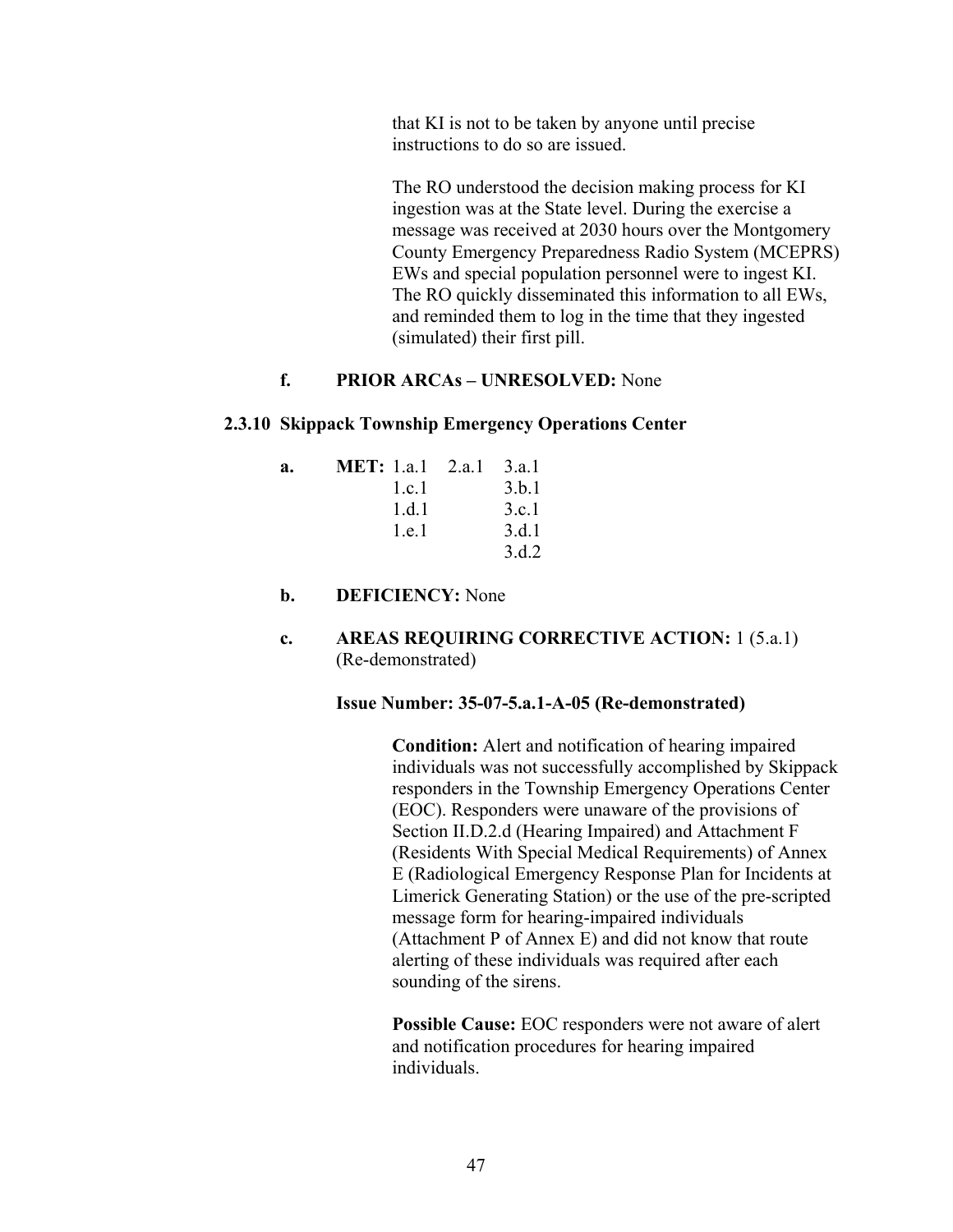that KI is not to be taken by anyone until precise instructions to do so are issued.

The RO understood the decision making process for KI ingestion was at the State level. During the exercise a message was received at 2030 hours over the Montgomery County Emergency Preparedness Radio System (MCEPRS) EWs and special population personnel were to ingest KI. The RO quickly disseminated this information to all EWs, and reminded them to log in the time that they ingested (simulated) their first pill.

# **f. PRIOR ARCAs – UNRESOLVED:** None

## **2.3.10 Skippack Township Emergency Operations Center**

| a. | MET: $1a1 \quad 2a1$ | 3.a.1 |
|----|----------------------|-------|
|    | 1.c.1                | 3.b.1 |
|    | 1 d 1                | 3.c.1 |
|    | 1.e.1                | 3.d.1 |
|    |                      | 3.d.2 |

# **b. DEFICIENCY:** None

# **c. AREAS REQUIRING CORRECTIVE ACTION:** 1 (5.a.1) (Re-demonstrated)

### **Issue Number: 35-07-5.a.1-A-05 (Re-demonstrated)**

**Condition:** Alert and notification of hearing impaired individuals was not successfully accomplished by Skippack responders in the Township Emergency Operations Center (EOC). Responders were unaware of the provisions of Section II.D.2.d (Hearing Impaired) and Attachment F (Residents With Special Medical Requirements) of Annex E (Radiological Emergency Response Plan for Incidents at Limerick Generating Station) or the use of the pre-scripted message form for hearing-impaired individuals (Attachment P of Annex E) and did not know that route alerting of these individuals was required after each sounding of the sirens.

**Possible Cause:** EOC responders were not aware of alert and notification procedures for hearing impaired individuals.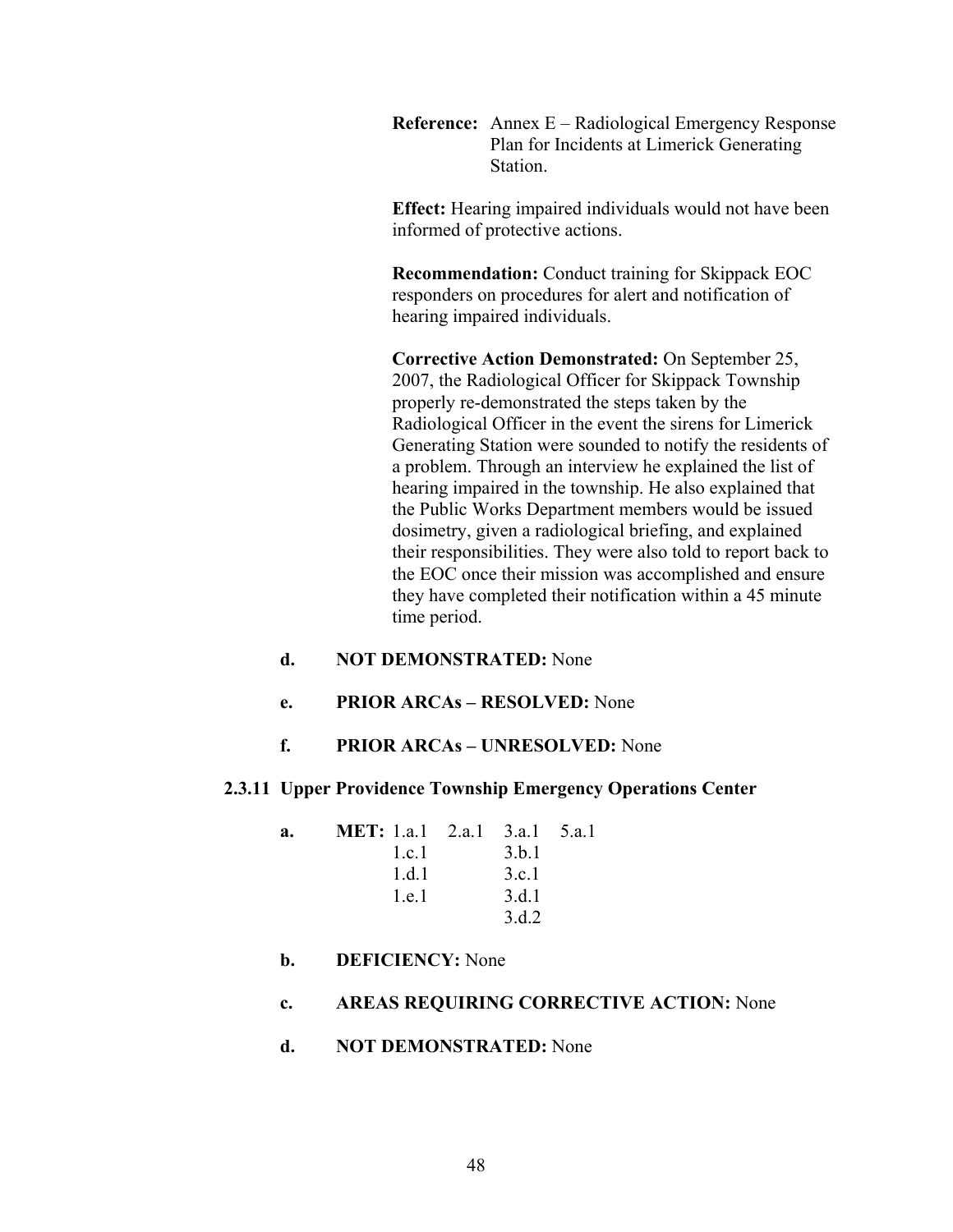**Reference:** Annex E – Radiological Emergency Response Plan for Incidents at Limerick Generating Station.

**Effect:** Hearing impaired individuals would not have been informed of protective actions.

**Recommendation:** Conduct training for Skippack EOC responders on procedures for alert and notification of hearing impaired individuals.

**Corrective Action Demonstrated:** On September 25, 2007, the Radiological Officer for Skippack Township properly re-demonstrated the steps taken by the Radiological Officer in the event the sirens for Limerick Generating Station were sounded to notify the residents of a problem. Through an interview he explained the list of hearing impaired in the township. He also explained that the Public Works Department members would be issued dosimetry, given a radiological briefing, and explained their responsibilities. They were also told to report back to the EOC once their mission was accomplished and ensure they have completed their notification within a 45 minute time period.

- **d. NOT DEMONSTRATED:** None
- **e. PRIOR ARCAs RESOLVED:** None
- **f. PRIOR ARCAs UNRESOLVED:** None

# **2.3.11 Upper Providence Township Emergency Operations Center**

| a. | <b>MET:</b> 1.a.1 2.a.1 3.a.1 5.a.1 |       |  |
|----|-------------------------------------|-------|--|
|    | 1 c 1                               | 3.b.1 |  |
|    | 1 d 1                               | 3.c.1 |  |
|    | 1.e.1                               | 3.d.1 |  |
|    |                                     | 3 d 2 |  |

# **b. DEFICIENCY:** None

**c. AREAS REQUIRING CORRECTIVE ACTION:** None

# **d. NOT DEMONSTRATED:** None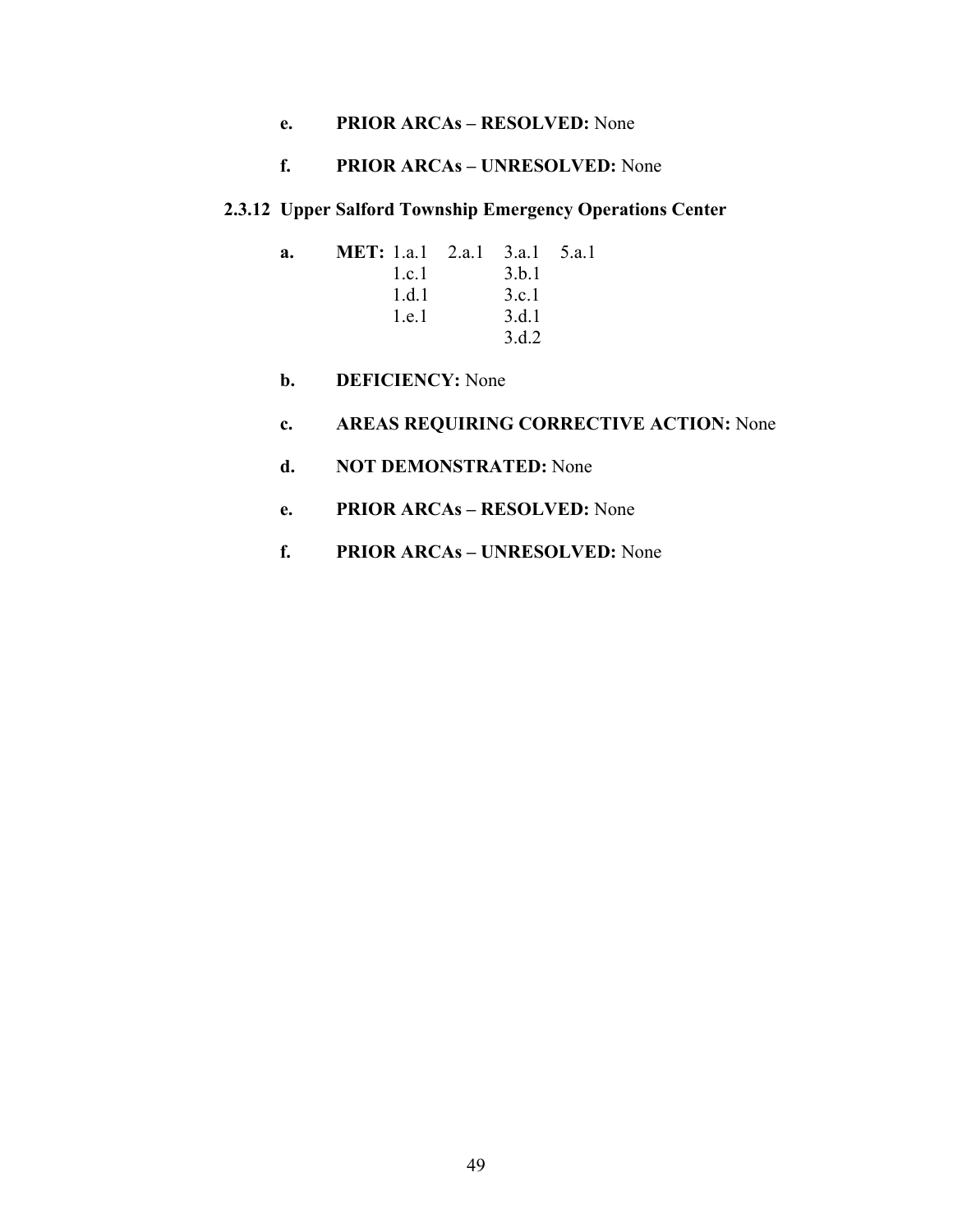**e. PRIOR ARCAs – RESOLVED:** None

# **f. PRIOR ARCAs – UNRESOLVED:** None

# **2.3.12 Upper Salford Township Emergency Operations Center**

| a. | <b>MET:</b> 1.a.1 2.a.1 3.a.1 5.a.1 |       |  |
|----|-------------------------------------|-------|--|
|    | 1 c 1                               | 3.b.1 |  |
|    | 1 d 1                               | 3.c.1 |  |
|    | 1.e.1                               | 3.d.1 |  |
|    |                                     | 3.d.2 |  |

**b. DEFICIENCY:** None

# **c. AREAS REQUIRING CORRECTIVE ACTION:** None

- **d. NOT DEMONSTRATED:** None
- **e. PRIOR ARCAs RESOLVED:** None
- **f. PRIOR ARCAs UNRESOLVED:** None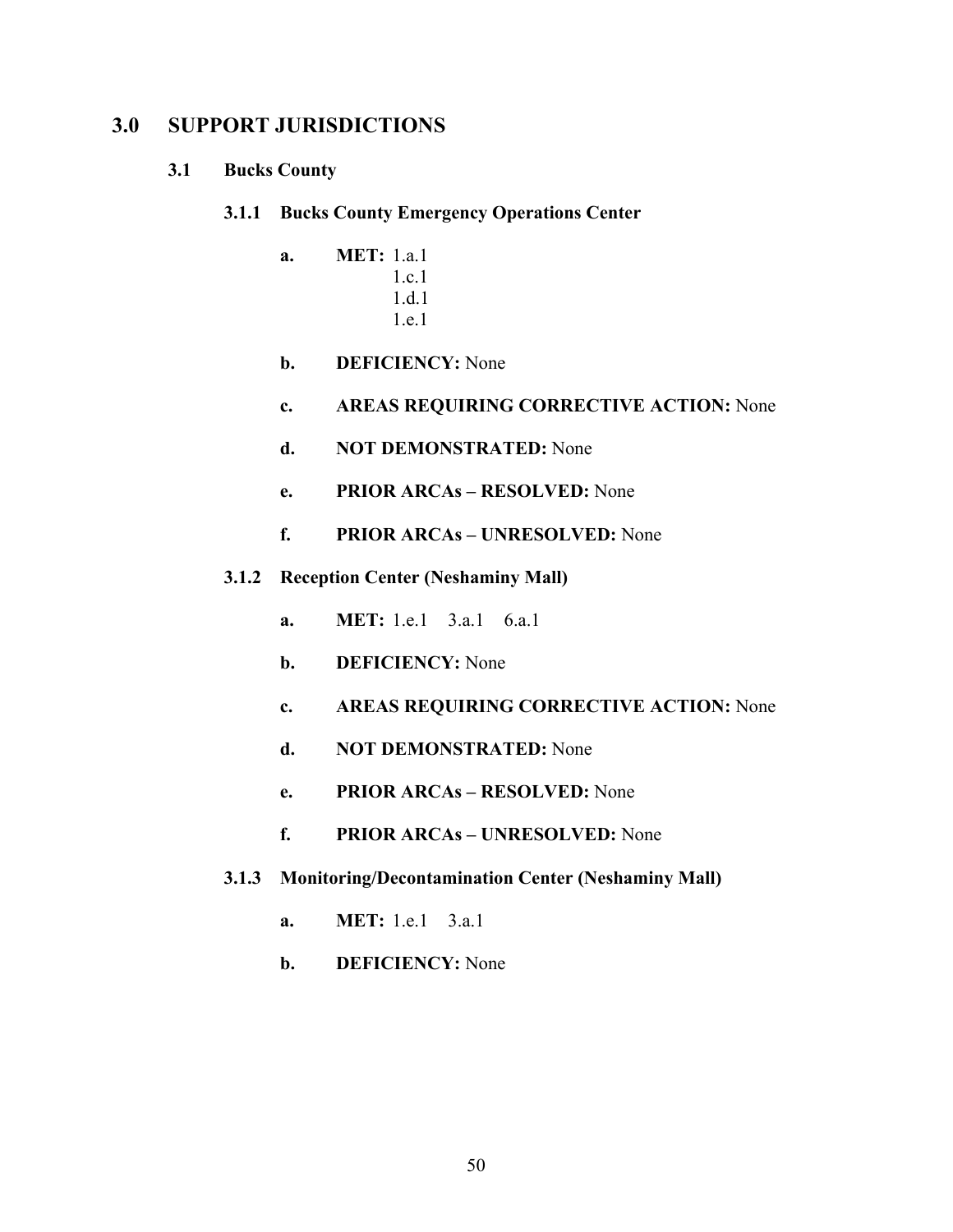# **3.0 SUPPORT JURISDICTIONS**

# **3.1 Bucks County**

- **3.1.1 Bucks County Emergency Operations Center** 
	- **a. MET:** 1.a.1 1.c.1 1.d.1 1.e.1
	- **b. DEFICIENCY:** None
	- **c. AREAS REQUIRING CORRECTIVE ACTION:** None
	- **d. NOT DEMONSTRATED:** None
	- **e. PRIOR ARCAs RESOLVED:** None
	- **f. PRIOR ARCAs UNRESOLVED:** None
- **3.1.2 Reception Center (Neshaminy Mall)** 
	- **a. MET:** 1.e.1 3.a.1 6.a.1
	- **b. DEFICIENCY:** None
	- **c. AREAS REQUIRING CORRECTIVE ACTION:** None
	- **d. NOT DEMONSTRATED:** None
	- **e. PRIOR ARCAs RESOLVED:** None
	- **f. PRIOR ARCAs UNRESOLVED:** None
- **3.1.3 Monitoring/Decontamination Center (Neshaminy Mall)** 
	- **a. MET:** 1.e.1 3.a.1
	- **b. DEFICIENCY:** None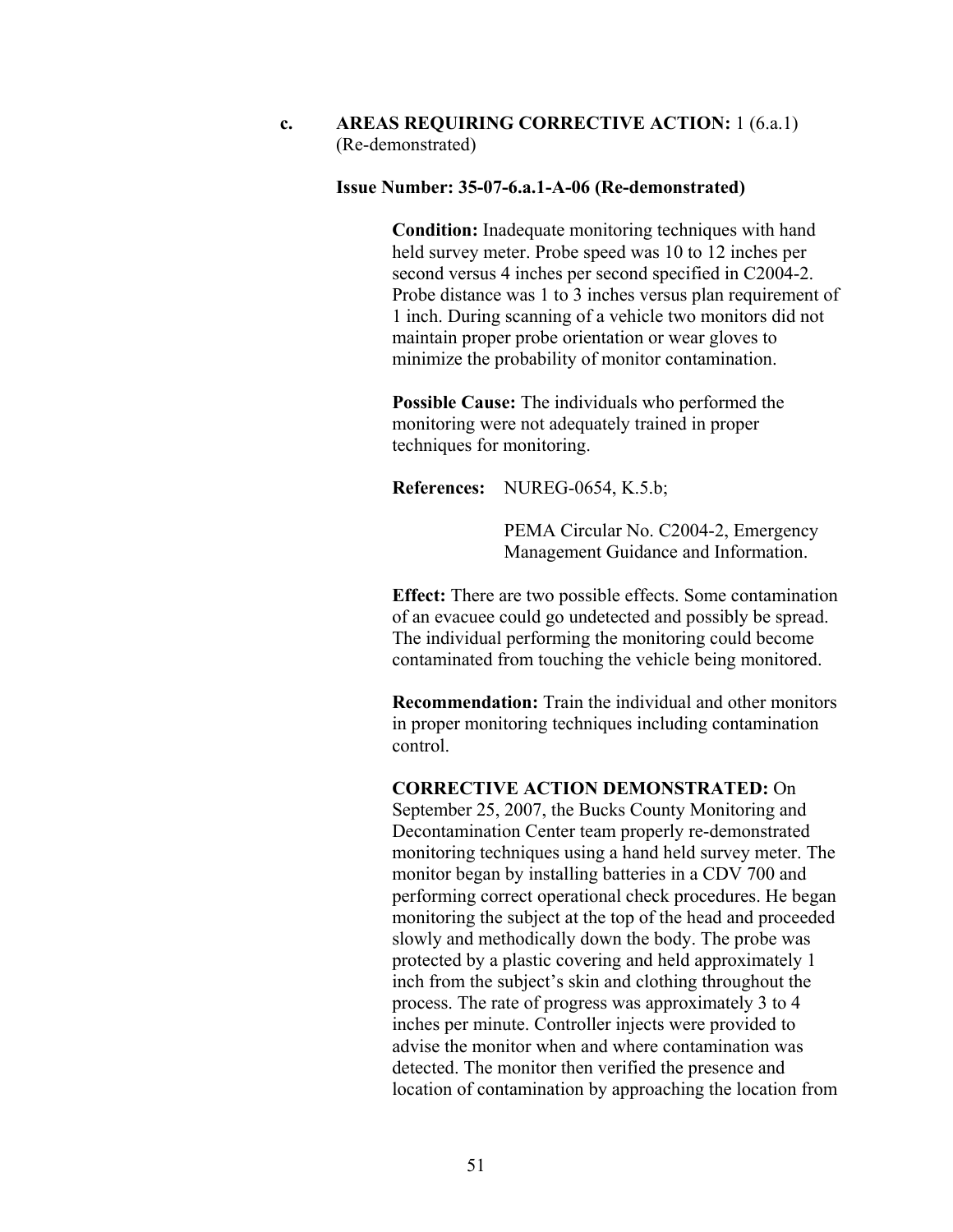**c. AREAS REQUIRING CORRECTIVE ACTION:** 1 (6.a.1) (Re-demonstrated)

#### **Issue Number: 35-07-6.a.1-A-06 (Re-demonstrated)**

**Condition:** Inadequate monitoring techniques with hand held survey meter. Probe speed was 10 to 12 inches per second versus 4 inches per second specified in C2004-2. Probe distance was 1 to 3 inches versus plan requirement of 1 inch. During scanning of a vehicle two monitors did not maintain proper probe orientation or wear gloves to minimize the probability of monitor contamination.

**Possible Cause:** The individuals who performed the monitoring were not adequately trained in proper techniques for monitoring.

**References:** NUREG-0654, K.5.b;

PEMA Circular No. C2004-2, Emergency Management Guidance and Information.

**Effect:** There are two possible effects. Some contamination of an evacuee could go undetected and possibly be spread. The individual performing the monitoring could become contaminated from touching the vehicle being monitored.

**Recommendation:** Train the individual and other monitors in proper monitoring techniques including contamination control.

# **CORRECTIVE ACTION DEMONSTRATED:** On

September 25, 2007, the Bucks County Monitoring and Decontamination Center team properly re-demonstrated monitoring techniques using a hand held survey meter. The monitor began by installing batteries in a CDV 700 and performing correct operational check procedures. He began monitoring the subject at the top of the head and proceeded slowly and methodically down the body. The probe was protected by a plastic covering and held approximately 1 inch from the subject's skin and clothing throughout the process. The rate of progress was approximately 3 to 4 inches per minute. Controller injects were provided to advise the monitor when and where contamination was detected. The monitor then verified the presence and location of contamination by approaching the location from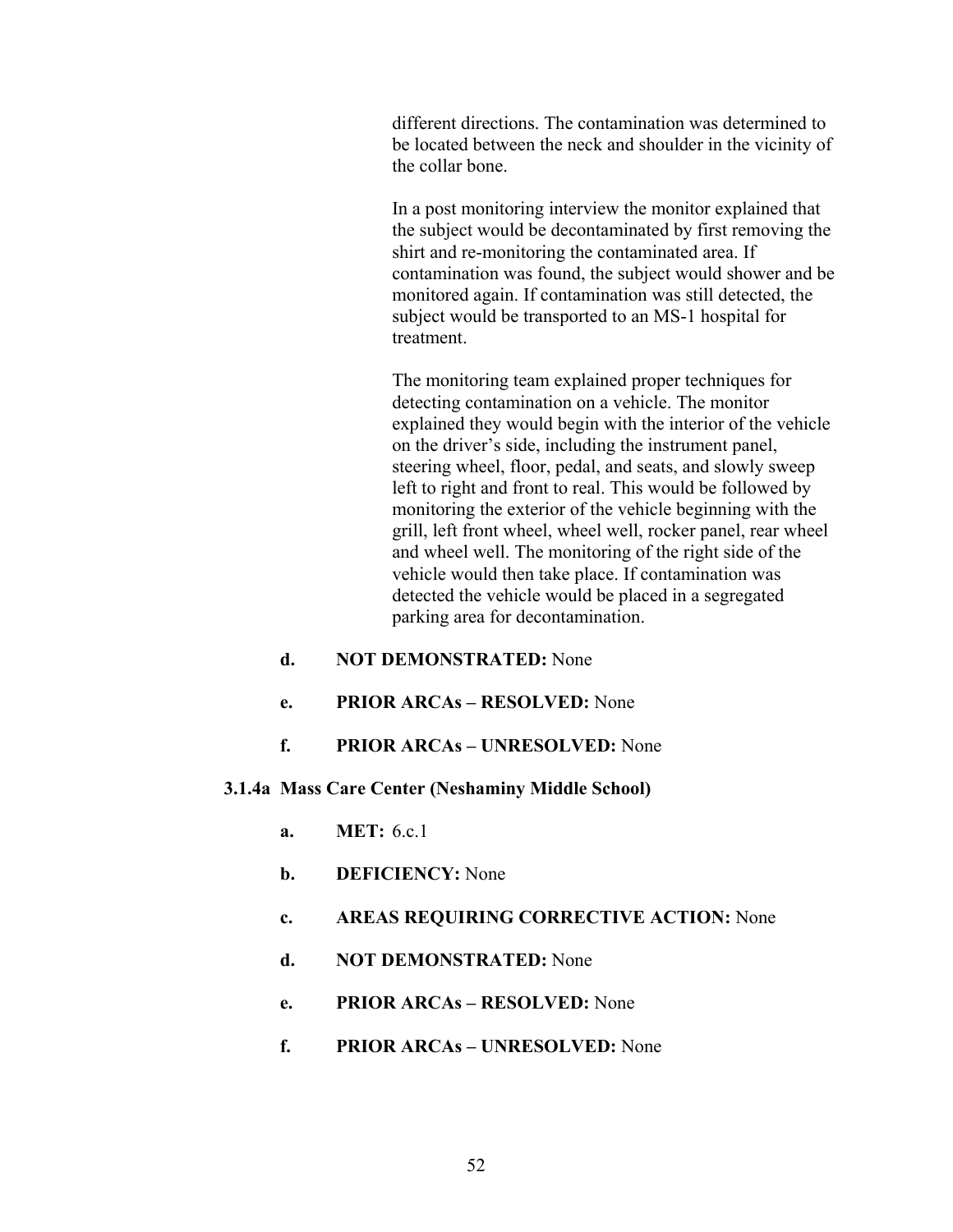different directions. The contamination was determined to be located between the neck and shoulder in the vicinity of the collar bone.

In a post monitoring interview the monitor explained that the subject would be decontaminated by first removing the shirt and re-monitoring the contaminated area. If contamination was found, the subject would shower and be monitored again. If contamination was still detected, the subject would be transported to an MS-1 hospital for treatment.

The monitoring team explained proper techniques for detecting contamination on a vehicle. The monitor explained they would begin with the interior of the vehicle on the driver's side, including the instrument panel, steering wheel, floor, pedal, and seats, and slowly sweep left to right and front to real. This would be followed by monitoring the exterior of the vehicle beginning with the grill, left front wheel, wheel well, rocker panel, rear wheel and wheel well. The monitoring of the right side of the vehicle would then take place. If contamination was detected the vehicle would be placed in a segregated parking area for decontamination.

- **d. NOT DEMONSTRATED:** None
- **e. PRIOR ARCAs RESOLVED:** None
- **f. PRIOR ARCAs UNRESOLVED:** None

# **3.1.4a Mass Care Center (Neshaminy Middle School)**

- **a. MET:** 6.c.1
- **b. DEFICIENCY:** None
- **c. AREAS REQUIRING CORRECTIVE ACTION:** None
- **d. NOT DEMONSTRATED:** None
- **e. PRIOR ARCAs RESOLVED:** None
- **f. PRIOR ARCAs UNRESOLVED:** None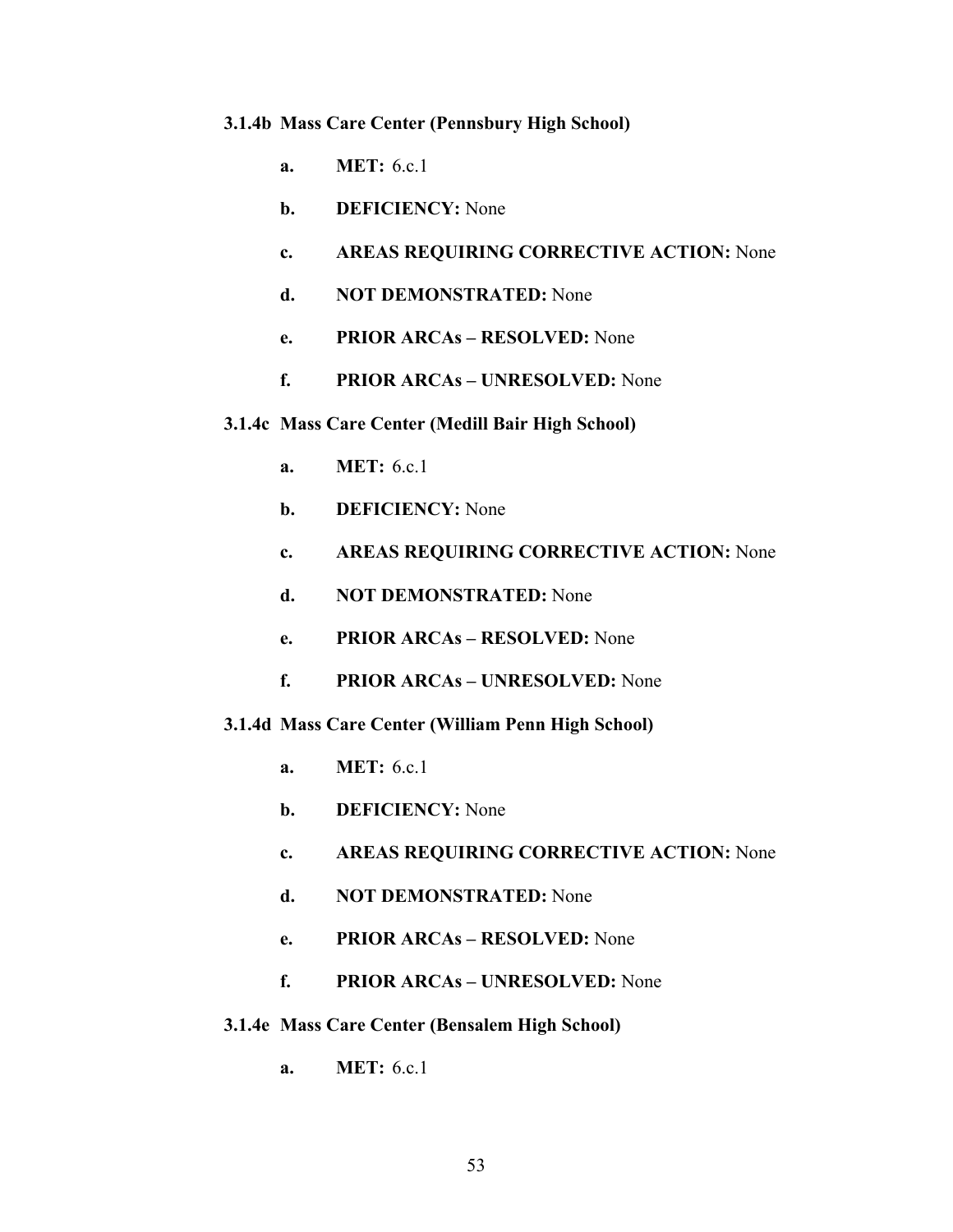#### **3.1.4b Mass Care Center (Pennsbury High School)**

- **a. MET:** 6.c.1
- **b. DEFICIENCY:** None
- **c. AREAS REQUIRING CORRECTIVE ACTION:** None
- **d. NOT DEMONSTRATED:** None
- **e. PRIOR ARCAs RESOLVED:** None
- **f. PRIOR ARCAs UNRESOLVED:** None
- **3.1.4c Mass Care Center (Medill Bair High School)** 
	- **a. MET:** 6.c.1
	- **b. DEFICIENCY:** None
	- **c. AREAS REQUIRING CORRECTIVE ACTION:** None
	- **d. NOT DEMONSTRATED:** None
	- **e. PRIOR ARCAs RESOLVED:** None
	- **f. PRIOR ARCAs UNRESOLVED:** None
- **3.1.4d Mass Care Center (William Penn High School)** 
	- **a. MET:** 6.c.1
	- **b. DEFICIENCY:** None
	- **c. AREAS REQUIRING CORRECTIVE ACTION:** None
	- **d. NOT DEMONSTRATED:** None
	- **e. PRIOR ARCAs RESOLVED:** None
	- **f. PRIOR ARCAs UNRESOLVED:** None
- **3.1.4e Mass Care Center (Bensalem High School)** 
	- **a. MET:** 6.c.1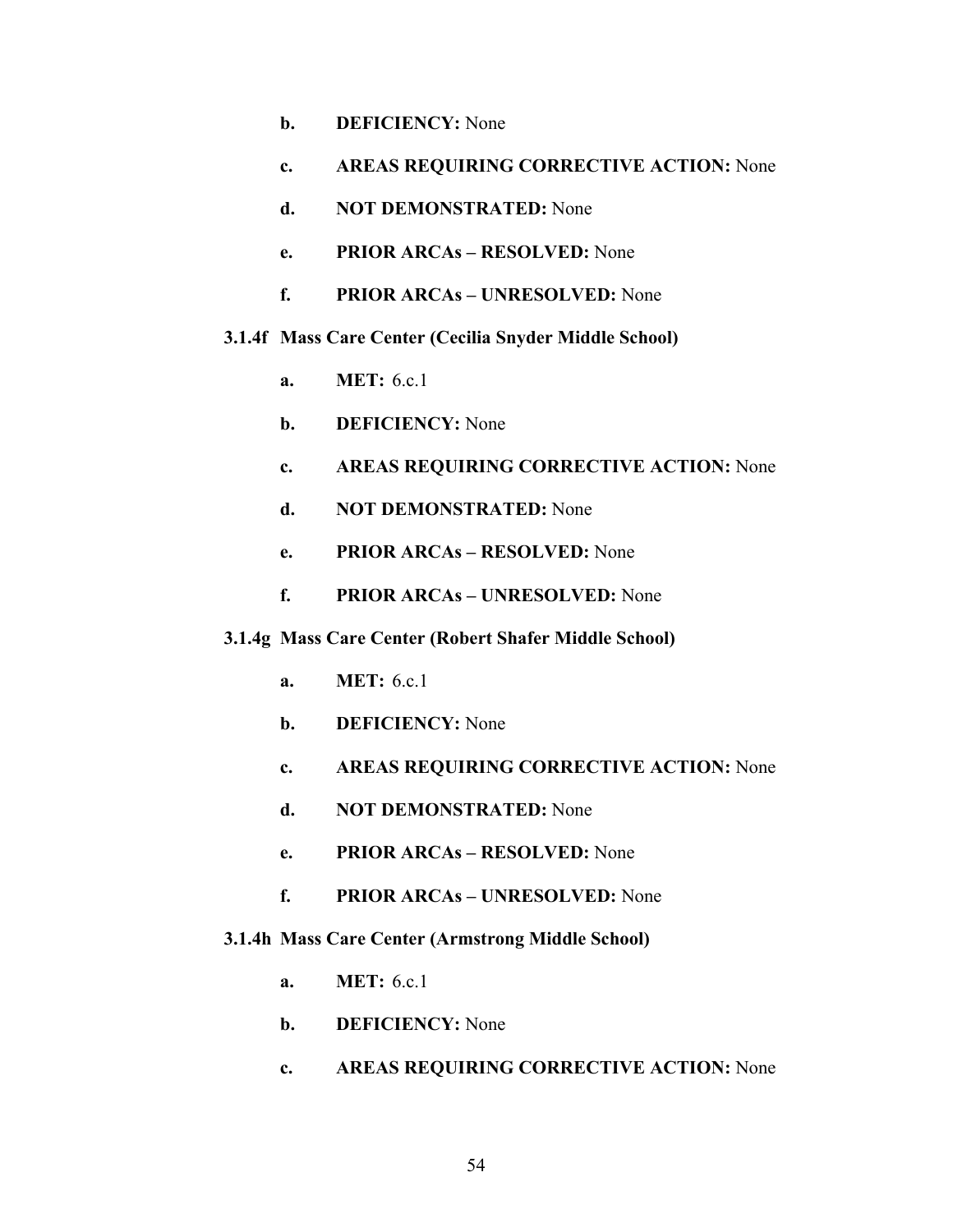- **b. DEFICIENCY:** None
- **c. AREAS REQUIRING CORRECTIVE ACTION:** None
- **d. NOT DEMONSTRATED:** None
- **e. PRIOR ARCAs RESOLVED:** None
- **f. PRIOR ARCAs UNRESOLVED:** None

## **3.1.4f Mass Care Center (Cecilia Snyder Middle School)**

- **a. MET:** 6.c.1
- **b. DEFICIENCY:** None
- **c. AREAS REQUIRING CORRECTIVE ACTION:** None
- **d. NOT DEMONSTRATED:** None
- **e. PRIOR ARCAs RESOLVED:** None
- **f. PRIOR ARCAs UNRESOLVED:** None

### **3.1.4g Mass Care Center (Robert Shafer Middle School)**

- **a. MET:** 6.c.1
- **b. DEFICIENCY:** None
- **c. AREAS REQUIRING CORRECTIVE ACTION:** None
- **d. NOT DEMONSTRATED:** None
- **e. PRIOR ARCAs RESOLVED:** None
- **f. PRIOR ARCAs UNRESOLVED:** None

### **3.1.4h Mass Care Center (Armstrong Middle School)**

- **a. MET:** 6.c.1
- **b. DEFICIENCY:** None
- **c. AREAS REQUIRING CORRECTIVE ACTION:** None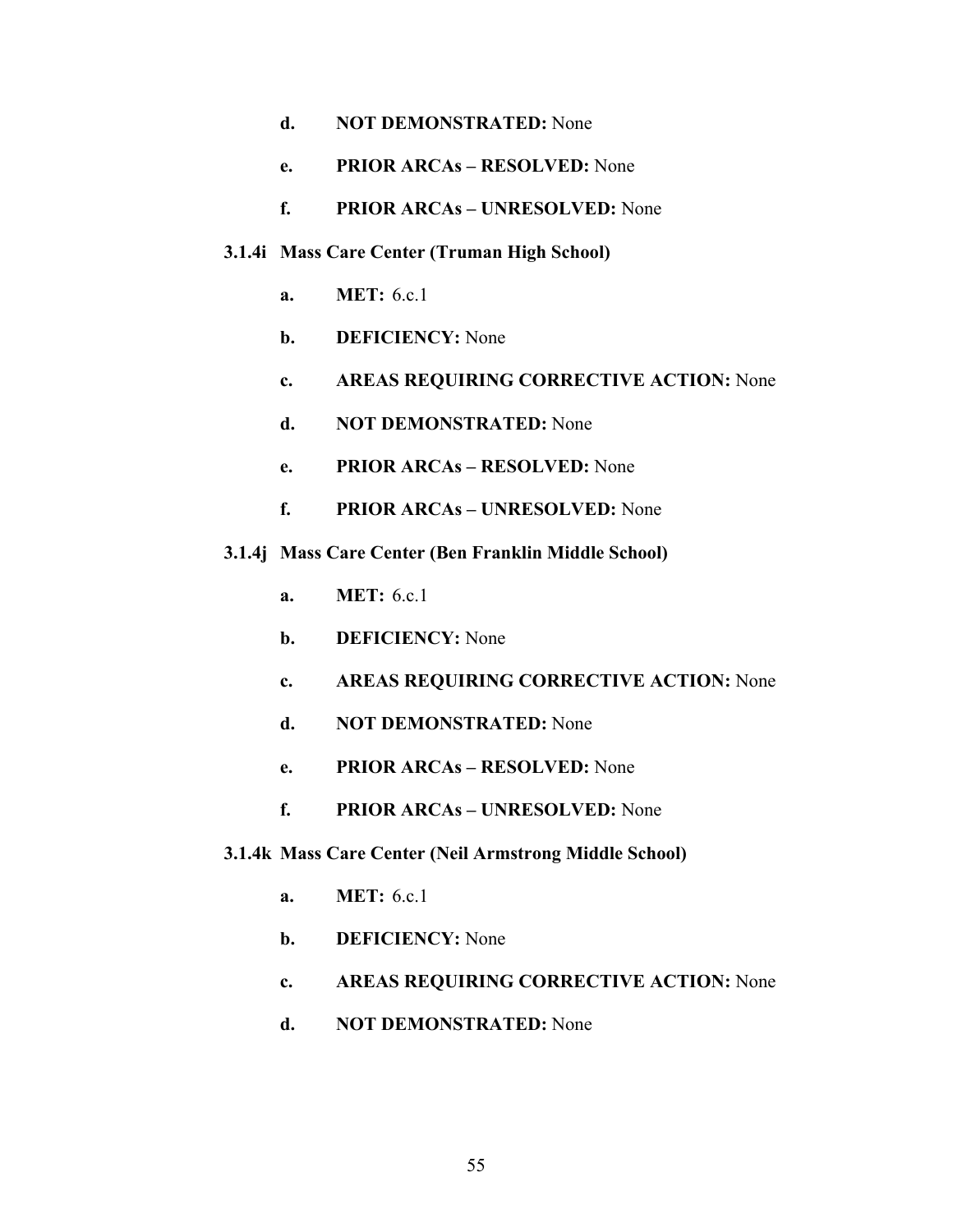- **e. PRIOR ARCAs RESOLVED:** None
- **f. PRIOR ARCAs UNRESOLVED:** None

## **3.1.4i Mass Care Center (Truman High School)**

- **a. MET:** 6.c.1
- **b. DEFICIENCY:** None
- **c. AREAS REQUIRING CORRECTIVE ACTION:** None
- **d. NOT DEMONSTRATED:** None
- **e. PRIOR ARCAs RESOLVED:** None
- **f. PRIOR ARCAs UNRESOLVED:** None
- **3.1.4j Mass Care Center (Ben Franklin Middle School)** 
	- **a. MET:** 6.c.1
	- **b. DEFICIENCY:** None
	- **c. AREAS REQUIRING CORRECTIVE ACTION:** None
	- **d. NOT DEMONSTRATED:** None
	- **e. PRIOR ARCAs RESOLVED:** None
	- **f. PRIOR ARCAs UNRESOLVED:** None
- **3.1.4k Mass Care Center (Neil Armstrong Middle School)** 
	- **a. MET:** 6.c.1
	- **b. DEFICIENCY:** None
	- **c. AREAS REQUIRING CORRECTIVE ACTION:** None
	- **d. NOT DEMONSTRATED:** None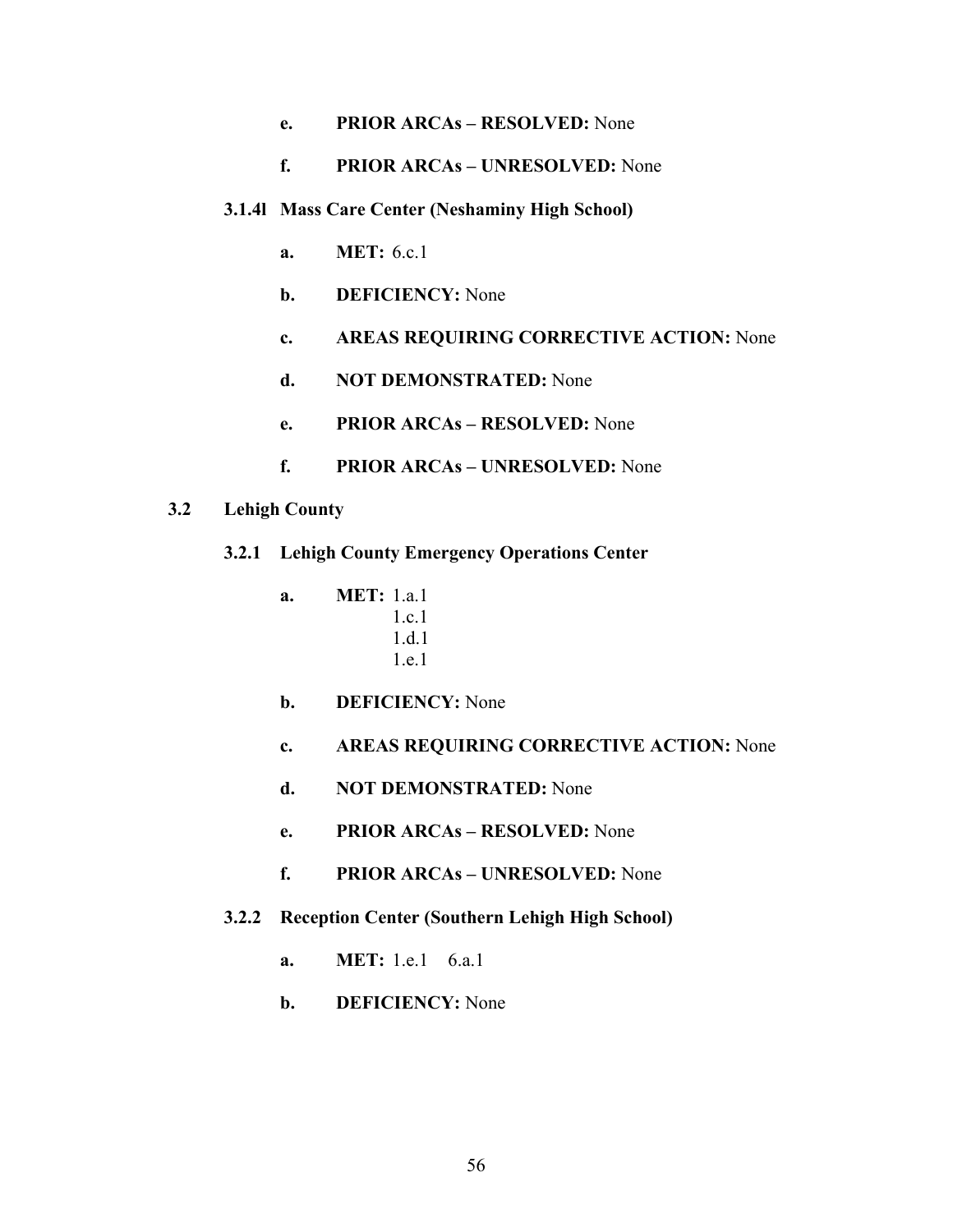- **e. PRIOR ARCAs RESOLVED:** None
- **f. PRIOR ARCAs UNRESOLVED:** None
- **3.1.4l Mass Care Center (Neshaminy High School)** 
	- **a. MET:** 6.c.1
	- **b. DEFICIENCY:** None
	- **c. AREAS REQUIRING CORRECTIVE ACTION:** None
	- **d. NOT DEMONSTRATED:** None
	- **e. PRIOR ARCAs RESOLVED:** None
	- **f. PRIOR ARCAs UNRESOLVED:** None
- **3.2 Lehigh County** 
	- **3.2.1 Lehigh County Emergency Operations Center** 
		- **a. MET:** 1.a.1 1.c.1 1.d.1 1.e.1
		- **b. DEFICIENCY:** None
		- **c. AREAS REQUIRING CORRECTIVE ACTION:** None
		- **d. NOT DEMONSTRATED:** None
		- **e. PRIOR ARCAs RESOLVED:** None
		- **f. PRIOR ARCAs UNRESOLVED:** None
	- **3.2.2 Reception Center (Southern Lehigh High School)** 
		- **a. MET:** 1.e.1 6.a.1
		- **b. DEFICIENCY:** None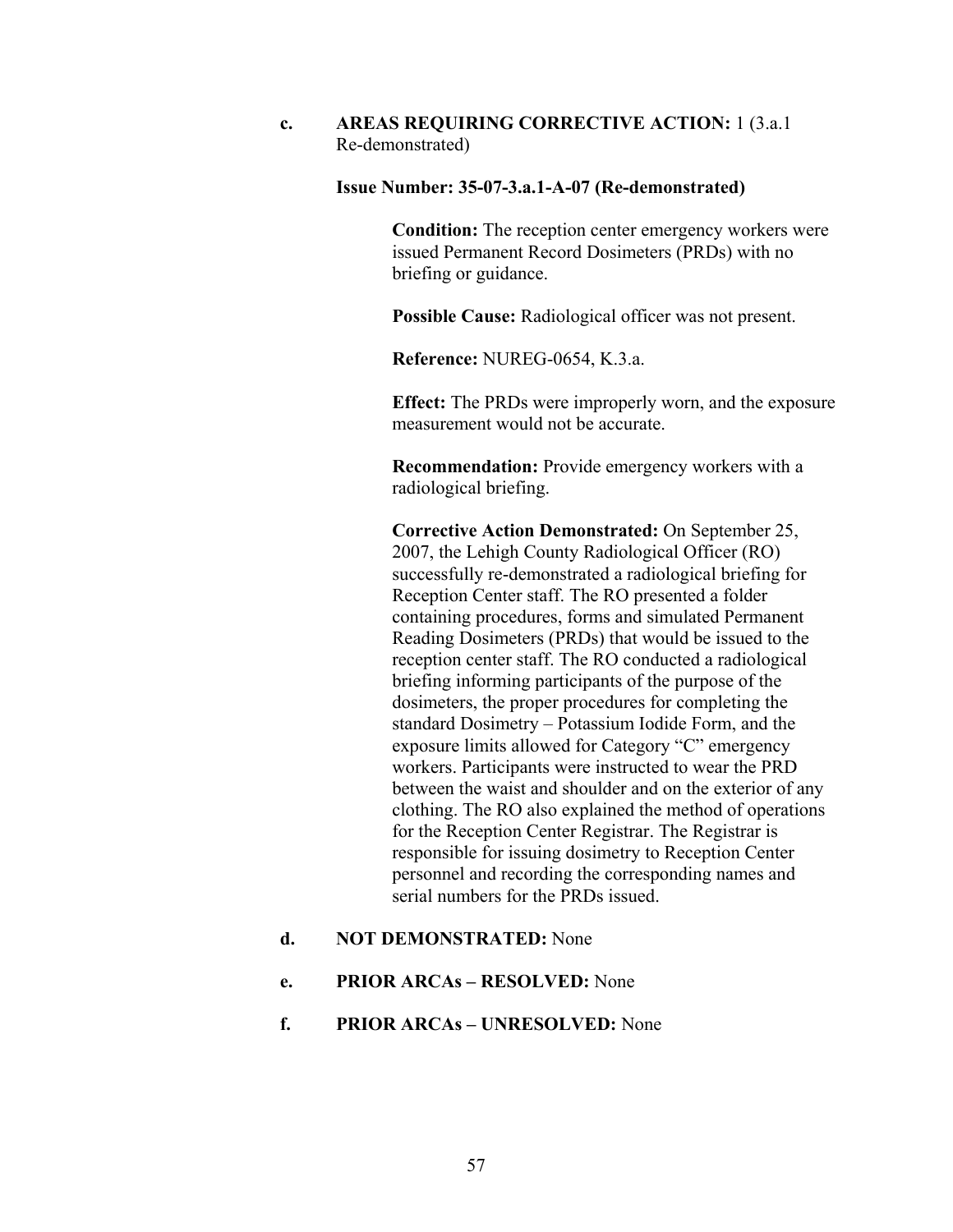# **c. AREAS REQUIRING CORRECTIVE ACTION:** 1 (3.a.1 Re-demonstrated)

### **Issue Number: 35-07-3.a.1-A-07 (Re-demonstrated)**

**Condition:** The reception center emergency workers were issued Permanent Record Dosimeters (PRDs) with no briefing or guidance.

**Possible Cause:** Radiological officer was not present.

**Reference:** NUREG-0654, K.3.a.

**Effect:** The PRDs were improperly worn, and the exposure measurement would not be accurate.

**Recommendation:** Provide emergency workers with a radiological briefing.

**Corrective Action Demonstrated:** On September 25, 2007, the Lehigh County Radiological Officer (RO) successfully re-demonstrated a radiological briefing for Reception Center staff. The RO presented a folder containing procedures, forms and simulated Permanent Reading Dosimeters (PRDs) that would be issued to the reception center staff. The RO conducted a radiological briefing informing participants of the purpose of the dosimeters, the proper procedures for completing the standard Dosimetry – Potassium Iodide Form, and the exposure limits allowed for Category "C" emergency workers. Participants were instructed to wear the PRD between the waist and shoulder and on the exterior of any clothing. The RO also explained the method of operations for the Reception Center Registrar. The Registrar is responsible for issuing dosimetry to Reception Center personnel and recording the corresponding names and serial numbers for the PRDs issued.

# **d. NOT DEMONSTRATED:** None

- **e. PRIOR ARCAs RESOLVED:** None
- **f. PRIOR ARCAs UNRESOLVED:** None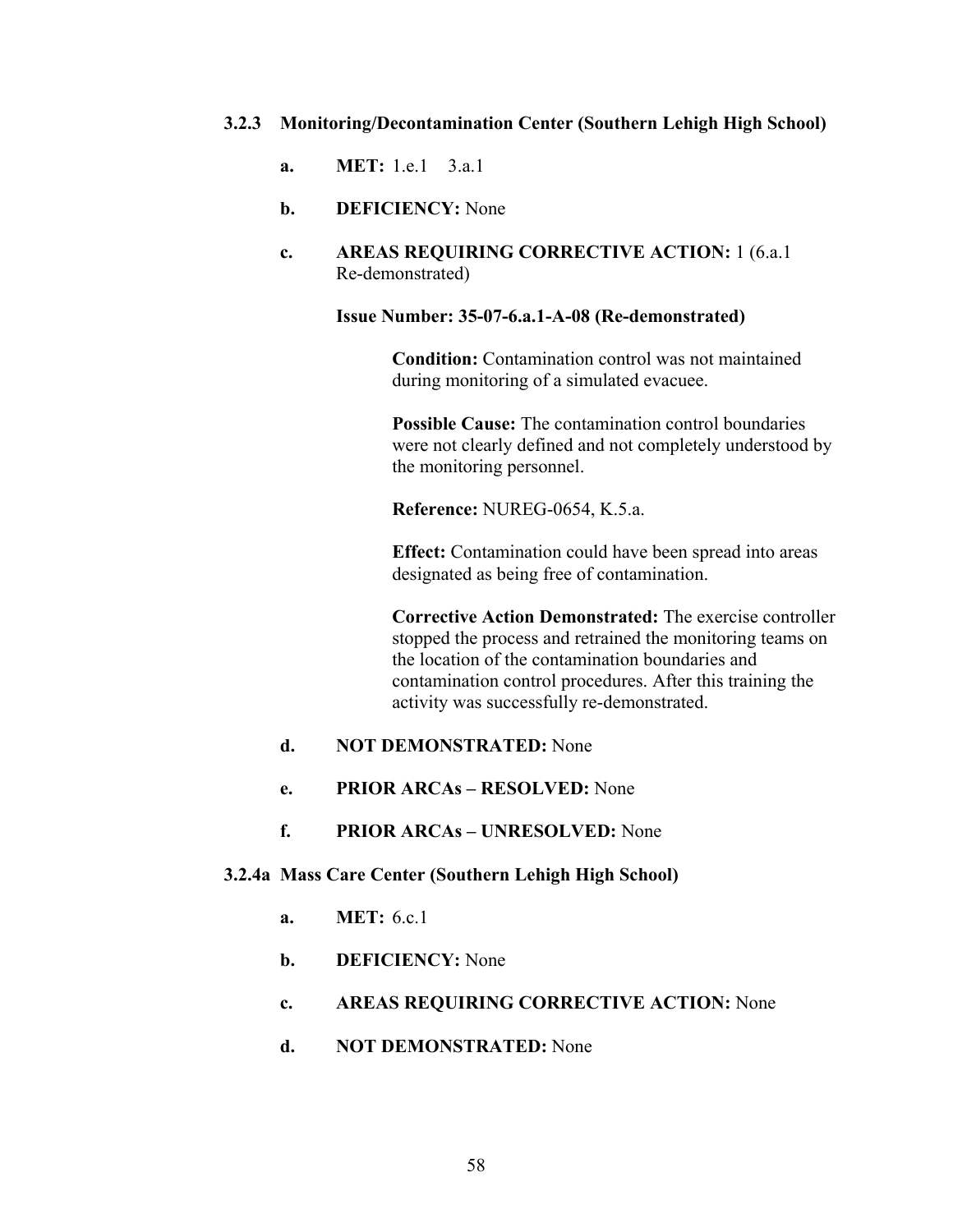## **3.2.3 Monitoring/Decontamination Center (Southern Lehigh High School)**

- **a. MET:** 1.e.1 3.a.1
- **b. DEFICIENCY:** None
- **c. AREAS REQUIRING CORRECTIVE ACTION:** 1 (6.a.1 Re-demonstrated)

### **Issue Number: 35-07-6.a.1-A-08 (Re-demonstrated)**

**Condition:** Contamination control was not maintained during monitoring of a simulated evacuee.

**Possible Cause:** The contamination control boundaries were not clearly defined and not completely understood by the monitoring personnel.

**Reference:** NUREG-0654, K.5.a.

**Effect:** Contamination could have been spread into areas designated as being free of contamination.

**Corrective Action Demonstrated:** The exercise controller stopped the process and retrained the monitoring teams on the location of the contamination boundaries and contamination control procedures. After this training the activity was successfully re-demonstrated.

# **d. NOT DEMONSTRATED:** None

- **e. PRIOR ARCAs RESOLVED:** None
- **f. PRIOR ARCAs UNRESOLVED:** None

### **3.2.4a Mass Care Center (Southern Lehigh High School)**

- **a. MET:** 6.c.1
- **b. DEFICIENCY:** None
- **c. AREAS REQUIRING CORRECTIVE ACTION:** None
- **d. NOT DEMONSTRATED:** None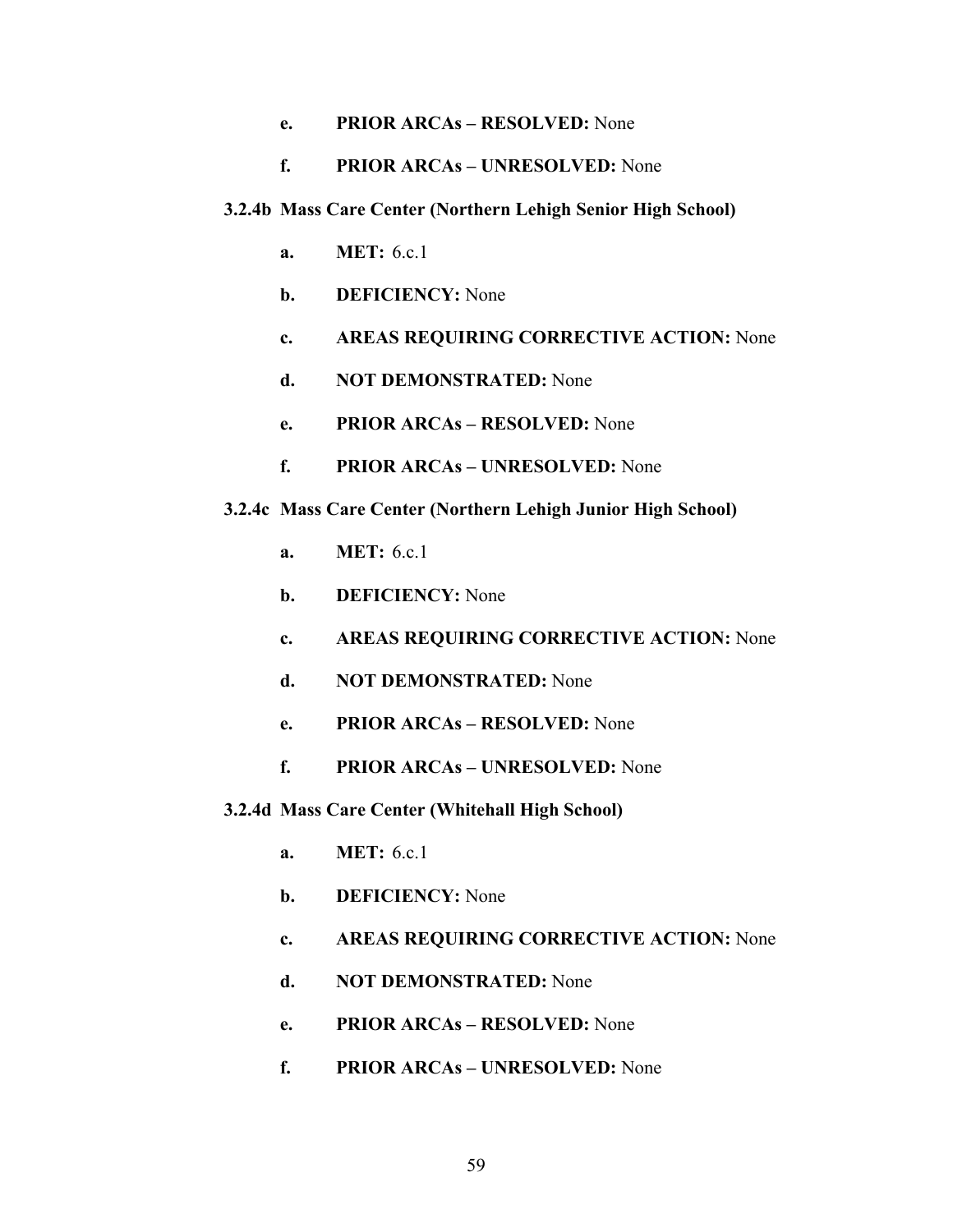# **e. PRIOR ARCAs – RESOLVED:** None

## **f. PRIOR ARCAs – UNRESOLVED:** None

#### **3.2.4b Mass Care Center (Northern Lehigh Senior High School)**

- **a. MET:** 6.c.1
- **b. DEFICIENCY:** None
- **c. AREAS REQUIRING CORRECTIVE ACTION:** None
- **d. NOT DEMONSTRATED:** None
- **e. PRIOR ARCAs RESOLVED:** None
- **f. PRIOR ARCAs UNRESOLVED:** None

### **3.2.4c Mass Care Center (Northern Lehigh Junior High School)**

- **a. MET:** 6.c.1
- **b. DEFICIENCY:** None
- **c. AREAS REQUIRING CORRECTIVE ACTION:** None
- **d. NOT DEMONSTRATED:** None
- **e. PRIOR ARCAs RESOLVED:** None
- **f. PRIOR ARCAs UNRESOLVED:** None
- **3.2.4d Mass Care Center (Whitehall High School)** 
	- **a. MET:** 6.c.1
	- **b. DEFICIENCY:** None
	- **c. AREAS REQUIRING CORRECTIVE ACTION:** None
	- **d. NOT DEMONSTRATED:** None
	- **e. PRIOR ARCAs RESOLVED:** None
	- **f. PRIOR ARCAs UNRESOLVED:** None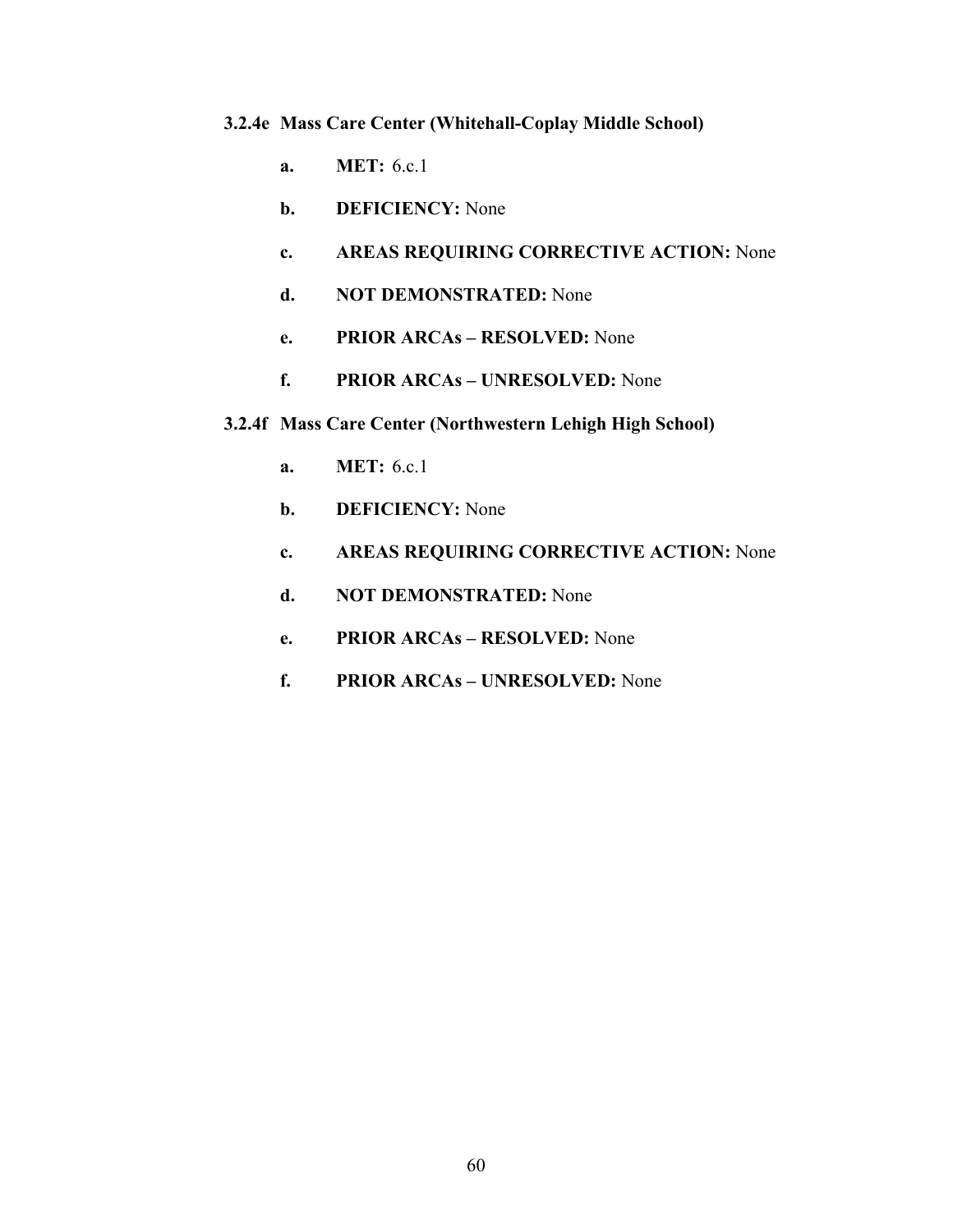# **3.2.4e Mass Care Center (Whitehall-Coplay Middle School)**

- **a. MET:** 6.c.1
- **b. DEFICIENCY:** None
- **c. AREAS REQUIRING CORRECTIVE ACTION:** None
- **d. NOT DEMONSTRATED:** None
- **e. PRIOR ARCAs RESOLVED:** None
- **f. PRIOR ARCAs UNRESOLVED:** None
- **3.2.4f Mass Care Center (Northwestern Lehigh High School)** 
	- **a. MET:** 6.c.1
	- **b. DEFICIENCY:** None
	- **c. AREAS REQUIRING CORRECTIVE ACTION:** None
	- **d. NOT DEMONSTRATED:** None
	- **e. PRIOR ARCAs RESOLVED:** None
	- **f. PRIOR ARCAs UNRESOLVED:** None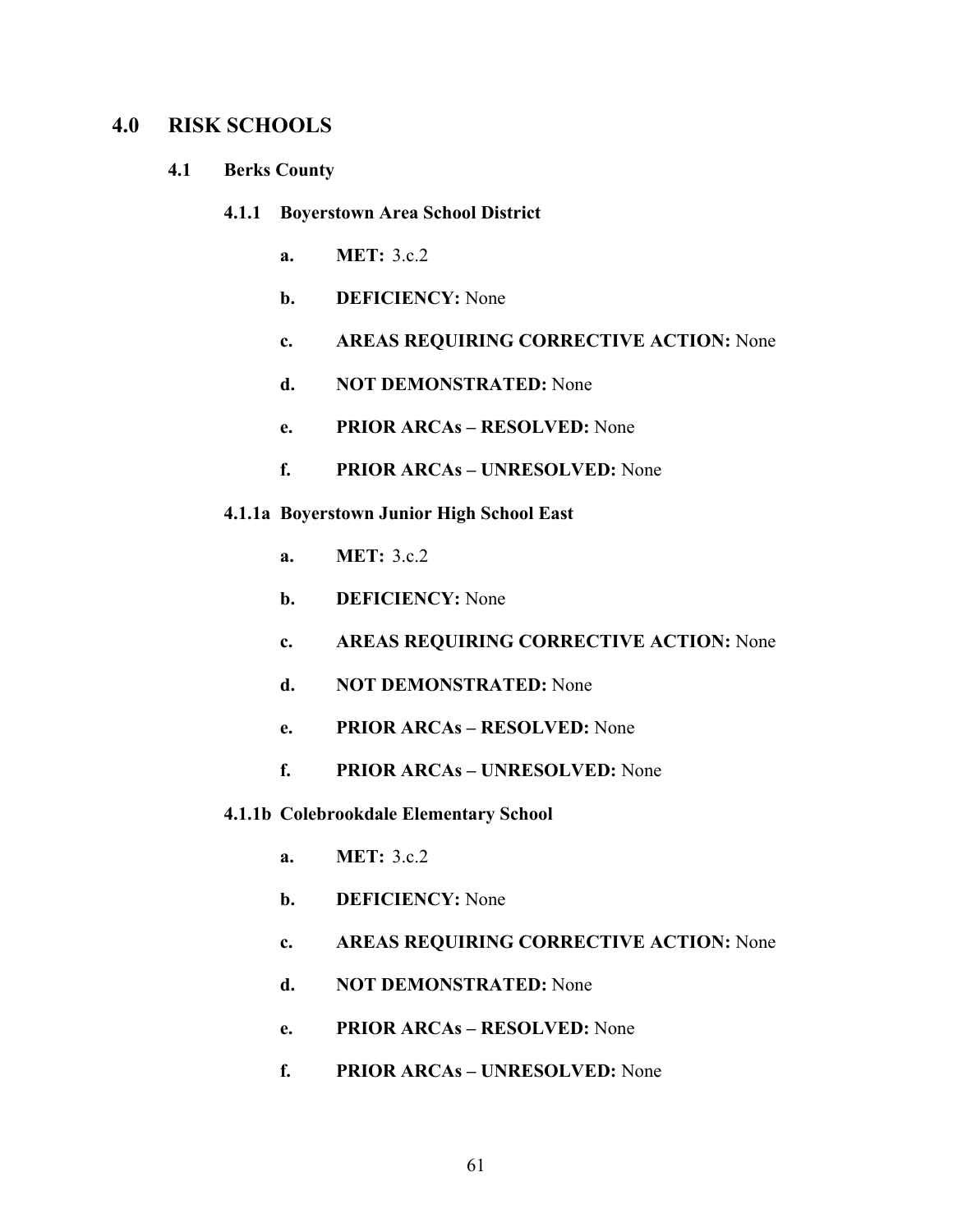# **4.0 RISK SCHOOLS**

- **4.1 Berks County** 
	- **4.1.1 Boyerstown Area School District** 
		- **a. MET:** 3.c.2
		- **b. DEFICIENCY:** None
		- **c. AREAS REQUIRING CORRECTIVE ACTION:** None
		- **d. NOT DEMONSTRATED:** None
		- **e. PRIOR ARCAs RESOLVED:** None
		- **f. PRIOR ARCAs UNRESOLVED:** None
	- **4.1.1a Boyerstown Junior High School East** 
		- **a. MET:** 3.c.2
		- **b. DEFICIENCY:** None
		- **c. AREAS REQUIRING CORRECTIVE ACTION:** None
		- **d. NOT DEMONSTRATED:** None
		- **e. PRIOR ARCAs RESOLVED:** None
		- **f. PRIOR ARCAs UNRESOLVED:** None
	- **4.1.1b Colebrookdale Elementary School** 
		- **a. MET:** 3.c.2
		- **b. DEFICIENCY:** None
		- **c. AREAS REQUIRING CORRECTIVE ACTION:** None
		- **d. NOT DEMONSTRATED:** None
		- **e. PRIOR ARCAs RESOLVED:** None
		- **f. PRIOR ARCAs UNRESOLVED:** None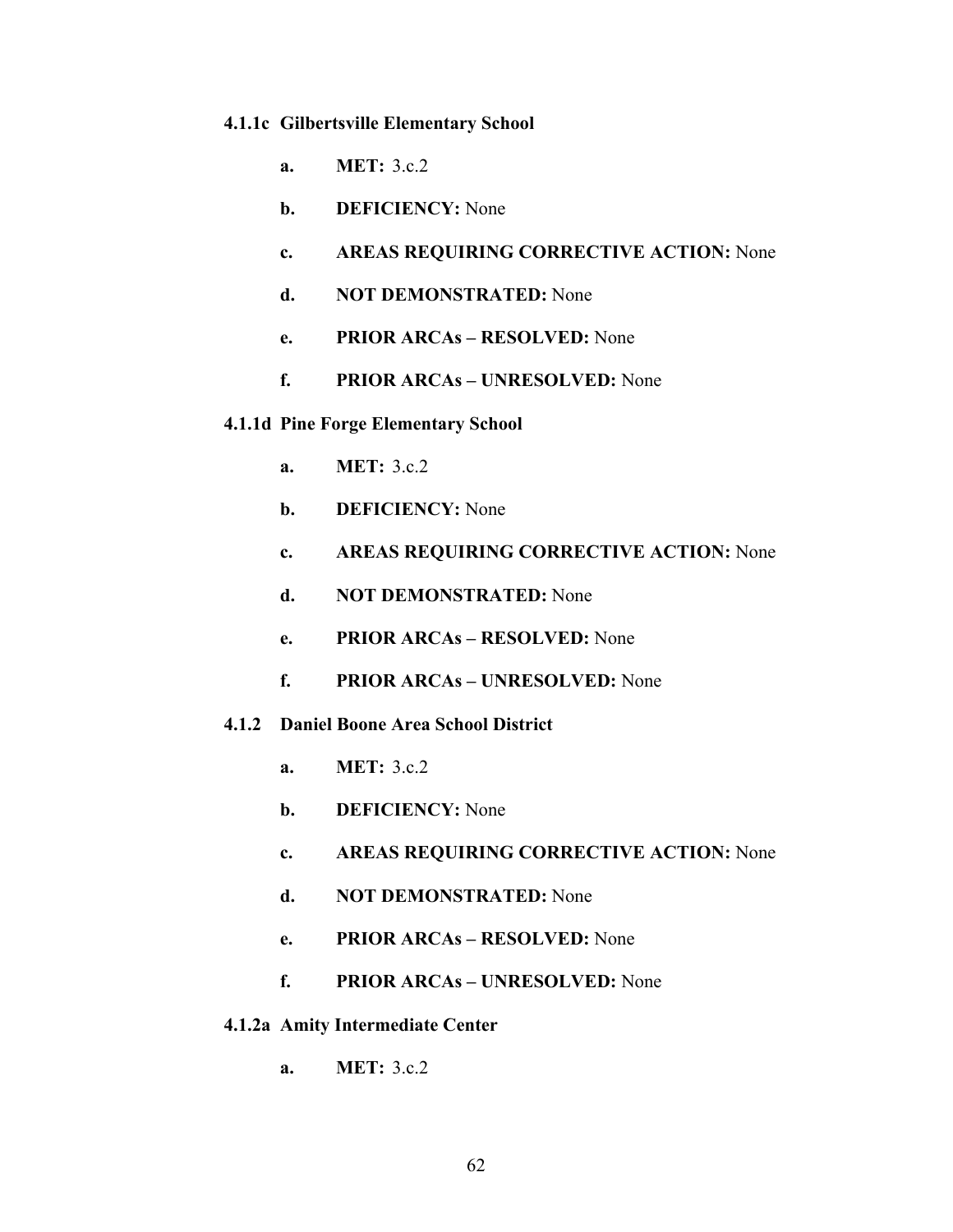#### **4.1.1c Gilbertsville Elementary School**

- **a. MET:** 3.c.2
- **b. DEFICIENCY:** None
- **c. AREAS REQUIRING CORRECTIVE ACTION:** None
- **d. NOT DEMONSTRATED:** None
- **e. PRIOR ARCAs RESOLVED:** None
- **f. PRIOR ARCAs UNRESOLVED:** None

### **4.1.1d Pine Forge Elementary School**

- **a. MET:** 3.c.2
- **b. DEFICIENCY:** None
- **c. AREAS REQUIRING CORRECTIVE ACTION:** None
- **d. NOT DEMONSTRATED:** None
- **e. PRIOR ARCAs RESOLVED:** None
- **f. PRIOR ARCAs UNRESOLVED:** None

## **4.1.2 Daniel Boone Area School District**

- **a. MET:** 3.c.2
- **b. DEFICIENCY:** None
- **c. AREAS REQUIRING CORRECTIVE ACTION:** None
- **d. NOT DEMONSTRATED:** None
- **e. PRIOR ARCAs RESOLVED:** None
- **f. PRIOR ARCAs UNRESOLVED:** None
- **4.1.2a Amity Intermediate Center** 
	- **a. MET:** 3.c.2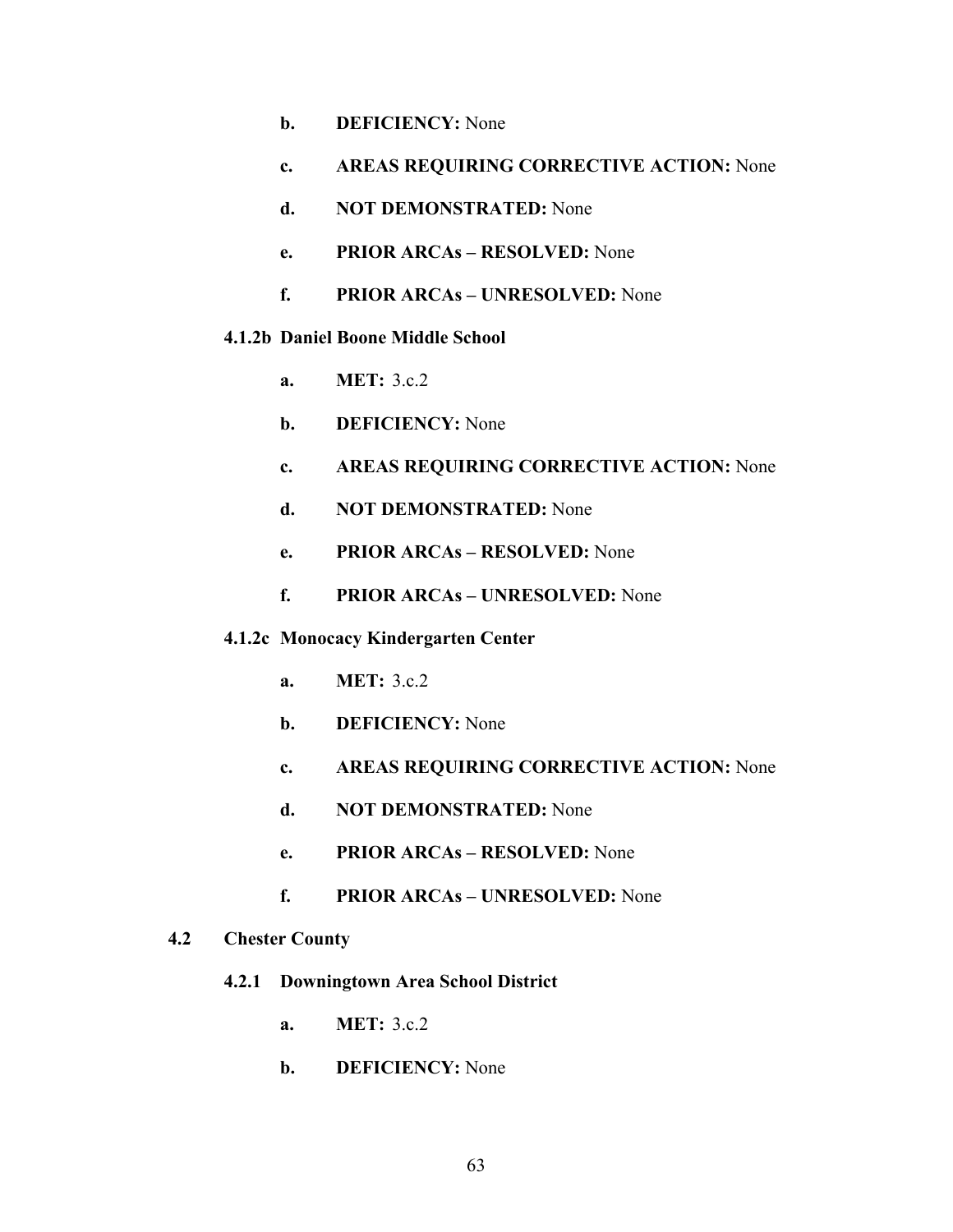- **b. DEFICIENCY:** None
- **c. AREAS REQUIRING CORRECTIVE ACTION:** None
- **d. NOT DEMONSTRATED:** None
- **e. PRIOR ARCAs RESOLVED:** None
- **f. PRIOR ARCAs UNRESOLVED:** None
- **4.1.2b Daniel Boone Middle School** 
	- **a. MET:** 3.c.2
	- **b. DEFICIENCY:** None
	- **c. AREAS REQUIRING CORRECTIVE ACTION:** None
	- **d. NOT DEMONSTRATED:** None
	- **e. PRIOR ARCAs RESOLVED:** None
	- **f. PRIOR ARCAs UNRESOLVED:** None
- **4.1.2c Monocacy Kindergarten Center** 
	- **a. MET:** 3.c.2
	- **b. DEFICIENCY:** None
	- **c. AREAS REQUIRING CORRECTIVE ACTION:** None
	- **d. NOT DEMONSTRATED:** None
	- **e. PRIOR ARCAs RESOLVED:** None
	- **f. PRIOR ARCAs UNRESOLVED:** None

### **4.2 Chester County**

- **4.2.1 Downingtown Area School District** 
	- **a. MET:** 3.c.2
	- **b. DEFICIENCY:** None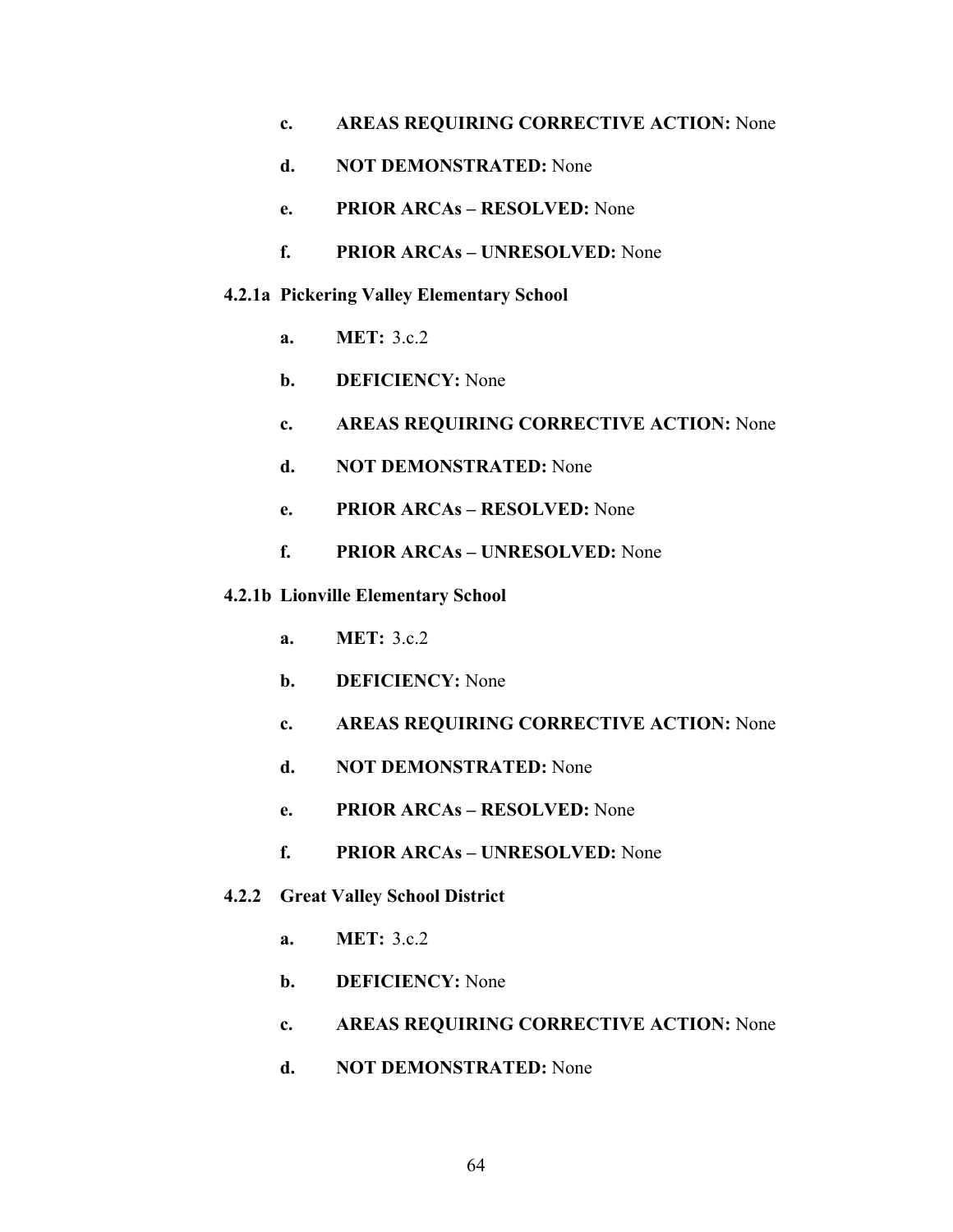- **c. AREAS REQUIRING CORRECTIVE ACTION:** None
- **d. NOT DEMONSTRATED:** None
- **e. PRIOR ARCAs RESOLVED:** None
- **f. PRIOR ARCAs UNRESOLVED:** None
- **4.2.1a Pickering Valley Elementary School** 
	- **a. MET:** 3.c.2
	- **b. DEFICIENCY:** None
	- **c. AREAS REQUIRING CORRECTIVE ACTION:** None
	- **d. NOT DEMONSTRATED:** None
	- **e. PRIOR ARCAs RESOLVED:** None
	- **f. PRIOR ARCAs UNRESOLVED:** None
- **4.2.1b Lionville Elementary School** 
	- **a. MET:** 3.c.2
	- **b. DEFICIENCY:** None
	- **c. AREAS REQUIRING CORRECTIVE ACTION:** None
	- **d. NOT DEMONSTRATED:** None
	- **e. PRIOR ARCAs RESOLVED:** None
	- **f. PRIOR ARCAs UNRESOLVED:** None
- **4.2.2 Great Valley School District** 
	- **a. MET:** 3.c.2
	- **b. DEFICIENCY:** None
	- **c. AREAS REQUIRING CORRECTIVE ACTION:** None
	- **d. NOT DEMONSTRATED:** None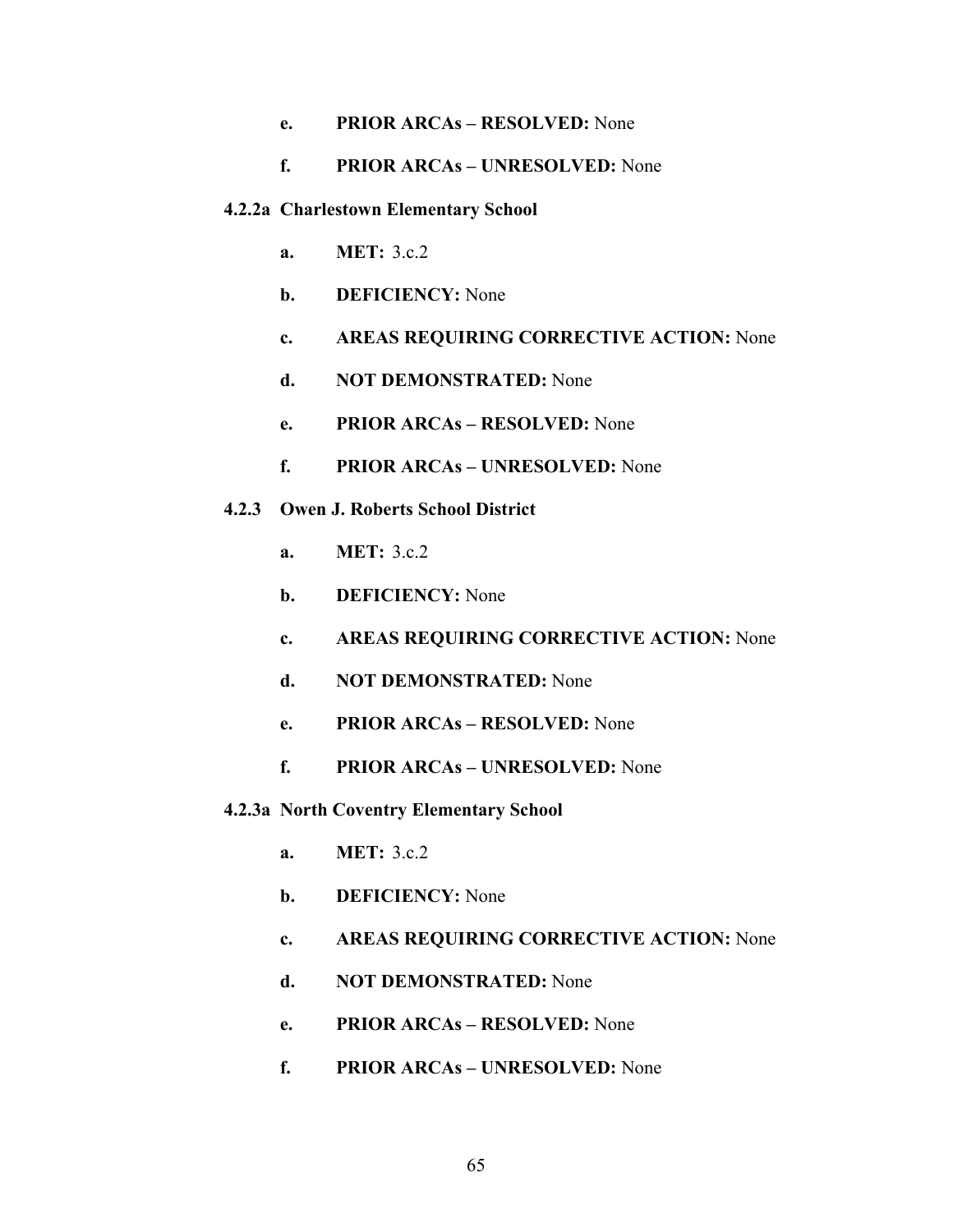# **e. PRIOR ARCAs – RESOLVED:** None

# **f. PRIOR ARCAs – UNRESOLVED:** None

#### **4.2.2a Charlestown Elementary School**

- **a. MET:**  $3c2$
- **b. DEFICIENCY:** None
- **c. AREAS REQUIRING CORRECTIVE ACTION:** None
- **d. NOT DEMONSTRATED:** None
- **e. PRIOR ARCAs RESOLVED:** None
- **f. PRIOR ARCAs UNRESOLVED:** None
- **4.2.3 Owen J. Roberts School District** 
	- **a. MET:** 3.c.2
	- **b. DEFICIENCY:** None
	- **c. AREAS REQUIRING CORRECTIVE ACTION:** None
	- **d. NOT DEMONSTRATED:** None
	- **e. PRIOR ARCAs RESOLVED:** None
	- **f. PRIOR ARCAs UNRESOLVED:** None
- **4.2.3a North Coventry Elementary School** 
	- **a. MET:** 3.c.2
	- **b. DEFICIENCY:** None
	- **c. AREAS REQUIRING CORRECTIVE ACTION:** None
	- **d. NOT DEMONSTRATED:** None
	- **e. PRIOR ARCAs RESOLVED:** None
	- **f. PRIOR ARCAs UNRESOLVED:** None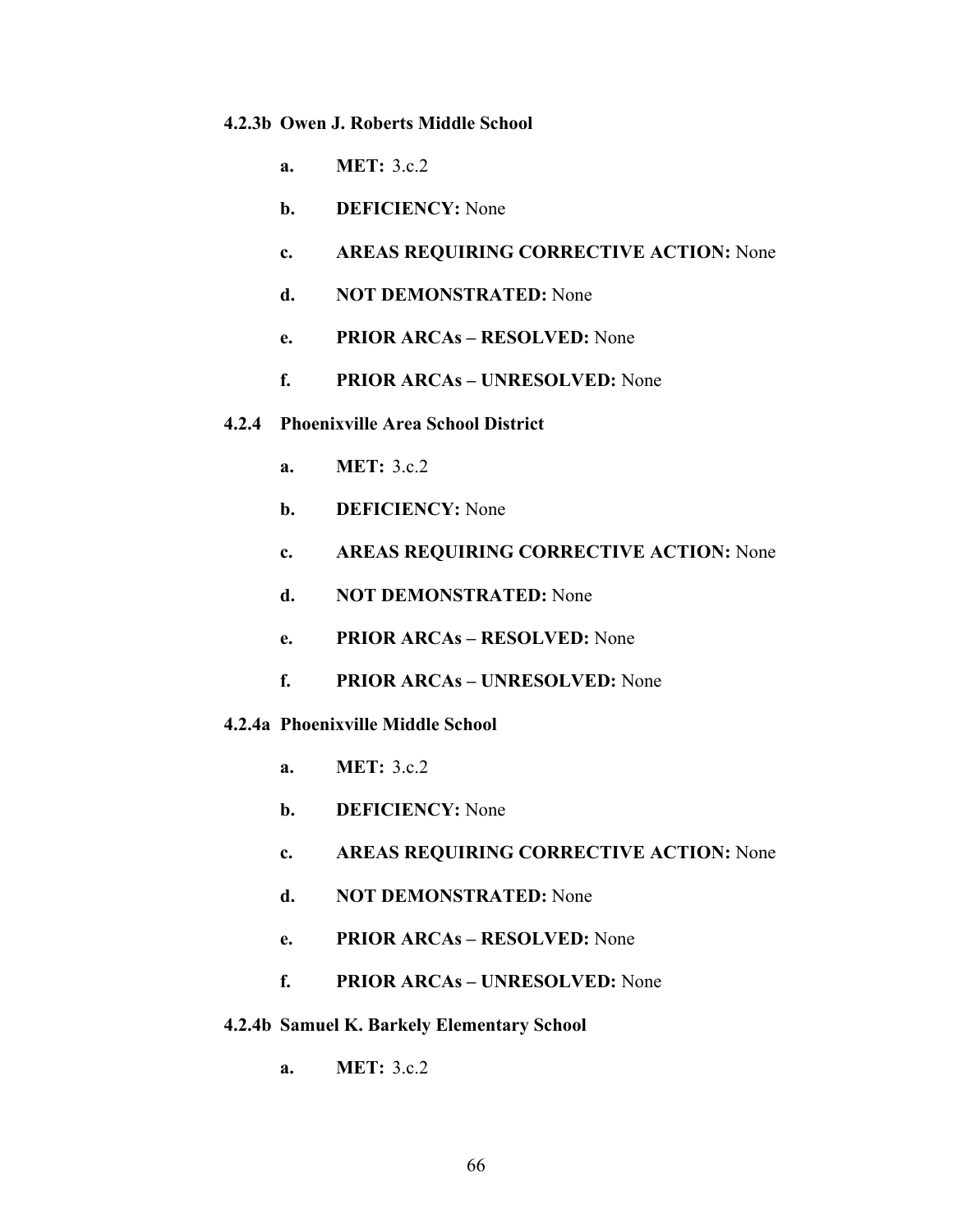#### **4.2.3b Owen J. Roberts Middle School**

- **a. MET:** 3.c.2
- **b. DEFICIENCY:** None
- **c. AREAS REQUIRING CORRECTIVE ACTION:** None
- **d. NOT DEMONSTRATED:** None
- **e. PRIOR ARCAs RESOLVED:** None
- **f. PRIOR ARCAs UNRESOLVED:** None
- **4.2.4 Phoenixville Area School District** 
	- **a. MET:** 3.c.2
	- **b. DEFICIENCY:** None
	- **c. AREAS REQUIRING CORRECTIVE ACTION:** None
	- **d. NOT DEMONSTRATED:** None
	- **e. PRIOR ARCAs RESOLVED:** None
	- **f. PRIOR ARCAs UNRESOLVED:** None
- **4.2.4a Phoenixville Middle School** 
	- **a. MET:** 3.c.2
	- **b. DEFICIENCY:** None
	- **c. AREAS REQUIRING CORRECTIVE ACTION:** None
	- **d. NOT DEMONSTRATED:** None
	- **e. PRIOR ARCAs RESOLVED:** None
	- **f. PRIOR ARCAs UNRESOLVED:** None
- **4.2.4b Samuel K. Barkely Elementary School** 
	- **a. MET:** 3.c.2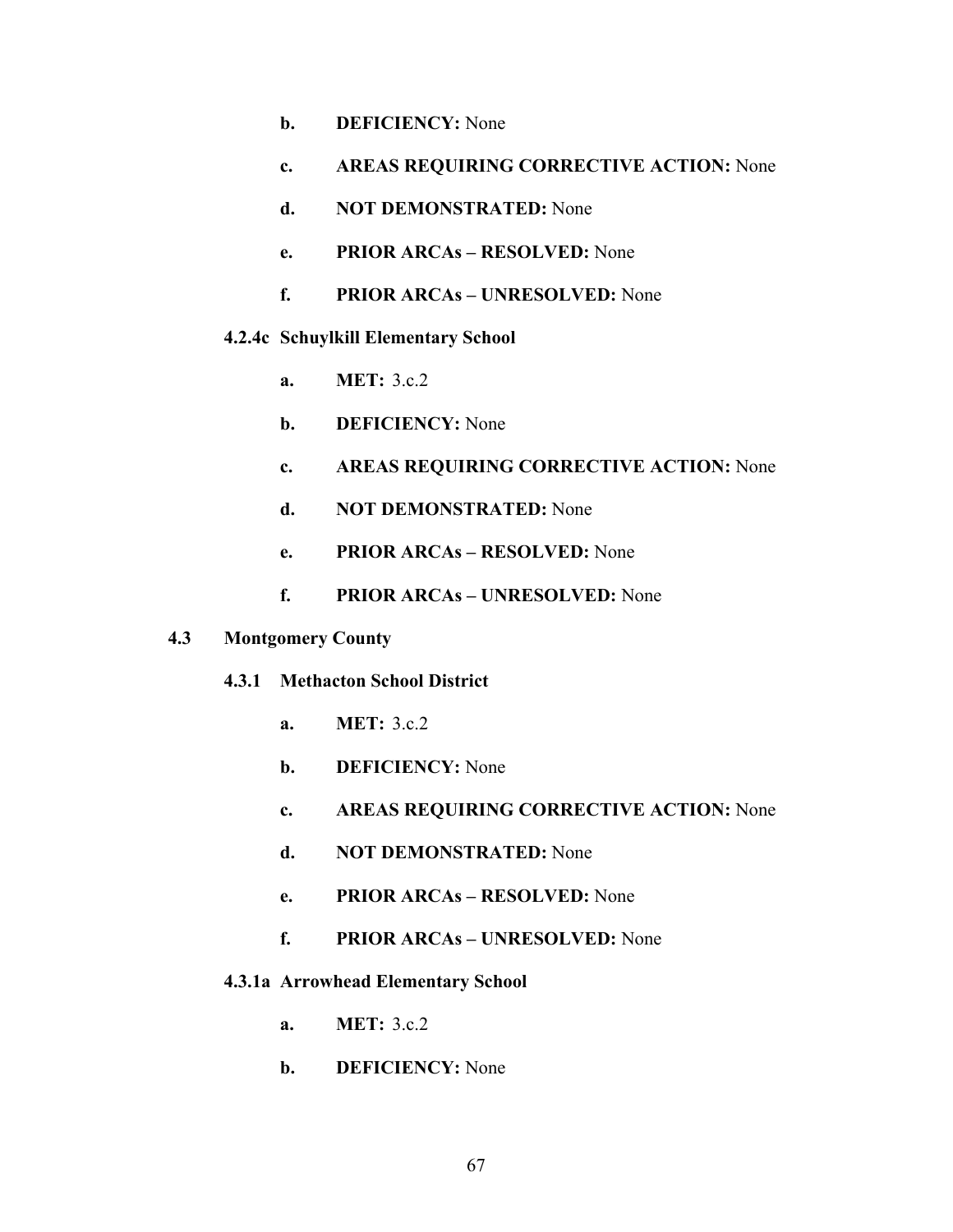- **b. DEFICIENCY:** None
- **c. AREAS REQUIRING CORRECTIVE ACTION:** None
- **d. NOT DEMONSTRATED:** None
- **e. PRIOR ARCAs RESOLVED:** None
- **f. PRIOR ARCAs UNRESOLVED:** None
- **4.2.4c Schuylkill Elementary School** 
	- **a. MET:** 3.c.2
	- **b. DEFICIENCY:** None
	- **c. AREAS REQUIRING CORRECTIVE ACTION:** None
	- **d. NOT DEMONSTRATED:** None
	- **e. PRIOR ARCAs RESOLVED:** None
	- **f. PRIOR ARCAs UNRESOLVED:** None
- **4.3 Montgomery County** 
	- **4.3.1 Methacton School District** 
		- **a. MET:** 3.c.2
		- **b. DEFICIENCY:** None
		- **c. AREAS REQUIRING CORRECTIVE ACTION:** None
		- **d. NOT DEMONSTRATED:** None
		- **e. PRIOR ARCAs RESOLVED:** None
		- **f. PRIOR ARCAs UNRESOLVED:** None
	- **4.3.1a Arrowhead Elementary School** 
		- **a. MET:** 3.c.2
		- **b. DEFICIENCY:** None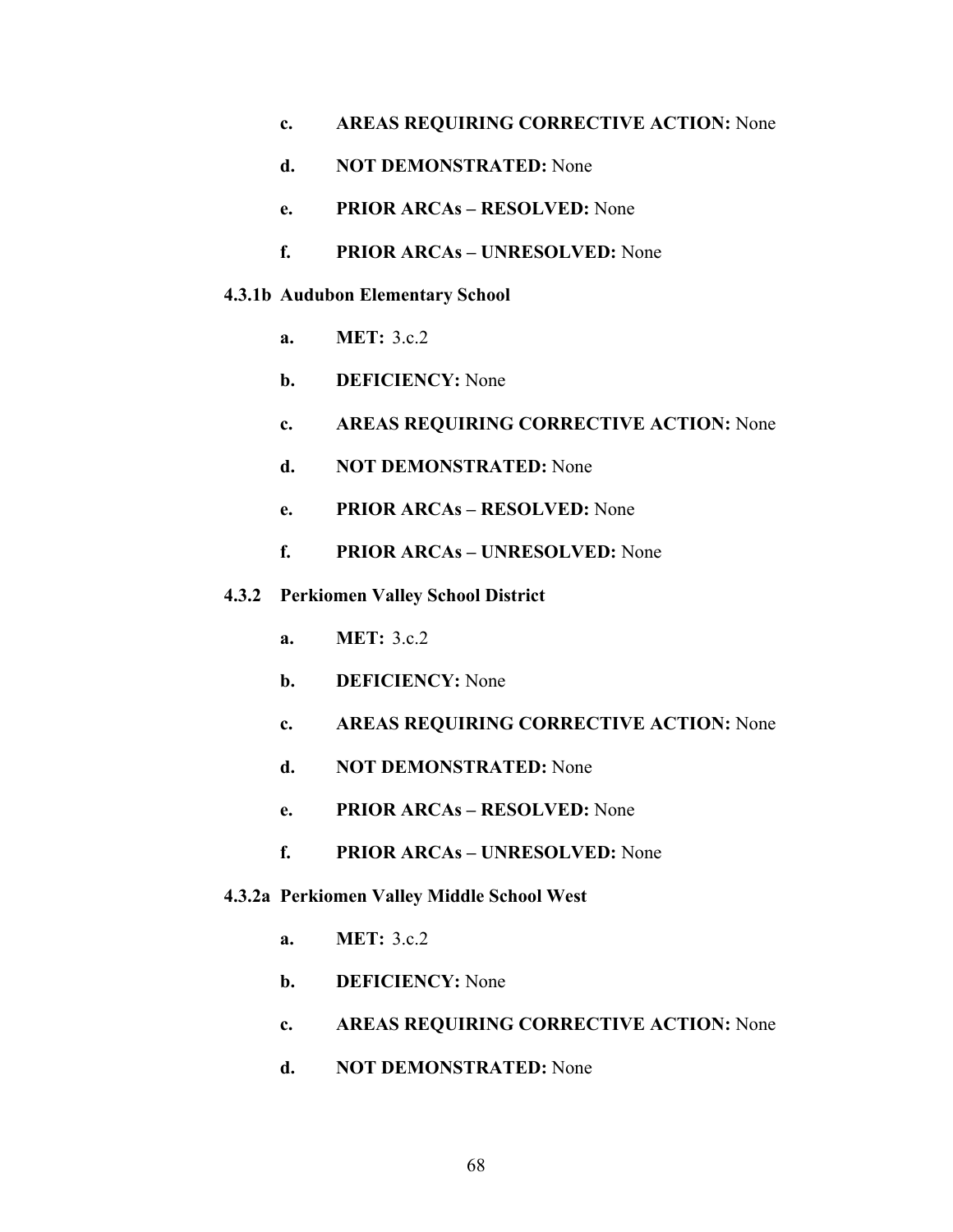- **c. AREAS REQUIRING CORRECTIVE ACTION:** None
- **d. NOT DEMONSTRATED:** None
- **e. PRIOR ARCAs RESOLVED:** None
- **f. PRIOR ARCAs UNRESOLVED:** None

#### **4.3.1b Audubon Elementary School**

- **a. MET:** 3.c.2
- **b. DEFICIENCY:** None
- **c. AREAS REQUIRING CORRECTIVE ACTION:** None
- **d. NOT DEMONSTRATED:** None
- **e. PRIOR ARCAs RESOLVED:** None
- **f. PRIOR ARCAs UNRESOLVED:** None
- **4.3.2 Perkiomen Valley School District** 
	- **a. MET:** 3.c.2
	- **b. DEFICIENCY:** None
	- **c. AREAS REQUIRING CORRECTIVE ACTION:** None
	- **d. NOT DEMONSTRATED:** None
	- **e. PRIOR ARCAs RESOLVED:** None
	- **f. PRIOR ARCAs UNRESOLVED:** None

#### **4.3.2a Perkiomen Valley Middle School West**

- **a. MET:** 3.c.2
- **b. DEFICIENCY:** None
- **c. AREAS REQUIRING CORRECTIVE ACTION:** None
- **d. NOT DEMONSTRATED:** None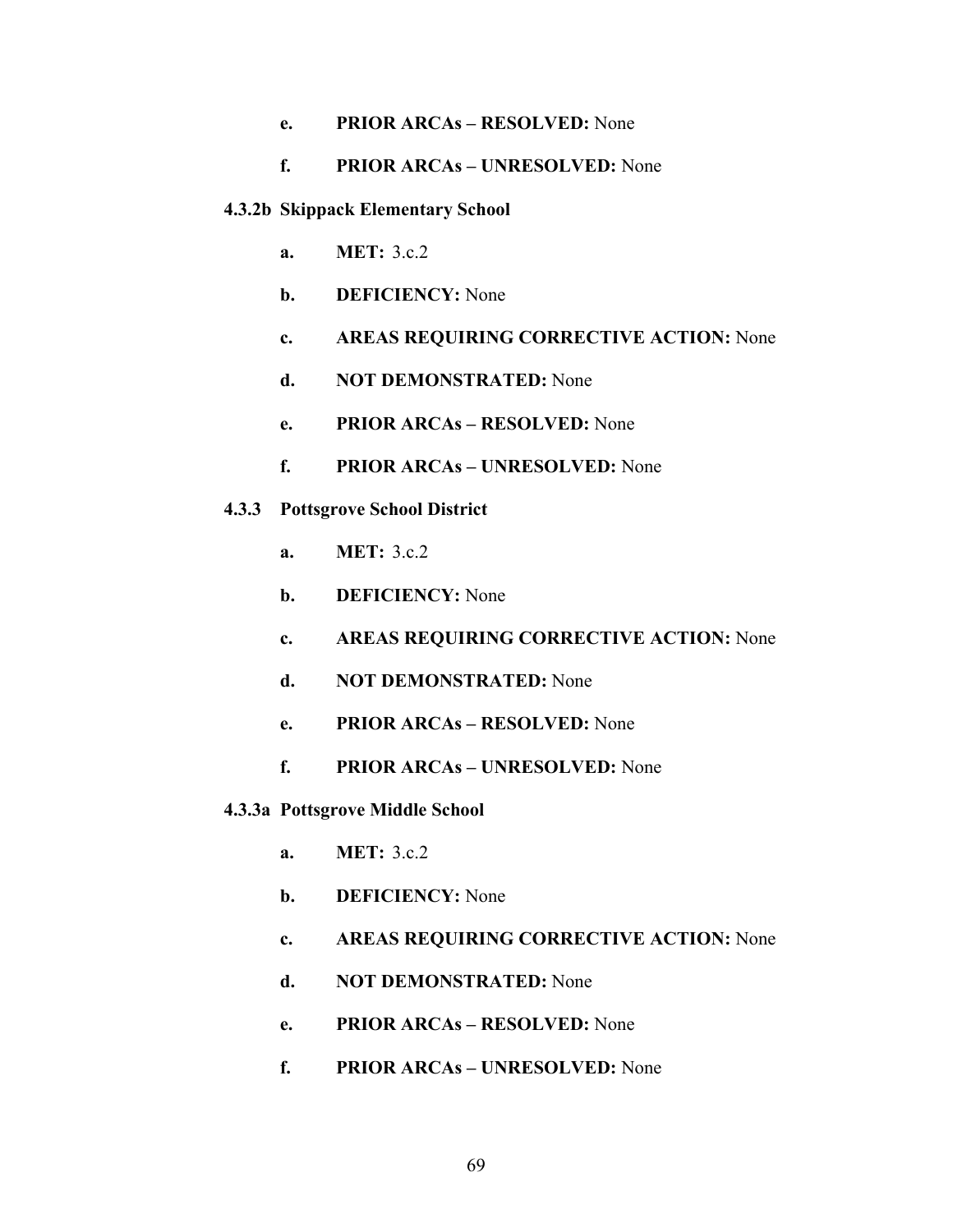#### **e. PRIOR ARCAs – RESOLVED:** None

#### **f. PRIOR ARCAs – UNRESOLVED:** None

#### **4.3.2b Skippack Elementary School**

- **a. MET:** 3.c.2
- **b. DEFICIENCY:** None
- **c. AREAS REQUIRING CORRECTIVE ACTION:** None
- **d. NOT DEMONSTRATED:** None
- **e. PRIOR ARCAs RESOLVED:** None
- **f. PRIOR ARCAs UNRESOLVED:** None
- **4.3.3 Pottsgrove School District** 
	- **a. MET:** 3.c.2
	- **b. DEFICIENCY:** None
	- **c. AREAS REQUIRING CORRECTIVE ACTION:** None
	- **d. NOT DEMONSTRATED:** None
	- **e. PRIOR ARCAs RESOLVED:** None
	- **f. PRIOR ARCAs UNRESOLVED:** None
- **4.3.3a Pottsgrove Middle School** 
	- **a. MET:** 3.c.2
	- **b. DEFICIENCY:** None
	- **c. AREAS REQUIRING CORRECTIVE ACTION:** None
	- **d. NOT DEMONSTRATED:** None
	- **e. PRIOR ARCAs RESOLVED:** None
	- **f. PRIOR ARCAs UNRESOLVED:** None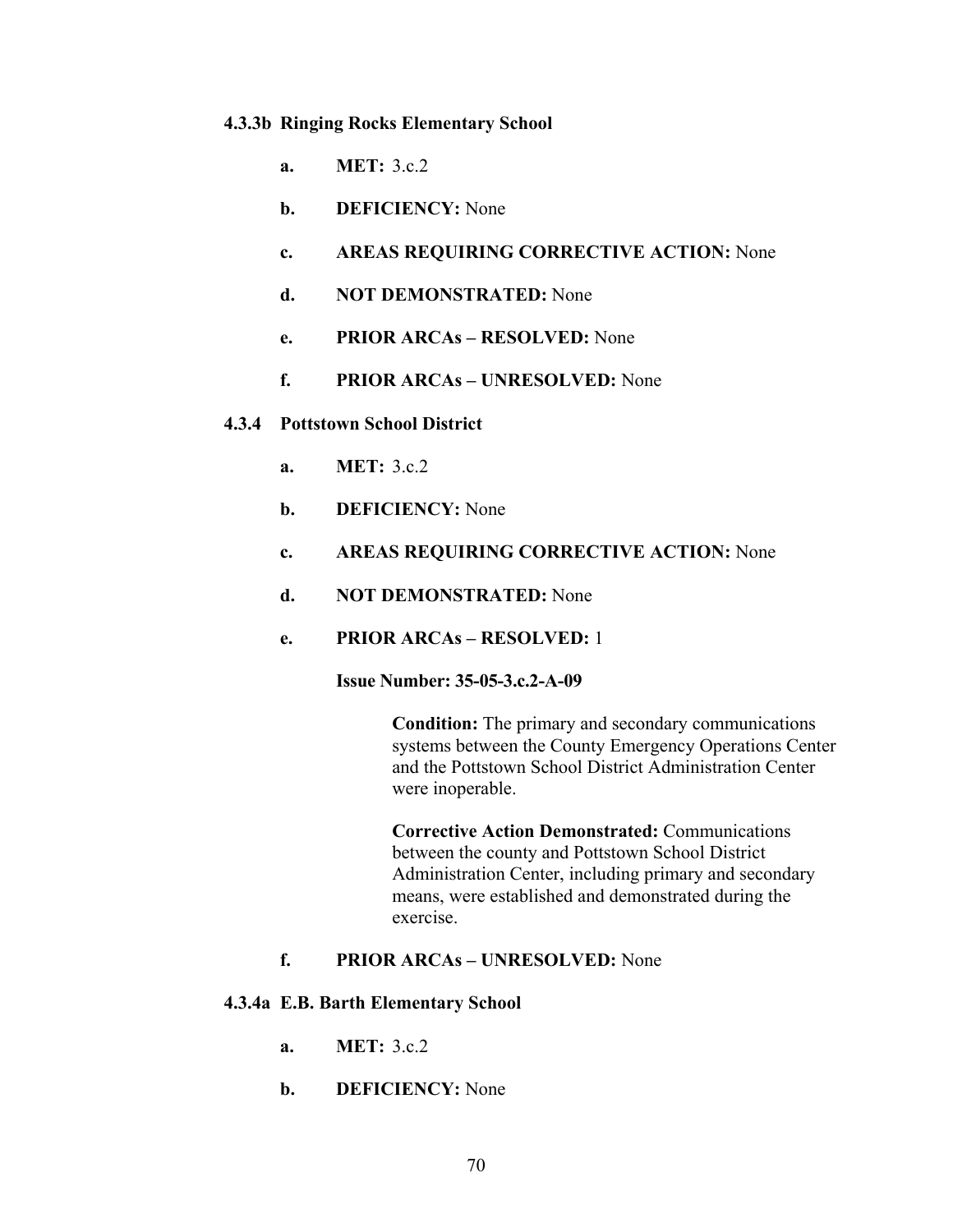#### **4.3.3b Ringing Rocks Elementary School**

- **a. MET:** 3.c.2
- **b. DEFICIENCY:** None
- **c. AREAS REQUIRING CORRECTIVE ACTION:** None
- **d. NOT DEMONSTRATED:** None
- **e. PRIOR ARCAs RESOLVED:** None
- **f. PRIOR ARCAs UNRESOLVED:** None

#### **4.3.4 Pottstown School District**

- **a. MET:** 3.c.2
- **b. DEFICIENCY:** None
- **c. AREAS REQUIRING CORRECTIVE ACTION:** None
- **d. NOT DEMONSTRATED:** None
- **e. PRIOR ARCAs RESOLVED:** 1

**Issue Number: 35-05-3.c.2-A-09** 

**Condition:** The primary and secondary communications systems between the County Emergency Operations Center and the Pottstown School District Administration Center were inoperable.

**Corrective Action Demonstrated:** Communications between the county and Pottstown School District Administration Center, including primary and secondary means, were established and demonstrated during the exercise.

#### **f. PRIOR ARCAs – UNRESOLVED:** None

#### **4.3.4a E.B. Barth Elementary School**

- **a. MET:** 3.c.2
- **b. DEFICIENCY:** None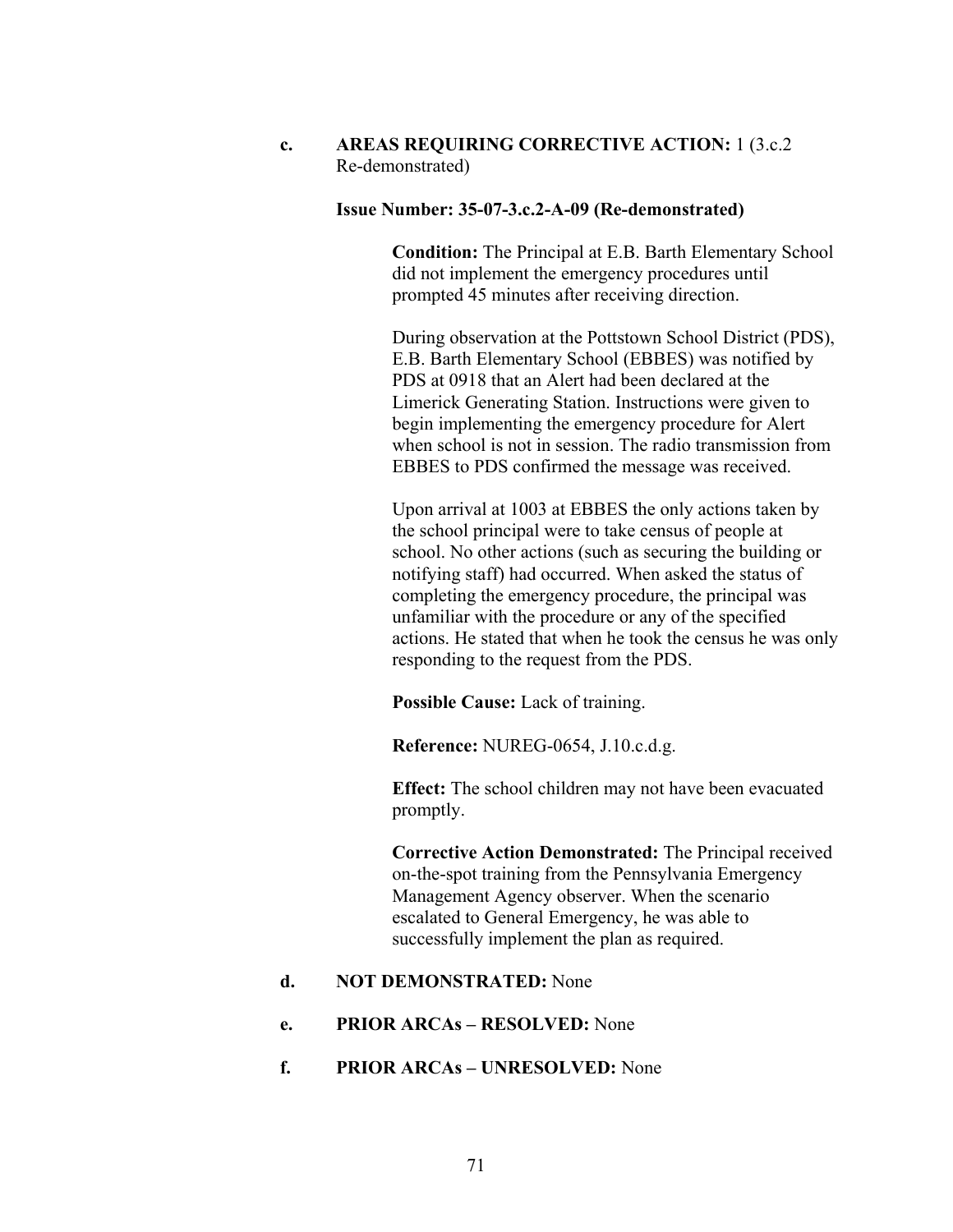**c. AREAS REQUIRING CORRECTIVE ACTION:** 1 (3.c.2 Re-demonstrated)

#### **Issue Number: 35-07-3.c.2-A-09 (Re-demonstrated)**

**Condition:** The Principal at E.B. Barth Elementary School did not implement the emergency procedures until prompted 45 minutes after receiving direction.

During observation at the Pottstown School District (PDS), E.B. Barth Elementary School (EBBES) was notified by PDS at 0918 that an Alert had been declared at the Limerick Generating Station. Instructions were given to begin implementing the emergency procedure for Alert when school is not in session. The radio transmission from EBBES to PDS confirmed the message was received.

Upon arrival at 1003 at EBBES the only actions taken by the school principal were to take census of people at school. No other actions (such as securing the building or notifying staff) had occurred. When asked the status of completing the emergency procedure, the principal was unfamiliar with the procedure or any of the specified actions. He stated that when he took the census he was only responding to the request from the PDS.

**Possible Cause:** Lack of training.

**Reference:** NUREG-0654, J.10.c.d.g.

**Effect:** The school children may not have been evacuated promptly.

**Corrective Action Demonstrated:** The Principal received on-the-spot training from the Pennsylvania Emergency Management Agency observer. When the scenario escalated to General Emergency, he was able to successfully implement the plan as required.

#### **d. NOT DEMONSTRATED:** None

#### **e. PRIOR ARCAs – RESOLVED:** None

#### **f. PRIOR ARCAs – UNRESOLVED:** None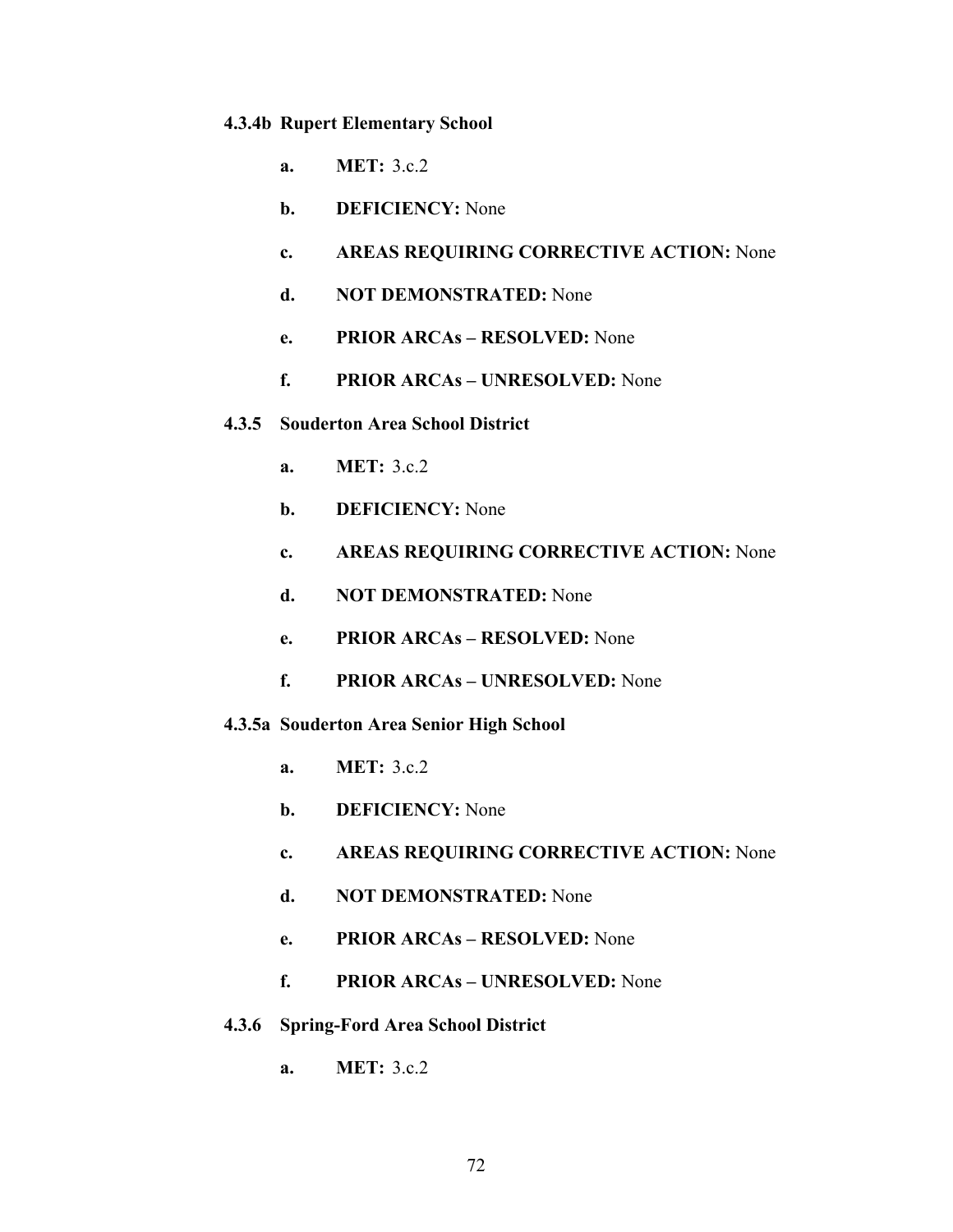#### **4.3.4b Rupert Elementary School**

- **a. MET:** 3.c.2
- **b. DEFICIENCY:** None
- **c. AREAS REQUIRING CORRECTIVE ACTION:** None
- **d. NOT DEMONSTRATED:** None
- **e. PRIOR ARCAs RESOLVED:** None
- **f. PRIOR ARCAs UNRESOLVED:** None
- **4.3.5 Souderton Area School District** 
	- **a. MET:** 3.c.2
	- **b. DEFICIENCY:** None
	- **c. AREAS REQUIRING CORRECTIVE ACTION:** None
	- **d. NOT DEMONSTRATED:** None
	- **e. PRIOR ARCAs RESOLVED:** None
	- **f. PRIOR ARCAs UNRESOLVED:** None
- **4.3.5a Souderton Area Senior High School** 
	- **a. MET:** 3.c.2
	- **b. DEFICIENCY:** None
	- **c. AREAS REQUIRING CORRECTIVE ACTION:** None
	- **d. NOT DEMONSTRATED:** None
	- **e. PRIOR ARCAs RESOLVED:** None
	- **f. PRIOR ARCAs UNRESOLVED:** None
- **4.3.6 Spring-Ford Area School District** 
	- **a. MET:** 3.c.2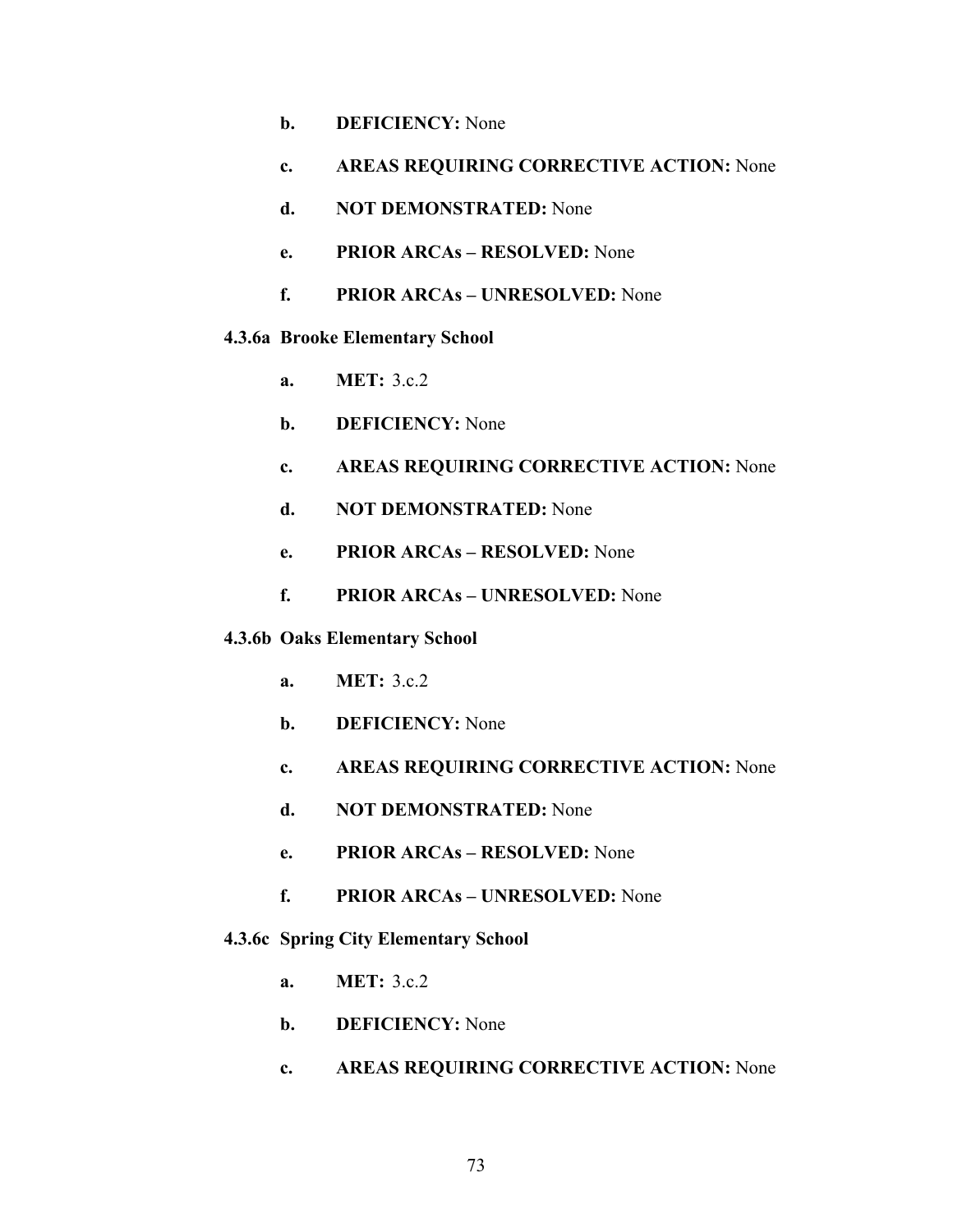- **b. DEFICIENCY:** None
- **c. AREAS REQUIRING CORRECTIVE ACTION:** None
- **d. NOT DEMONSTRATED:** None
- **e. PRIOR ARCAs RESOLVED:** None
- **f. PRIOR ARCAs UNRESOLVED:** None
- **4.3.6a Brooke Elementary School** 
	- **a. MET:** 3.c.2
	- **b. DEFICIENCY:** None
	- **c. AREAS REQUIRING CORRECTIVE ACTION:** None
	- **d. NOT DEMONSTRATED:** None
	- **e. PRIOR ARCAs RESOLVED:** None
	- **f. PRIOR ARCAs UNRESOLVED:** None
- **4.3.6b Oaks Elementary School** 
	- **a. MET:** 3.c.2
	- **b. DEFICIENCY:** None
	- **c. AREAS REQUIRING CORRECTIVE ACTION:** None
	- **d. NOT DEMONSTRATED:** None
	- **e. PRIOR ARCAs RESOLVED:** None
	- **f. PRIOR ARCAs UNRESOLVED:** None

#### **4.3.6c Spring City Elementary School**

- **a. MET:** 3.c.2
- **b. DEFICIENCY:** None
- **c. AREAS REQUIRING CORRECTIVE ACTION:** None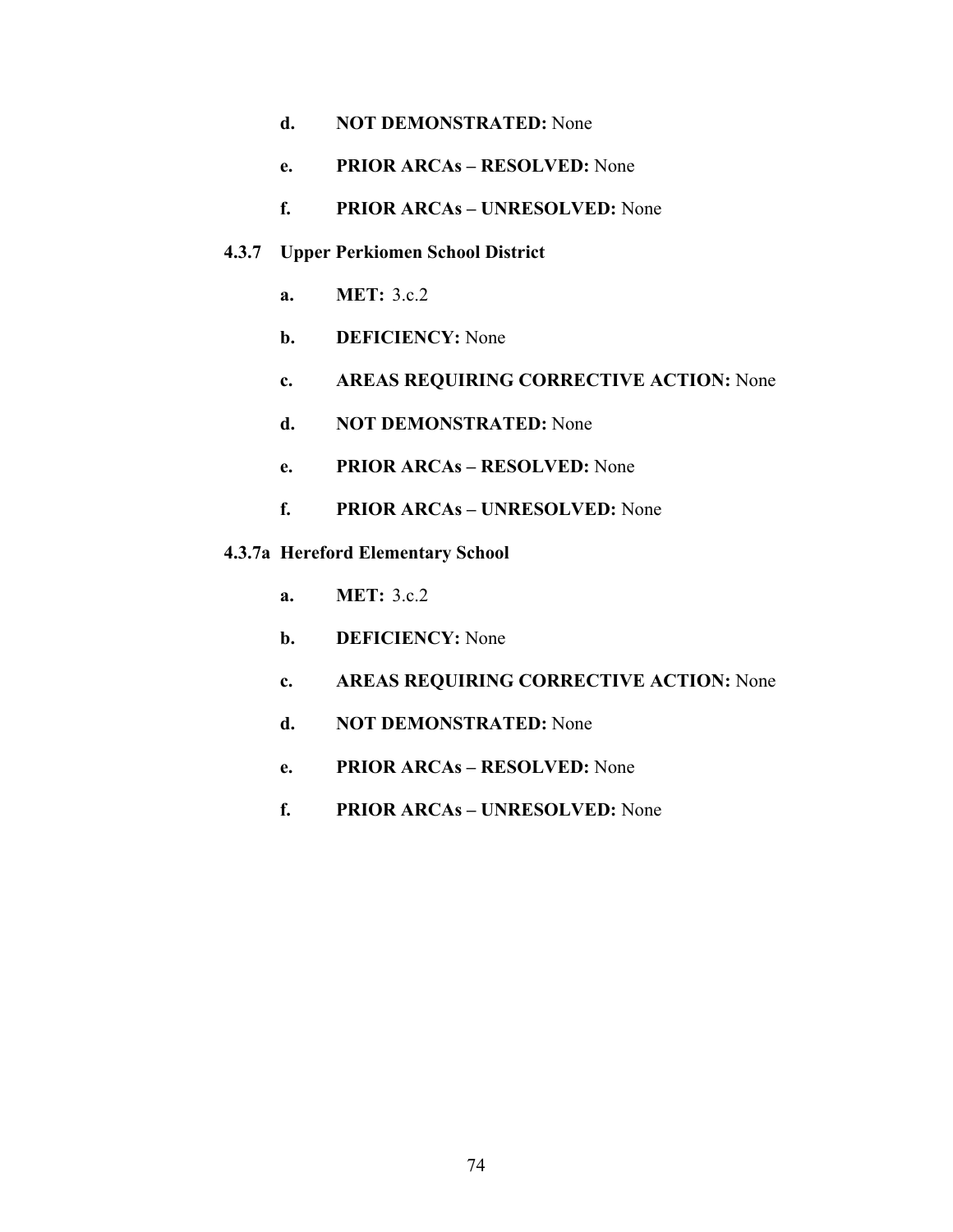- **d. NOT DEMONSTRATED:** None
- **e. PRIOR ARCAs RESOLVED:** None
- **f. PRIOR ARCAs UNRESOLVED:** None

#### **4.3.7 Upper Perkiomen School District**

- **a. MET:** 3.c.2
- **b. DEFICIENCY:** None
- **c. AREAS REQUIRING CORRECTIVE ACTION:** None
- **d. NOT DEMONSTRATED:** None
- **e. PRIOR ARCAs RESOLVED:** None
- **f. PRIOR ARCAs UNRESOLVED:** None

#### **4.3.7a Hereford Elementary School**

- **a. MET:** 3.c.2
- **b. DEFICIENCY:** None
- **c. AREAS REQUIRING CORRECTIVE ACTION:** None
- **d. NOT DEMONSTRATED:** None
- **e. PRIOR ARCAs RESOLVED:** None
- **f. PRIOR ARCAs UNRESOLVED:** None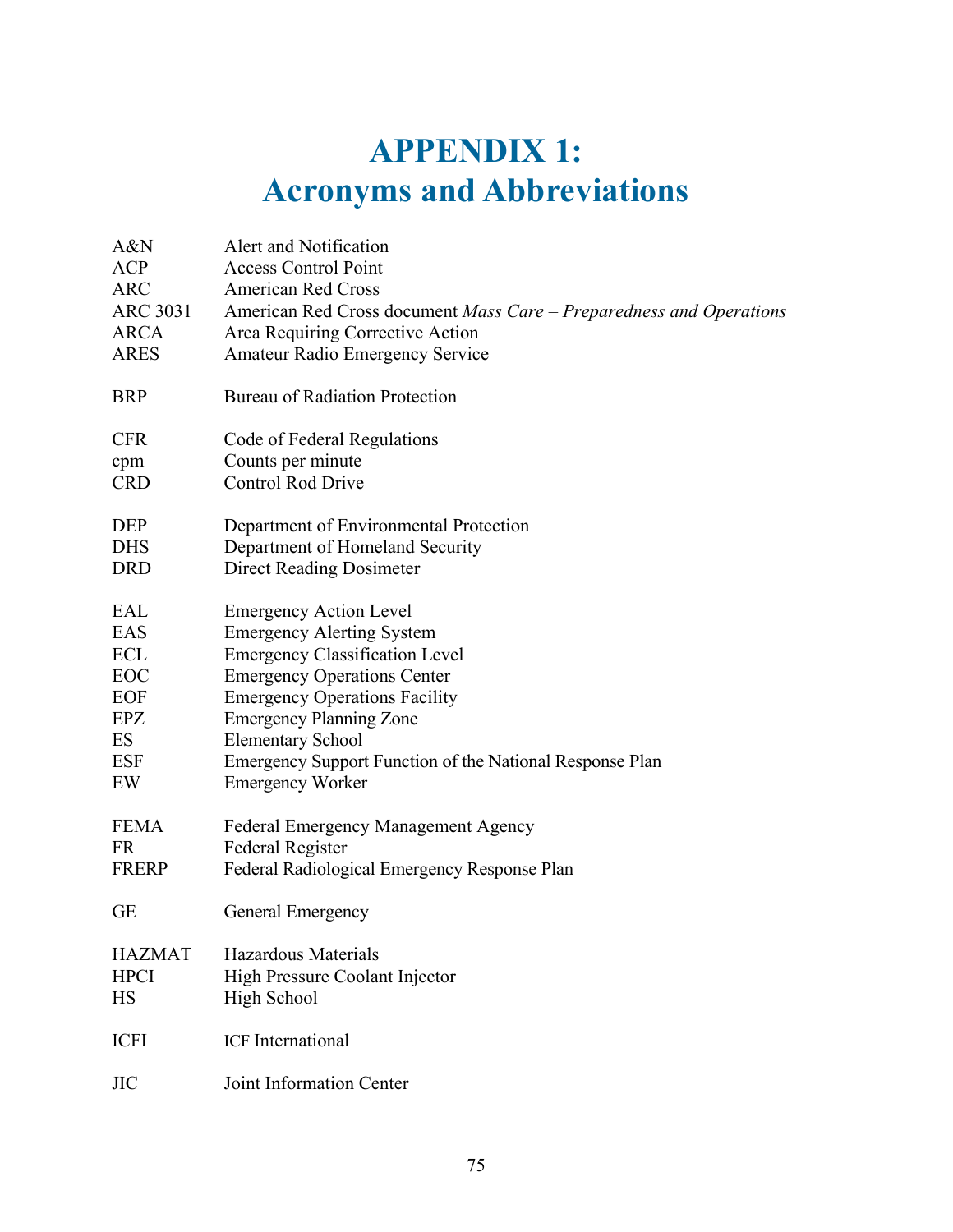# **APPENDIX 1: Acronyms and Abbreviations**

| A&N             | Alert and Notification                                              |
|-----------------|---------------------------------------------------------------------|
| <b>ACP</b>      | <b>Access Control Point</b>                                         |
| <b>ARC</b>      | <b>American Red Cross</b>                                           |
| <b>ARC 3031</b> | American Red Cross document Mass Care - Preparedness and Operations |
| <b>ARCA</b>     | Area Requiring Corrective Action                                    |
| <b>ARES</b>     | <b>Amateur Radio Emergency Service</b>                              |
| <b>BRP</b>      | <b>Bureau of Radiation Protection</b>                               |
| <b>CFR</b>      | Code of Federal Regulations                                         |
| cpm             | Counts per minute                                                   |
| <b>CRD</b>      | <b>Control Rod Drive</b>                                            |
| <b>DEP</b>      | Department of Environmental Protection                              |
| <b>DHS</b>      | Department of Homeland Security                                     |
| <b>DRD</b>      | <b>Direct Reading Dosimeter</b>                                     |
| EAL             | <b>Emergency Action Level</b>                                       |
| EAS             | <b>Emergency Alerting System</b>                                    |
| ECL             | <b>Emergency Classification Level</b>                               |
| EOC             | <b>Emergency Operations Center</b>                                  |
| EOF             | <b>Emergency Operations Facility</b>                                |
| $E$ PZ          | <b>Emergency Planning Zone</b>                                      |
| ES              | <b>Elementary School</b>                                            |
| <b>ESF</b>      | Emergency Support Function of the National Response Plan            |
| EW              | <b>Emergency Worker</b>                                             |
| <b>FEMA</b>     | Federal Emergency Management Agency                                 |
| <b>FR</b>       | Federal Register                                                    |
| <b>FRERP</b>    | Federal Radiological Emergency Response Plan                        |
| <b>GE</b>       | General Emergency                                                   |
| <b>HAZMAT</b>   | <b>Hazardous Materials</b>                                          |
| <b>HPCI</b>     | <b>High Pressure Coolant Injector</b>                               |
| HS              | <b>High School</b>                                                  |
| <b>ICFI</b>     | <b>ICF</b> International                                            |
| <b>JIC</b>      | Joint Information Center                                            |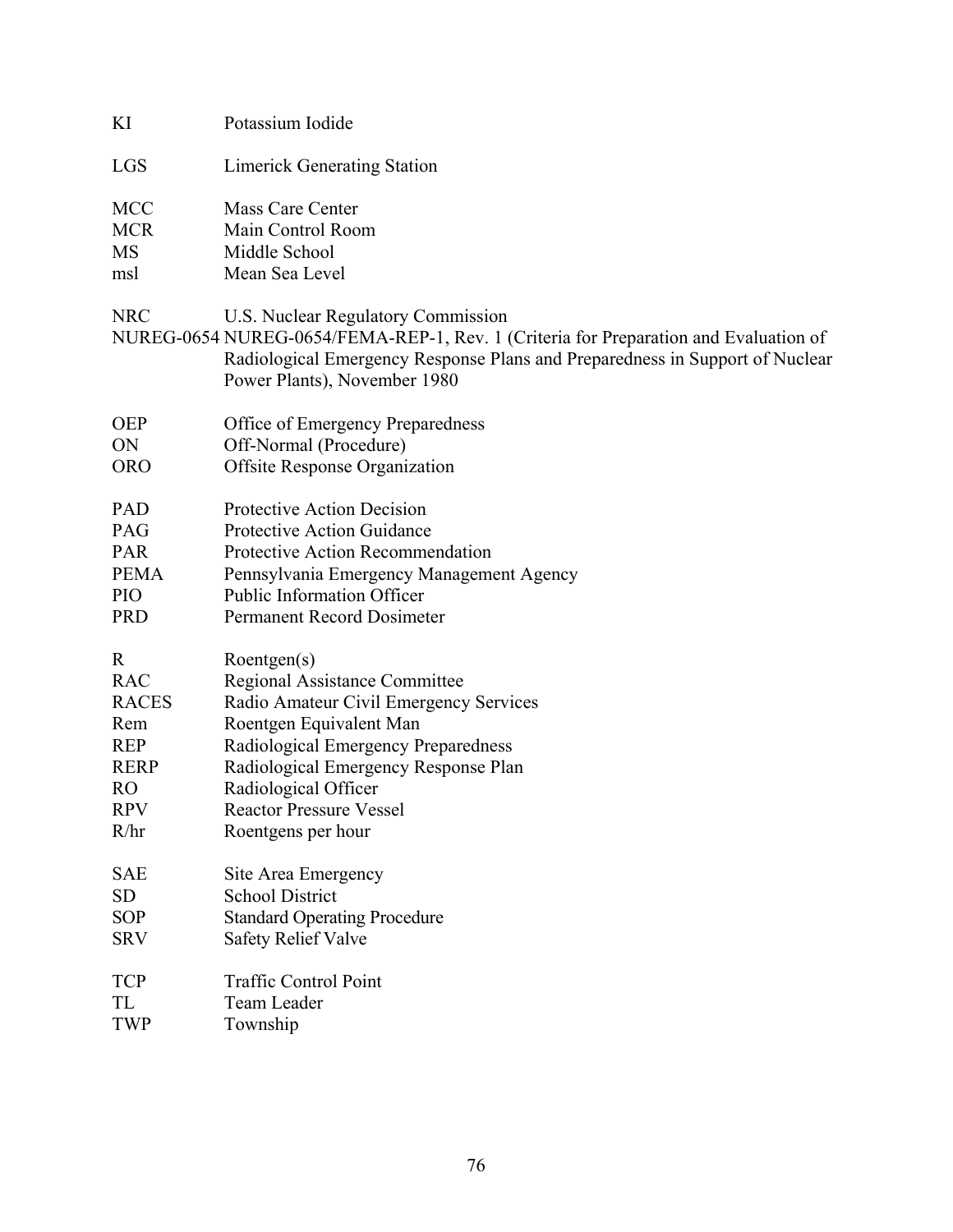| KI                                    | Potassium Iodide                                                                                                                                                                                                                           |
|---------------------------------------|--------------------------------------------------------------------------------------------------------------------------------------------------------------------------------------------------------------------------------------------|
| <b>LGS</b>                            | <b>Limerick Generating Station</b>                                                                                                                                                                                                         |
| <b>MCC</b><br><b>MCR</b><br>MS<br>msl | Mass Care Center<br>Main Control Room<br>Middle School<br>Mean Sea Level                                                                                                                                                                   |
| <b>NRC</b>                            | U.S. Nuclear Regulatory Commission<br>NUREG-0654 NUREG-0654/FEMA-REP-1, Rev. 1 (Criteria for Preparation and Evaluation of<br>Radiological Emergency Response Plans and Preparedness in Support of Nuclear<br>Power Plants), November 1980 |
| <b>OEP</b>                            | Office of Emergency Preparedness                                                                                                                                                                                                           |
| ON                                    | Off-Normal (Procedure)                                                                                                                                                                                                                     |
| <b>ORO</b>                            | <b>Offsite Response Organization</b>                                                                                                                                                                                                       |
| <b>PAD</b>                            | Protective Action Decision                                                                                                                                                                                                                 |
| <b>PAG</b>                            | Protective Action Guidance                                                                                                                                                                                                                 |
| <b>PAR</b>                            | Protective Action Recommendation                                                                                                                                                                                                           |
| <b>PEMA</b>                           | Pennsylvania Emergency Management Agency                                                                                                                                                                                                   |
| PIO                                   | <b>Public Information Officer</b>                                                                                                                                                                                                          |
| <b>PRD</b>                            | Permanent Record Dosimeter                                                                                                                                                                                                                 |
| $\mathbf R$                           | Roentgen(s)                                                                                                                                                                                                                                |
| <b>RAC</b>                            | Regional Assistance Committee                                                                                                                                                                                                              |
| <b>RACES</b>                          | Radio Amateur Civil Emergency Services                                                                                                                                                                                                     |
| Rem                                   | Roentgen Equivalent Man                                                                                                                                                                                                                    |
| <b>REP</b>                            | Radiological Emergency Preparedness                                                                                                                                                                                                        |
| <b>RERP</b>                           | Radiological Emergency Response Plan                                                                                                                                                                                                       |
| R <sub>O</sub>                        | Radiological Officer                                                                                                                                                                                                                       |
| <b>RPV</b>                            | <b>Reactor Pressure Vessel</b>                                                                                                                                                                                                             |
| R/hr                                  | Roentgens per hour                                                                                                                                                                                                                         |
| <b>SAE</b>                            | Site Area Emergency                                                                                                                                                                                                                        |
| <b>SD</b>                             | <b>School District</b>                                                                                                                                                                                                                     |
| <b>SOP</b>                            | <b>Standard Operating Procedure</b>                                                                                                                                                                                                        |
| <b>SRV</b>                            | <b>Safety Relief Valve</b>                                                                                                                                                                                                                 |
| <b>TCP</b>                            | <b>Traffic Control Point</b>                                                                                                                                                                                                               |
| TL                                    | Team Leader                                                                                                                                                                                                                                |
| <b>TWP</b>                            | Township                                                                                                                                                                                                                                   |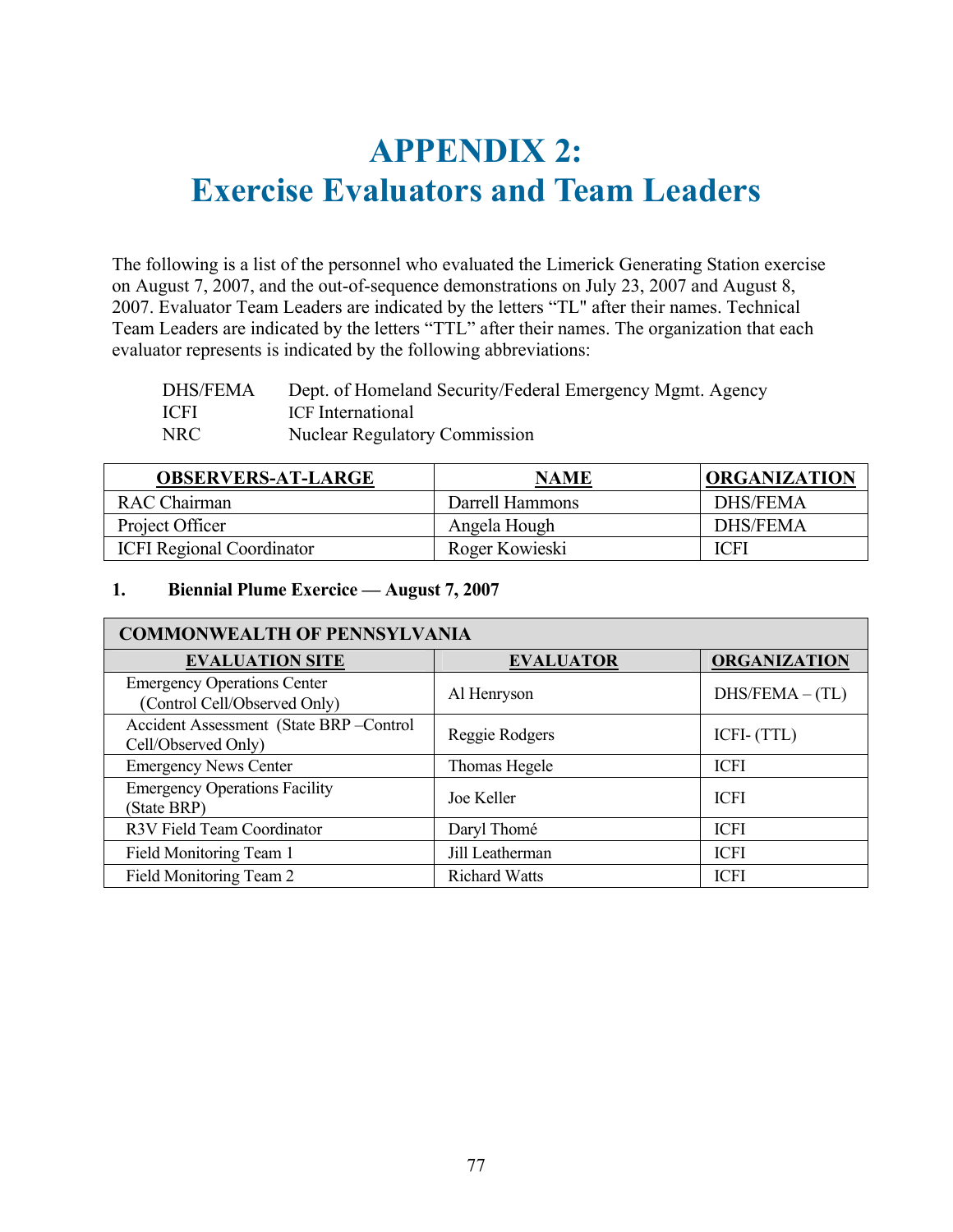# **APPENDIX 2: Exercise Evaluators and Team Leaders**

The following is a list of the personnel who evaluated the Limerick Generating Station exercise on August 7, 2007, and the out-of-sequence demonstrations on July 23, 2007 and August 8, 2007. Evaluator Team Leaders are indicated by the letters "TL" after their names. Technical Team Leaders are indicated by the letters "TTL" after their names. The organization that each evaluator represents is indicated by the following abbreviations:

| <b>DHS/FEMA</b> | Dept. of Homeland Security/Federal Emergency Mgmt. Agency |
|-----------------|-----------------------------------------------------------|
| <b>ICFI</b>     | ICF International                                         |
| NRC             | <b>Nuclear Regulatory Commission</b>                      |

| <b>OBSERVERS-AT-LARGE</b>        | <b>NAME</b>     | <b>ORGANIZATION</b> |
|----------------------------------|-----------------|---------------------|
| <b>RAC</b> Chairman              | Darrell Hammons | <b>DHS/FEMA</b>     |
| Project Officer                  | Angela Hough    | <b>DHS/FEMA</b>     |
| <b>ICFI Regional Coordinator</b> | Roger Kowieski  | <b>ICFI</b>         |

# **1. Biennial Plume Exercice — August 7, 2007**

| <b>COMMONWEALTH OF PENNSYLVANIA</b>                                |                      |                     |
|--------------------------------------------------------------------|----------------------|---------------------|
| <b>EVALUATION SITE</b>                                             | <b>EVALUATOR</b>     | <b>ORGANIZATION</b> |
| <b>Emergency Operations Center</b><br>(Control Cell/Observed Only) | Al Henryson          | $DHS/FEMA - (TL)$   |
| Accident Assessment (State BRP-Control<br>Cell/Observed Only)      | Reggie Rodgers       | ICFI- (TTL)         |
| <b>Emergency News Center</b>                                       | Thomas Hegele        | <b>ICFI</b>         |
| <b>Emergency Operations Facility</b><br>(State BRP)                | Joe Keller           | <b>ICFI</b>         |
| R3V Field Team Coordinator                                         | Daryl Thomé          | <b>ICFI</b>         |
| Field Monitoring Team 1                                            | Jill Leatherman      | <b>ICFI</b>         |
| Field Monitoring Team 2                                            | <b>Richard Watts</b> | <b>ICFI</b>         |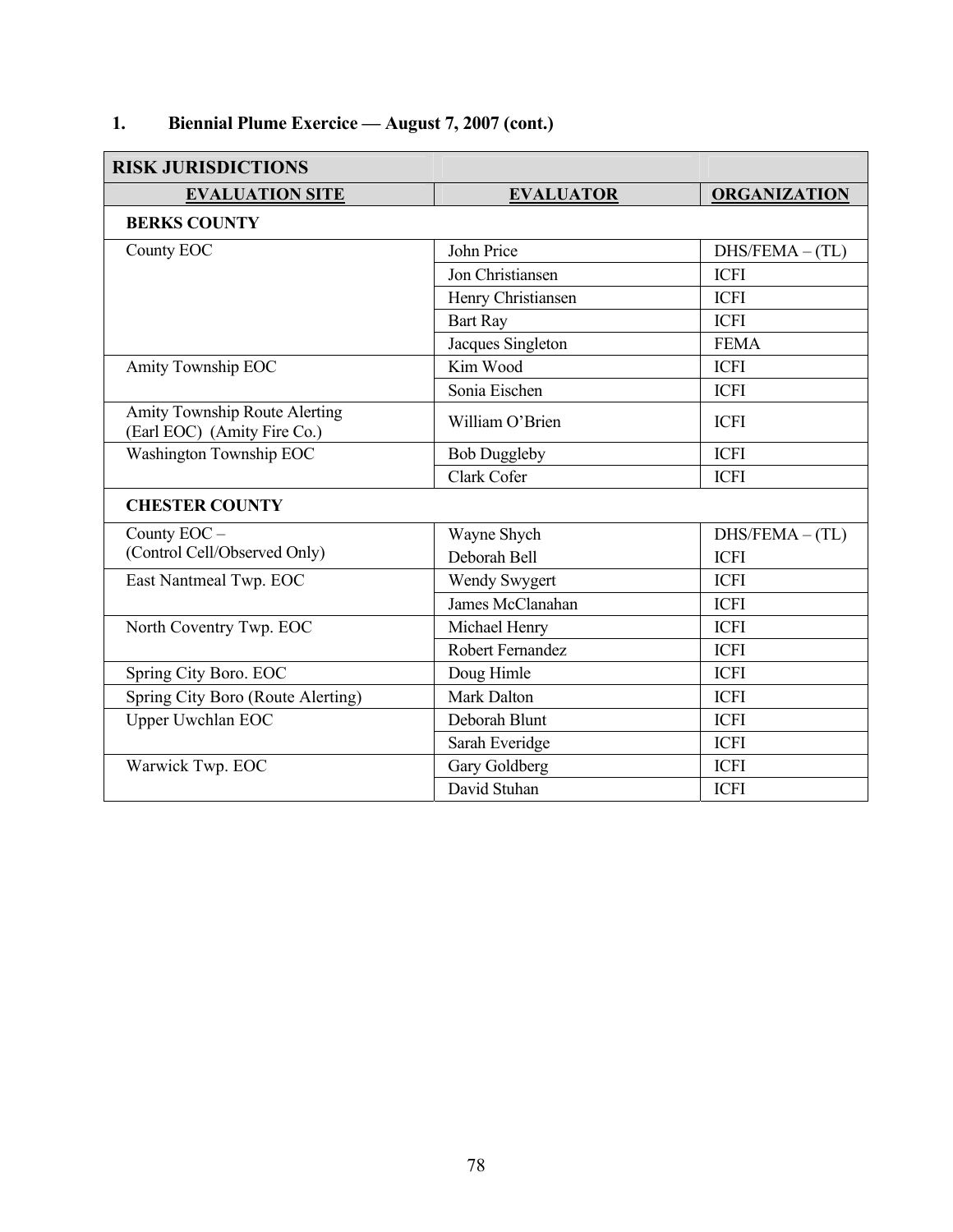# **1. Biennial Plume Exercice — August 7, 2007 (cont.)**

| <b>RISK JURISDICTIONS</b>                                    |                     |                     |
|--------------------------------------------------------------|---------------------|---------------------|
| <b>EVALUATION SITE</b>                                       | <b>EVALUATOR</b>    | <b>ORGANIZATION</b> |
| <b>BERKS COUNTY</b>                                          |                     |                     |
| County EOC                                                   | John Price          | $DHS/FEMA - (TL)$   |
|                                                              | Jon Christiansen    | <b>ICFI</b>         |
|                                                              | Henry Christiansen  | <b>ICFI</b>         |
|                                                              | <b>Bart Ray</b>     | <b>ICFI</b>         |
|                                                              | Jacques Singleton   | <b>FEMA</b>         |
| Amity Township EOC                                           | Kim Wood            | <b>ICFI</b>         |
|                                                              | Sonia Eischen       | <b>ICFI</b>         |
| Amity Township Route Alerting<br>(Earl EOC) (Amity Fire Co.) | William O'Brien     | <b>ICFI</b>         |
| Washington Township EOC                                      | <b>Bob Duggleby</b> | <b>ICFI</b>         |
|                                                              | Clark Cofer         | <b>ICFI</b>         |
| <b>CHESTER COUNTY</b>                                        |                     |                     |
| County EOC -                                                 | Wayne Shych         | $DHS/FEMA - (TL)$   |
| (Control Cell/Observed Only)                                 | Deborah Bell        | <b>ICFI</b>         |
| East Nantmeal Twp. EOC                                       | Wendy Swygert       | <b>ICFI</b>         |
|                                                              | James McClanahan    | <b>ICFI</b>         |
| North Coventry Twp. EOC                                      | Michael Henry       | <b>ICFI</b>         |
|                                                              | Robert Fernandez    | <b>ICFI</b>         |
| Spring City Boro. EOC                                        | Doug Himle          | <b>ICFI</b>         |
| Spring City Boro (Route Alerting)                            | <b>Mark Dalton</b>  | <b>ICFI</b>         |
| Upper Uwchlan EOC                                            | Deborah Blunt       | <b>ICFI</b>         |
|                                                              | Sarah Everidge      | <b>ICFI</b>         |
| Warwick Twp. EOC                                             | Gary Goldberg       | <b>ICFI</b>         |
|                                                              | David Stuhan        | <b>ICFI</b>         |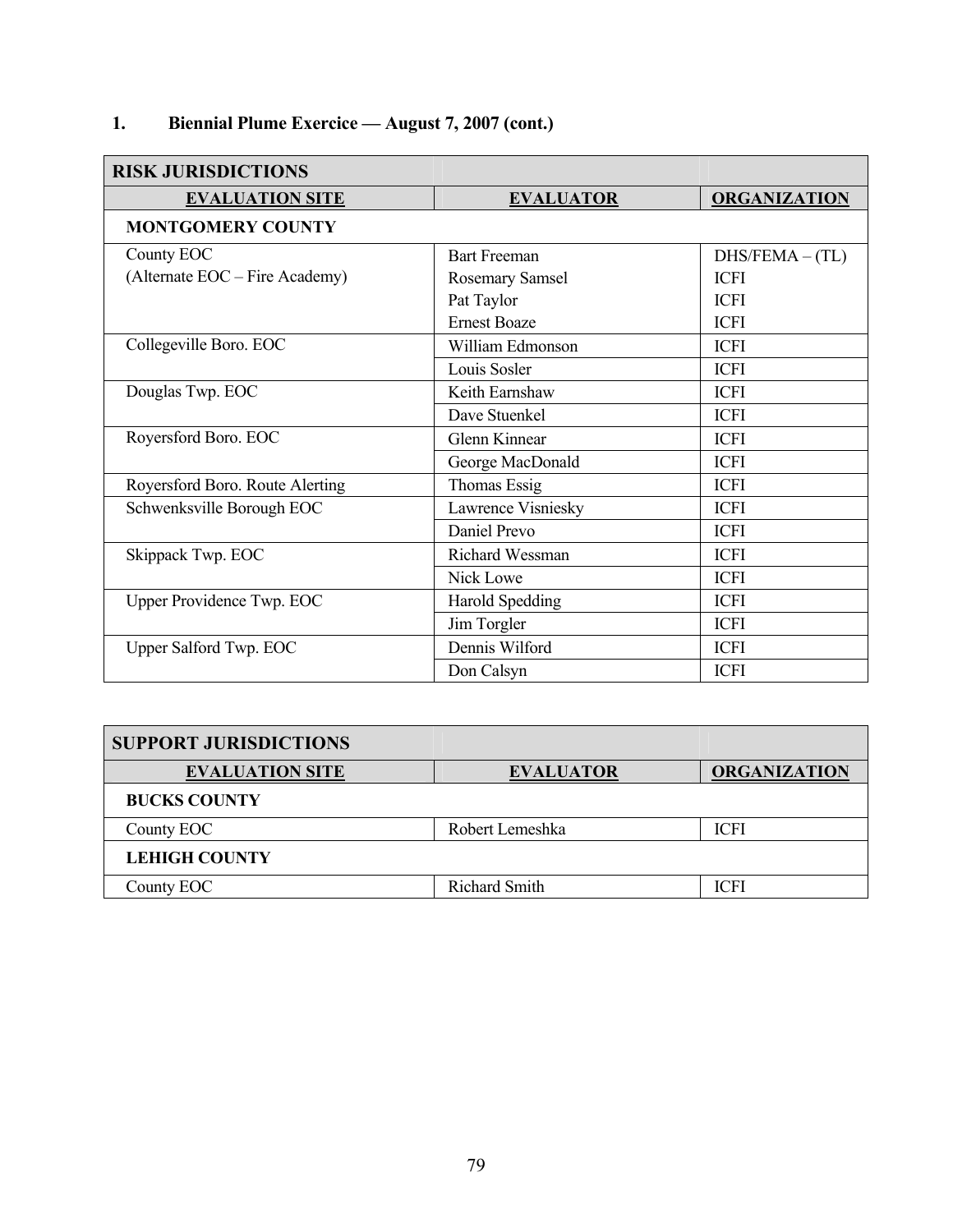# **1. Biennial Plume Exercice — August 7, 2007 (cont.)**

| <b>RISK JURISDICTIONS</b>       |                        |                     |
|---------------------------------|------------------------|---------------------|
| <b>EVALUATION SITE</b>          | <b>EVALUATOR</b>       | <b>ORGANIZATION</b> |
| <b>MONTGOMERY COUNTY</b>        |                        |                     |
| County EOC                      | <b>Bart Freeman</b>    | $DHS/FEMA - (TL)$   |
| (Alternate EOC – Fire Academy)  | Rosemary Samsel        | <b>ICFI</b>         |
|                                 | Pat Taylor             | <b>ICFI</b>         |
|                                 | <b>Ernest Boaze</b>    | <b>ICFI</b>         |
| Collegeville Boro. EOC          | William Edmonson       | <b>ICFI</b>         |
|                                 | Louis Sosler           | <b>ICFI</b>         |
| Douglas Twp. EOC                | Keith Earnshaw         | <b>ICFI</b>         |
|                                 | Dave Stuenkel          | <b>ICFI</b>         |
| Royersford Boro. EOC            | Glenn Kinnear          | <b>ICFI</b>         |
|                                 | George MacDonald       | <b>ICFI</b>         |
| Royersford Boro. Route Alerting | Thomas Essig           | <b>ICFI</b>         |
| Schwenksville Borough EOC       | Lawrence Visniesky     | <b>ICFI</b>         |
|                                 | Daniel Prevo           | <b>ICFI</b>         |
| Skippack Twp. EOC               | Richard Wessman        | <b>ICFI</b>         |
|                                 | Nick Lowe              | <b>ICFI</b>         |
| Upper Providence Twp. EOC       | <b>Harold Spedding</b> | <b>ICFI</b>         |
|                                 | Jim Torgler            | <b>ICFI</b>         |
| Upper Salford Twp. EOC          | Dennis Wilford         | <b>ICFI</b>         |
|                                 | Don Calsyn             | <b>ICFI</b>         |

| <b>SUPPORT JURISDICTIONS</b> |                      |                     |
|------------------------------|----------------------|---------------------|
| <b>EVALUATION SITE</b>       | <b>EVALUATOR</b>     | <b>ORGANIZATION</b> |
| <b>BUCKS COUNTY</b>          |                      |                     |
| County EOC                   | Robert Lemeshka      | <b>ICFI</b>         |
| <b>LEHIGH COUNTY</b>         |                      |                     |
| County EOC                   | <b>Richard Smith</b> | ICFI                |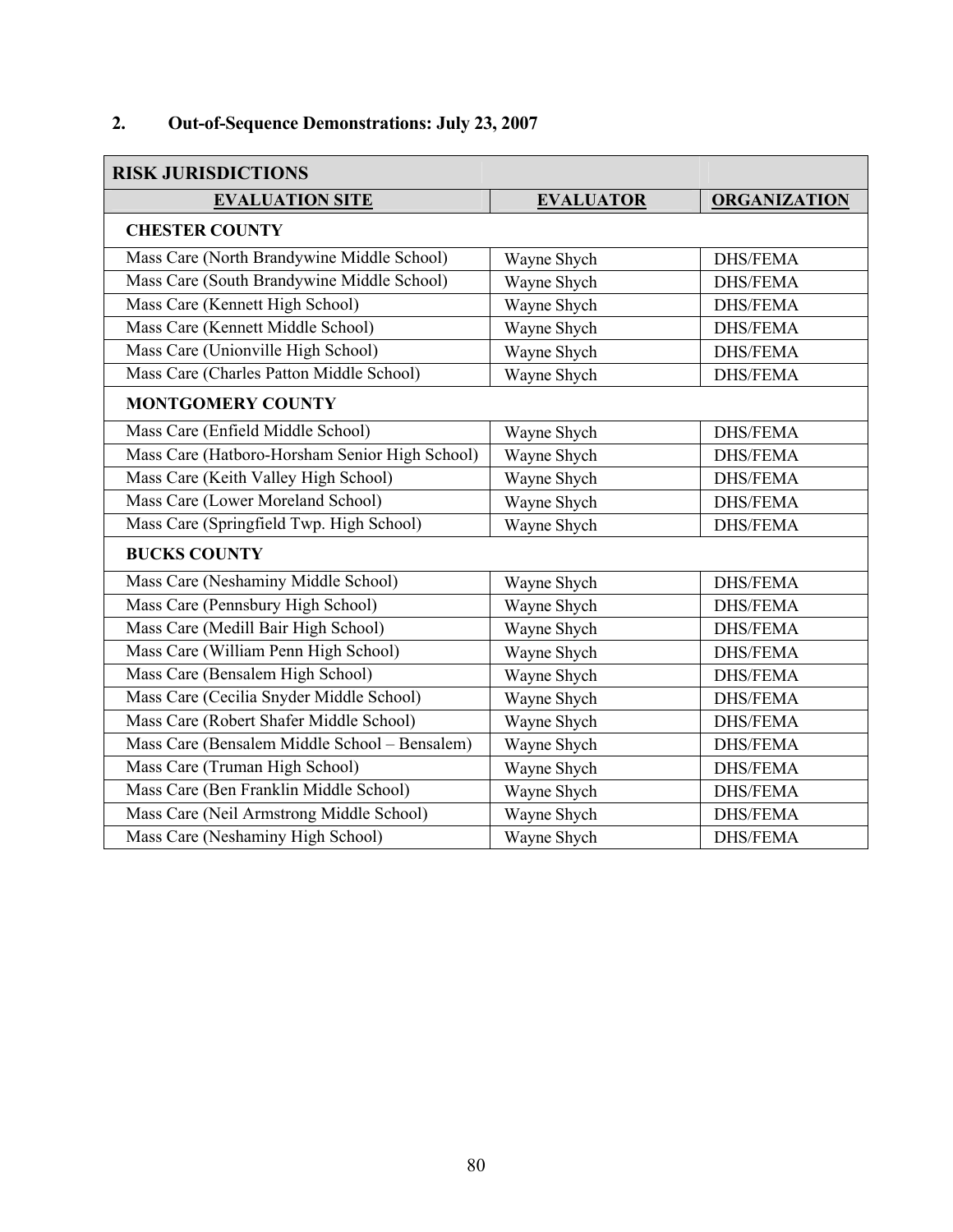# **2. Out-of-Sequence Demonstrations: July 23, 2007**

| <b>RISK JURISDICTIONS</b>                      |                  |                     |
|------------------------------------------------|------------------|---------------------|
| <b>EVALUATION SITE</b>                         | <b>EVALUATOR</b> | <b>ORGANIZATION</b> |
| <b>CHESTER COUNTY</b>                          |                  |                     |
| Mass Care (North Brandywine Middle School)     | Wayne Shych      | <b>DHS/FEMA</b>     |
| Mass Care (South Brandywine Middle School)     | Wayne Shych      | <b>DHS/FEMA</b>     |
| Mass Care (Kennett High School)                | Wayne Shych      | <b>DHS/FEMA</b>     |
| Mass Care (Kennett Middle School)              | Wayne Shych      | <b>DHS/FEMA</b>     |
| Mass Care (Unionville High School)             | Wayne Shych      | <b>DHS/FEMA</b>     |
| Mass Care (Charles Patton Middle School)       | Wayne Shych      | <b>DHS/FEMA</b>     |
| <b>MONTGOMERY COUNTY</b>                       |                  |                     |
| Mass Care (Enfield Middle School)              | Wayne Shych      | <b>DHS/FEMA</b>     |
| Mass Care (Hatboro-Horsham Senior High School) | Wayne Shych      | <b>DHS/FEMA</b>     |
| Mass Care (Keith Valley High School)           | Wayne Shych      | <b>DHS/FEMA</b>     |
| Mass Care (Lower Moreland School)              | Wayne Shych      | <b>DHS/FEMA</b>     |
| Mass Care (Springfield Twp. High School)       | Wayne Shych      | <b>DHS/FEMA</b>     |
| <b>BUCKS COUNTY</b>                            |                  |                     |
| Mass Care (Neshaminy Middle School)            | Wayne Shych      | <b>DHS/FEMA</b>     |
| Mass Care (Pennsbury High School)              | Wayne Shych      | <b>DHS/FEMA</b>     |
| Mass Care (Medill Bair High School)            | Wayne Shych      | <b>DHS/FEMA</b>     |
| Mass Care (William Penn High School)           | Wayne Shych      | <b>DHS/FEMA</b>     |
| Mass Care (Bensalem High School)               | Wayne Shych      | <b>DHS/FEMA</b>     |
| Mass Care (Cecilia Snyder Middle School)       | Wayne Shych      | <b>DHS/FEMA</b>     |
| Mass Care (Robert Shafer Middle School)        | Wayne Shych      | <b>DHS/FEMA</b>     |
| Mass Care (Bensalem Middle School - Bensalem)  | Wayne Shych      | <b>DHS/FEMA</b>     |
| Mass Care (Truman High School)                 | Wayne Shych      | <b>DHS/FEMA</b>     |
| Mass Care (Ben Franklin Middle School)         | Wayne Shych      | <b>DHS/FEMA</b>     |
| Mass Care (Neil Armstrong Middle School)       | Wayne Shych      | <b>DHS/FEMA</b>     |
| Mass Care (Neshaminy High School)              | Wayne Shych      | <b>DHS/FEMA</b>     |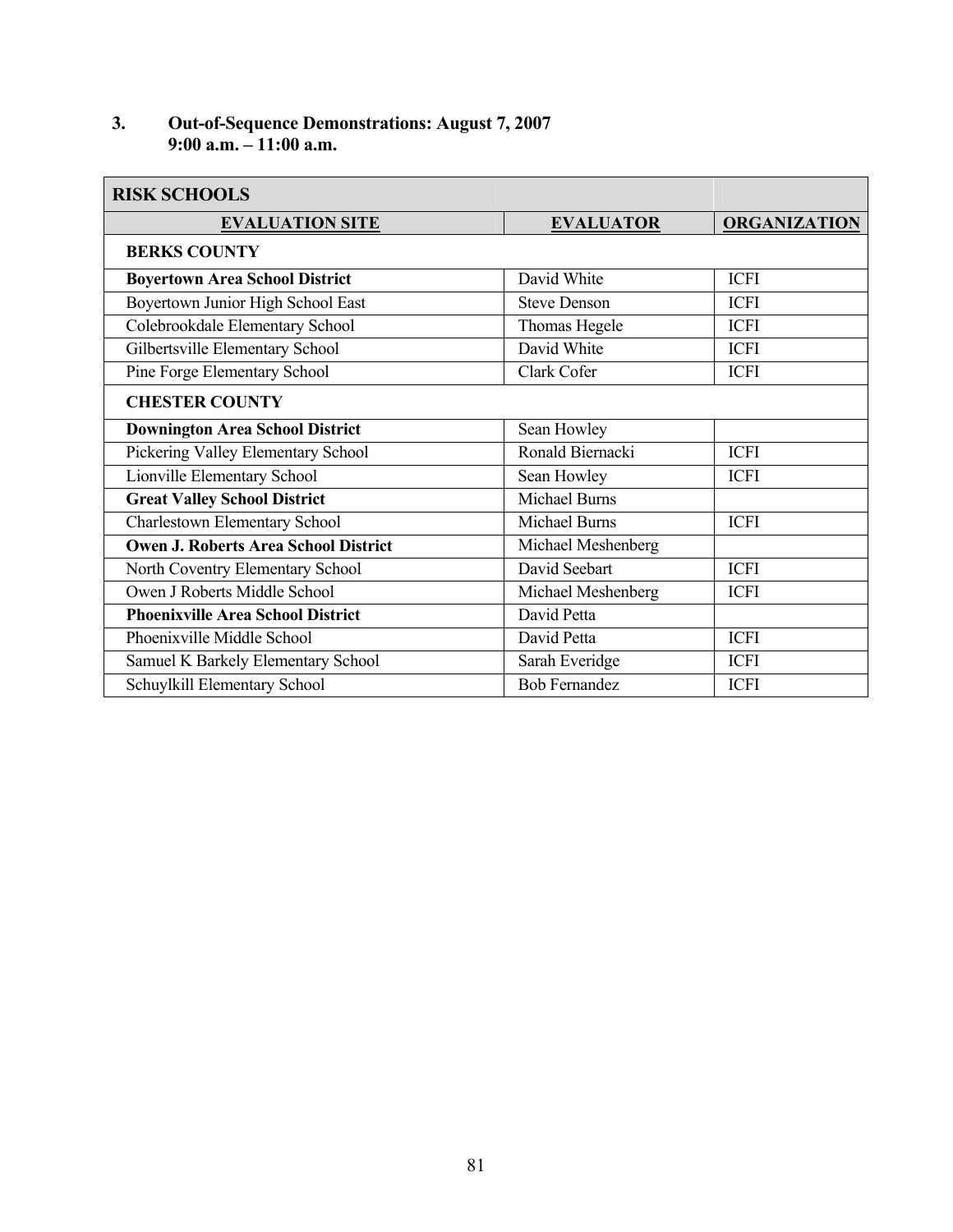#### **3. Out-of-Sequence Demonstrations: August 7, 2007 9:00 a.m. – 11:00 a.m.**

| <b>RISK SCHOOLS</b>                         |                      |                     |
|---------------------------------------------|----------------------|---------------------|
| <b>EVALUATION SITE</b>                      | <b>EVALUATOR</b>     | <b>ORGANIZATION</b> |
| <b>BERKS COUNTY</b>                         |                      |                     |
| <b>Boyertown Area School District</b>       | David White          | <b>ICFI</b>         |
| Boyertown Junior High School East           | <b>Steve Denson</b>  | <b>ICFI</b>         |
| Colebrookdale Elementary School             | Thomas Hegele        | <b>ICFI</b>         |
| Gilbertsville Elementary School             | David White          | <b>ICFI</b>         |
| Pine Forge Elementary School                | Clark Cofer          | <b>ICFI</b>         |
| <b>CHESTER COUNTY</b>                       |                      |                     |
| <b>Downington Area School District</b>      | Sean Howley          |                     |
| Pickering Valley Elementary School          | Ronald Biernacki     | <b>ICFI</b>         |
| Lionville Elementary School                 | Sean Howley          | <b>ICFI</b>         |
| <b>Great Valley School District</b>         | <b>Michael Burns</b> |                     |
| Charlestown Elementary School               | <b>Michael Burns</b> | <b>ICFI</b>         |
| <b>Owen J. Roberts Area School District</b> | Michael Meshenberg   |                     |
| North Coventry Elementary School            | David Seebart        | <b>ICFI</b>         |
| Owen J Roberts Middle School                | Michael Meshenberg   | <b>ICFI</b>         |
| <b>Phoenixville Area School District</b>    | David Petta          |                     |
| Phoenixville Middle School                  | David Petta          | <b>ICFI</b>         |
| Samuel K Barkely Elementary School          | Sarah Everidge       | <b>ICFI</b>         |
| Schuylkill Elementary School                | <b>Bob Fernandez</b> | <b>ICFI</b>         |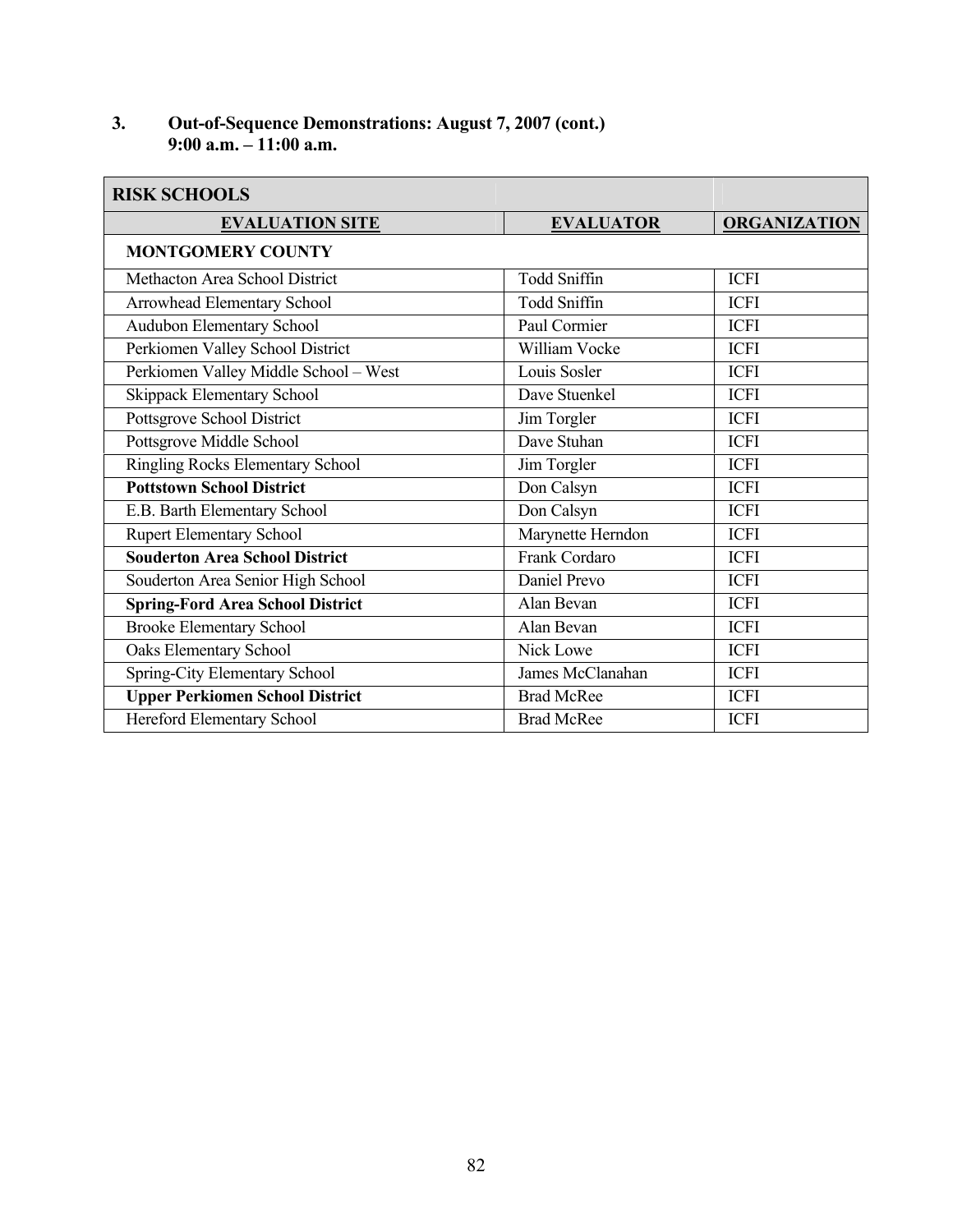#### **3. Out-of-Sequence Demonstrations: August 7, 2007 (cont.) 9:00 a.m. – 11:00 a.m.**

| <b>RISK SCHOOLS</b>                     |                     |                     |
|-----------------------------------------|---------------------|---------------------|
| <b>EVALUATION SITE</b>                  | <b>EVALUATOR</b>    | <b>ORGANIZATION</b> |
| <b>MONTGOMERY COUNTY</b>                |                     |                     |
| Methacton Area School District          | <b>Todd Sniffin</b> | <b>ICFI</b>         |
| Arrowhead Elementary School             | Todd Sniffin        | <b>ICFI</b>         |
| Audubon Elementary School               | Paul Cormier        | <b>ICFI</b>         |
| Perkiomen Valley School District        | William Vocke       | <b>ICFI</b>         |
| Perkiomen Valley Middle School - West   | Louis Sosler        | <b>ICFI</b>         |
| Skippack Elementary School              | Dave Stuenkel       | <b>ICFI</b>         |
| Pottsgrove School District              | Jim Torgler         | <b>ICFI</b>         |
| Pottsgrove Middle School                | Dave Stuhan         | <b>ICFI</b>         |
| Ringling Rocks Elementary School        | Jim Torgler         | <b>ICFI</b>         |
| <b>Pottstown School District</b>        | Don Calsyn          | <b>ICFI</b>         |
| E.B. Barth Elementary School            | Don Calsyn          | <b>ICFI</b>         |
| <b>Rupert Elementary School</b>         | Marynette Herndon   | <b>ICFI</b>         |
| <b>Souderton Area School District</b>   | Frank Cordaro       | <b>ICFI</b>         |
| Souderton Area Senior High School       | Daniel Prevo        | <b>ICFI</b>         |
| <b>Spring-Ford Area School District</b> | Alan Bevan          | <b>ICFI</b>         |
| <b>Brooke Elementary School</b>         | Alan Bevan          | <b>ICFI</b>         |
| Oaks Elementary School                  | Nick Lowe           | <b>ICFI</b>         |
| Spring-City Elementary School           | James McClanahan    | <b>ICFI</b>         |
| <b>Upper Perkiomen School District</b>  | <b>Brad McRee</b>   | <b>ICFI</b>         |
| Hereford Elementary School              | <b>Brad McRee</b>   | <b>ICFI</b>         |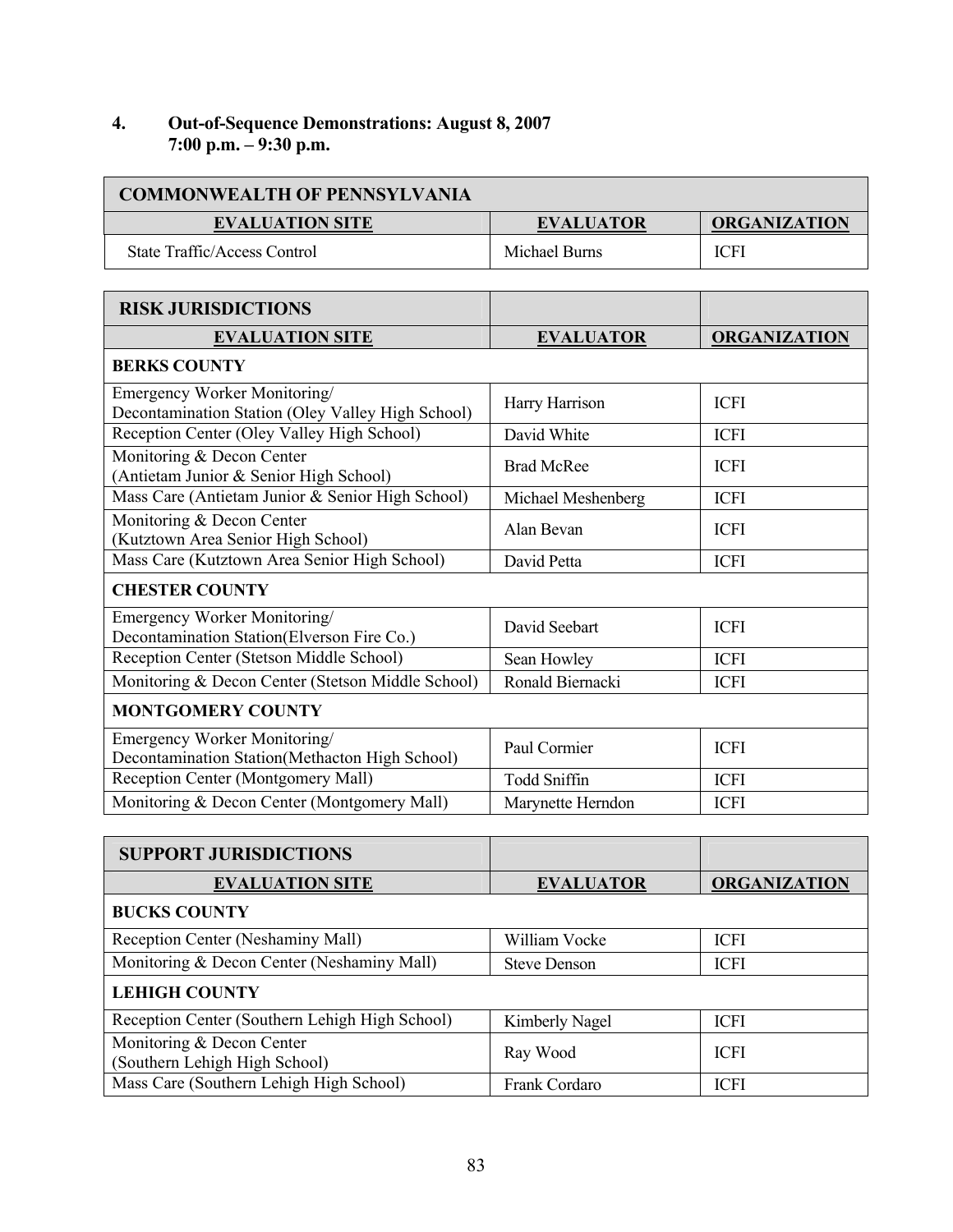#### **4. Out-of-Sequence Demonstrations: August 8, 2007 7:00 p.m. – 9:30 p.m.**

| <b>COMMONWEALTH OF PENNSYLVANIA</b> |                  |                     |  |
|-------------------------------------|------------------|---------------------|--|
| <b>EVALUATION SITE</b>              | <b>EVALUATOR</b> | <b>ORGANIZATION</b> |  |
| State Traffic/Access Control        | Michael Burns    | <b>ICFI</b>         |  |

| <b>RISK JURISDICTIONS</b>                                                         |                     |                     |  |  |
|-----------------------------------------------------------------------------------|---------------------|---------------------|--|--|
| <b>EVALUATION SITE</b>                                                            | <b>EVALUATOR</b>    | <b>ORGANIZATION</b> |  |  |
| <b>BERKS COUNTY</b>                                                               |                     |                     |  |  |
| Emergency Worker Monitoring/<br>Decontamination Station (Oley Valley High School) | Harry Harrison      | <b>ICFI</b>         |  |  |
| Reception Center (Oley Valley High School)                                        | David White         | <b>ICFI</b>         |  |  |
| Monitoring & Decon Center<br>(Antietam Junior & Senior High School)               | <b>Brad McRee</b>   | <b>ICFI</b>         |  |  |
| Mass Care (Antietam Junior & Senior High School)                                  | Michael Meshenberg  | <b>ICFI</b>         |  |  |
| Monitoring & Decon Center<br>(Kutztown Area Senior High School)                   | Alan Bevan          | <b>ICFI</b>         |  |  |
| Mass Care (Kutztown Area Senior High School)                                      | David Petta         | <b>ICFI</b>         |  |  |
| <b>CHESTER COUNTY</b>                                                             |                     |                     |  |  |
| Emergency Worker Monitoring/<br>Decontamination Station(Elverson Fire Co.)        | David Seebart       | <b>ICFI</b>         |  |  |
| Reception Center (Stetson Middle School)                                          | Sean Howley         | <b>ICFI</b>         |  |  |
| Monitoring & Decon Center (Stetson Middle School)                                 | Ronald Biernacki    | <b>ICFI</b>         |  |  |
| <b>MONTGOMERY COUNTY</b>                                                          |                     |                     |  |  |
| Emergency Worker Monitoring/<br>Decontamination Station(Methacton High School)    | Paul Cormier        | <b>ICFI</b>         |  |  |
| Reception Center (Montgomery Mall)                                                | <b>Todd Sniffin</b> | <b>ICFI</b>         |  |  |
| Monitoring & Decon Center (Montgomery Mall)                                       | Marynette Herndon   | <b>ICFI</b>         |  |  |

| <b>SUPPORT JURISDICTIONS</b>                               |                     |                     |
|------------------------------------------------------------|---------------------|---------------------|
| <b>EVALUATION SITE</b>                                     | <b>EVALUATOR</b>    | <b>ORGANIZATION</b> |
| <b>BUCKS COUNTY</b>                                        |                     |                     |
| Reception Center (Neshaminy Mall)                          | William Vocke       | <b>ICFI</b>         |
| Monitoring & Decon Center (Neshaminy Mall)                 | <b>Steve Denson</b> | <b>ICFI</b>         |
| <b>LEHIGH COUNTY</b>                                       |                     |                     |
| Reception Center (Southern Lehigh High School)             | Kimberly Nagel      | <b>ICFI</b>         |
| Monitoring & Decon Center<br>(Southern Lehigh High School) | Ray Wood            | <b>ICFI</b>         |
| Mass Care (Southern Lehigh High School)                    | Frank Cordaro       | <b>ICFI</b>         |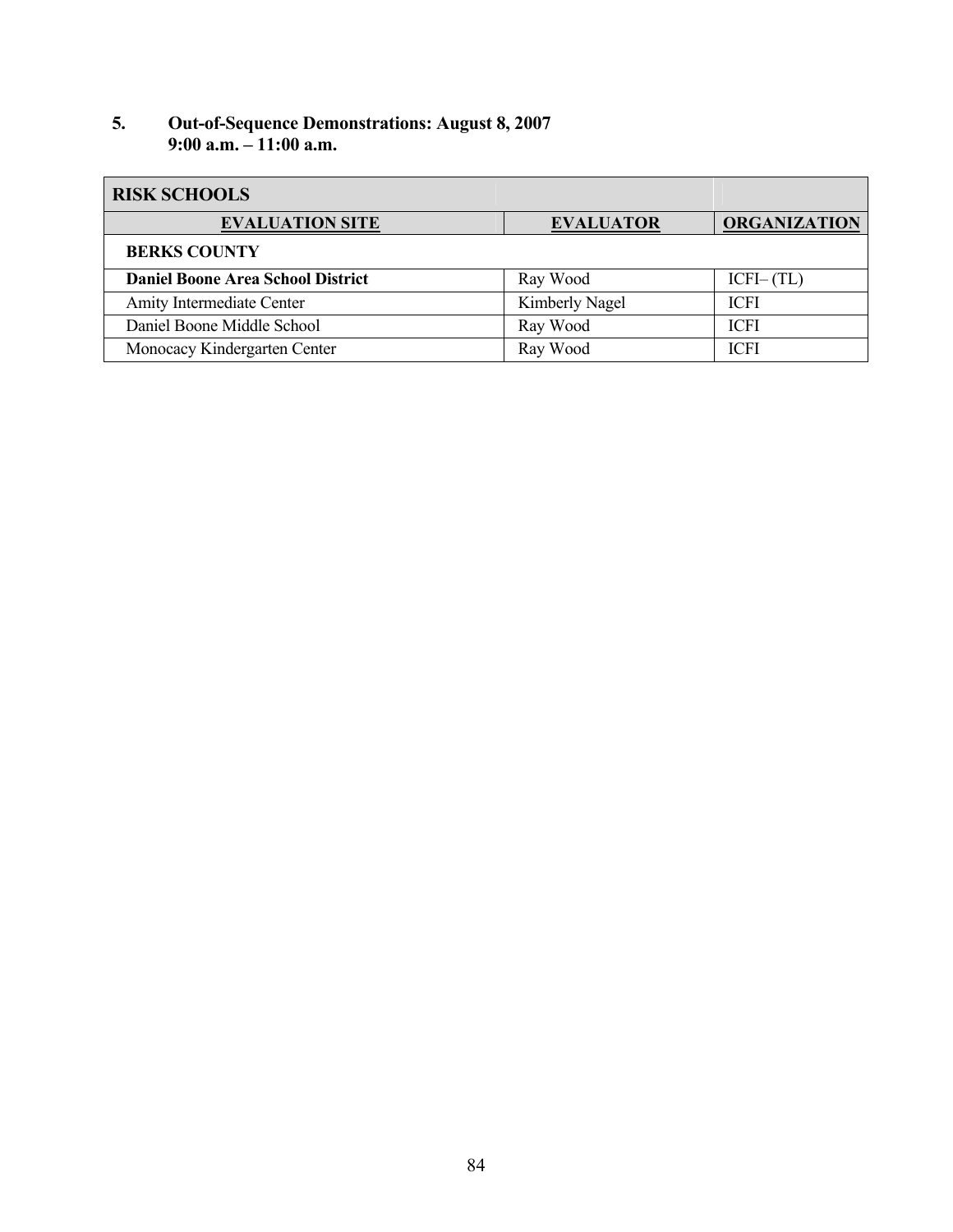#### **5. Out-of-Sequence Demonstrations: August 8, 2007 9:00 a.m. – 11:00 a.m.**

| <b>RISK SCHOOLS</b>                      |                  |                     |
|------------------------------------------|------------------|---------------------|
| <b>EVALUATION SITE</b>                   | <b>EVALUATOR</b> | <b>ORGANIZATION</b> |
| <b>BERKS COUNTY</b>                      |                  |                     |
| <b>Daniel Boone Area School District</b> | Ray Wood         | $ICFI-(TL)$         |
| Amity Intermediate Center                | Kimberly Nagel   | <b>ICFI</b>         |
| Daniel Boone Middle School               | Ray Wood         | <b>ICFI</b>         |
| Monocacy Kindergarten Center             | Ray Wood         | <b>ICFI</b>         |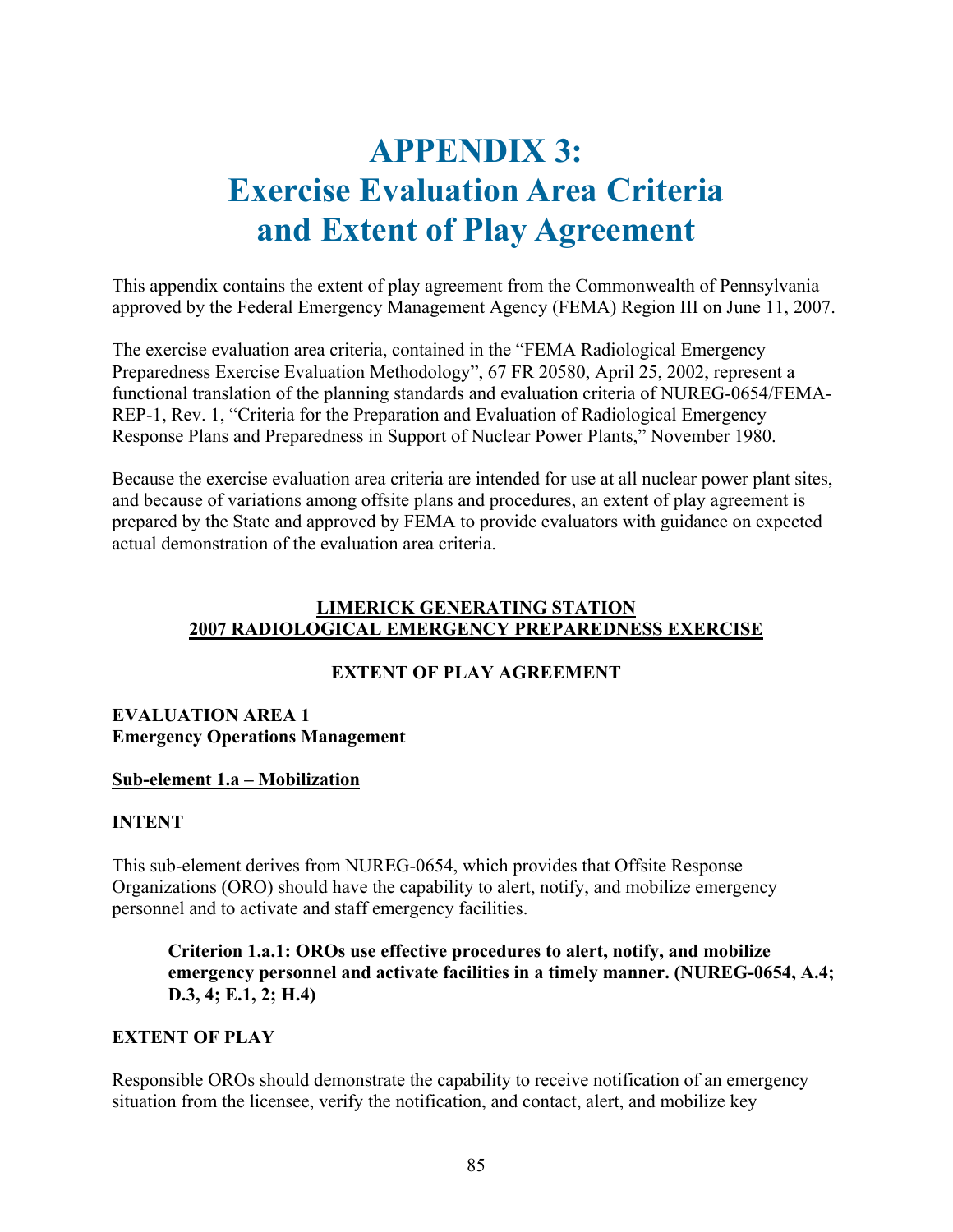# **APPENDIX 3: Exercise Evaluation Area Criteria and Extent of Play Agreement**

This appendix contains the extent of play agreement from the Commonwealth of Pennsylvania approved by the Federal Emergency Management Agency (FEMA) Region III on June 11, 2007.

The exercise evaluation area criteria, contained in the "FEMA Radiological Emergency Preparedness Exercise Evaluation Methodology", 67 FR 20580, April 25, 2002, represent a functional translation of the planning standards and evaluation criteria of NUREG-0654/FEMA-REP-1, Rev. 1, "Criteria for the Preparation and Evaluation of Radiological Emergency Response Plans and Preparedness in Support of Nuclear Power Plants," November 1980.

Because the exercise evaluation area criteria are intended for use at all nuclear power plant sites, and because of variations among offsite plans and procedures, an extent of play agreement is prepared by the State and approved by FEMA to provide evaluators with guidance on expected actual demonstration of the evaluation area criteria.

### **LIMERICK GENERATING STATION 2007 RADIOLOGICAL EMERGENCY PREPAREDNESS EXERCISE**

# **EXTENT OF PLAY AGREEMENT**

### **EVALUATION AREA 1 Emergency Operations Management**

#### **Sub-element 1.a – Mobilization**

#### **INTENT**

This sub-element derives from NUREG-0654, which provides that Offsite Response Organizations (ORO) should have the capability to alert, notify, and mobilize emergency personnel and to activate and staff emergency facilities.

**Criterion 1.a.1: OROs use effective procedures to alert, notify, and mobilize emergency personnel and activate facilities in a timely manner. (NUREG-0654, A.4; D.3, 4; E.1, 2; H.4)** 

#### **EXTENT OF PLAY**

Responsible OROs should demonstrate the capability to receive notification of an emergency situation from the licensee, verify the notification, and contact, alert, and mobilize key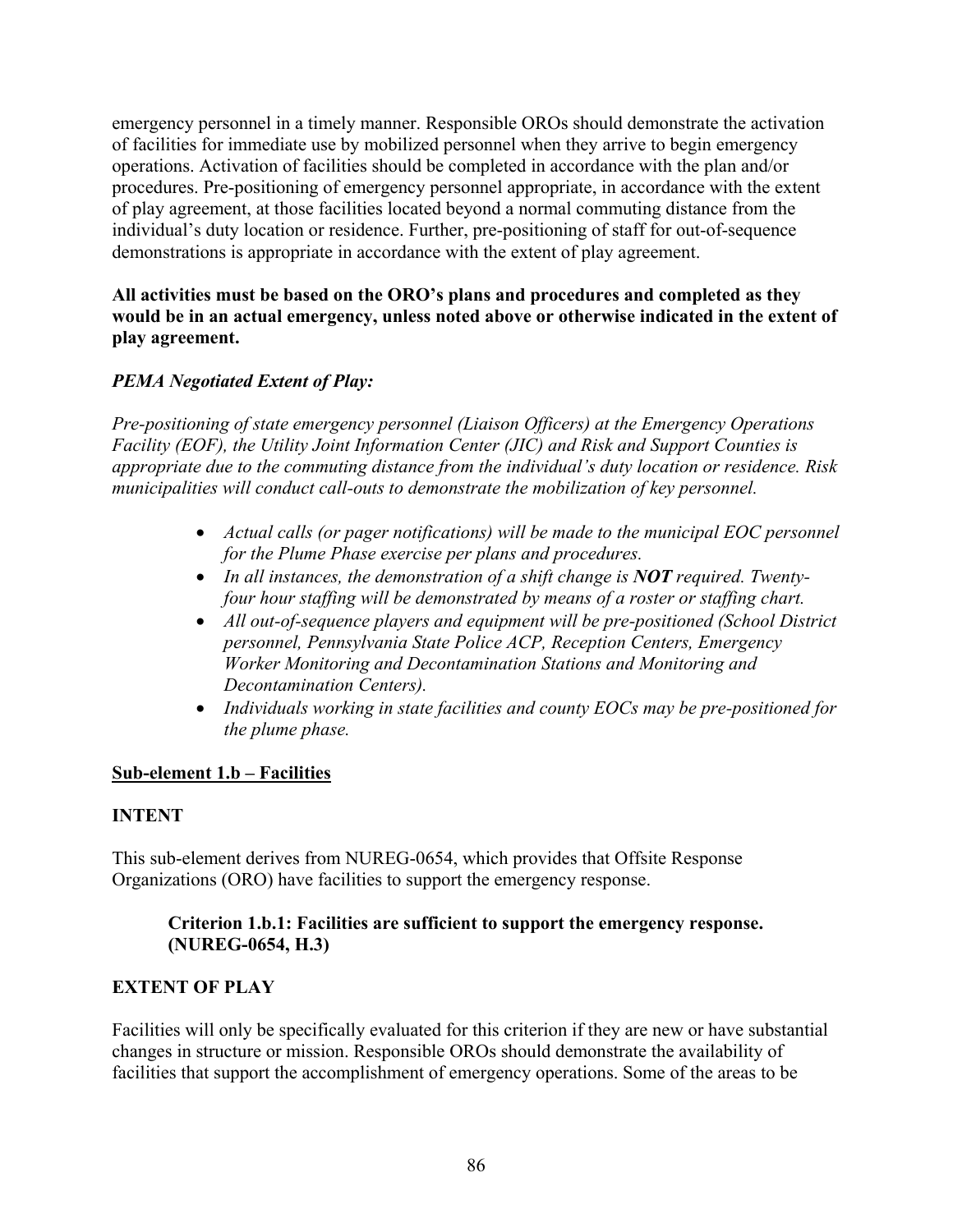emergency personnel in a timely manner. Responsible OROs should demonstrate the activation of facilities for immediate use by mobilized personnel when they arrive to begin emergency operations. Activation of facilities should be completed in accordance with the plan and/or procedures. Pre-positioning of emergency personnel appropriate, in accordance with the extent of play agreement, at those facilities located beyond a normal commuting distance from the individual's duty location or residence. Further, pre-positioning of staff for out-of-sequence demonstrations is appropriate in accordance with the extent of play agreement.

#### **All activities must be based on the ORO's plans and procedures and completed as they would be in an actual emergency, unless noted above or otherwise indicated in the extent of play agreement.**

# *PEMA Negotiated Extent of Play:*

*Pre-positioning of state emergency personnel (Liaison Officers) at the Emergency Operations Facility (EOF), the Utility Joint Information Center (JIC) and Risk and Support Counties is appropriate due to the commuting distance from the individual's duty location or residence. Risk municipalities will conduct call-outs to demonstrate the mobilization of key personnel.* 

- *Actual calls (or pager notifications) will be made to the municipal EOC personnel for the Plume Phase exercise per plans and procedures.*
- In all instances, the demonstration of a shift change is **NOT** required. Twenty*four hour staffing will be demonstrated by means of a roster or staffing chart.*
- *All out-of-sequence players and equipment will be pre-positioned (School District personnel, Pennsylvania State Police ACP, Reception Centers, Emergency Worker Monitoring and Decontamination Stations and Monitoring and Decontamination Centers).*
- *Individuals working in state facilities and county EOCs may be pre-positioned for the plume phase.*

#### **Sub-element 1.b – Facilities**

#### **INTENT**

This sub-element derives from NUREG-0654, which provides that Offsite Response Organizations (ORO) have facilities to support the emergency response.

### **Criterion 1.b.1: Facilities are sufficient to support the emergency response. (NUREG-0654, H.3)**

#### **EXTENT OF PLAY**

Facilities will only be specifically evaluated for this criterion if they are new or have substantial changes in structure or mission. Responsible OROs should demonstrate the availability of facilities that support the accomplishment of emergency operations. Some of the areas to be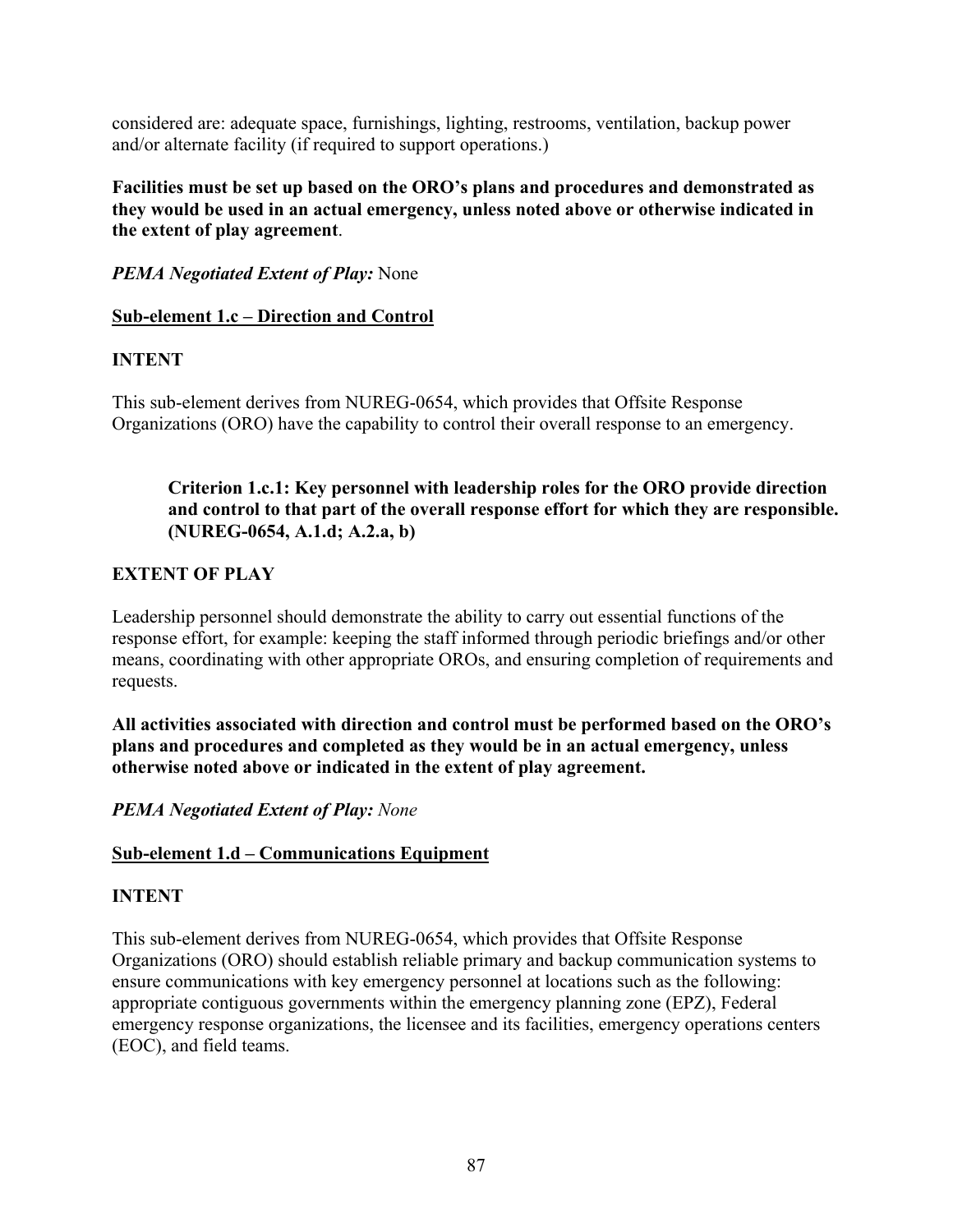considered are: adequate space, furnishings, lighting, restrooms, ventilation, backup power and/or alternate facility (if required to support operations.)

**Facilities must be set up based on the ORO's plans and procedures and demonstrated as they would be used in an actual emergency, unless noted above or otherwise indicated in the extent of play agreement**.

*PEMA Negotiated Extent of Play:* None

#### **Sub-element 1.c – Direction and Control**

### **INTENT**

This sub-element derives from NUREG-0654, which provides that Offsite Response Organizations (ORO) have the capability to control their overall response to an emergency.

#### **Criterion 1.c.1: Key personnel with leadership roles for the ORO provide direction and control to that part of the overall response effort for which they are responsible. (NUREG-0654, A.1.d; A.2.a, b)**

### **EXTENT OF PLAY**

Leadership personnel should demonstrate the ability to carry out essential functions of the response effort, for example: keeping the staff informed through periodic briefings and/or other means, coordinating with other appropriate OROs, and ensuring completion of requirements and requests.

**All activities associated with direction and control must be performed based on the ORO's plans and procedures and completed as they would be in an actual emergency, unless otherwise noted above or indicated in the extent of play agreement.** 

*PEMA Negotiated Extent of Play: None* 

# **Sub-element 1.d – Communications Equipment**

#### **INTENT**

This sub-element derives from NUREG-0654, which provides that Offsite Response Organizations (ORO) should establish reliable primary and backup communication systems to ensure communications with key emergency personnel at locations such as the following: appropriate contiguous governments within the emergency planning zone (EPZ), Federal emergency response organizations, the licensee and its facilities, emergency operations centers (EOC), and field teams.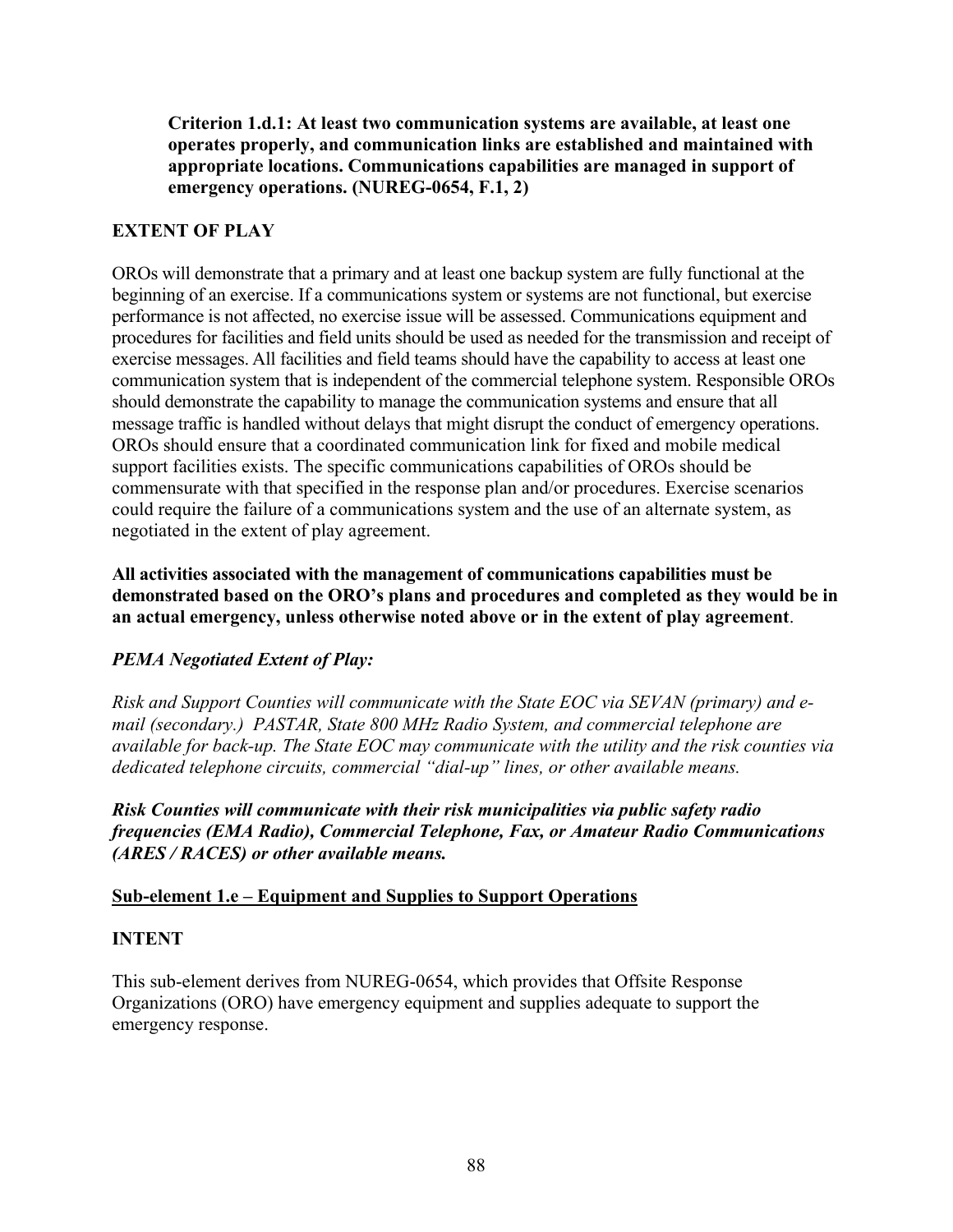**Criterion 1.d.1: At least two communication systems are available, at least one operates properly, and communication links are established and maintained with appropriate locations. Communications capabilities are managed in support of emergency operations. (NUREG-0654, F.1, 2)** 

#### **EXTENT OF PLAY**

OROs will demonstrate that a primary and at least one backup system are fully functional at the beginning of an exercise. If a communications system or systems are not functional, but exercise performance is not affected, no exercise issue will be assessed. Communications equipment and procedures for facilities and field units should be used as needed for the transmission and receipt of exercise messages. All facilities and field teams should have the capability to access at least one communication system that is independent of the commercial telephone system. Responsible OROs should demonstrate the capability to manage the communication systems and ensure that all message traffic is handled without delays that might disrupt the conduct of emergency operations. OROs should ensure that a coordinated communication link for fixed and mobile medical support facilities exists. The specific communications capabilities of OROs should be commensurate with that specified in the response plan and/or procedures. Exercise scenarios could require the failure of a communications system and the use of an alternate system, as negotiated in the extent of play agreement.

**All activities associated with the management of communications capabilities must be demonstrated based on the ORO's plans and procedures and completed as they would be in an actual emergency, unless otherwise noted above or in the extent of play agreement**.

# *PEMA Negotiated Extent of Play:*

*Risk and Support Counties will communicate with the State EOC via SEVAN (primary) and email (secondary.) PASTAR, State 800 MHz Radio System, and commercial telephone are available for back-up. The State EOC may communicate with the utility and the risk counties via dedicated telephone circuits, commercial "dial-up" lines, or other available means.* 

*Risk Counties will communicate with their risk municipalities via public safety radio frequencies (EMA Radio), Commercial Telephone, Fax, or Amateur Radio Communications (ARES / RACES) or other available means.* 

#### **Sub-element 1.e – Equipment and Supplies to Support Operations**

#### **INTENT**

This sub-element derives from NUREG-0654, which provides that Offsite Response Organizations (ORO) have emergency equipment and supplies adequate to support the emergency response.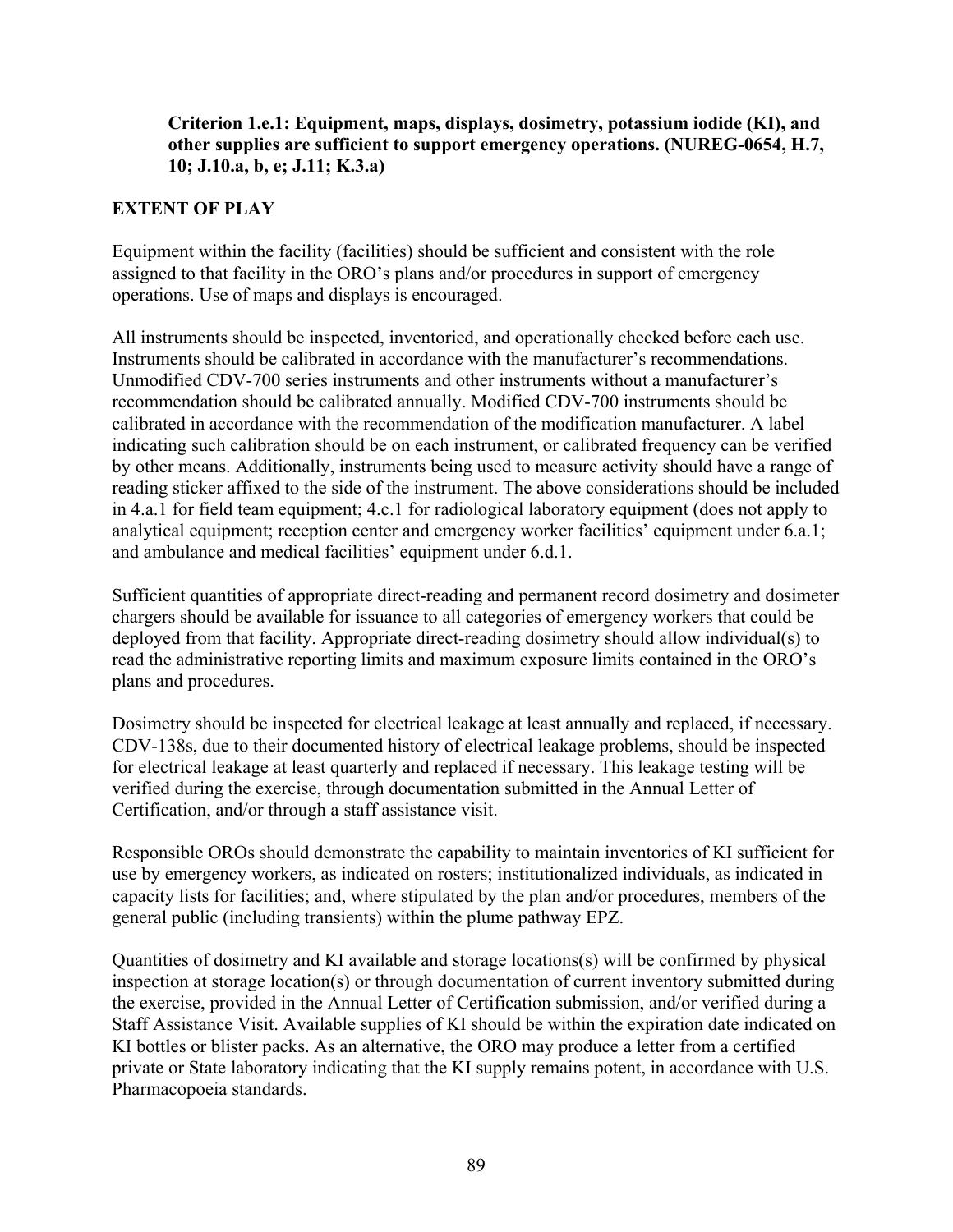#### **Criterion 1.e.1: Equipment, maps, displays, dosimetry, potassium iodide (KI), and other supplies are sufficient to support emergency operations. (NUREG-0654, H.7, 10; J.10.a, b, e; J.11; K.3.a)**

### **EXTENT OF PLAY**

Equipment within the facility (facilities) should be sufficient and consistent with the role assigned to that facility in the ORO's plans and/or procedures in support of emergency operations. Use of maps and displays is encouraged.

All instruments should be inspected, inventoried, and operationally checked before each use. Instruments should be calibrated in accordance with the manufacturer's recommendations. Unmodified CDV-700 series instruments and other instruments without a manufacturer's recommendation should be calibrated annually. Modified CDV-700 instruments should be calibrated in accordance with the recommendation of the modification manufacturer. A label indicating such calibration should be on each instrument, or calibrated frequency can be verified by other means. Additionally, instruments being used to measure activity should have a range of reading sticker affixed to the side of the instrument. The above considerations should be included in 4.a.1 for field team equipment; 4.c.1 for radiological laboratory equipment (does not apply to analytical equipment; reception center and emergency worker facilities' equipment under 6.a.1; and ambulance and medical facilities' equipment under 6.d.1.

Sufficient quantities of appropriate direct-reading and permanent record dosimetry and dosimeter chargers should be available for issuance to all categories of emergency workers that could be deployed from that facility. Appropriate direct-reading dosimetry should allow individual(s) to read the administrative reporting limits and maximum exposure limits contained in the ORO's plans and procedures.

Dosimetry should be inspected for electrical leakage at least annually and replaced, if necessary. CDV-138s, due to their documented history of electrical leakage problems, should be inspected for electrical leakage at least quarterly and replaced if necessary. This leakage testing will be verified during the exercise, through documentation submitted in the Annual Letter of Certification, and/or through a staff assistance visit.

Responsible OROs should demonstrate the capability to maintain inventories of KI sufficient for use by emergency workers, as indicated on rosters; institutionalized individuals, as indicated in capacity lists for facilities; and, where stipulated by the plan and/or procedures, members of the general public (including transients) within the plume pathway EPZ.

Quantities of dosimetry and KI available and storage locations(s) will be confirmed by physical inspection at storage location(s) or through documentation of current inventory submitted during the exercise, provided in the Annual Letter of Certification submission, and/or verified during a Staff Assistance Visit. Available supplies of KI should be within the expiration date indicated on KI bottles or blister packs. As an alternative, the ORO may produce a letter from a certified private or State laboratory indicating that the KI supply remains potent, in accordance with U.S. Pharmacopoeia standards.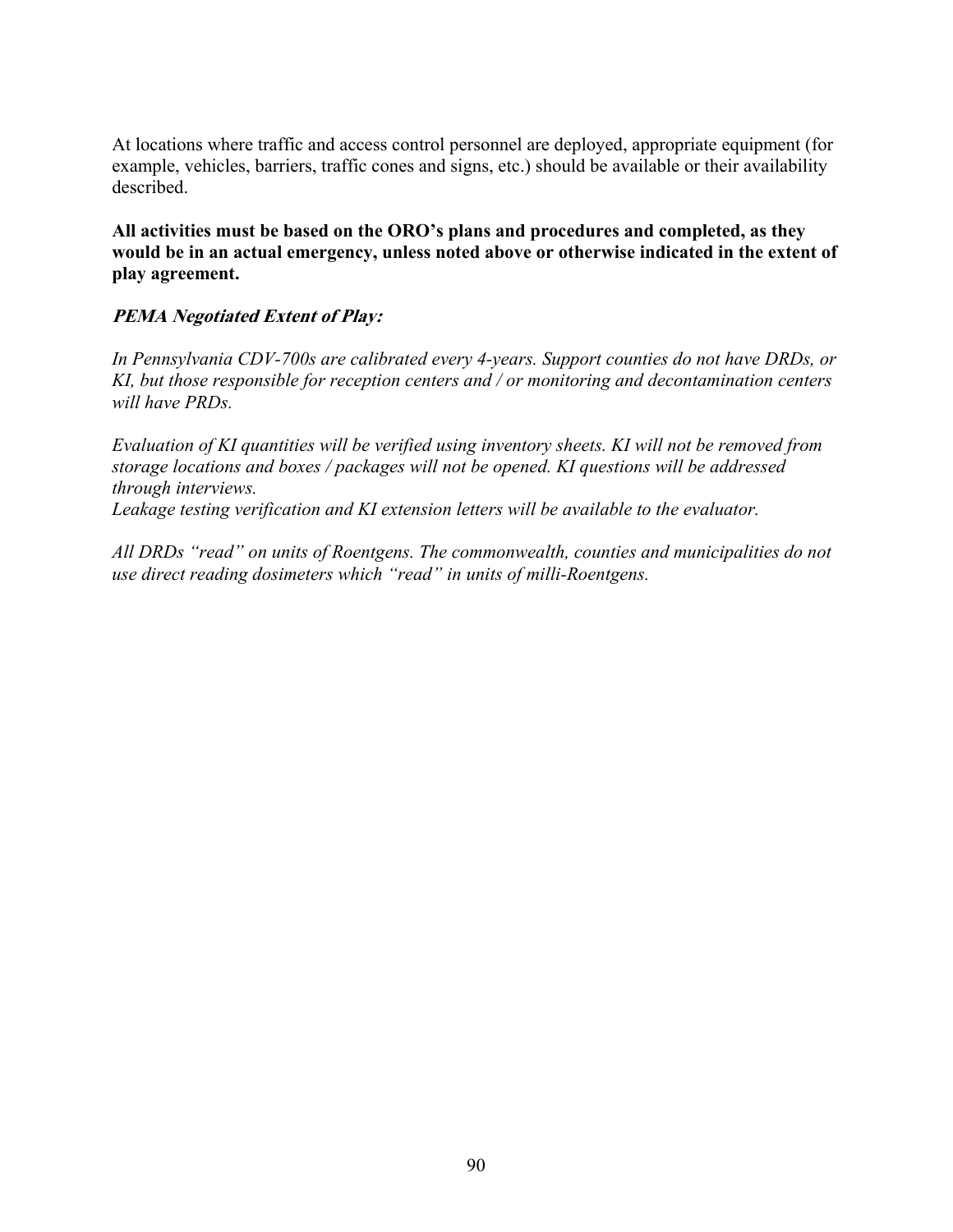At locations where traffic and access control personnel are deployed, appropriate equipment (for example, vehicles, barriers, traffic cones and signs, etc.) should be available or their availability described.

**All activities must be based on the ORO's plans and procedures and completed, as they would be in an actual emergency, unless noted above or otherwise indicated in the extent of play agreement.** 

### **PEMA Negotiated Extent of Play:**

*In Pennsylvania CDV-700s are calibrated every 4-years. Support counties do not have DRDs, or KI, but those responsible for reception centers and / or monitoring and decontamination centers will have PRDs.* 

*Evaluation of KI quantities will be verified using inventory sheets. KI will not be removed from storage locations and boxes / packages will not be opened. KI questions will be addressed through interviews.* 

*Leakage testing verification and KI extension letters will be available to the evaluator.* 

*All DRDs "read" on units of Roentgens. The commonwealth, counties and municipalities do not use direct reading dosimeters which "read" in units of milli-Roentgens.*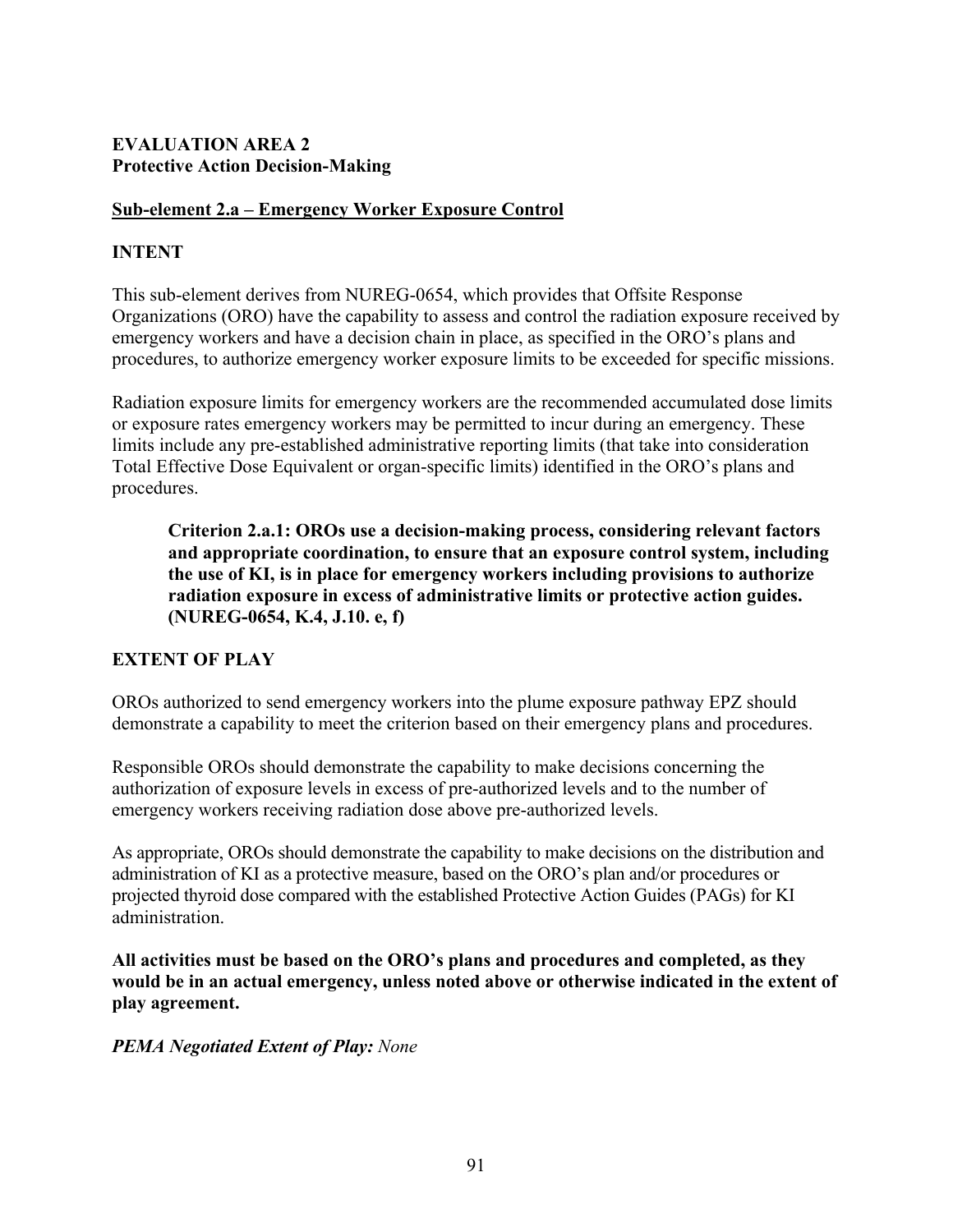#### **EVALUATION AREA 2 Protective Action Decision-Making**

#### **Sub-element 2.a – Emergency Worker Exposure Control**

### **INTENT**

This sub-element derives from NUREG-0654, which provides that Offsite Response Organizations (ORO) have the capability to assess and control the radiation exposure received by emergency workers and have a decision chain in place, as specified in the ORO's plans and procedures, to authorize emergency worker exposure limits to be exceeded for specific missions.

Radiation exposure limits for emergency workers are the recommended accumulated dose limits or exposure rates emergency workers may be permitted to incur during an emergency. These limits include any pre-established administrative reporting limits (that take into consideration Total Effective Dose Equivalent or organ-specific limits) identified in the ORO's plans and procedures.

**Criterion 2.a.1: OROs use a decision-making process, considering relevant factors and appropriate coordination, to ensure that an exposure control system, including the use of KI, is in place for emergency workers including provisions to authorize radiation exposure in excess of administrative limits or protective action guides. (NUREG-0654, K.4, J.10. e, f)** 

#### **EXTENT OF PLAY**

OROs authorized to send emergency workers into the plume exposure pathway EPZ should demonstrate a capability to meet the criterion based on their emergency plans and procedures.

Responsible OROs should demonstrate the capability to make decisions concerning the authorization of exposure levels in excess of pre-authorized levels and to the number of emergency workers receiving radiation dose above pre-authorized levels.

As appropriate, OROs should demonstrate the capability to make decisions on the distribution and administration of KI as a protective measure, based on the ORO's plan and/or procedures or projected thyroid dose compared with the established Protective Action Guides (PAGs) for KI administration.

**All activities must be based on the ORO's plans and procedures and completed, as they would be in an actual emergency, unless noted above or otherwise indicated in the extent of play agreement.** 

#### *PEMA Negotiated Extent of Play: None*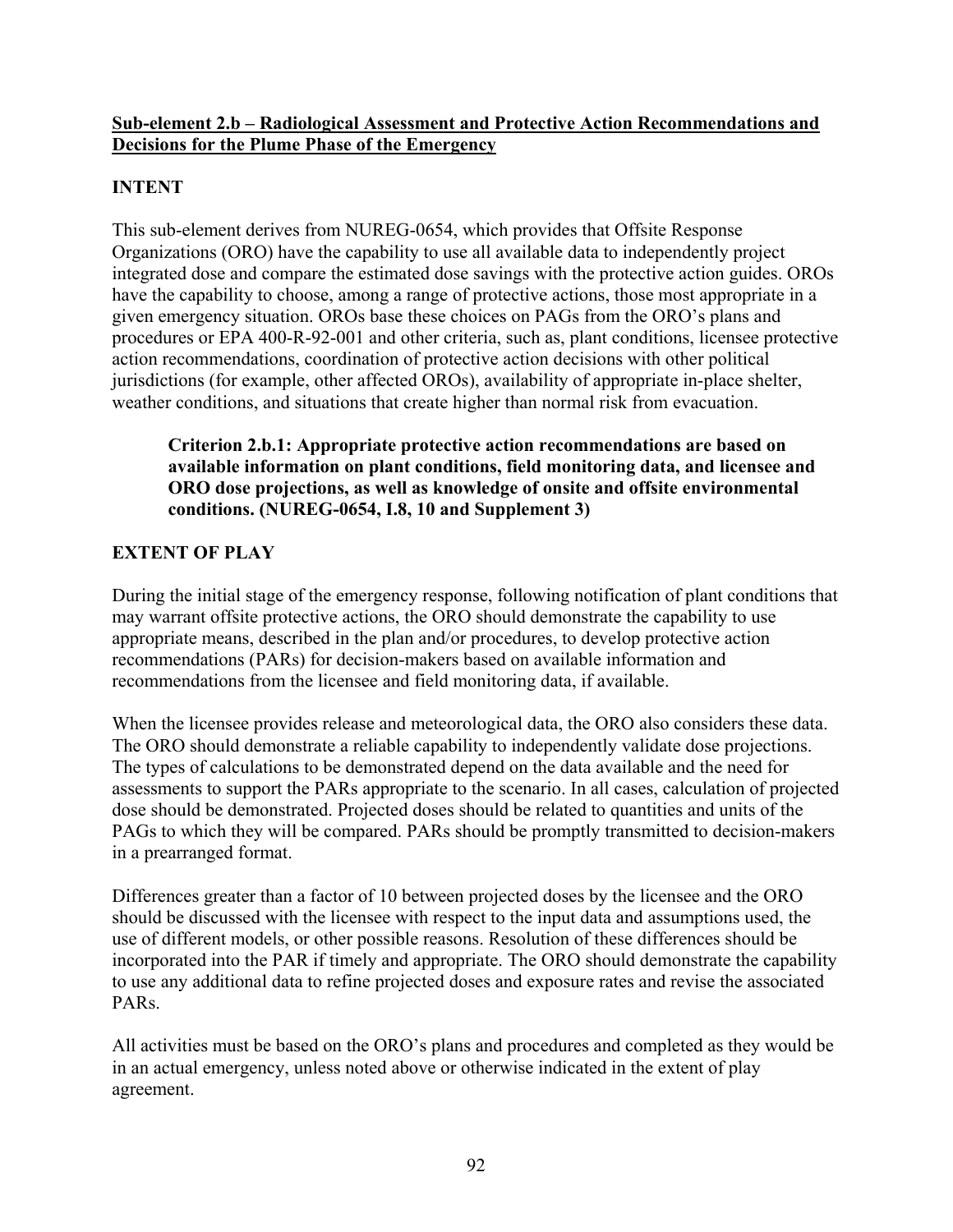#### **Sub-element 2.b – Radiological Assessment and Protective Action Recommendations and Decisions for the Plume Phase of the Emergency**

# **INTENT**

This sub-element derives from NUREG-0654, which provides that Offsite Response Organizations (ORO) have the capability to use all available data to independently project integrated dose and compare the estimated dose savings with the protective action guides. OROs have the capability to choose, among a range of protective actions, those most appropriate in a given emergency situation. OROs base these choices on PAGs from the ORO's plans and procedures or EPA 400-R-92-001 and other criteria, such as, plant conditions, licensee protective action recommendations, coordination of protective action decisions with other political jurisdictions (for example, other affected OROs), availability of appropriate in-place shelter, weather conditions, and situations that create higher than normal risk from evacuation.

### **Criterion 2.b.1: Appropriate protective action recommendations are based on available information on plant conditions, field monitoring data, and licensee and ORO dose projections, as well as knowledge of onsite and offsite environmental conditions. (NUREG-0654, I.8, 10 and Supplement 3)**

# **EXTENT OF PLAY**

During the initial stage of the emergency response, following notification of plant conditions that may warrant offsite protective actions, the ORO should demonstrate the capability to use appropriate means, described in the plan and/or procedures, to develop protective action recommendations (PARs) for decision-makers based on available information and recommendations from the licensee and field monitoring data, if available.

When the licensee provides release and meteorological data, the ORO also considers these data. The ORO should demonstrate a reliable capability to independently validate dose projections. The types of calculations to be demonstrated depend on the data available and the need for assessments to support the PARs appropriate to the scenario. In all cases, calculation of projected dose should be demonstrated. Projected doses should be related to quantities and units of the PAGs to which they will be compared. PARs should be promptly transmitted to decision-makers in a prearranged format.

Differences greater than a factor of 10 between projected doses by the licensee and the ORO should be discussed with the licensee with respect to the input data and assumptions used, the use of different models, or other possible reasons. Resolution of these differences should be incorporated into the PAR if timely and appropriate. The ORO should demonstrate the capability to use any additional data to refine projected doses and exposure rates and revise the associated PARs.

All activities must be based on the ORO's plans and procedures and completed as they would be in an actual emergency, unless noted above or otherwise indicated in the extent of play agreement.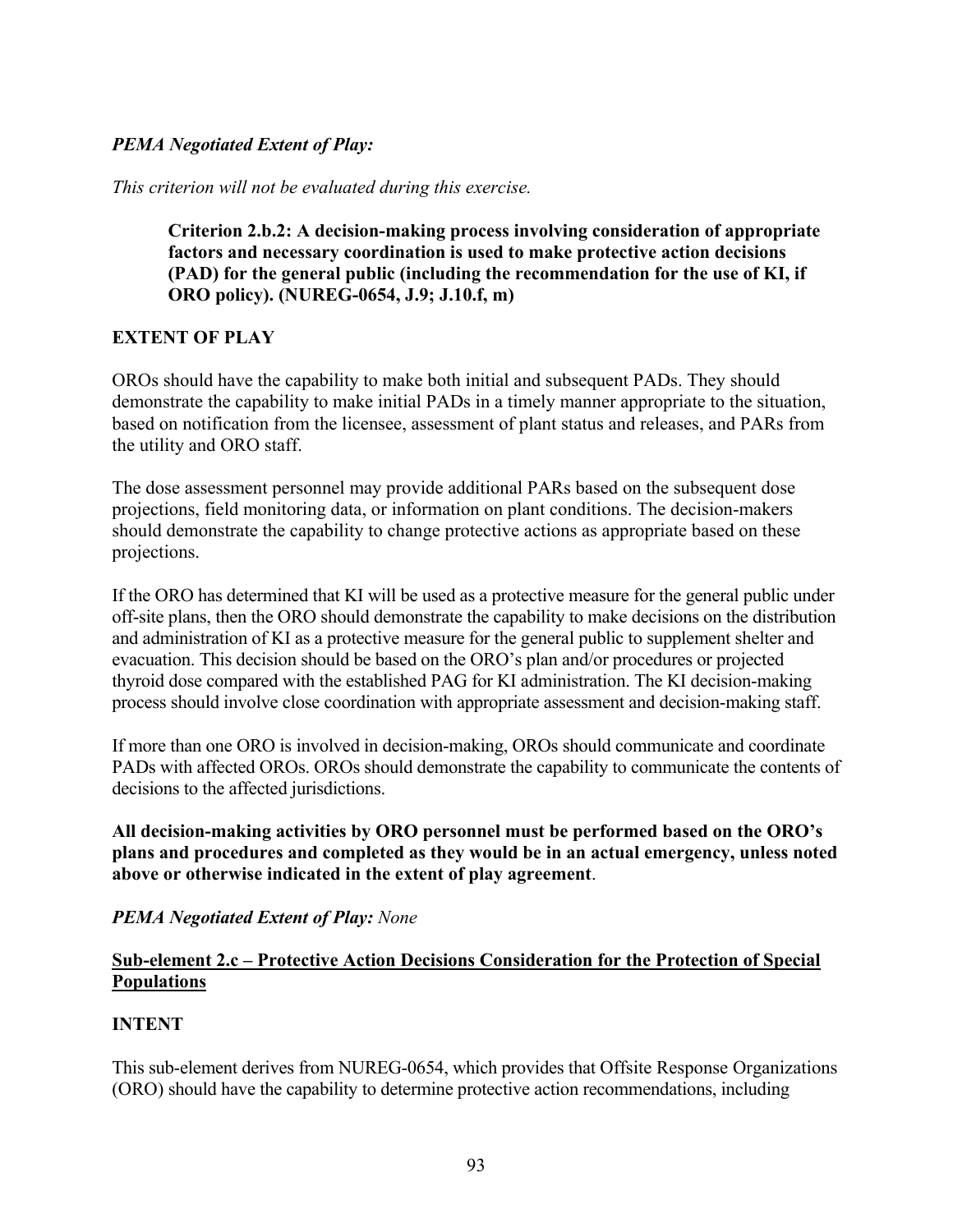### *PEMA Negotiated Extent of Play:*

*This criterion will not be evaluated during this exercise.* 

**Criterion 2.b.2: A decision-making process involving consideration of appropriate factors and necessary coordination is used to make protective action decisions (PAD) for the general public (including the recommendation for the use of KI, if ORO policy). (NUREG-0654, J.9; J.10.f, m)** 

#### **EXTENT OF PLAY**

OROs should have the capability to make both initial and subsequent PADs. They should demonstrate the capability to make initial PADs in a timely manner appropriate to the situation, based on notification from the licensee, assessment of plant status and releases, and PARs from the utility and ORO staff.

The dose assessment personnel may provide additional PARs based on the subsequent dose projections, field monitoring data, or information on plant conditions. The decision-makers should demonstrate the capability to change protective actions as appropriate based on these projections.

If the ORO has determined that KI will be used as a protective measure for the general public under off-site plans, then the ORO should demonstrate the capability to make decisions on the distribution and administration of KI as a protective measure for the general public to supplement shelter and evacuation. This decision should be based on the ORO's plan and/or procedures or projected thyroid dose compared with the established PAG for KI administration. The KI decision-making process should involve close coordination with appropriate assessment and decision-making staff.

If more than one ORO is involved in decision-making, OROs should communicate and coordinate PADs with affected OROs. OROs should demonstrate the capability to communicate the contents of decisions to the affected jurisdictions.

**All decision-making activities by ORO personnel must be performed based on the ORO's plans and procedures and completed as they would be in an actual emergency, unless noted above or otherwise indicated in the extent of play agreement**.

#### *PEMA Negotiated Extent of Play: None*

#### **Sub-element 2.c – Protective Action Decisions Consideration for the Protection of Special Populations**

#### **INTENT**

This sub-element derives from NUREG-0654, which provides that Offsite Response Organizations (ORO) should have the capability to determine protective action recommendations, including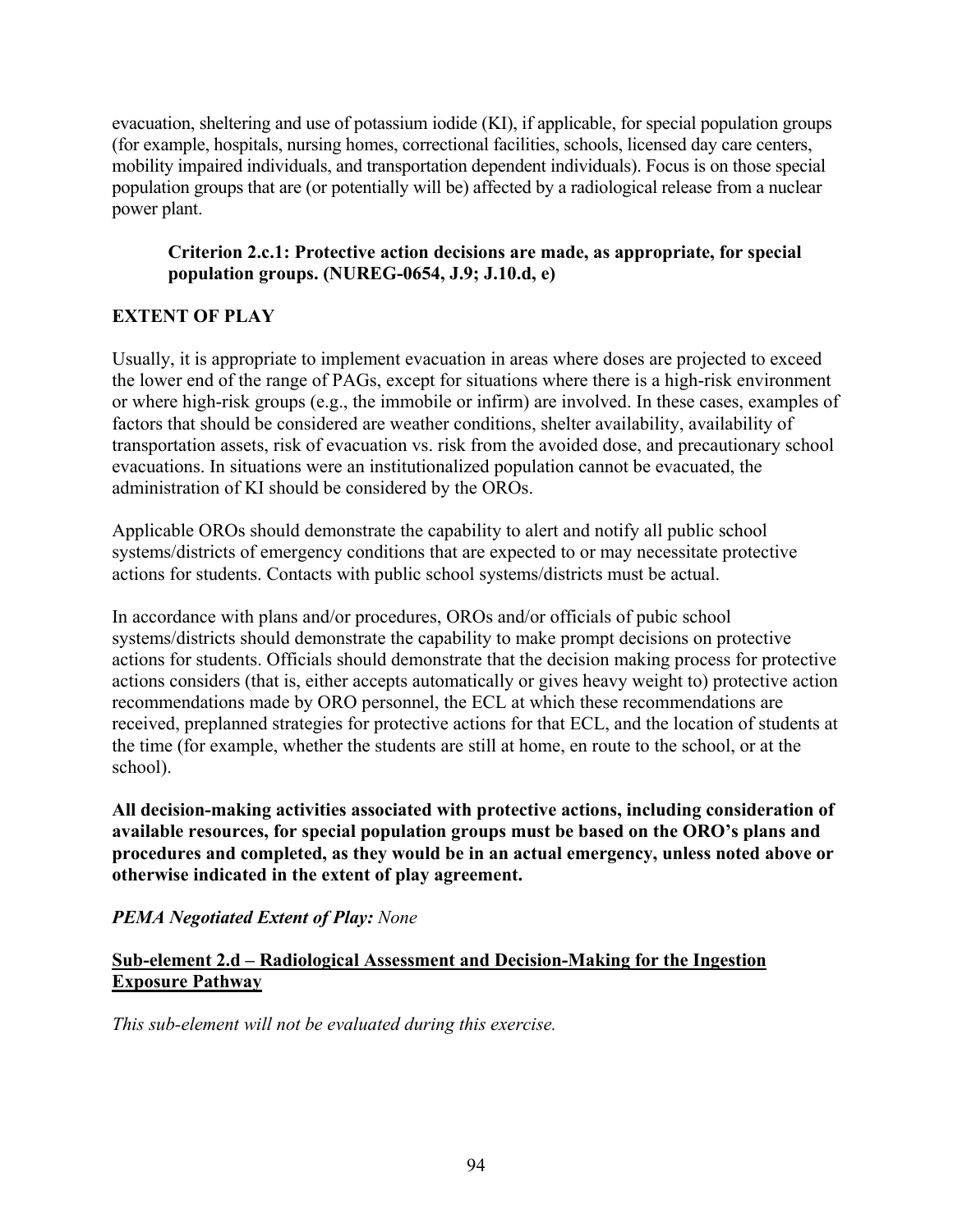evacuation, sheltering and use of potassium iodide (KI), if applicable, for special population groups (for example, hospitals, nursing homes, correctional facilities, schools, licensed day care centers, mobility impaired individuals, and transportation dependent individuals). Focus is on those special population groups that are (or potentially will be) affected by a radiological release from a nuclear power plant.

### **Criterion 2.c.1: Protective action decisions are made, as appropriate, for special population groups. (NUREG-0654, J.9; J.10.d, e)**

# **EXTENT OF PLAY**

Usually, it is appropriate to implement evacuation in areas where doses are projected to exceed the lower end of the range of PAGs, except for situations where there is a high-risk environment or where high-risk groups (e.g., the immobile or infirm) are involved. In these cases, examples of factors that should be considered are weather conditions, shelter availability, availability of transportation assets, risk of evacuation vs. risk from the avoided dose, and precautionary school evacuations. In situations were an institutionalized population cannot be evacuated, the administration of KI should be considered by the OROs.

Applicable OROs should demonstrate the capability to alert and notify all public school systems/districts of emergency conditions that are expected to or may necessitate protective actions for students. Contacts with public school systems/districts must be actual.

In accordance with plans and/or procedures, OROs and/or officials of pubic school systems/districts should demonstrate the capability to make prompt decisions on protective actions for students. Officials should demonstrate that the decision making process for protective actions considers (that is, either accepts automatically or gives heavy weight to) protective action recommendations made by ORO personnel, the ECL at which these recommendations are received, preplanned strategies for protective actions for that ECL, and the location of students at the time (for example, whether the students are still at home, en route to the school, or at the school).

**All decision-making activities associated with protective actions, including consideration of available resources, for special population groups must be based on the ORO's plans and procedures and completed, as they would be in an actual emergency, unless noted above or otherwise indicated in the extent of play agreement.** 

# *PEMA Negotiated Extent of Play: None*

### **Sub-element 2.d – Radiological Assessment and Decision-Making for the Ingestion Exposure Pathway**

*This sub-element will not be evaluated during this exercise.*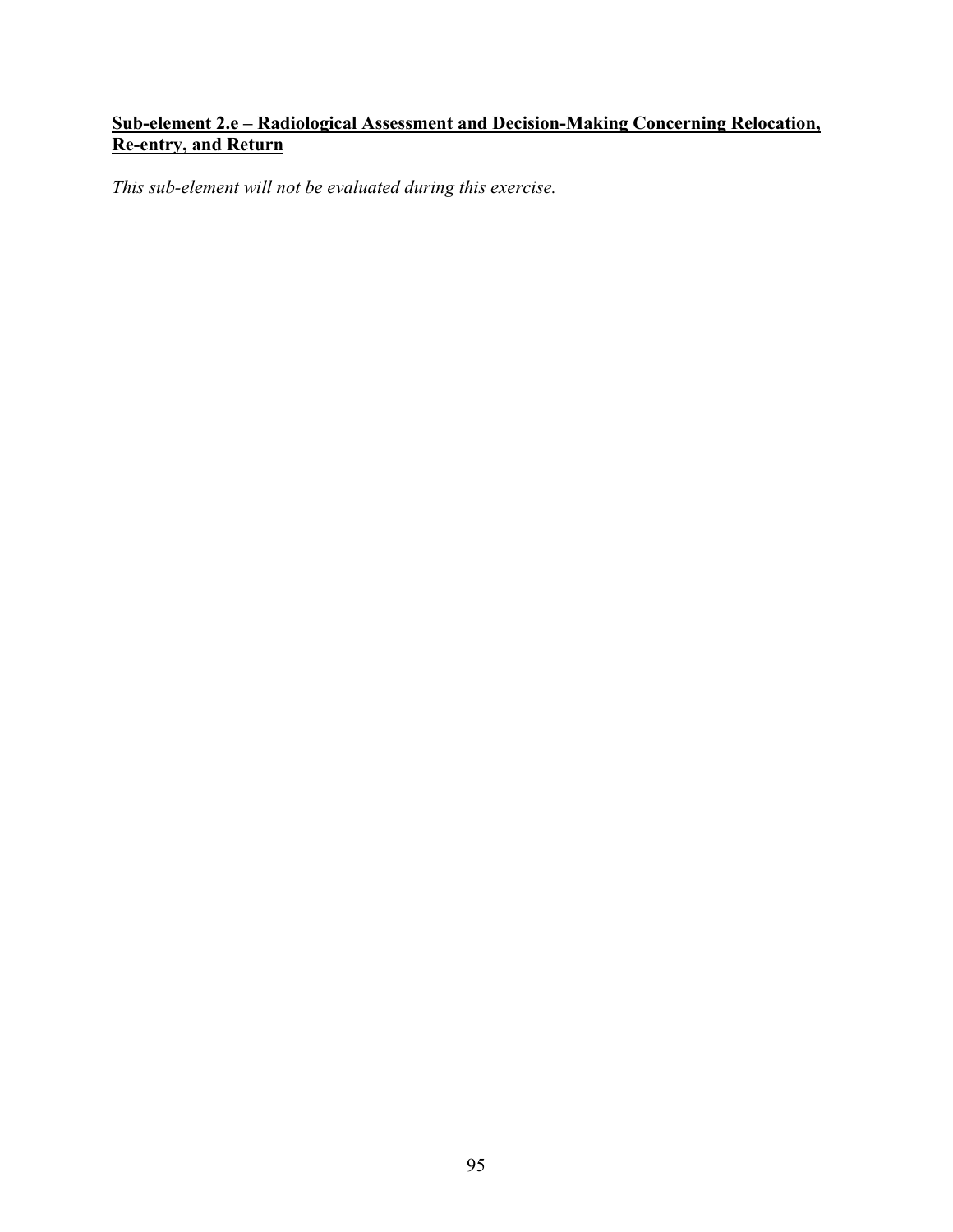# **Sub-element 2.e – Radiological Assessment and Decision-Making Concerning Relocation, Re-entry, and Return**

*This sub-element will not be evaluated during this exercise.*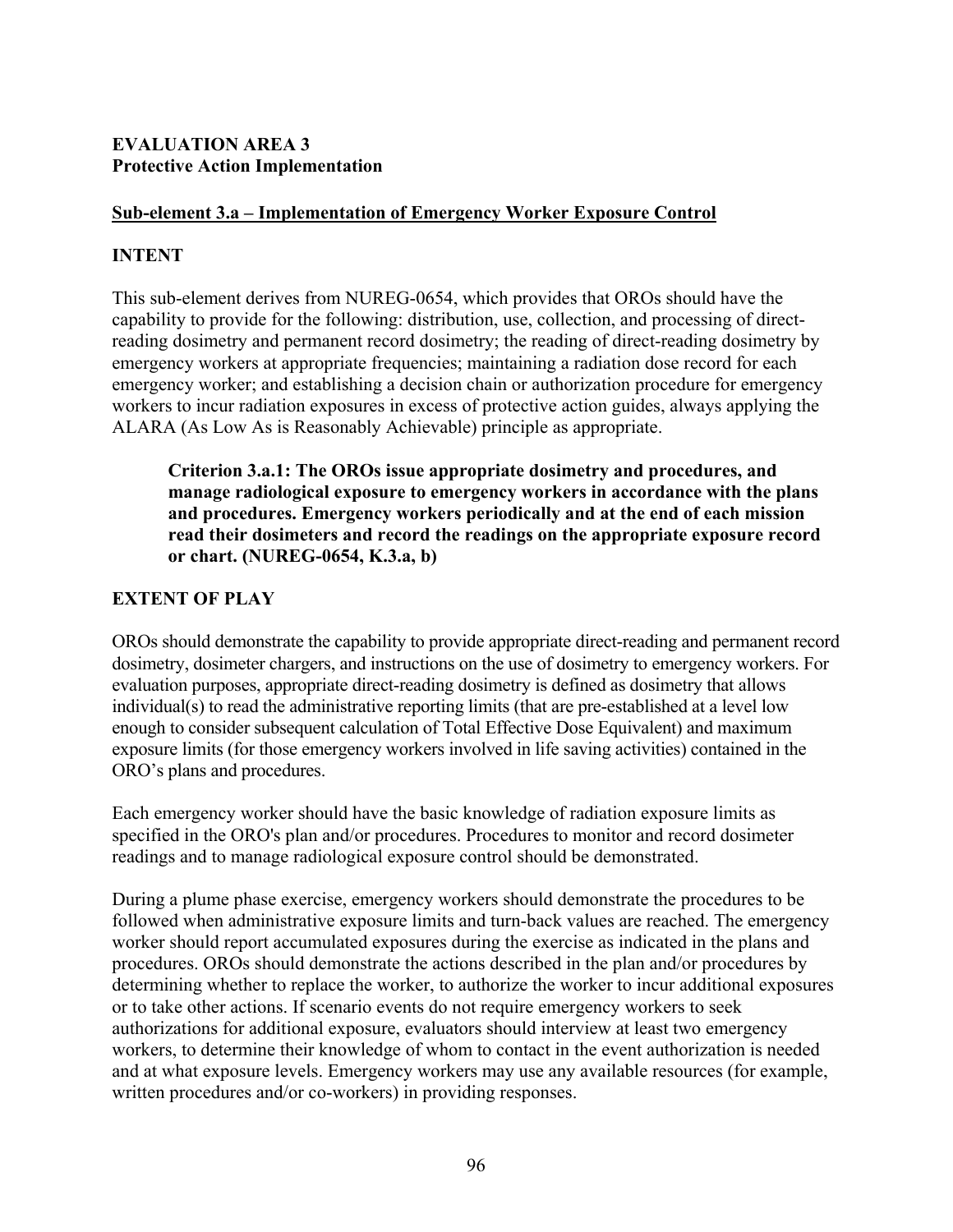#### **EVALUATION AREA 3 Protective Action Implementation**

### **Sub-element 3.a – Implementation of Emergency Worker Exposure Control**

### **INTENT**

This sub-element derives from NUREG-0654, which provides that OROs should have the capability to provide for the following: distribution, use, collection, and processing of directreading dosimetry and permanent record dosimetry; the reading of direct-reading dosimetry by emergency workers at appropriate frequencies; maintaining a radiation dose record for each emergency worker; and establishing a decision chain or authorization procedure for emergency workers to incur radiation exposures in excess of protective action guides, always applying the ALARA (As Low As is Reasonably Achievable) principle as appropriate.

**Criterion 3.a.1: The OROs issue appropriate dosimetry and procedures, and manage radiological exposure to emergency workers in accordance with the plans and procedures. Emergency workers periodically and at the end of each mission read their dosimeters and record the readings on the appropriate exposure record or chart. (NUREG-0654, K.3.a, b)** 

# **EXTENT OF PLAY**

OROs should demonstrate the capability to provide appropriate direct-reading and permanent record dosimetry, dosimeter chargers, and instructions on the use of dosimetry to emergency workers. For evaluation purposes, appropriate direct-reading dosimetry is defined as dosimetry that allows individual(s) to read the administrative reporting limits (that are pre-established at a level low enough to consider subsequent calculation of Total Effective Dose Equivalent) and maximum exposure limits (for those emergency workers involved in life saving activities) contained in the ORO's plans and procedures.

Each emergency worker should have the basic knowledge of radiation exposure limits as specified in the ORO's plan and/or procedures. Procedures to monitor and record dosimeter readings and to manage radiological exposure control should be demonstrated.

During a plume phase exercise, emergency workers should demonstrate the procedures to be followed when administrative exposure limits and turn-back values are reached. The emergency worker should report accumulated exposures during the exercise as indicated in the plans and procedures. OROs should demonstrate the actions described in the plan and/or procedures by determining whether to replace the worker, to authorize the worker to incur additional exposures or to take other actions. If scenario events do not require emergency workers to seek authorizations for additional exposure, evaluators should interview at least two emergency workers, to determine their knowledge of whom to contact in the event authorization is needed and at what exposure levels. Emergency workers may use any available resources (for example, written procedures and/or co-workers) in providing responses.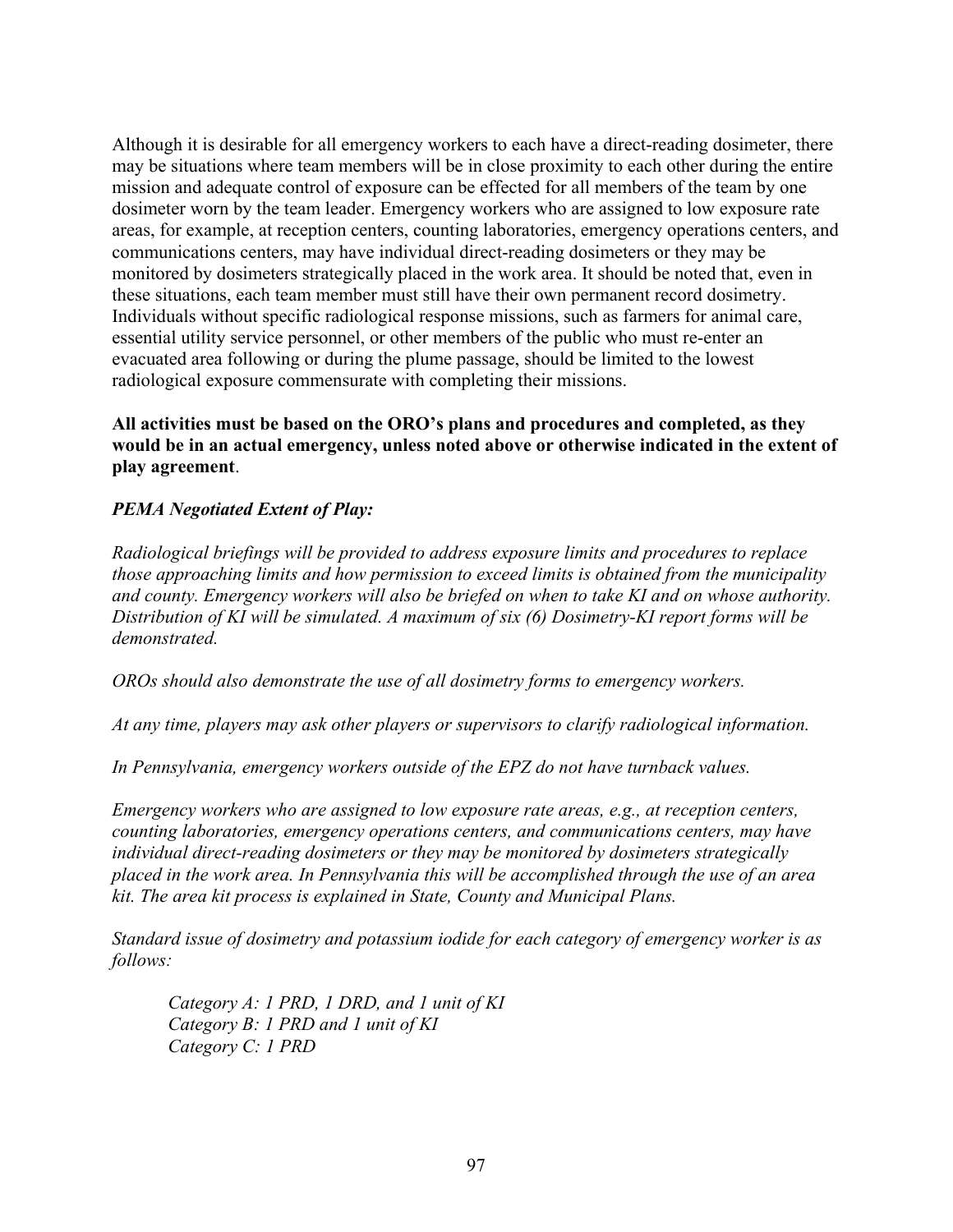Although it is desirable for all emergency workers to each have a direct-reading dosimeter, there may be situations where team members will be in close proximity to each other during the entire mission and adequate control of exposure can be effected for all members of the team by one dosimeter worn by the team leader. Emergency workers who are assigned to low exposure rate areas, for example, at reception centers, counting laboratories, emergency operations centers, and communications centers, may have individual direct-reading dosimeters or they may be monitored by dosimeters strategically placed in the work area. It should be noted that, even in these situations, each team member must still have their own permanent record dosimetry. Individuals without specific radiological response missions, such as farmers for animal care, essential utility service personnel, or other members of the public who must re-enter an evacuated area following or during the plume passage, should be limited to the lowest radiological exposure commensurate with completing their missions.

**All activities must be based on the ORO's plans and procedures and completed, as they would be in an actual emergency, unless noted above or otherwise indicated in the extent of play agreement**.

#### *PEMA Negotiated Extent of Play:*

*Radiological briefings will be provided to address exposure limits and procedures to replace those approaching limits and how permission to exceed limits is obtained from the municipality and county. Emergency workers will also be briefed on when to take KI and on whose authority. Distribution of KI will be simulated. A maximum of six (6) Dosimetry-KI report forms will be demonstrated.* 

*OROs should also demonstrate the use of all dosimetry forms to emergency workers.* 

*At any time, players may ask other players or supervisors to clarify radiological information.* 

*In Pennsylvania, emergency workers outside of the EPZ do not have turnback values.* 

*Emergency workers who are assigned to low exposure rate areas, e.g., at reception centers, counting laboratories, emergency operations centers, and communications centers, may have individual direct-reading dosimeters or they may be monitored by dosimeters strategically placed in the work area. In Pennsylvania this will be accomplished through the use of an area kit. The area kit process is explained in State, County and Municipal Plans.* 

*Standard issue of dosimetry and potassium iodide for each category of emergency worker is as follows:* 

 *Category A: 1 PRD, 1 DRD, and 1 unit of KI Category B: 1 PRD and 1 unit of KI Category C: 1 PRD*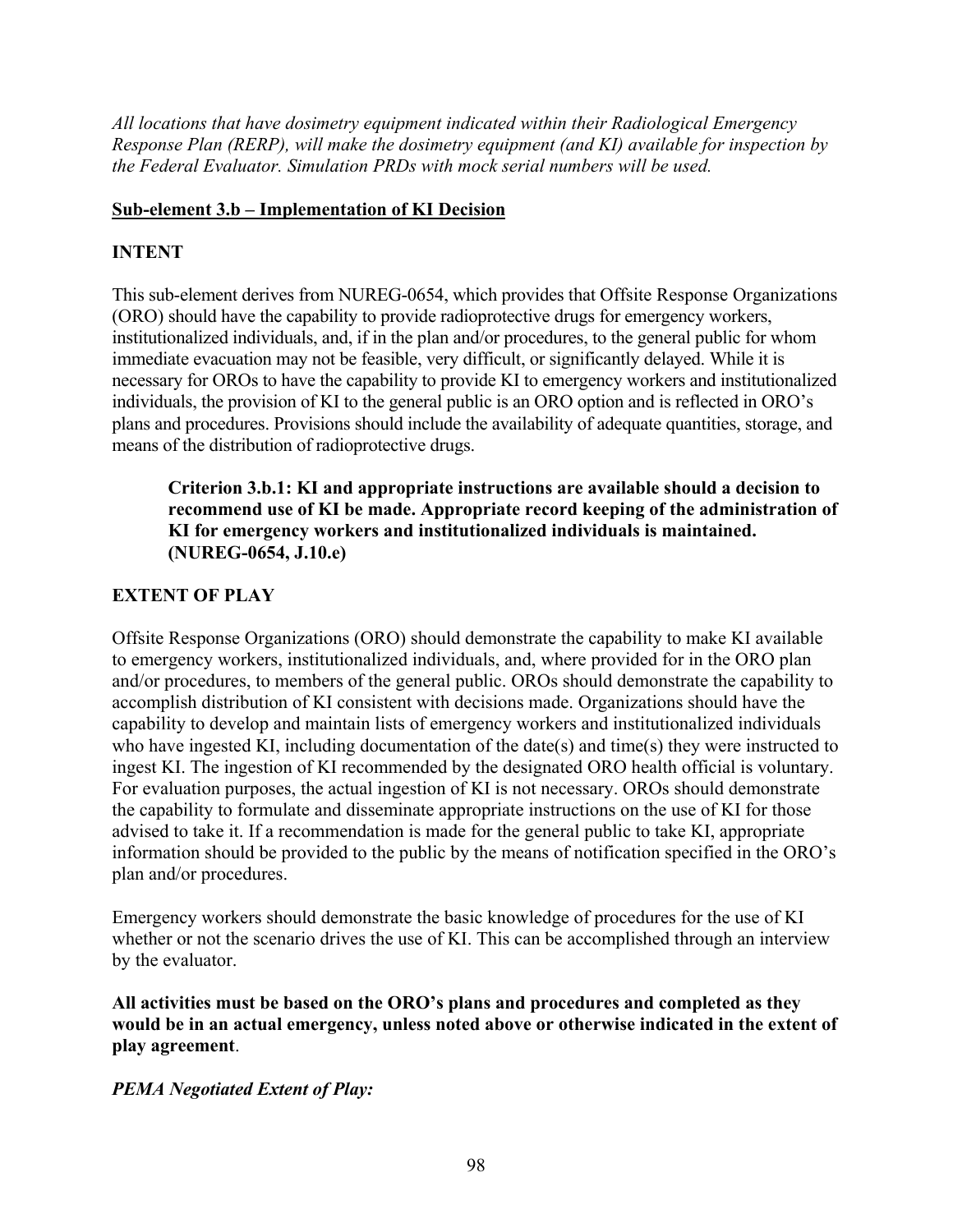*All locations that have dosimetry equipment indicated within their Radiological Emergency Response Plan (RERP), will make the dosimetry equipment (and KI) available for inspection by the Federal Evaluator. Simulation PRDs with mock serial numbers will be used.* 

### **Sub-element 3.b – Implementation of KI Decision**

# **INTENT**

This sub-element derives from NUREG-0654, which provides that Offsite Response Organizations (ORO) should have the capability to provide radioprotective drugs for emergency workers, institutionalized individuals, and, if in the plan and/or procedures, to the general public for whom immediate evacuation may not be feasible, very difficult, or significantly delayed. While it is necessary for OROs to have the capability to provide KI to emergency workers and institutionalized individuals, the provision of KI to the general public is an ORO option and is reflected in ORO's plans and procedures. Provisions should include the availability of adequate quantities, storage, and means of the distribution of radioprotective drugs.

**Criterion 3.b.1: KI and appropriate instructions are available should a decision to recommend use of KI be made. Appropriate record keeping of the administration of KI for emergency workers and institutionalized individuals is maintained. (NUREG-0654, J.10.e)** 

# **EXTENT OF PLAY**

Offsite Response Organizations (ORO) should demonstrate the capability to make KI available to emergency workers, institutionalized individuals, and, where provided for in the ORO plan and/or procedures, to members of the general public. OROs should demonstrate the capability to accomplish distribution of KI consistent with decisions made. Organizations should have the capability to develop and maintain lists of emergency workers and institutionalized individuals who have ingested KI, including documentation of the date(s) and time(s) they were instructed to ingest KI. The ingestion of KI recommended by the designated ORO health official is voluntary. For evaluation purposes, the actual ingestion of KI is not necessary. OROs should demonstrate the capability to formulate and disseminate appropriate instructions on the use of KI for those advised to take it. If a recommendation is made for the general public to take KI, appropriate information should be provided to the public by the means of notification specified in the ORO's plan and/or procedures.

Emergency workers should demonstrate the basic knowledge of procedures for the use of KI whether or not the scenario drives the use of KI. This can be accomplished through an interview by the evaluator.

**All activities must be based on the ORO's plans and procedures and completed as they would be in an actual emergency, unless noted above or otherwise indicated in the extent of play agreement**.

# *PEMA Negotiated Extent of Play:*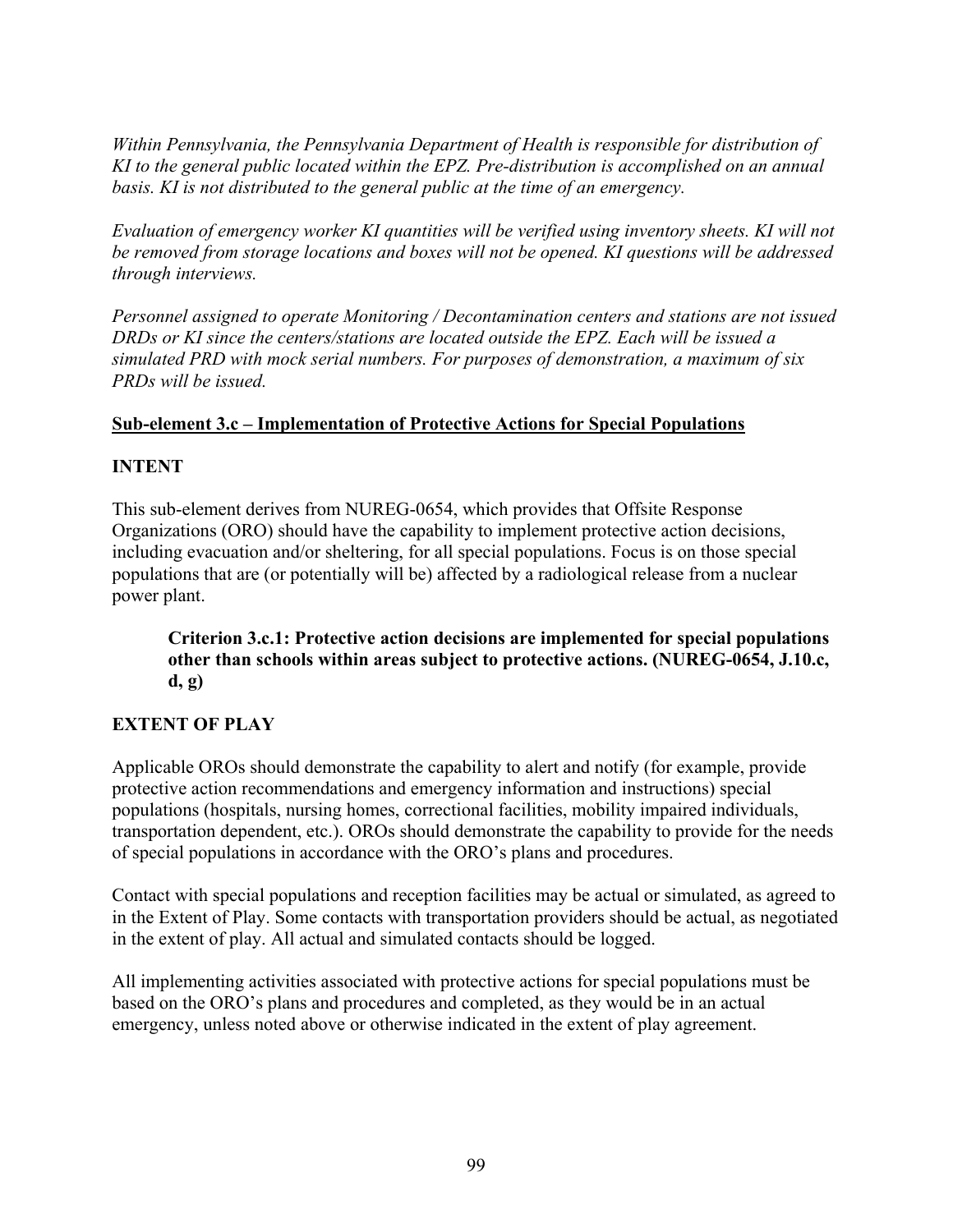*Within Pennsylvania, the Pennsylvania Department of Health is responsible for distribution of KI to the general public located within the EPZ. Pre-distribution is accomplished on an annual basis. KI is not distributed to the general public at the time of an emergency.* 

*Evaluation of emergency worker KI quantities will be verified using inventory sheets. KI will not be removed from storage locations and boxes will not be opened. KI questions will be addressed through interviews.* 

*Personnel assigned to operate Monitoring / Decontamination centers and stations are not issued DRDs or KI since the centers/stations are located outside the EPZ. Each will be issued a simulated PRD with mock serial numbers. For purposes of demonstration, a maximum of six PRDs will be issued.* 

#### **Sub-element 3.c – Implementation of Protective Actions for Special Populations**

### **INTENT**

This sub-element derives from NUREG-0654, which provides that Offsite Response Organizations (ORO) should have the capability to implement protective action decisions, including evacuation and/or sheltering, for all special populations. Focus is on those special populations that are (or potentially will be) affected by a radiological release from a nuclear power plant.

**Criterion 3.c.1: Protective action decisions are implemented for special populations other than schools within areas subject to protective actions. (NUREG-0654, J.10.c, d, g)** 

#### **EXTENT OF PLAY**

Applicable OROs should demonstrate the capability to alert and notify (for example, provide protective action recommendations and emergency information and instructions) special populations (hospitals, nursing homes, correctional facilities, mobility impaired individuals, transportation dependent, etc.). OROs should demonstrate the capability to provide for the needs of special populations in accordance with the ORO's plans and procedures.

Contact with special populations and reception facilities may be actual or simulated, as agreed to in the Extent of Play. Some contacts with transportation providers should be actual, as negotiated in the extent of play. All actual and simulated contacts should be logged.

All implementing activities associated with protective actions for special populations must be based on the ORO's plans and procedures and completed, as they would be in an actual emergency, unless noted above or otherwise indicated in the extent of play agreement.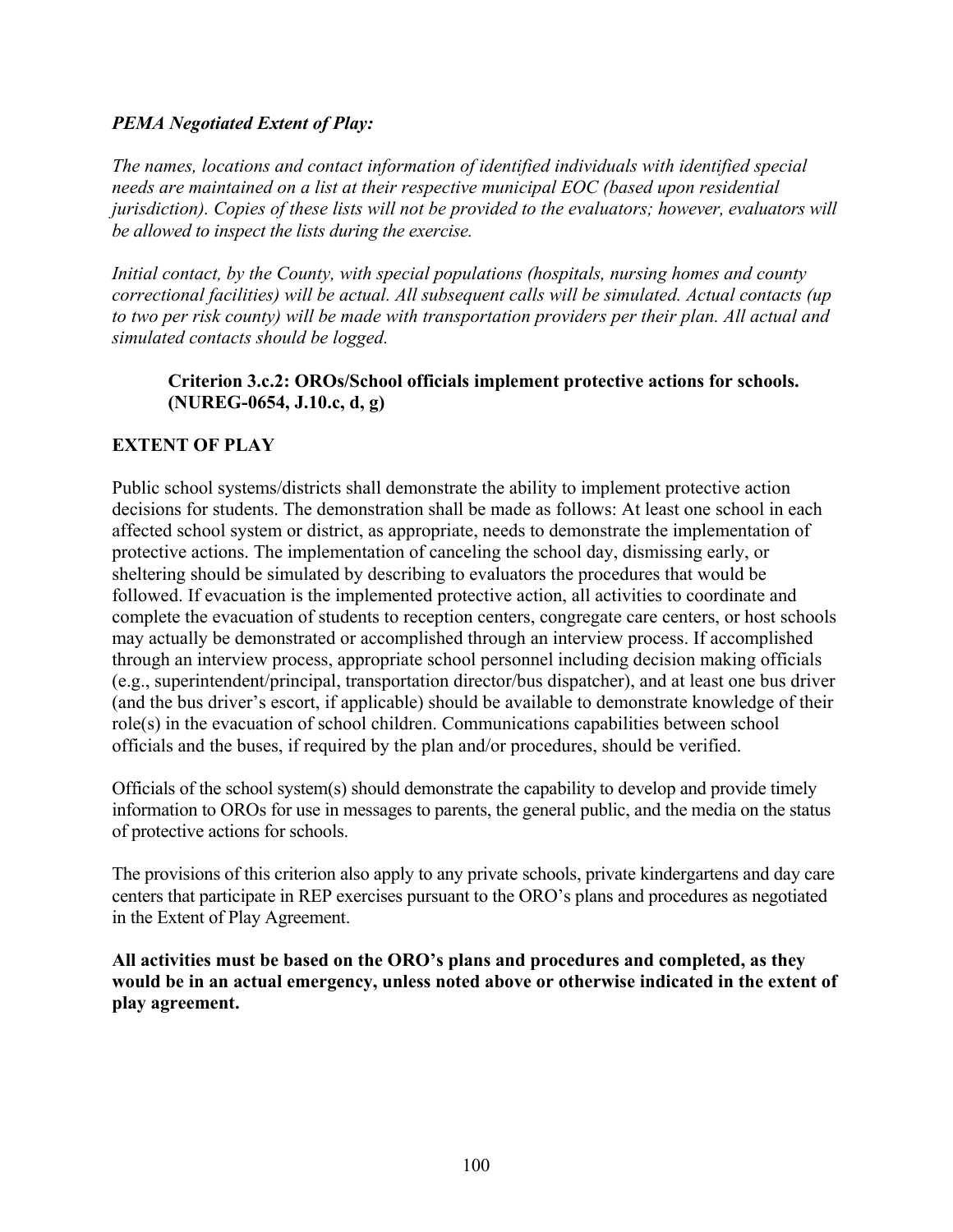#### *PEMA Negotiated Extent of Play:*

*The names, locations and contact information of identified individuals with identified special needs are maintained on a list at their respective municipal EOC (based upon residential jurisdiction). Copies of these lists will not be provided to the evaluators; however, evaluators will be allowed to inspect the lists during the exercise.* 

*Initial contact, by the County, with special populations (hospitals, nursing homes and county correctional facilities) will be actual. All subsequent calls will be simulated. Actual contacts (up to two per risk county) will be made with transportation providers per their plan. All actual and simulated contacts should be logged.* 

#### **Criterion 3.c.2: OROs/School officials implement protective actions for schools. (NUREG-0654, J.10.c, d, g)**

#### **EXTENT OF PLAY**

Public school systems/districts shall demonstrate the ability to implement protective action decisions for students. The demonstration shall be made as follows: At least one school in each affected school system or district, as appropriate, needs to demonstrate the implementation of protective actions. The implementation of canceling the school day, dismissing early, or sheltering should be simulated by describing to evaluators the procedures that would be followed. If evacuation is the implemented protective action, all activities to coordinate and complete the evacuation of students to reception centers, congregate care centers, or host schools may actually be demonstrated or accomplished through an interview process. If accomplished through an interview process, appropriate school personnel including decision making officials (e.g., superintendent/principal, transportation director/bus dispatcher), and at least one bus driver (and the bus driver's escort, if applicable) should be available to demonstrate knowledge of their role(s) in the evacuation of school children. Communications capabilities between school officials and the buses, if required by the plan and/or procedures, should be verified.

Officials of the school system(s) should demonstrate the capability to develop and provide timely information to OROs for use in messages to parents, the general public, and the media on the status of protective actions for schools.

The provisions of this criterion also apply to any private schools, private kindergartens and day care centers that participate in REP exercises pursuant to the ORO's plans and procedures as negotiated in the Extent of Play Agreement.

**All activities must be based on the ORO's plans and procedures and completed, as they would be in an actual emergency, unless noted above or otherwise indicated in the extent of play agreement.**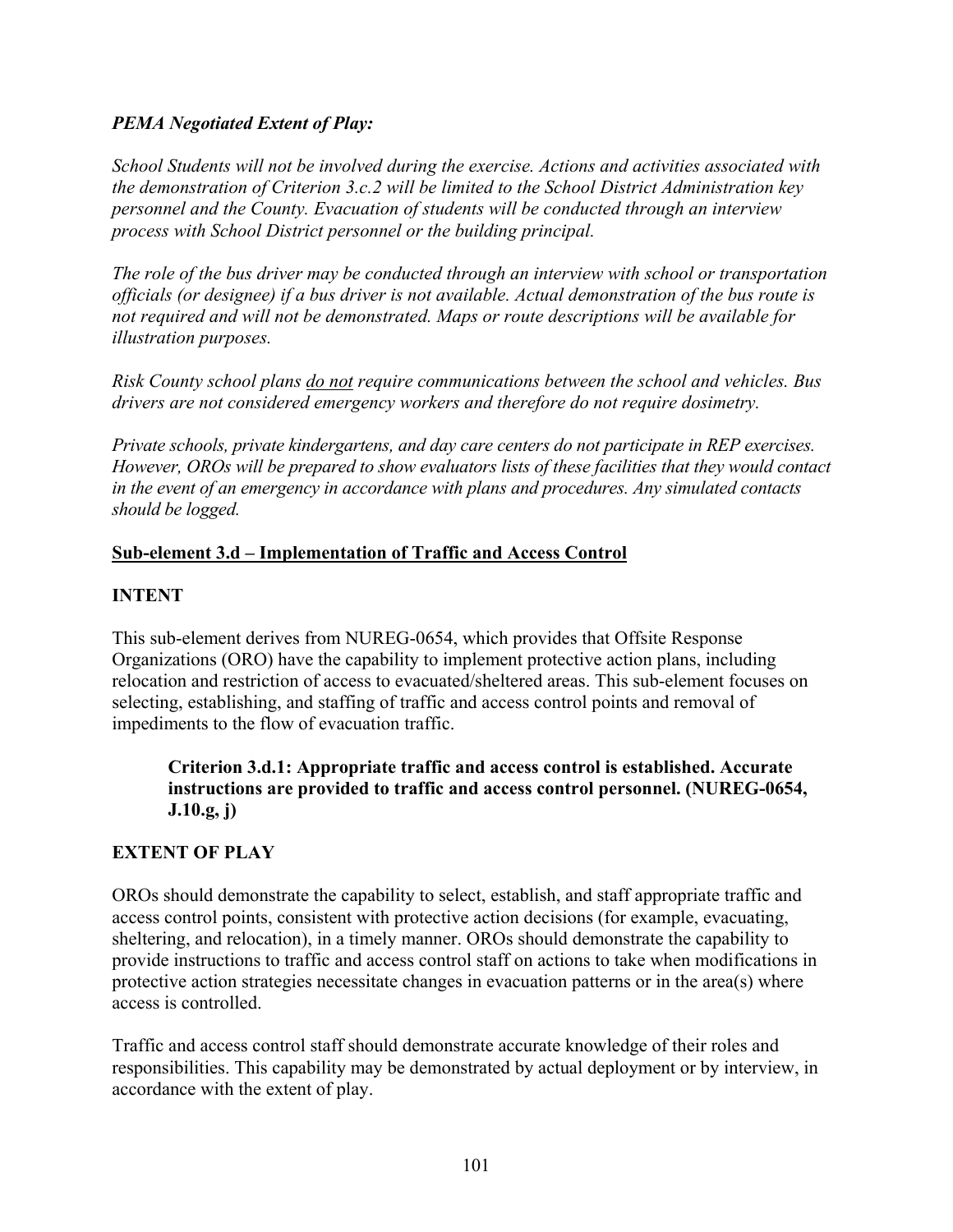#### *PEMA Negotiated Extent of Play:*

*School Students will not be involved during the exercise. Actions and activities associated with the demonstration of Criterion 3.c.2 will be limited to the School District Administration key personnel and the County. Evacuation of students will be conducted through an interview process with School District personnel or the building principal.* 

*The role of the bus driver may be conducted through an interview with school or transportation officials (or designee) if a bus driver is not available. Actual demonstration of the bus route is not required and will not be demonstrated. Maps or route descriptions will be available for illustration purposes.* 

*Risk County school plans do not require communications between the school and vehicles. Bus drivers are not considered emergency workers and therefore do not require dosimetry.* 

*Private schools, private kindergartens, and day care centers do not participate in REP exercises. However, OROs will be prepared to show evaluators lists of these facilities that they would contact in the event of an emergency in accordance with plans and procedures. Any simulated contacts should be logged.* 

### **Sub-element 3.d – Implementation of Traffic and Access Control**

### **INTENT**

This sub-element derives from NUREG-0654, which provides that Offsite Response Organizations (ORO) have the capability to implement protective action plans, including relocation and restriction of access to evacuated/sheltered areas. This sub-element focuses on selecting, establishing, and staffing of traffic and access control points and removal of impediments to the flow of evacuation traffic.

### **Criterion 3.d.1: Appropriate traffic and access control is established. Accurate instructions are provided to traffic and access control personnel. (NUREG-0654, J.10.g, j)**

# **EXTENT OF PLAY**

OROs should demonstrate the capability to select, establish, and staff appropriate traffic and access control points, consistent with protective action decisions (for example, evacuating, sheltering, and relocation), in a timely manner. OROs should demonstrate the capability to provide instructions to traffic and access control staff on actions to take when modifications in protective action strategies necessitate changes in evacuation patterns or in the area(s) where access is controlled.

Traffic and access control staff should demonstrate accurate knowledge of their roles and responsibilities. This capability may be demonstrated by actual deployment or by interview, in accordance with the extent of play.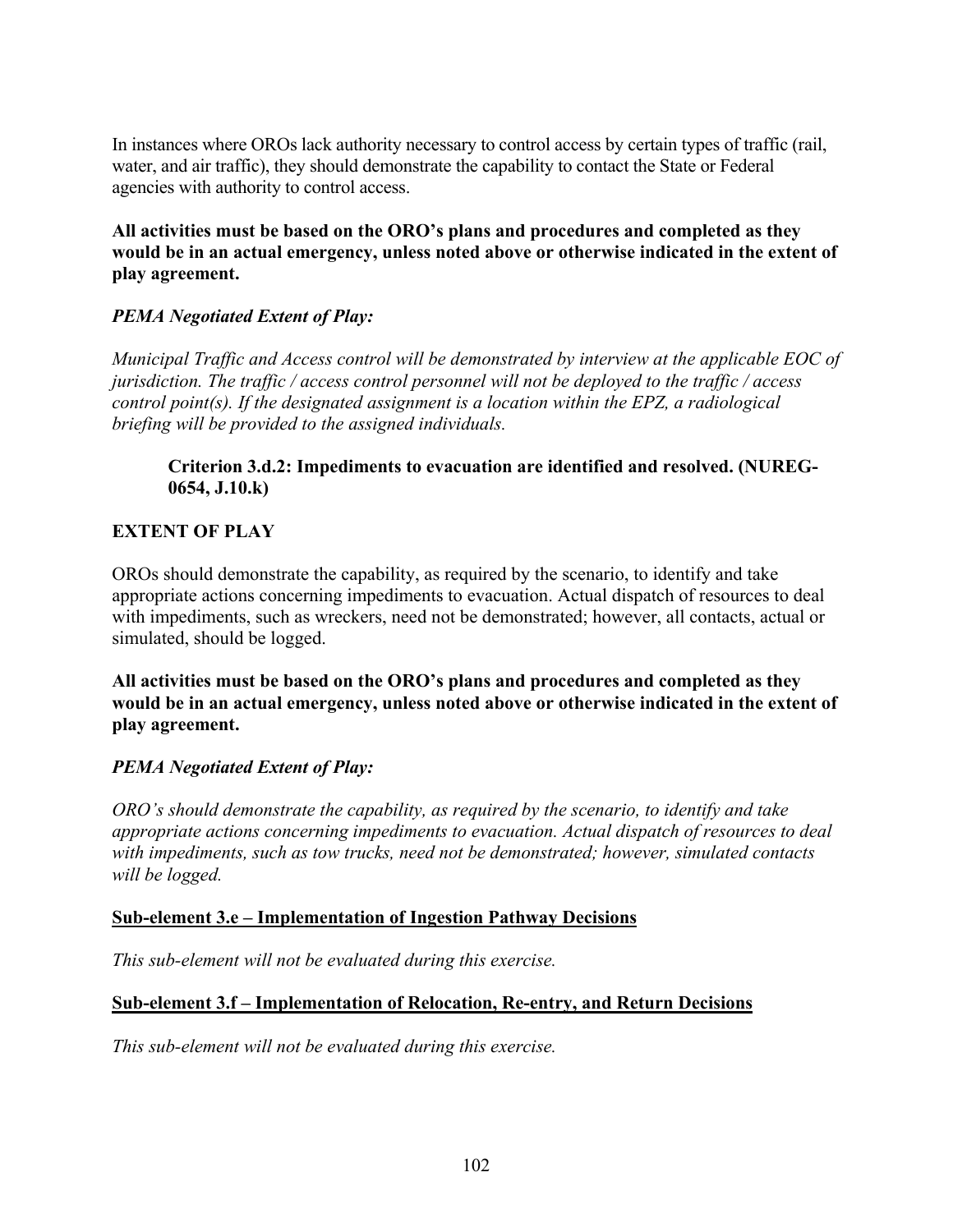In instances where OROs lack authority necessary to control access by certain types of traffic (rail, water, and air traffic), they should demonstrate the capability to contact the State or Federal agencies with authority to control access.

**All activities must be based on the ORO's plans and procedures and completed as they would be in an actual emergency, unless noted above or otherwise indicated in the extent of play agreement.** 

## *PEMA Negotiated Extent of Play:*

*Municipal Traffic and Access control will be demonstrated by interview at the applicable EOC of jurisdiction. The traffic / access control personnel will not be deployed to the traffic / access control point(s). If the designated assignment is a location within the EPZ, a radiological briefing will be provided to the assigned individuals.* 

## **Criterion 3.d.2: Impediments to evacuation are identified and resolved. (NUREG-0654, J.10.k)**

## **EXTENT OF PLAY**

OROs should demonstrate the capability, as required by the scenario, to identify and take appropriate actions concerning impediments to evacuation. Actual dispatch of resources to deal with impediments, such as wreckers, need not be demonstrated; however, all contacts, actual or simulated, should be logged.

**All activities must be based on the ORO's plans and procedures and completed as they would be in an actual emergency, unless noted above or otherwise indicated in the extent of play agreement.** 

## *PEMA Negotiated Extent of Play:*

*ORO's should demonstrate the capability, as required by the scenario, to identify and take appropriate actions concerning impediments to evacuation. Actual dispatch of resources to deal with impediments, such as tow trucks, need not be demonstrated; however, simulated contacts will be logged.*

#### **Sub-element 3.e – Implementation of Ingestion Pathway Decisions**

*This sub-element will not be evaluated during this exercise.* 

## **Sub-element 3.f – Implementation of Relocation, Re-entry, and Return Decisions**

*This sub-element will not be evaluated during this exercise.*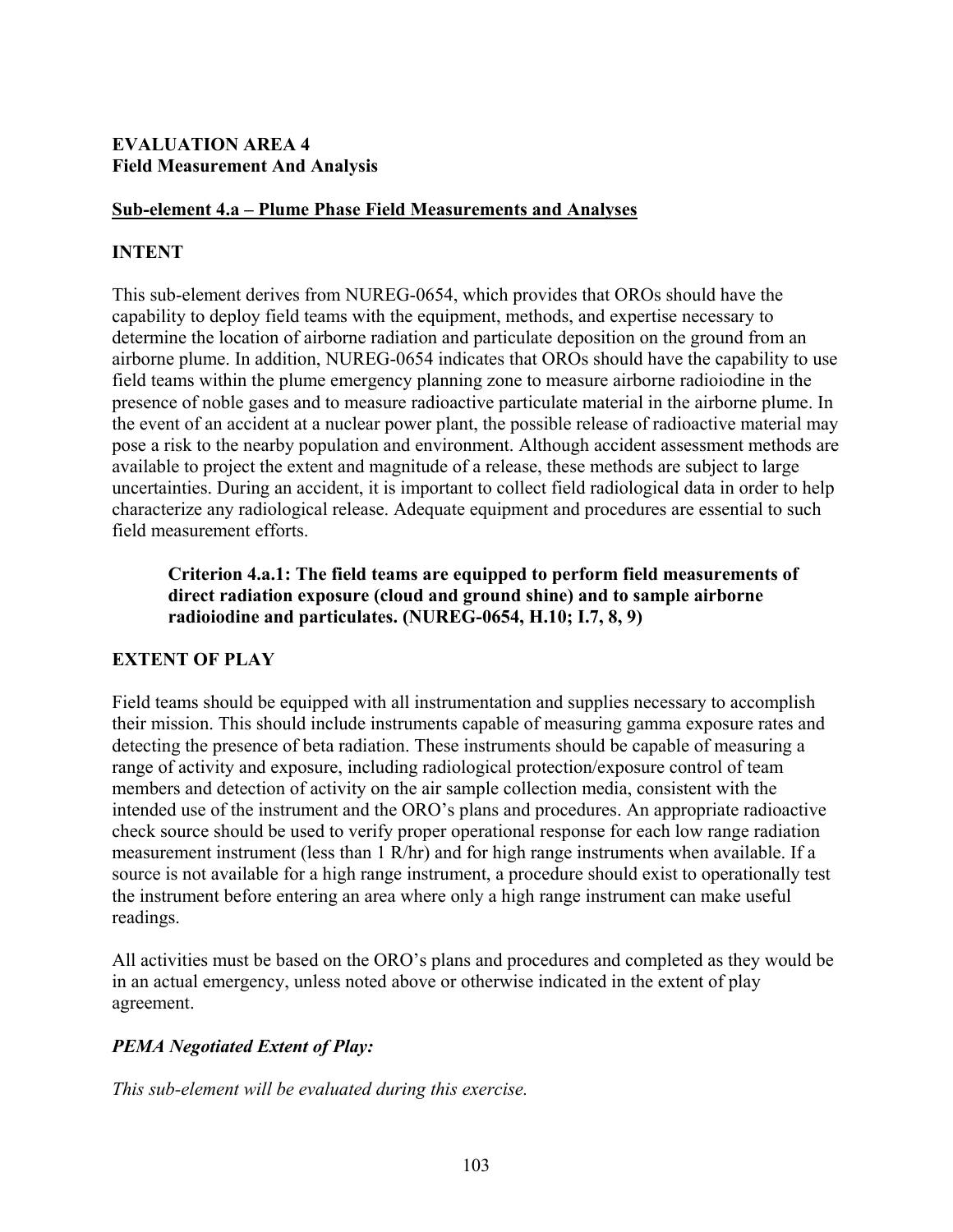## **EVALUATION AREA 4 Field Measurement And Analysis**

## **Sub-element 4.a – Plume Phase Field Measurements and Analyses**

## **INTENT**

This sub-element derives from NUREG-0654, which provides that OROs should have the capability to deploy field teams with the equipment, methods, and expertise necessary to determine the location of airborne radiation and particulate deposition on the ground from an airborne plume. In addition, NUREG-0654 indicates that OROs should have the capability to use field teams within the plume emergency planning zone to measure airborne radioiodine in the presence of noble gases and to measure radioactive particulate material in the airborne plume. In the event of an accident at a nuclear power plant, the possible release of radioactive material may pose a risk to the nearby population and environment. Although accident assessment methods are available to project the extent and magnitude of a release, these methods are subject to large uncertainties. During an accident, it is important to collect field radiological data in order to help characterize any radiological release. Adequate equipment and procedures are essential to such field measurement efforts.

## **Criterion 4.a.1: The field teams are equipped to perform field measurements of direct radiation exposure (cloud and ground shine) and to sample airborne radioiodine and particulates. (NUREG-0654, H.10; I.7, 8, 9)**

# **EXTENT OF PLAY**

Field teams should be equipped with all instrumentation and supplies necessary to accomplish their mission. This should include instruments capable of measuring gamma exposure rates and detecting the presence of beta radiation. These instruments should be capable of measuring a range of activity and exposure, including radiological protection/exposure control of team members and detection of activity on the air sample collection media, consistent with the intended use of the instrument and the ORO's plans and procedures. An appropriate radioactive check source should be used to verify proper operational response for each low range radiation measurement instrument (less than 1 R/hr) and for high range instruments when available. If a source is not available for a high range instrument, a procedure should exist to operationally test the instrument before entering an area where only a high range instrument can make useful readings.

All activities must be based on the ORO's plans and procedures and completed as they would be in an actual emergency, unless noted above or otherwise indicated in the extent of play agreement.

# *PEMA Negotiated Extent of Play:*

*This sub-element will be evaluated during this exercise.*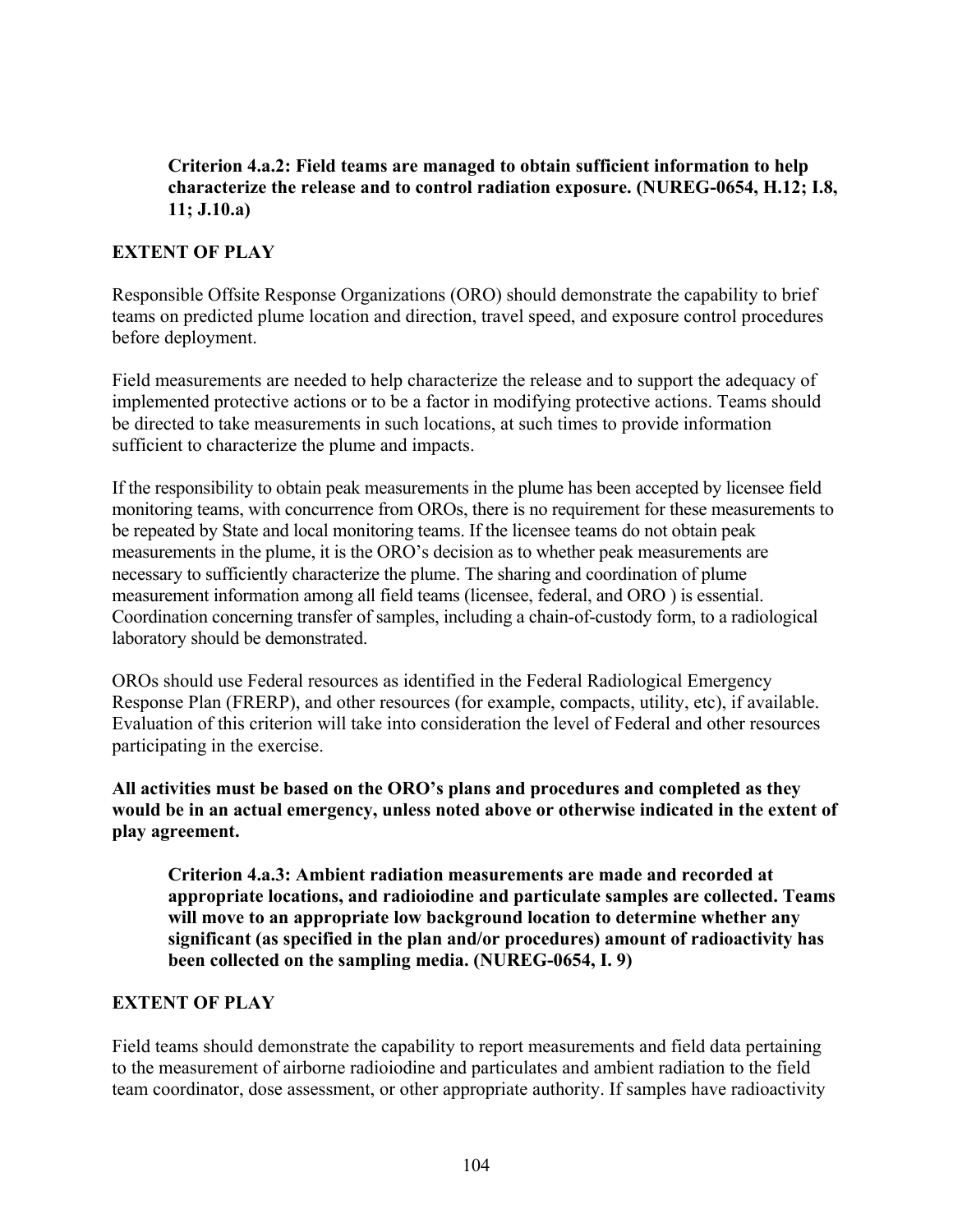## **Criterion 4.a.2: Field teams are managed to obtain sufficient information to help characterize the release and to control radiation exposure. (NUREG-0654, H.12; I.8, 11; J.10.a)**

## **EXTENT OF PLAY**

Responsible Offsite Response Organizations (ORO) should demonstrate the capability to brief teams on predicted plume location and direction, travel speed, and exposure control procedures before deployment.

Field measurements are needed to help characterize the release and to support the adequacy of implemented protective actions or to be a factor in modifying protective actions. Teams should be directed to take measurements in such locations, at such times to provide information sufficient to characterize the plume and impacts.

If the responsibility to obtain peak measurements in the plume has been accepted by licensee field monitoring teams, with concurrence from OROs, there is no requirement for these measurements to be repeated by State and local monitoring teams. If the licensee teams do not obtain peak measurements in the plume, it is the ORO's decision as to whether peak measurements are necessary to sufficiently characterize the plume. The sharing and coordination of plume measurement information among all field teams (licensee, federal, and ORO ) is essential. Coordination concerning transfer of samples, including a chain-of-custody form, to a radiological laboratory should be demonstrated.

OROs should use Federal resources as identified in the Federal Radiological Emergency Response Plan (FRERP), and other resources (for example, compacts, utility, etc), if available. Evaluation of this criterion will take into consideration the level of Federal and other resources participating in the exercise.

**All activities must be based on the ORO's plans and procedures and completed as they would be in an actual emergency, unless noted above or otherwise indicated in the extent of play agreement.**

**Criterion 4.a.3: Ambient radiation measurements are made and recorded at appropriate locations, and radioiodine and particulate samples are collected. Teams will move to an appropriate low background location to determine whether any significant (as specified in the plan and/or procedures) amount of radioactivity has been collected on the sampling media. (NUREG-0654, I. 9)** 

## **EXTENT OF PLAY**

Field teams should demonstrate the capability to report measurements and field data pertaining to the measurement of airborne radioiodine and particulates and ambient radiation to the field team coordinator, dose assessment, or other appropriate authority. If samples have radioactivity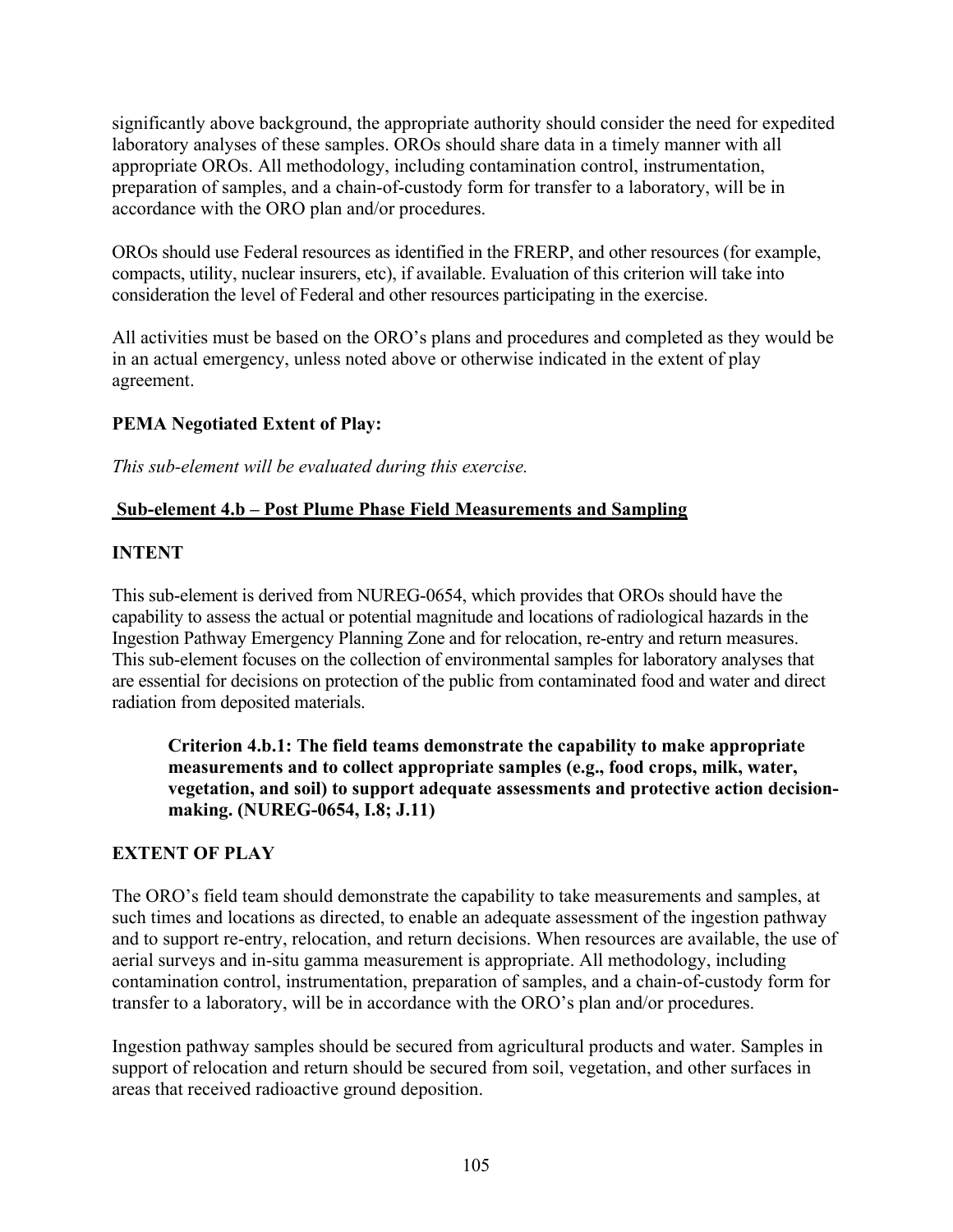significantly above background, the appropriate authority should consider the need for expedited laboratory analyses of these samples. OROs should share data in a timely manner with all appropriate OROs. All methodology, including contamination control, instrumentation, preparation of samples, and a chain-of-custody form for transfer to a laboratory, will be in accordance with the ORO plan and/or procedures.

OROs should use Federal resources as identified in the FRERP, and other resources (for example, compacts, utility, nuclear insurers, etc), if available. Evaluation of this criterion will take into consideration the level of Federal and other resources participating in the exercise.

All activities must be based on the ORO's plans and procedures and completed as they would be in an actual emergency, unless noted above or otherwise indicated in the extent of play agreement.

# **PEMA Negotiated Extent of Play:**

*This sub-element will be evaluated during this exercise.*

# **Sub-element 4.b – Post Plume Phase Field Measurements and Sampling**

# **INTENT**

This sub-element is derived from NUREG-0654, which provides that OROs should have the capability to assess the actual or potential magnitude and locations of radiological hazards in the Ingestion Pathway Emergency Planning Zone and for relocation, re-entry and return measures. This sub-element focuses on the collection of environmental samples for laboratory analyses that are essential for decisions on protection of the public from contaminated food and water and direct radiation from deposited materials.

**Criterion 4.b.1: The field teams demonstrate the capability to make appropriate measurements and to collect appropriate samples (e.g., food crops, milk, water, vegetation, and soil) to support adequate assessments and protective action decisionmaking. (NUREG-0654, I.8; J.11)** 

# **EXTENT OF PLAY**

The ORO's field team should demonstrate the capability to take measurements and samples, at such times and locations as directed, to enable an adequate assessment of the ingestion pathway and to support re-entry, relocation, and return decisions. When resources are available, the use of aerial surveys and in-situ gamma measurement is appropriate. All methodology, including contamination control, instrumentation, preparation of samples, and a chain-of-custody form for transfer to a laboratory, will be in accordance with the ORO's plan and/or procedures.

Ingestion pathway samples should be secured from agricultural products and water. Samples in support of relocation and return should be secured from soil, vegetation, and other surfaces in areas that received radioactive ground deposition.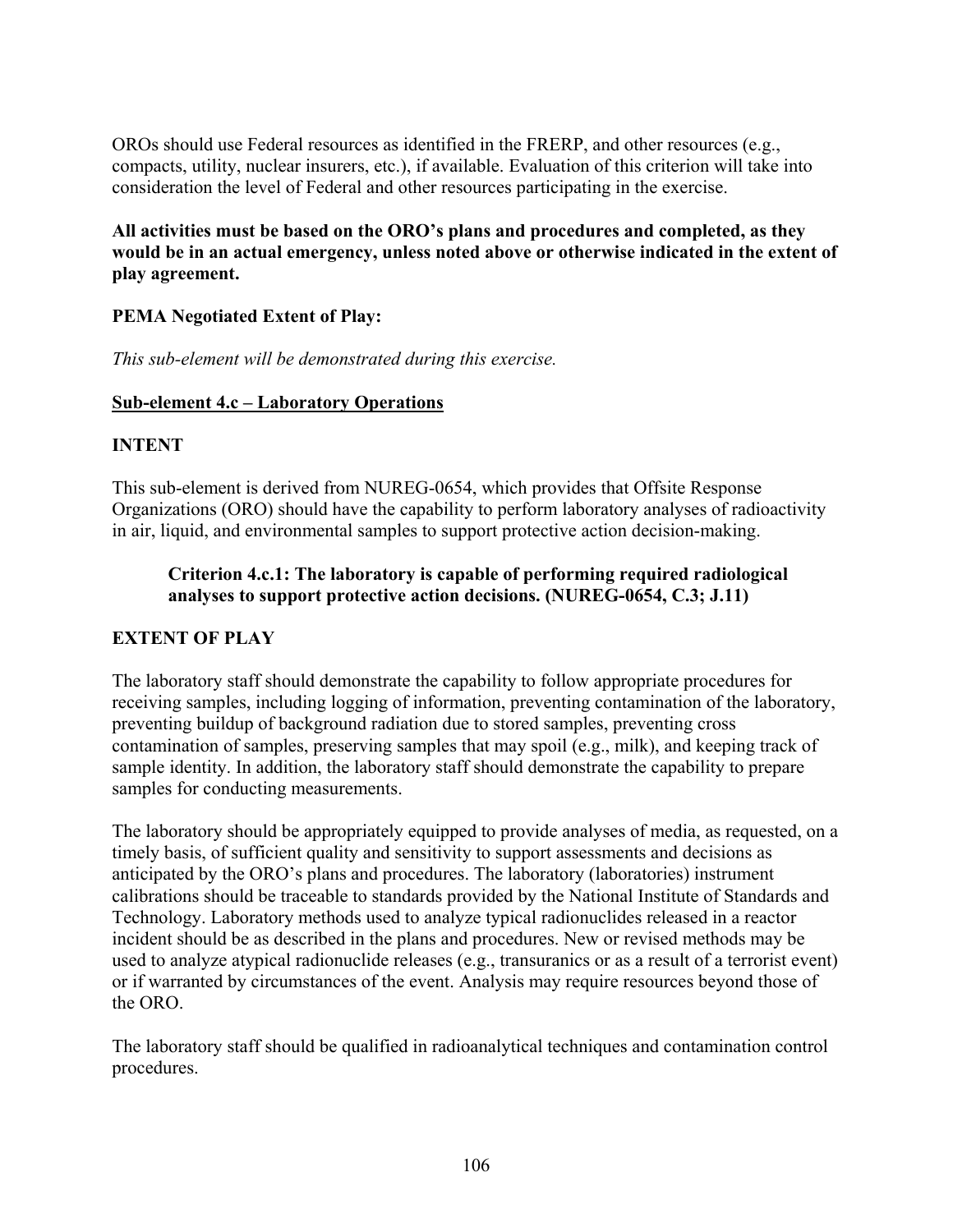OROs should use Federal resources as identified in the FRERP, and other resources (e.g., compacts, utility, nuclear insurers, etc.), if available. Evaluation of this criterion will take into consideration the level of Federal and other resources participating in the exercise.

**All activities must be based on the ORO's plans and procedures and completed, as they would be in an actual emergency, unless noted above or otherwise indicated in the extent of play agreement.** 

## **PEMA Negotiated Extent of Play:**

*This sub-element will be demonstrated during this exercise.* 

## **Sub-element 4.c – Laboratory Operations**

#### **INTENT**

This sub-element is derived from NUREG-0654, which provides that Offsite Response Organizations (ORO) should have the capability to perform laboratory analyses of radioactivity in air, liquid, and environmental samples to support protective action decision-making.

## **Criterion 4.c.1: The laboratory is capable of performing required radiological analyses to support protective action decisions. (NUREG-0654, C.3; J.11)**

## **EXTENT OF PLAY**

The laboratory staff should demonstrate the capability to follow appropriate procedures for receiving samples, including logging of information, preventing contamination of the laboratory, preventing buildup of background radiation due to stored samples, preventing cross contamination of samples, preserving samples that may spoil (e.g., milk), and keeping track of sample identity. In addition, the laboratory staff should demonstrate the capability to prepare samples for conducting measurements.

The laboratory should be appropriately equipped to provide analyses of media, as requested, on a timely basis, of sufficient quality and sensitivity to support assessments and decisions as anticipated by the ORO's plans and procedures. The laboratory (laboratories) instrument calibrations should be traceable to standards provided by the National Institute of Standards and Technology. Laboratory methods used to analyze typical radionuclides released in a reactor incident should be as described in the plans and procedures. New or revised methods may be used to analyze atypical radionuclide releases (e.g., transuranics or as a result of a terrorist event) or if warranted by circumstances of the event. Analysis may require resources beyond those of the ORO.

The laboratory staff should be qualified in radioanalytical techniques and contamination control procedures.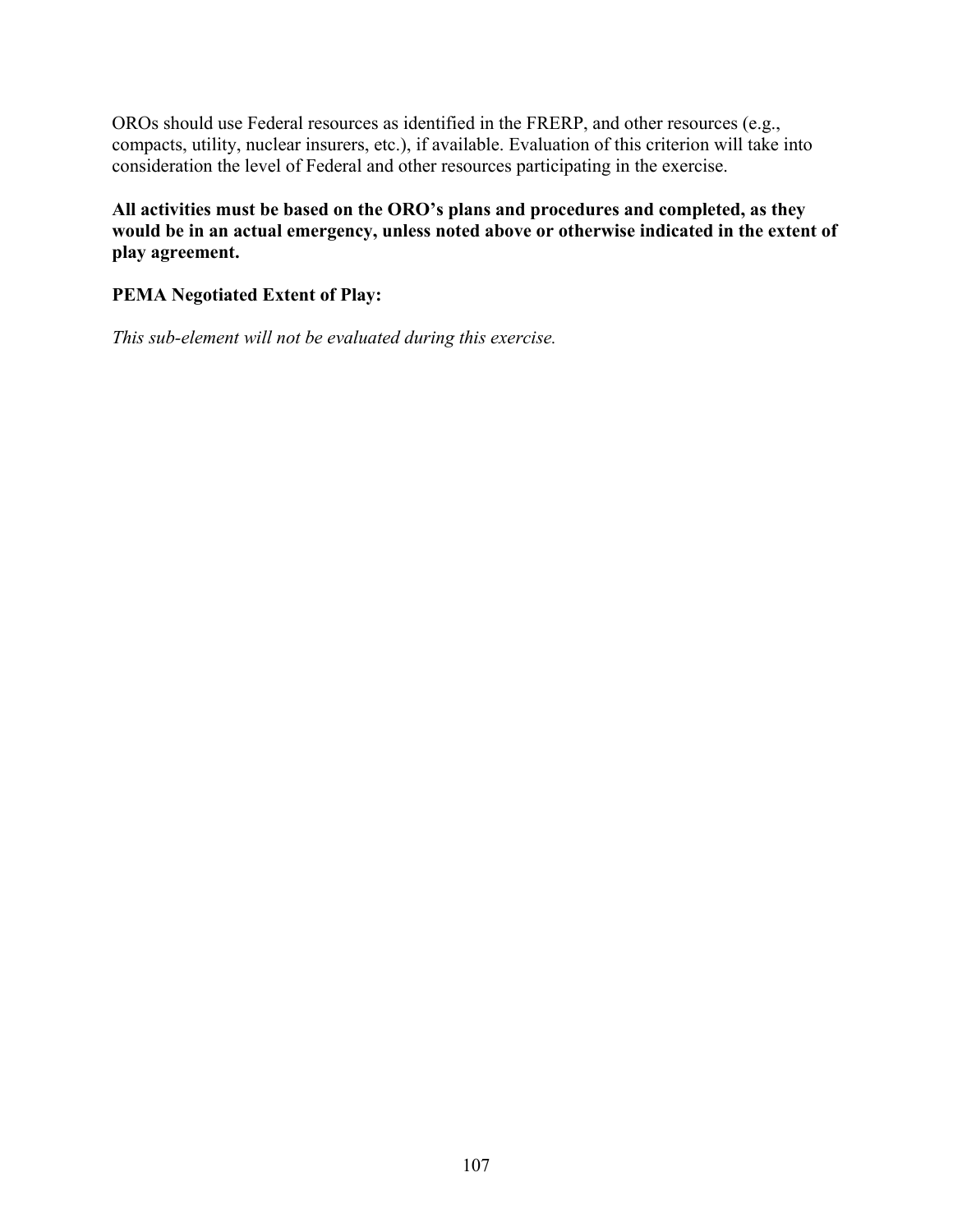OROs should use Federal resources as identified in the FRERP, and other resources (e.g., compacts, utility, nuclear insurers, etc.), if available. Evaluation of this criterion will take into consideration the level of Federal and other resources participating in the exercise.

**All activities must be based on the ORO's plans and procedures and completed, as they would be in an actual emergency, unless noted above or otherwise indicated in the extent of play agreement.** 

## **PEMA Negotiated Extent of Play:**

*This sub-element will not be evaluated during this exercise.*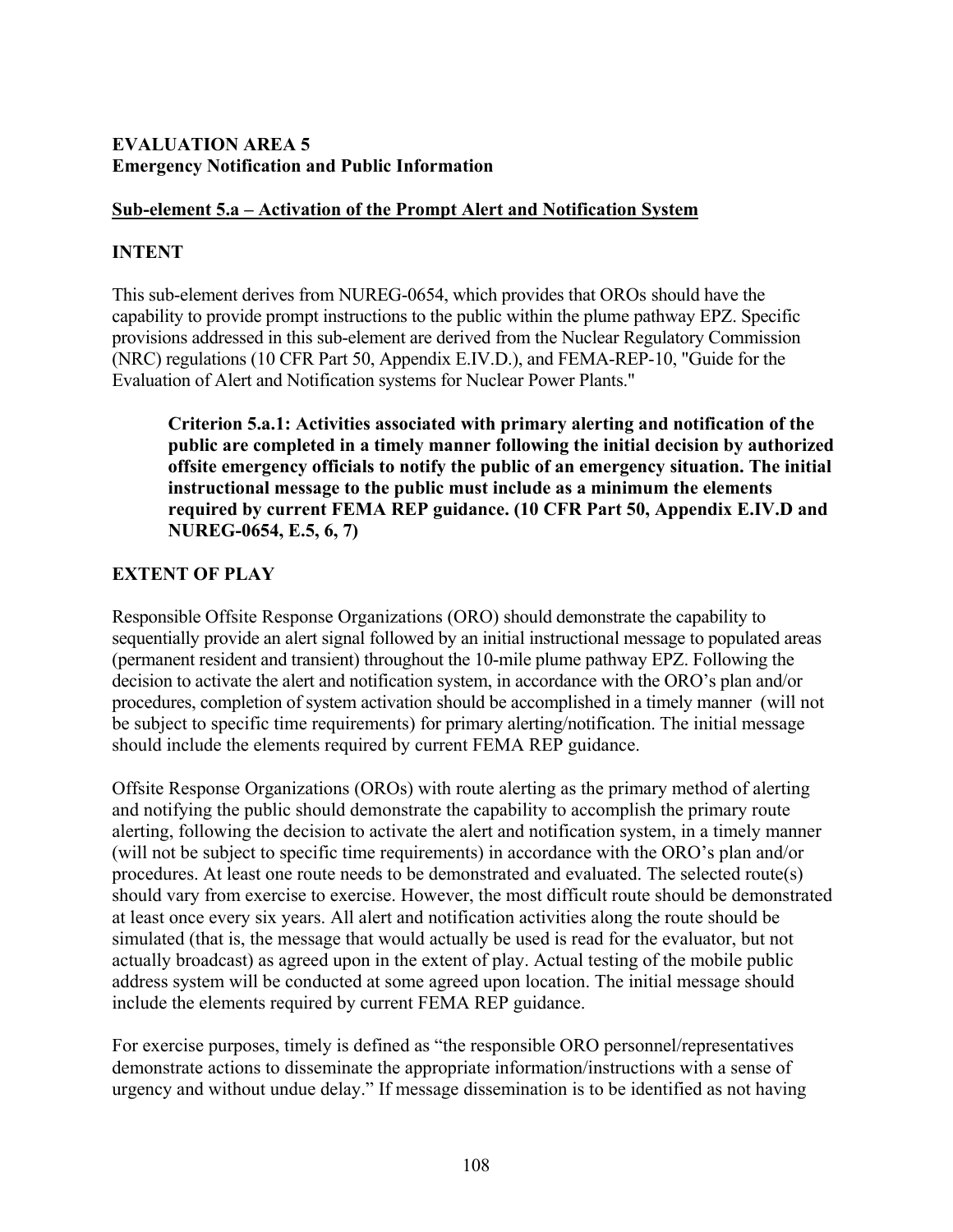## **EVALUATION AREA 5 Emergency Notification and Public Information**

## **Sub-element 5.a – Activation of the Prompt Alert and Notification System**

## **INTENT**

This sub-element derives from NUREG-0654, which provides that OROs should have the capability to provide prompt instructions to the public within the plume pathway EPZ. Specific provisions addressed in this sub-element are derived from the Nuclear Regulatory Commission (NRC) regulations (10 CFR Part 50, Appendix E.IV.D.), and FEMA-REP-10, "Guide for the Evaluation of Alert and Notification systems for Nuclear Power Plants."

**Criterion 5.a.1: Activities associated with primary alerting and notification of the public are completed in a timely manner following the initial decision by authorized offsite emergency officials to notify the public of an emergency situation. The initial instructional message to the public must include as a minimum the elements required by current FEMA REP guidance. (10 CFR Part 50, Appendix E.IV.D and NUREG-0654, E.5, 6, 7)** 

# **EXTENT OF PLAY**

Responsible Offsite Response Organizations (ORO) should demonstrate the capability to sequentially provide an alert signal followed by an initial instructional message to populated areas (permanent resident and transient) throughout the 10-mile plume pathway EPZ. Following the decision to activate the alert and notification system, in accordance with the ORO's plan and/or procedures, completion of system activation should be accomplished in a timely manner (will not be subject to specific time requirements) for primary alerting/notification. The initial message should include the elements required by current FEMA REP guidance.

Offsite Response Organizations (OROs) with route alerting as the primary method of alerting and notifying the public should demonstrate the capability to accomplish the primary route alerting, following the decision to activate the alert and notification system, in a timely manner (will not be subject to specific time requirements) in accordance with the ORO's plan and/or procedures. At least one route needs to be demonstrated and evaluated. The selected route(s) should vary from exercise to exercise. However, the most difficult route should be demonstrated at least once every six years. All alert and notification activities along the route should be simulated (that is, the message that would actually be used is read for the evaluator, but not actually broadcast) as agreed upon in the extent of play. Actual testing of the mobile public address system will be conducted at some agreed upon location. The initial message should include the elements required by current FEMA REP guidance.

For exercise purposes, timely is defined as "the responsible ORO personnel/representatives demonstrate actions to disseminate the appropriate information/instructions with a sense of urgency and without undue delay." If message dissemination is to be identified as not having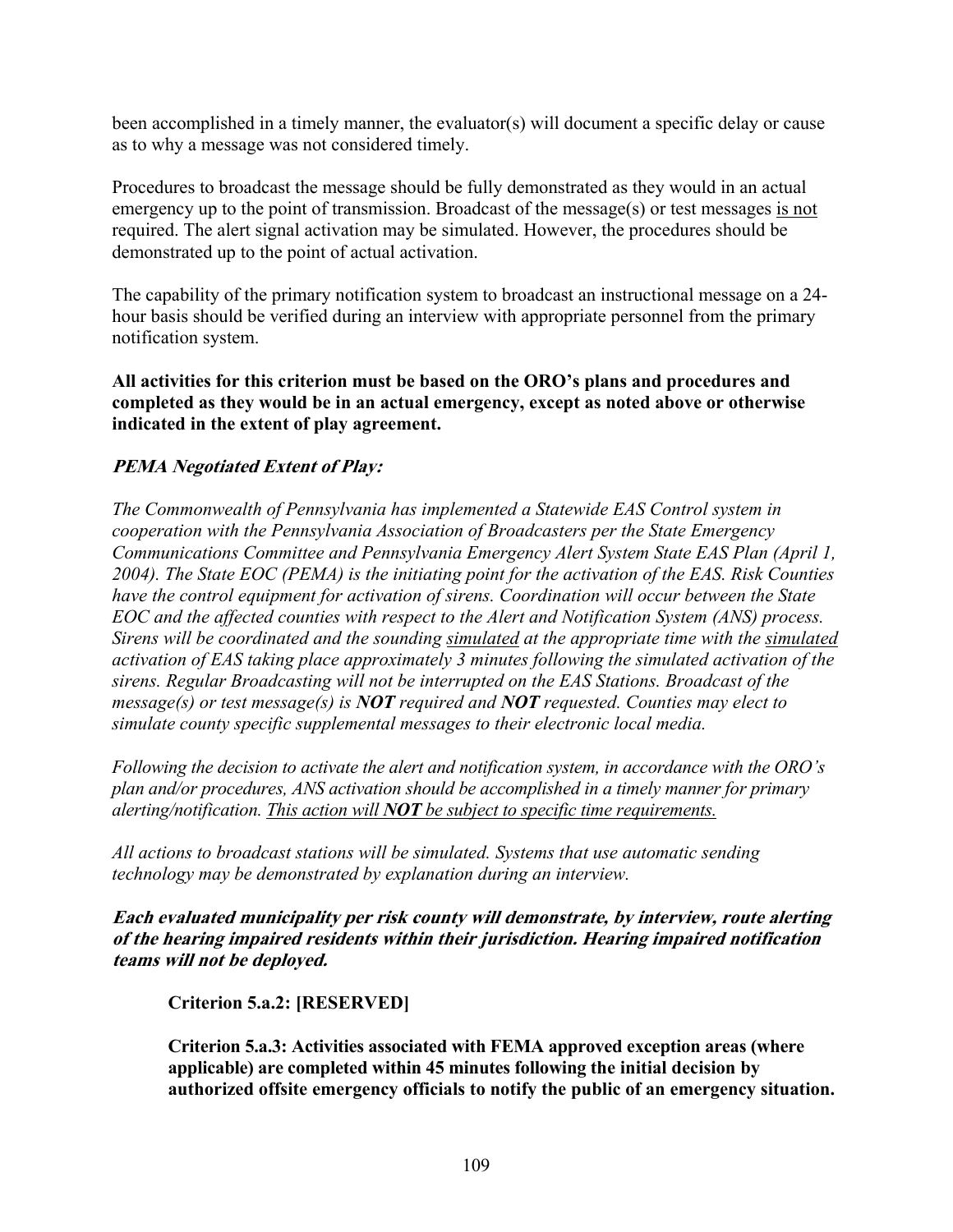been accomplished in a timely manner, the evaluator(s) will document a specific delay or cause as to why a message was not considered timely.

Procedures to broadcast the message should be fully demonstrated as they would in an actual emergency up to the point of transmission. Broadcast of the message(s) or test messages is not required. The alert signal activation may be simulated. However, the procedures should be demonstrated up to the point of actual activation.

The capability of the primary notification system to broadcast an instructional message on a 24 hour basis should be verified during an interview with appropriate personnel from the primary notification system.

**All activities for this criterion must be based on the ORO's plans and procedures and completed as they would be in an actual emergency, except as noted above or otherwise indicated in the extent of play agreement.** 

## **PEMA Negotiated Extent of Play:**

*The Commonwealth of Pennsylvania has implemented a Statewide EAS Control system in cooperation with the Pennsylvania Association of Broadcasters per the State Emergency Communications Committee and Pennsylvania Emergency Alert System State EAS Plan (April 1, 2004). The State EOC (PEMA) is the initiating point for the activation of the EAS. Risk Counties have the control equipment for activation of sirens. Coordination will occur between the State EOC and the affected counties with respect to the Alert and Notification System (ANS) process. Sirens will be coordinated and the sounding simulated at the appropriate time with the simulated activation of EAS taking place approximately 3 minutes following the simulated activation of the sirens. Regular Broadcasting will not be interrupted on the EAS Stations. Broadcast of the message(s) or test message(s) is NOT required and NOT requested. Counties may elect to simulate county specific supplemental messages to their electronic local media.* 

*Following the decision to activate the alert and notification system, in accordance with the ORO's plan and/or procedures, ANS activation should be accomplished in a timely manner for primary alerting/notification. This action will NOT be subject to specific time requirements.*

*All actions to broadcast stations will be simulated. Systems that use automatic sending technology may be demonstrated by explanation during an interview.*

**Each evaluated municipality per risk county will demonstrate, by interview, route alerting of the hearing impaired residents within their jurisdiction. Hearing impaired notification teams will not be deployed.** 

**Criterion 5.a.2: [RESERVED]** 

**Criterion 5.a.3: Activities associated with FEMA approved exception areas (where applicable) are completed within 45 minutes following the initial decision by authorized offsite emergency officials to notify the public of an emergency situation.**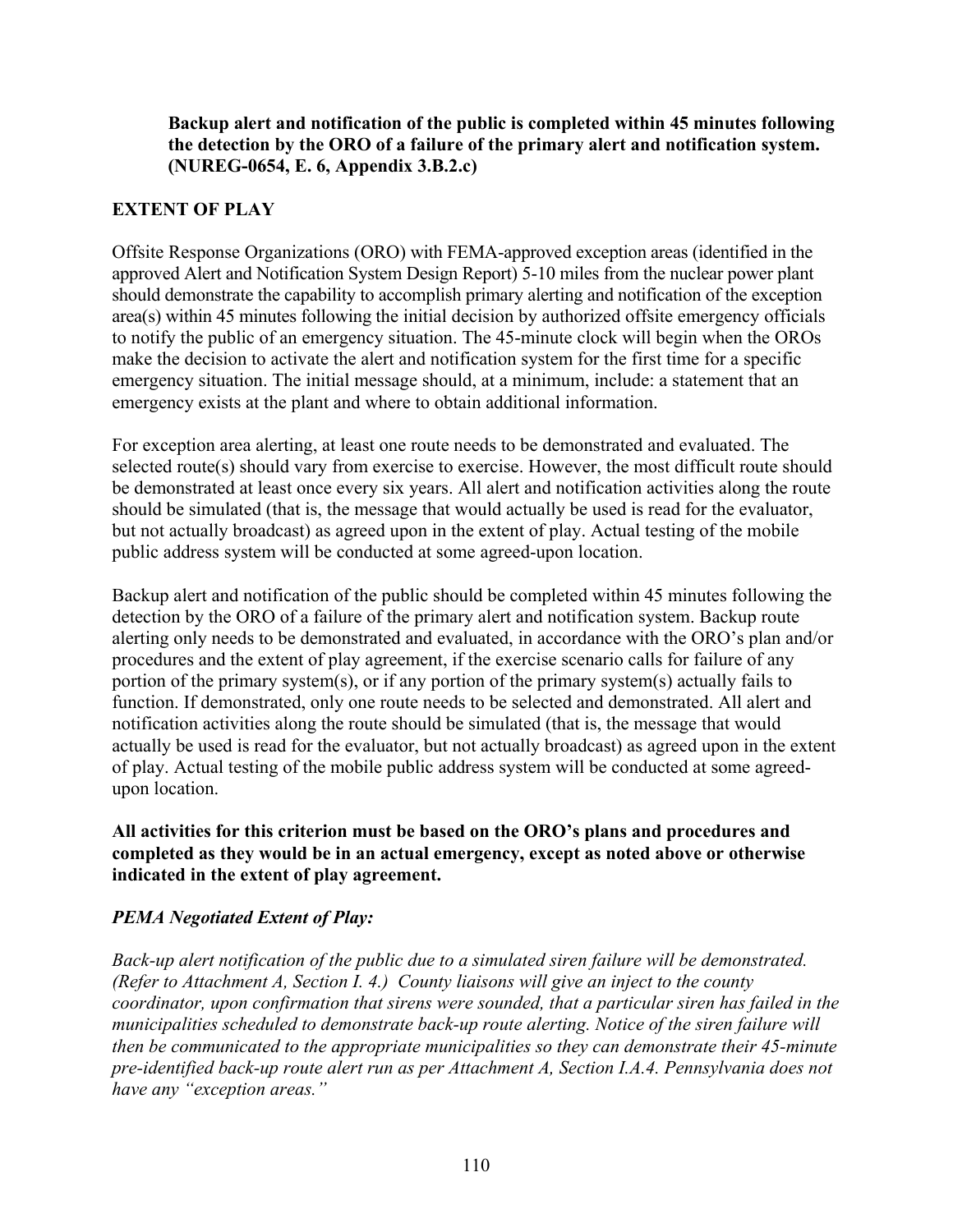**Backup alert and notification of the public is completed within 45 minutes following the detection by the ORO of a failure of the primary alert and notification system. (NUREG-0654, E. 6, Appendix 3.B.2.c)** 

## **EXTENT OF PLAY**

Offsite Response Organizations (ORO) with FEMA-approved exception areas (identified in the approved Alert and Notification System Design Report) 5-10 miles from the nuclear power plant should demonstrate the capability to accomplish primary alerting and notification of the exception area(s) within 45 minutes following the initial decision by authorized offsite emergency officials to notify the public of an emergency situation. The 45-minute clock will begin when the OROs make the decision to activate the alert and notification system for the first time for a specific emergency situation. The initial message should, at a minimum, include: a statement that an emergency exists at the plant and where to obtain additional information.

For exception area alerting, at least one route needs to be demonstrated and evaluated. The selected route(s) should vary from exercise to exercise. However, the most difficult route should be demonstrated at least once every six years. All alert and notification activities along the route should be simulated (that is, the message that would actually be used is read for the evaluator, but not actually broadcast) as agreed upon in the extent of play. Actual testing of the mobile public address system will be conducted at some agreed-upon location.

Backup alert and notification of the public should be completed within 45 minutes following the detection by the ORO of a failure of the primary alert and notification system. Backup route alerting only needs to be demonstrated and evaluated, in accordance with the ORO's plan and/or procedures and the extent of play agreement, if the exercise scenario calls for failure of any portion of the primary system(s), or if any portion of the primary system(s) actually fails to function. If demonstrated, only one route needs to be selected and demonstrated. All alert and notification activities along the route should be simulated (that is, the message that would actually be used is read for the evaluator, but not actually broadcast) as agreed upon in the extent of play. Actual testing of the mobile public address system will be conducted at some agreedupon location.

**All activities for this criterion must be based on the ORO's plans and procedures and completed as they would be in an actual emergency, except as noted above or otherwise indicated in the extent of play agreement.** 

# *PEMA Negotiated Extent of Play:*

*Back-up alert notification of the public due to a simulated siren failure will be demonstrated. (Refer to Attachment A, Section I. 4.) County liaisons will give an inject to the county coordinator, upon confirmation that sirens were sounded, that a particular siren has failed in the municipalities scheduled to demonstrate back-up route alerting. Notice of the siren failure will then be communicated to the appropriate municipalities so they can demonstrate their 45-minute pre-identified back-up route alert run as per Attachment A, Section I.A.4. Pennsylvania does not have any "exception areas."*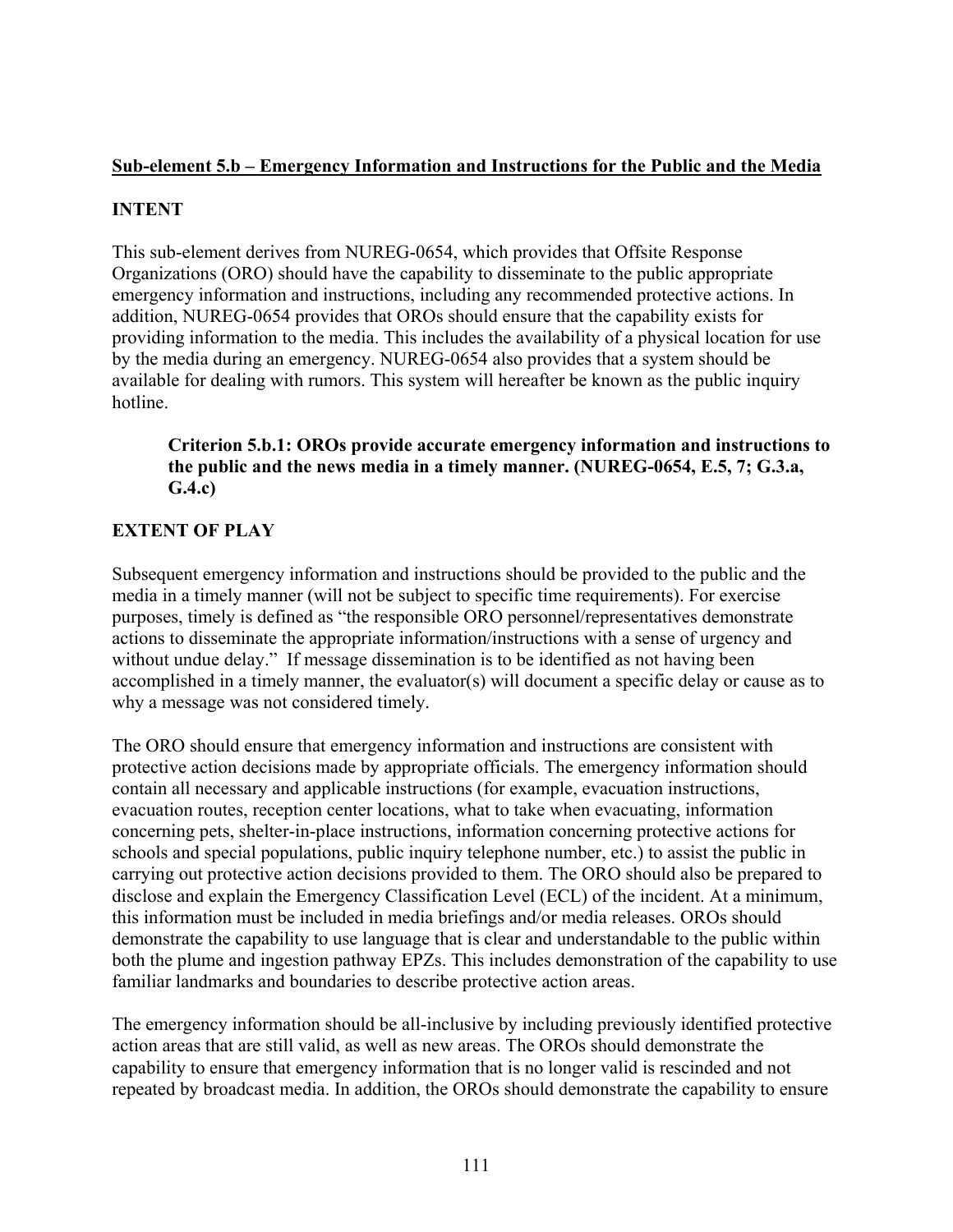## **Sub-element 5.b – Emergency Information and Instructions for the Public and the Media**

# **INTENT**

This sub-element derives from NUREG-0654, which provides that Offsite Response Organizations (ORO) should have the capability to disseminate to the public appropriate emergency information and instructions, including any recommended protective actions. In addition, NUREG-0654 provides that OROs should ensure that the capability exists for providing information to the media. This includes the availability of a physical location for use by the media during an emergency. NUREG-0654 also provides that a system should be available for dealing with rumors. This system will hereafter be known as the public inquiry hotline.

**Criterion 5.b.1: OROs provide accurate emergency information and instructions to the public and the news media in a timely manner. (NUREG-0654, E.5, 7; G.3.a, G.4.c)** 

# **EXTENT OF PLAY**

Subsequent emergency information and instructions should be provided to the public and the media in a timely manner (will not be subject to specific time requirements). For exercise purposes, timely is defined as "the responsible ORO personnel/representatives demonstrate actions to disseminate the appropriate information/instructions with a sense of urgency and without undue delay." If message dissemination is to be identified as not having been accomplished in a timely manner, the evaluator(s) will document a specific delay or cause as to why a message was not considered timely.

The ORO should ensure that emergency information and instructions are consistent with protective action decisions made by appropriate officials. The emergency information should contain all necessary and applicable instructions (for example, evacuation instructions, evacuation routes, reception center locations, what to take when evacuating, information concerning pets, shelter-in-place instructions, information concerning protective actions for schools and special populations, public inquiry telephone number, etc.) to assist the public in carrying out protective action decisions provided to them. The ORO should also be prepared to disclose and explain the Emergency Classification Level (ECL) of the incident. At a minimum, this information must be included in media briefings and/or media releases. OROs should demonstrate the capability to use language that is clear and understandable to the public within both the plume and ingestion pathway EPZs. This includes demonstration of the capability to use familiar landmarks and boundaries to describe protective action areas.

The emergency information should be all-inclusive by including previously identified protective action areas that are still valid, as well as new areas. The OROs should demonstrate the capability to ensure that emergency information that is no longer valid is rescinded and not repeated by broadcast media. In addition, the OROs should demonstrate the capability to ensure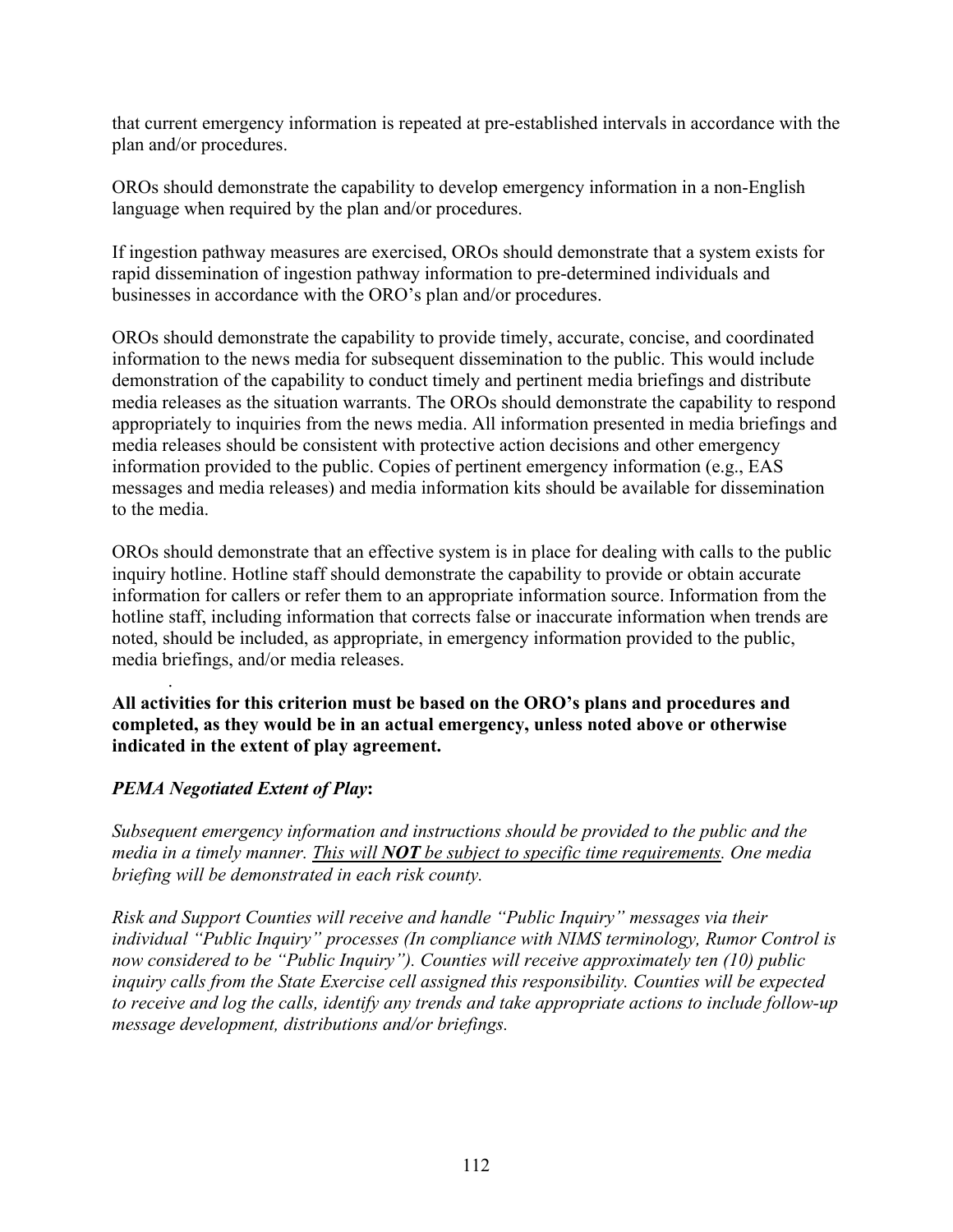that current emergency information is repeated at pre-established intervals in accordance with the plan and/or procedures.

OROs should demonstrate the capability to develop emergency information in a non-English language when required by the plan and/or procedures.

If ingestion pathway measures are exercised, OROs should demonstrate that a system exists for rapid dissemination of ingestion pathway information to pre-determined individuals and businesses in accordance with the ORO's plan and/or procedures.

OROs should demonstrate the capability to provide timely, accurate, concise, and coordinated information to the news media for subsequent dissemination to the public. This would include demonstration of the capability to conduct timely and pertinent media briefings and distribute media releases as the situation warrants. The OROs should demonstrate the capability to respond appropriately to inquiries from the news media. All information presented in media briefings and media releases should be consistent with protective action decisions and other emergency information provided to the public. Copies of pertinent emergency information (e.g., EAS messages and media releases) and media information kits should be available for dissemination to the media.

OROs should demonstrate that an effective system is in place for dealing with calls to the public inquiry hotline. Hotline staff should demonstrate the capability to provide or obtain accurate information for callers or refer them to an appropriate information source. Information from the hotline staff, including information that corrects false or inaccurate information when trends are noted, should be included, as appropriate, in emergency information provided to the public, media briefings, and/or media releases.

**All activities for this criterion must be based on the ORO's plans and procedures and completed, as they would be in an actual emergency, unless noted above or otherwise indicated in the extent of play agreement.** 

## *PEMA Negotiated Extent of Play***:**

.

*Subsequent emergency information and instructions should be provided to the public and the media in a timely manner. This will NOT be subject to specific time requirements. One media briefing will be demonstrated in each risk county.* 

*Risk and Support Counties will receive and handle "Public Inquiry" messages via their individual "Public Inquiry" processes (In compliance with NIMS terminology, Rumor Control is now considered to be "Public Inquiry"). Counties will receive approximately ten (10) public inquiry calls from the State Exercise cell assigned this responsibility. Counties will be expected to receive and log the calls, identify any trends and take appropriate actions to include follow-up message development, distributions and/or briefings.*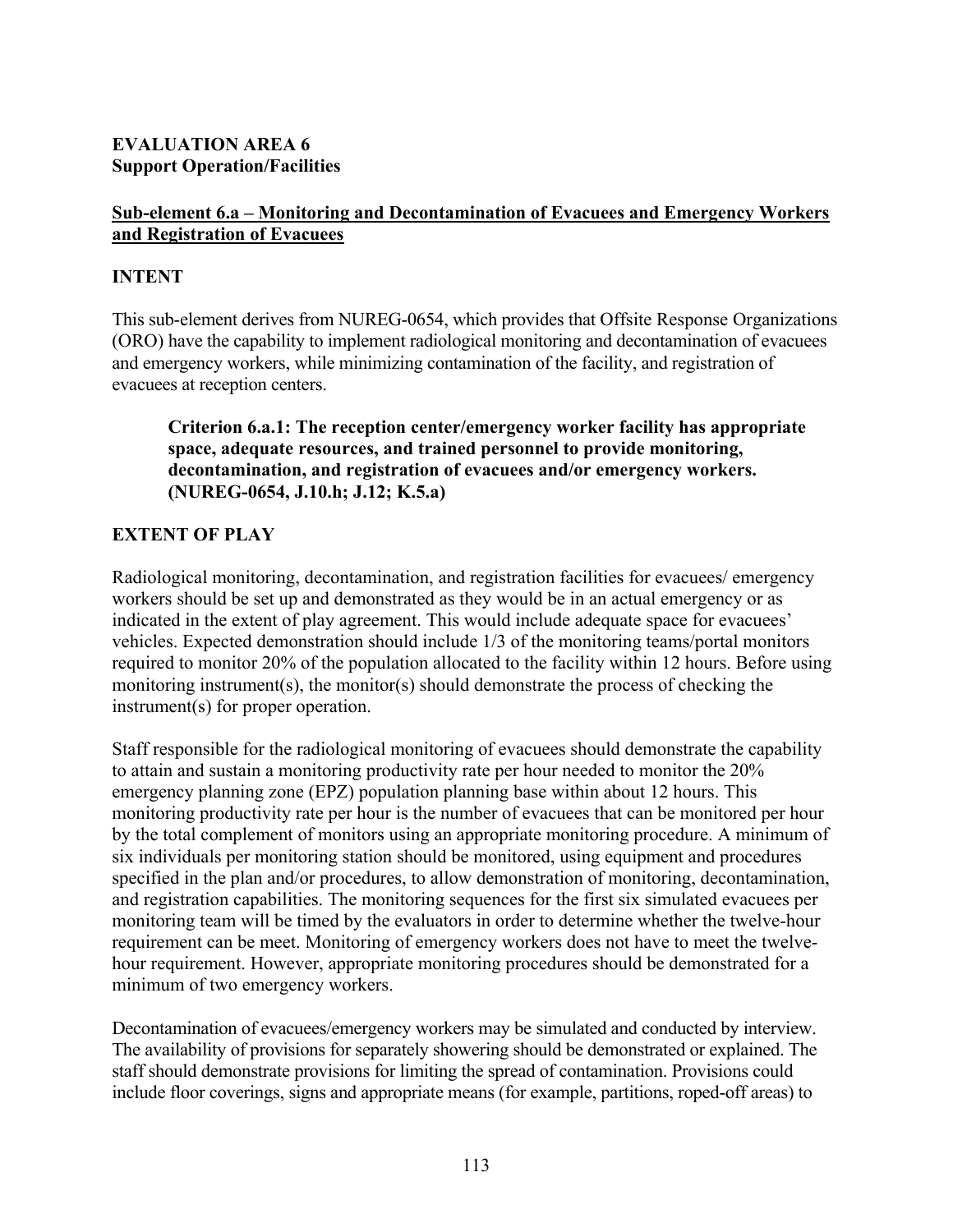## **EVALUATION AREA 6 Support Operation/Facilities**

## **Sub-element 6.a – Monitoring and Decontamination of Evacuees and Emergency Workers and Registration of Evacuees**

## **INTENT**

This sub-element derives from NUREG-0654, which provides that Offsite Response Organizations (ORO) have the capability to implement radiological monitoring and decontamination of evacuees and emergency workers, while minimizing contamination of the facility, and registration of evacuees at reception centers.

**Criterion 6.a.1: The reception center/emergency worker facility has appropriate space, adequate resources, and trained personnel to provide monitoring, decontamination, and registration of evacuees and/or emergency workers. (NUREG-0654, J.10.h; J.12; K.5.a)** 

# **EXTENT OF PLAY**

Radiological monitoring, decontamination, and registration facilities for evacuees/ emergency workers should be set up and demonstrated as they would be in an actual emergency or as indicated in the extent of play agreement. This would include adequate space for evacuees' vehicles. Expected demonstration should include 1/3 of the monitoring teams/portal monitors required to monitor 20% of the population allocated to the facility within 12 hours. Before using monitoring instrument(s), the monitor(s) should demonstrate the process of checking the instrument(s) for proper operation.

Staff responsible for the radiological monitoring of evacuees should demonstrate the capability to attain and sustain a monitoring productivity rate per hour needed to monitor the 20% emergency planning zone (EPZ) population planning base within about 12 hours. This monitoring productivity rate per hour is the number of evacuees that can be monitored per hour by the total complement of monitors using an appropriate monitoring procedure. A minimum of six individuals per monitoring station should be monitored, using equipment and procedures specified in the plan and/or procedures, to allow demonstration of monitoring, decontamination, and registration capabilities. The monitoring sequences for the first six simulated evacuees per monitoring team will be timed by the evaluators in order to determine whether the twelve-hour requirement can be meet. Monitoring of emergency workers does not have to meet the twelvehour requirement. However, appropriate monitoring procedures should be demonstrated for a minimum of two emergency workers.

Decontamination of evacuees/emergency workers may be simulated and conducted by interview. The availability of provisions for separately showering should be demonstrated or explained. The staff should demonstrate provisions for limiting the spread of contamination. Provisions could include floor coverings, signs and appropriate means (for example, partitions, roped-off areas) to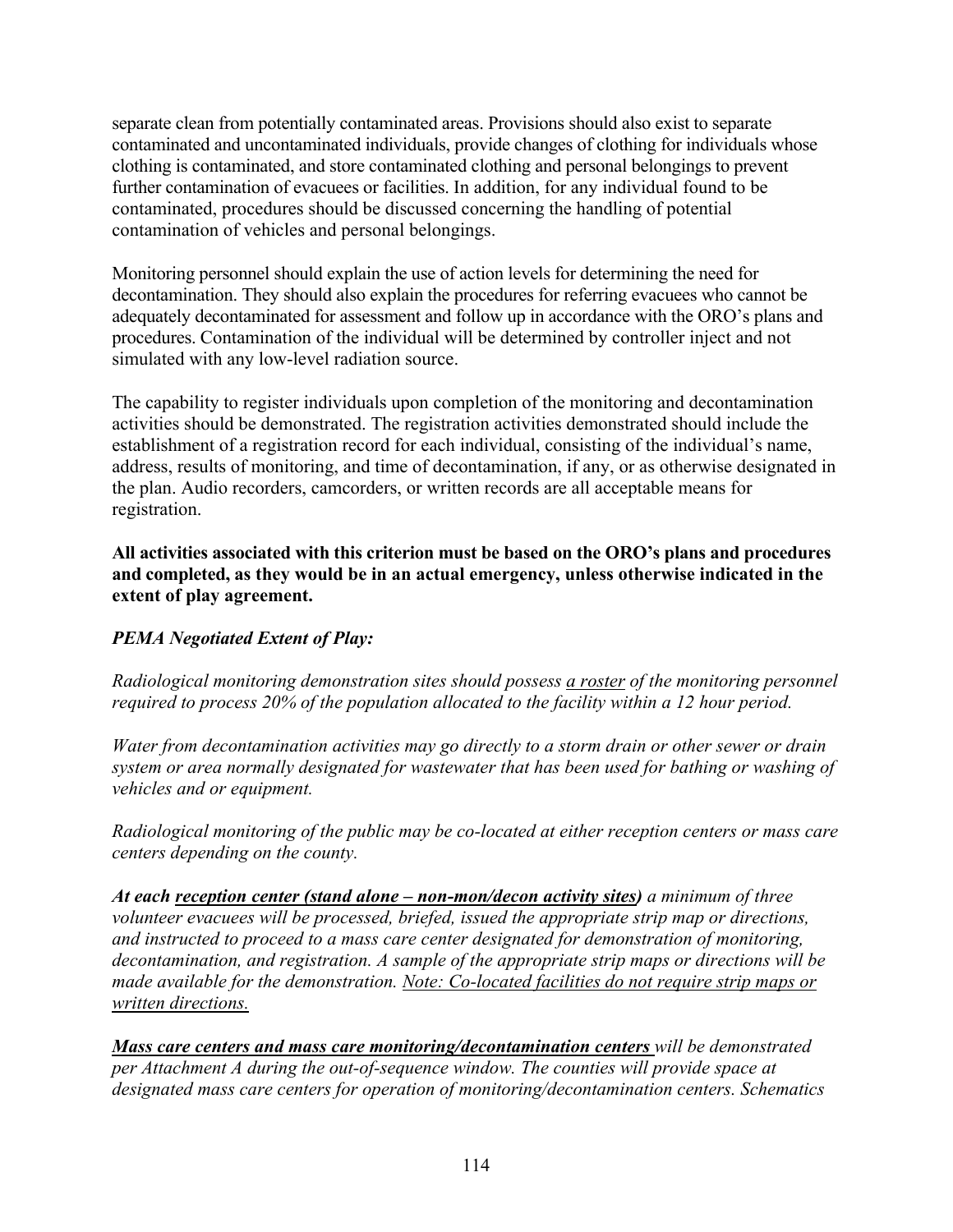separate clean from potentially contaminated areas. Provisions should also exist to separate contaminated and uncontaminated individuals, provide changes of clothing for individuals whose clothing is contaminated, and store contaminated clothing and personal belongings to prevent further contamination of evacuees or facilities. In addition, for any individual found to be contaminated, procedures should be discussed concerning the handling of potential contamination of vehicles and personal belongings.

Monitoring personnel should explain the use of action levels for determining the need for decontamination. They should also explain the procedures for referring evacuees who cannot be adequately decontaminated for assessment and follow up in accordance with the ORO's plans and procedures. Contamination of the individual will be determined by controller inject and not simulated with any low-level radiation source.

The capability to register individuals upon completion of the monitoring and decontamination activities should be demonstrated. The registration activities demonstrated should include the establishment of a registration record for each individual, consisting of the individual's name, address, results of monitoring, and time of decontamination, if any, or as otherwise designated in the plan. Audio recorders, camcorders, or written records are all acceptable means for registration.

**All activities associated with this criterion must be based on the ORO's plans and procedures and completed, as they would be in an actual emergency, unless otherwise indicated in the extent of play agreement.** 

# *PEMA Negotiated Extent of Play:*

*Radiological monitoring demonstration sites should possess a roster of the monitoring personnel required to process 20% of the population allocated to the facility within a 12 hour period.*

*Water from decontamination activities may go directly to a storm drain or other sewer or drain system or area normally designated for wastewater that has been used for bathing or washing of vehicles and or equipment.* 

*Radiological monitoring of the public may be co-located at either reception centers or mass care centers depending on the county.* 

*At each reception center (stand alone – non-mon/decon activity sites) a minimum of three volunteer evacuees will be processed, briefed, issued the appropriate strip map or directions, and instructed to proceed to a mass care center designated for demonstration of monitoring, decontamination, and registration. A sample of the appropriate strip maps or directions will be made available for the demonstration. Note: Co-located facilities do not require strip maps or written directions.*

*Mass care centers and mass care monitoring/decontamination centers will be demonstrated per Attachment A during the out-of-sequence window. The counties will provide space at designated mass care centers for operation of monitoring/decontamination centers. Schematics*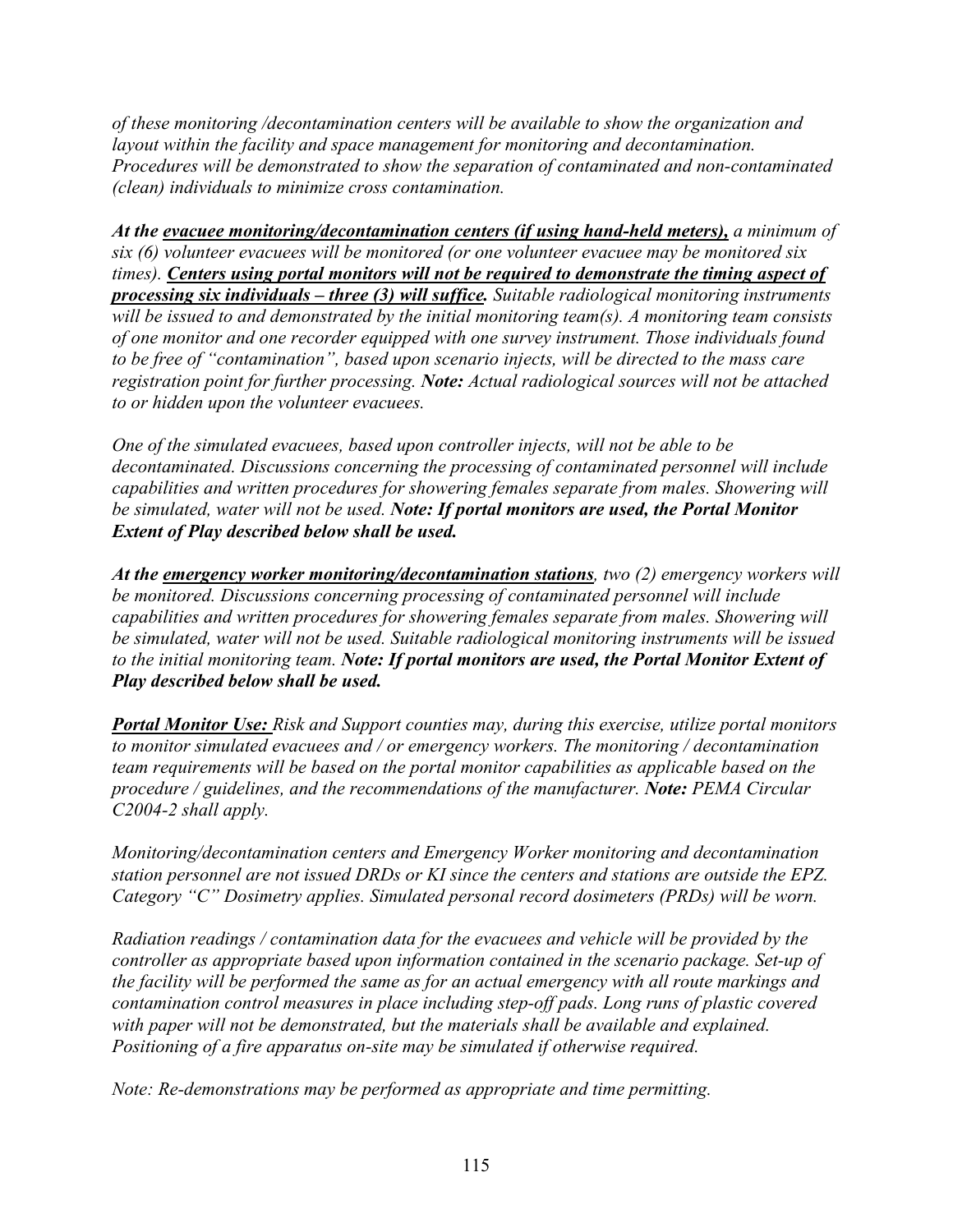*of these monitoring /decontamination centers will be available to show the organization and layout within the facility and space management for monitoring and decontamination. Procedures will be demonstrated to show the separation of contaminated and non-contaminated (clean) individuals to minimize cross contamination.* 

*At the evacuee monitoring/decontamination centers (if using hand-held meters), a minimum of six (6) volunteer evacuees will be monitored (or one volunteer evacuee may be monitored six times). Centers using portal monitors will not be required to demonstrate the timing aspect of processing six individuals – three (3) will suffice. Suitable radiological monitoring instruments will be issued to and demonstrated by the initial monitoring team(s). A monitoring team consists of one monitor and one recorder equipped with one survey instrument. Those individuals found to be free of "contamination", based upon scenario injects, will be directed to the mass care registration point for further processing. Note: Actual radiological sources will not be attached to or hidden upon the volunteer evacuees.* 

*One of the simulated evacuees, based upon controller injects, will not be able to be decontaminated. Discussions concerning the processing of contaminated personnel will include capabilities and written procedures for showering females separate from males. Showering will be simulated, water will not be used. Note: If portal monitors are used, the Portal Monitor Extent of Play described below shall be used.* 

*At the emergency worker monitoring/decontamination stations, two (2) emergency workers will be monitored. Discussions concerning processing of contaminated personnel will include capabilities and written procedures for showering females separate from males. Showering will be simulated, water will not be used. Suitable radiological monitoring instruments will be issued to the initial monitoring team. Note: If portal monitors are used, the Portal Monitor Extent of Play described below shall be used.* 

*Portal Monitor Use: Risk and Support counties may, during this exercise, utilize portal monitors to monitor simulated evacuees and / or emergency workers. The monitoring / decontamination team requirements will be based on the portal monitor capabilities as applicable based on the procedure / guidelines, and the recommendations of the manufacturer. Note: PEMA Circular C2004-2 shall apply.* 

*Monitoring/decontamination centers and Emergency Worker monitoring and decontamination station personnel are not issued DRDs or KI since the centers and stations are outside the EPZ. Category "C" Dosimetry applies. Simulated personal record dosimeters (PRDs) will be worn.* 

*Radiation readings / contamination data for the evacuees and vehicle will be provided by the controller as appropriate based upon information contained in the scenario package. Set-up of the facility will be performed the same as for an actual emergency with all route markings and contamination control measures in place including step-off pads. Long runs of plastic covered with paper will not be demonstrated, but the materials shall be available and explained. Positioning of a fire apparatus on-site may be simulated if otherwise required.* 

*Note: Re-demonstrations may be performed as appropriate and time permitting.*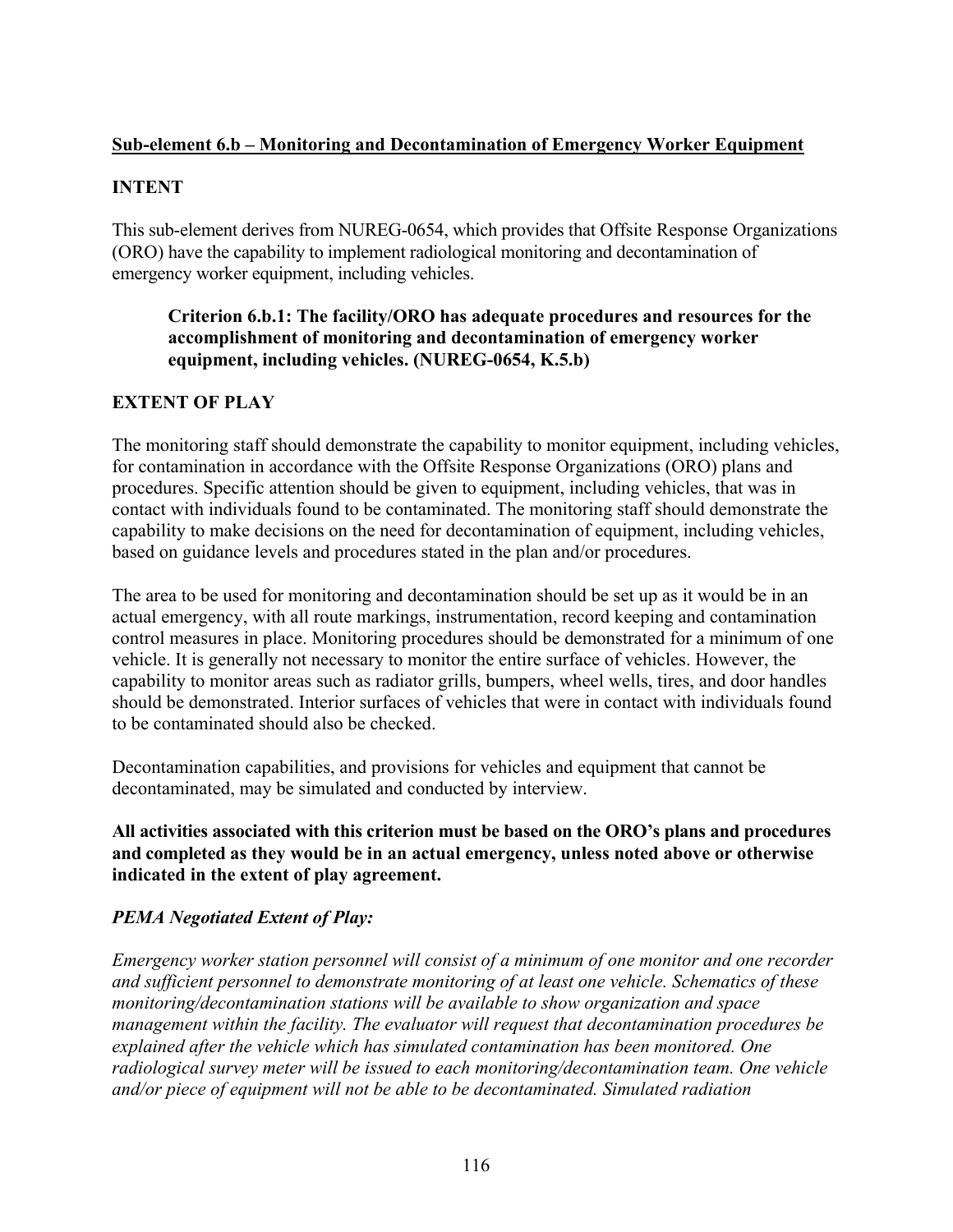## **Sub-element 6.b – Monitoring and Decontamination of Emergency Worker Equipment**

## **INTENT**

This sub-element derives from NUREG-0654, which provides that Offsite Response Organizations (ORO) have the capability to implement radiological monitoring and decontamination of emergency worker equipment, including vehicles.

## **Criterion 6.b.1: The facility/ORO has adequate procedures and resources for the accomplishment of monitoring and decontamination of emergency worker equipment, including vehicles. (NUREG-0654, K.5.b)**

# **EXTENT OF PLAY**

The monitoring staff should demonstrate the capability to monitor equipment, including vehicles, for contamination in accordance with the Offsite Response Organizations (ORO) plans and procedures. Specific attention should be given to equipment, including vehicles, that was in contact with individuals found to be contaminated. The monitoring staff should demonstrate the capability to make decisions on the need for decontamination of equipment, including vehicles, based on guidance levels and procedures stated in the plan and/or procedures.

The area to be used for monitoring and decontamination should be set up as it would be in an actual emergency, with all route markings, instrumentation, record keeping and contamination control measures in place. Monitoring procedures should be demonstrated for a minimum of one vehicle. It is generally not necessary to monitor the entire surface of vehicles. However, the capability to monitor areas such as radiator grills, bumpers, wheel wells, tires, and door handles should be demonstrated. Interior surfaces of vehicles that were in contact with individuals found to be contaminated should also be checked.

Decontamination capabilities, and provisions for vehicles and equipment that cannot be decontaminated, may be simulated and conducted by interview.

**All activities associated with this criterion must be based on the ORO's plans and procedures and completed as they would be in an actual emergency, unless noted above or otherwise indicated in the extent of play agreement.** 

# *PEMA Negotiated Extent of Play:*

*Emergency worker station personnel will consist of a minimum of one monitor and one recorder and sufficient personnel to demonstrate monitoring of at least one vehicle. Schematics of these monitoring/decontamination stations will be available to show organization and space management within the facility. The evaluator will request that decontamination procedures be explained after the vehicle which has simulated contamination has been monitored. One radiological survey meter will be issued to each monitoring/decontamination team. One vehicle and/or piece of equipment will not be able to be decontaminated. Simulated radiation*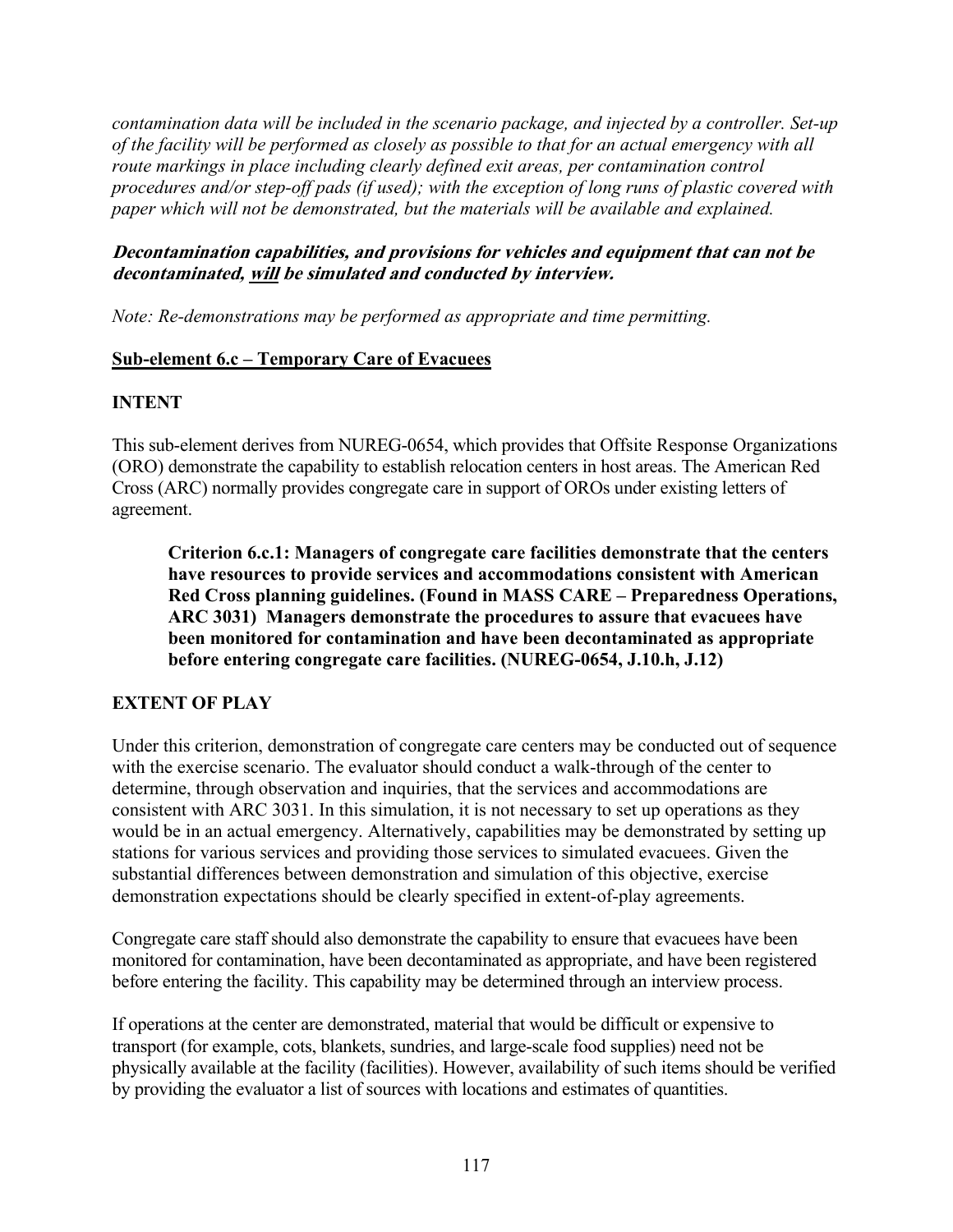*contamination data will be included in the scenario package, and injected by a controller. Set-up of the facility will be performed as closely as possible to that for an actual emergency with all route markings in place including clearly defined exit areas, per contamination control procedures and/or step-off pads (if used); with the exception of long runs of plastic covered with paper which will not be demonstrated, but the materials will be available and explained.* 

## **Decontamination capabilities, and provisions for vehicles and equipment that can not be decontaminated, will be simulated and conducted by interview.**

*Note: Re-demonstrations may be performed as appropriate and time permitting.* 

## **Sub-element 6.c – Temporary Care of Evacuees**

## **INTENT**

This sub-element derives from NUREG-0654, which provides that Offsite Response Organizations (ORO) demonstrate the capability to establish relocation centers in host areas. The American Red Cross (ARC) normally provides congregate care in support of OROs under existing letters of agreement.

**Criterion 6.c.1: Managers of congregate care facilities demonstrate that the centers have resources to provide services and accommodations consistent with American Red Cross planning guidelines. (Found in MASS CARE – Preparedness Operations, ARC 3031) Managers demonstrate the procedures to assure that evacuees have been monitored for contamination and have been decontaminated as appropriate before entering congregate care facilities. (NUREG-0654, J.10.h, J.12)** 

## **EXTENT OF PLAY**

Under this criterion, demonstration of congregate care centers may be conducted out of sequence with the exercise scenario. The evaluator should conduct a walk-through of the center to determine, through observation and inquiries, that the services and accommodations are consistent with ARC 3031. In this simulation, it is not necessary to set up operations as they would be in an actual emergency. Alternatively, capabilities may be demonstrated by setting up stations for various services and providing those services to simulated evacuees. Given the substantial differences between demonstration and simulation of this objective, exercise demonstration expectations should be clearly specified in extent-of-play agreements.

Congregate care staff should also demonstrate the capability to ensure that evacuees have been monitored for contamination, have been decontaminated as appropriate, and have been registered before entering the facility. This capability may be determined through an interview process.

If operations at the center are demonstrated, material that would be difficult or expensive to transport (for example, cots, blankets, sundries, and large-scale food supplies) need not be physically available at the facility (facilities). However, availability of such items should be verified by providing the evaluator a list of sources with locations and estimates of quantities.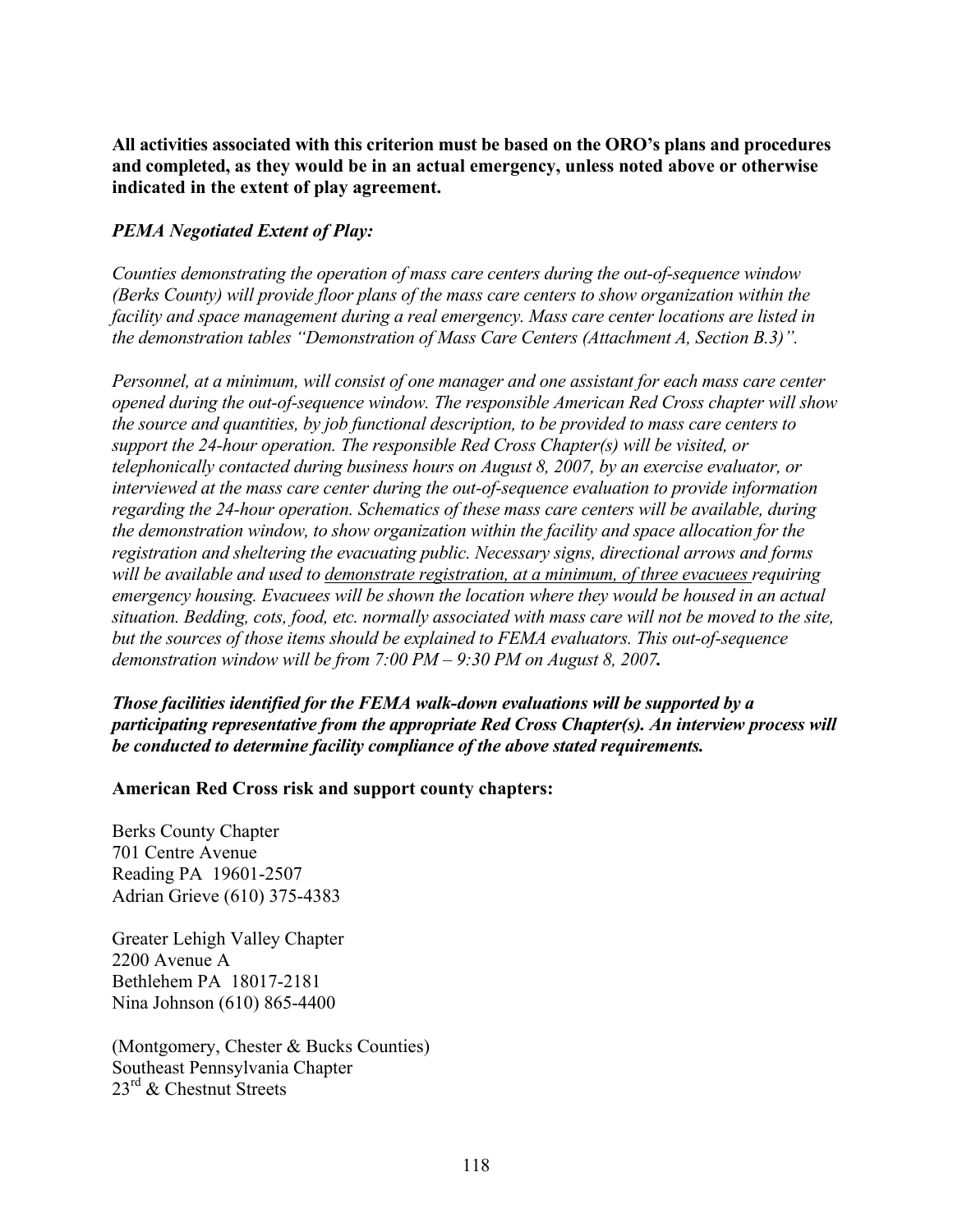**All activities associated with this criterion must be based on the ORO's plans and procedures and completed, as they would be in an actual emergency, unless noted above or otherwise indicated in the extent of play agreement.** 

#### *PEMA Negotiated Extent of Play:*

*Counties demonstrating the operation of mass care centers during the out-of-sequence window (Berks County) will provide floor plans of the mass care centers to show organization within the facility and space management during a real emergency. Mass care center locations are listed in the demonstration tables "Demonstration of Mass Care Centers (Attachment A, Section B.3)".* 

*Personnel, at a minimum, will consist of one manager and one assistant for each mass care center opened during the out-of-sequence window. The responsible American Red Cross chapter will show the source and quantities, by job functional description, to be provided to mass care centers to support the 24-hour operation. The responsible Red Cross Chapter(s) will be visited, or telephonically contacted during business hours on August 8, 2007, by an exercise evaluator, or interviewed at the mass care center during the out-of-sequence evaluation to provide information regarding the 24-hour operation. Schematics of these mass care centers will be available, during the demonstration window, to show organization within the facility and space allocation for the registration and sheltering the evacuating public. Necessary signs, directional arrows and forms will be available and used to demonstrate registration, at a minimum, of three evacuees requiring emergency housing. Evacuees will be shown the location where they would be housed in an actual situation. Bedding, cots, food, etc. normally associated with mass care will not be moved to the site, but the sources of those items should be explained to FEMA evaluators. This out-of-sequence demonstration window will be from 7:00 PM – 9:30 PM on August 8, 2007.* 

*Those facilities identified for the FEMA walk-down evaluations will be supported by a participating representative from the appropriate Red Cross Chapter(s). An interview process will be conducted to determine facility compliance of the above stated requirements.* 

#### **American Red Cross risk and support county chapters:**

Berks County Chapter 701 Centre Avenue Reading PA 19601-2507 Adrian Grieve (610) 375-4383

Greater Lehigh Valley Chapter 2200 Avenue A Bethlehem PA 18017-2181 Nina Johnson (610) 865-4400

(Montgomery, Chester & Bucks Counties) Southeast Pennsylvania Chapter 23<sup>rd</sup> & Chestnut Streets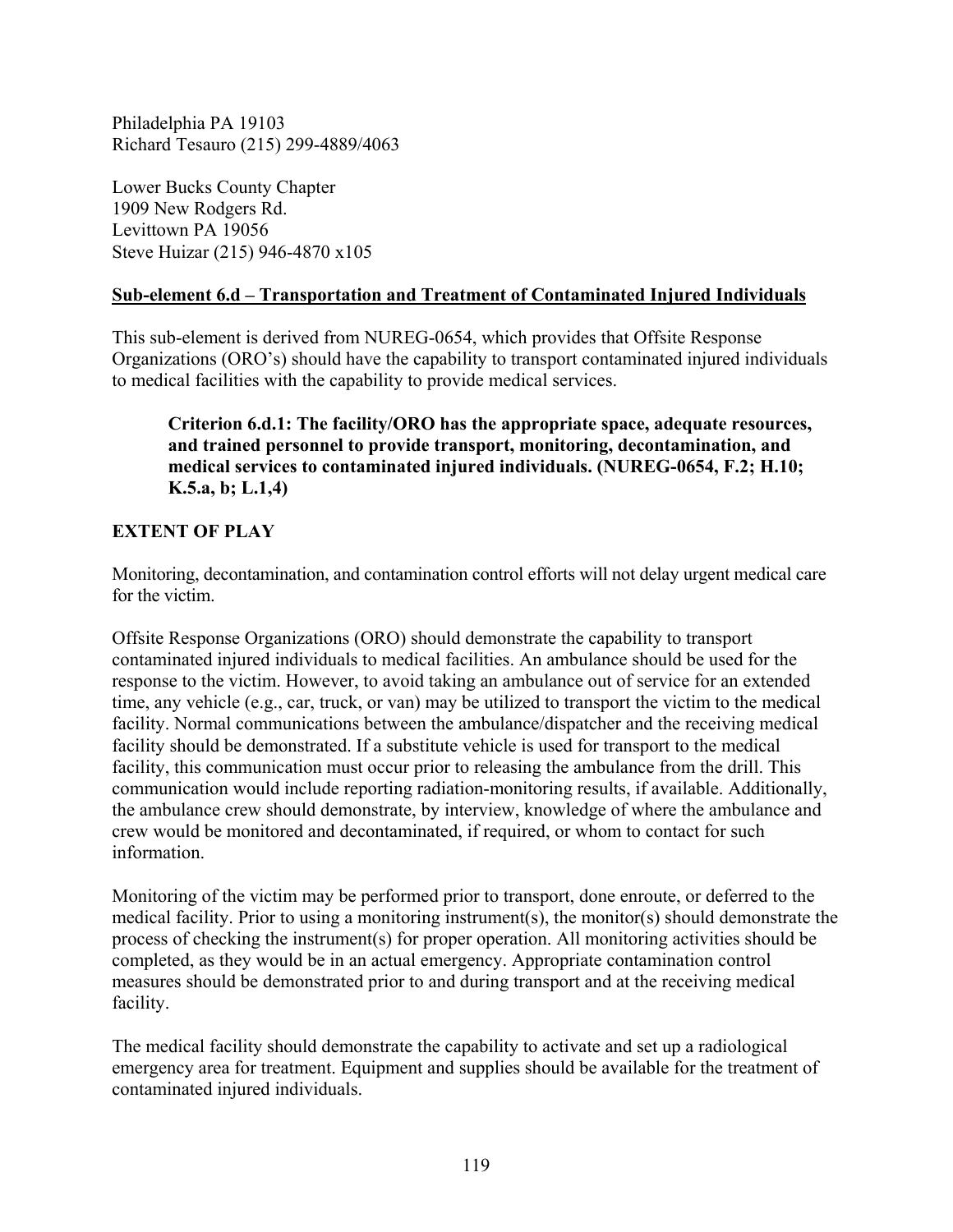Philadelphia PA 19103 Richard Tesauro (215) 299-4889/4063

Lower Bucks County Chapter 1909 New Rodgers Rd. Levittown PA 19056 Steve Huizar (215) 946-4870 x105

## **Sub-element 6.d – Transportation and Treatment of Contaminated Injured Individuals**

This sub-element is derived from NUREG-0654, which provides that Offsite Response Organizations (ORO's) should have the capability to transport contaminated injured individuals to medical facilities with the capability to provide medical services.

**Criterion 6.d.1: The facility/ORO has the appropriate space, adequate resources, and trained personnel to provide transport, monitoring, decontamination, and medical services to contaminated injured individuals. (NUREG-0654, F.2; H.10; K.5.a, b; L.1,4)** 

## **EXTENT OF PLAY**

Monitoring, decontamination, and contamination control efforts will not delay urgent medical care for the victim.

Offsite Response Organizations (ORO) should demonstrate the capability to transport contaminated injured individuals to medical facilities. An ambulance should be used for the response to the victim. However, to avoid taking an ambulance out of service for an extended time, any vehicle (e.g., car, truck, or van) may be utilized to transport the victim to the medical facility. Normal communications between the ambulance/dispatcher and the receiving medical facility should be demonstrated. If a substitute vehicle is used for transport to the medical facility, this communication must occur prior to releasing the ambulance from the drill. This communication would include reporting radiation-monitoring results, if available. Additionally, the ambulance crew should demonstrate, by interview, knowledge of where the ambulance and crew would be monitored and decontaminated, if required, or whom to contact for such information.

Monitoring of the victim may be performed prior to transport, done enroute, or deferred to the medical facility. Prior to using a monitoring instrument(s), the monitor(s) should demonstrate the process of checking the instrument(s) for proper operation. All monitoring activities should be completed, as they would be in an actual emergency. Appropriate contamination control measures should be demonstrated prior to and during transport and at the receiving medical facility.

The medical facility should demonstrate the capability to activate and set up a radiological emergency area for treatment. Equipment and supplies should be available for the treatment of contaminated injured individuals.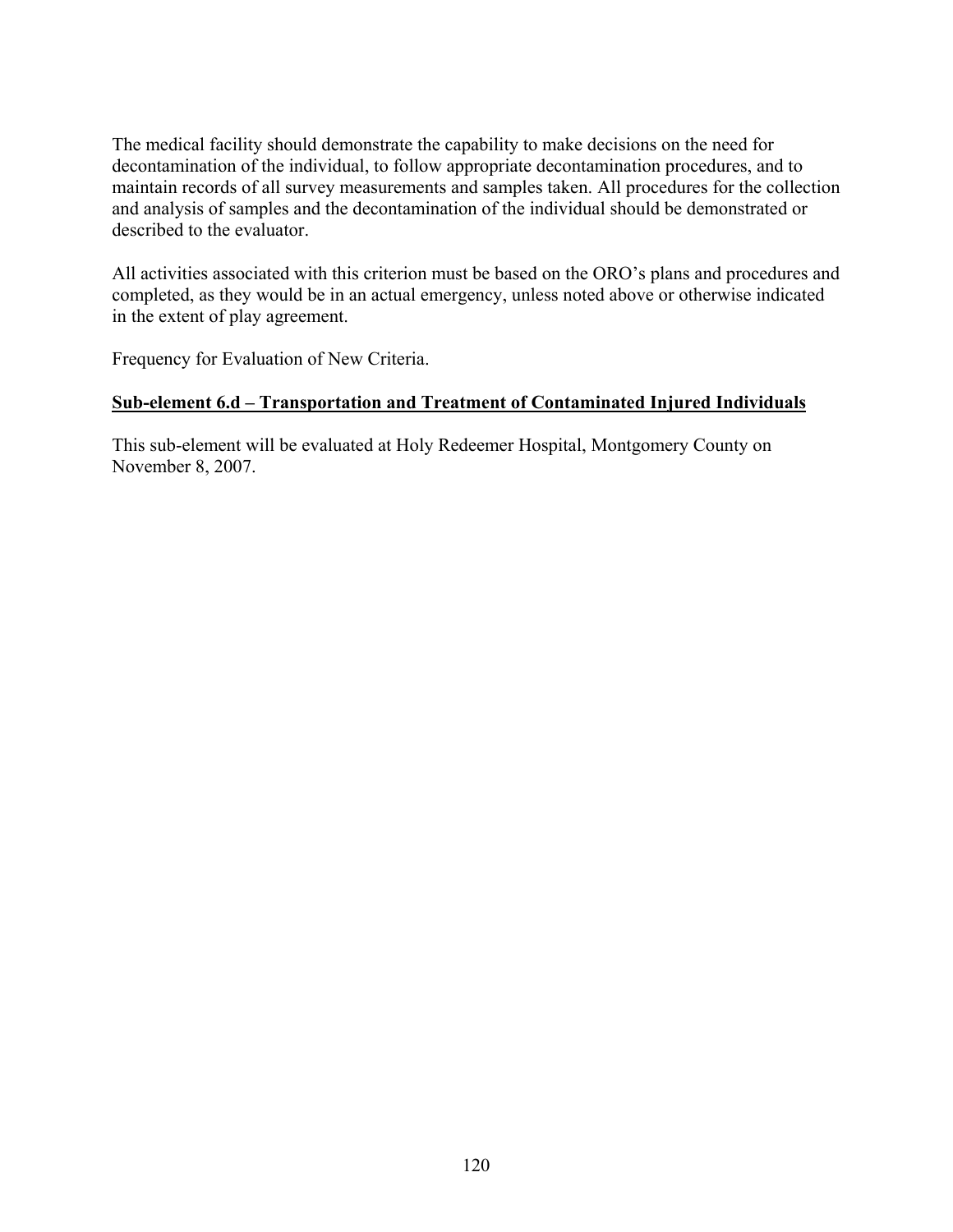The medical facility should demonstrate the capability to make decisions on the need for decontamination of the individual, to follow appropriate decontamination procedures, and to maintain records of all survey measurements and samples taken. All procedures for the collection and analysis of samples and the decontamination of the individual should be demonstrated or described to the evaluator.

All activities associated with this criterion must be based on the ORO's plans and procedures and completed, as they would be in an actual emergency, unless noted above or otherwise indicated in the extent of play agreement.

Frequency for Evaluation of New Criteria.

## **Sub-element 6.d – Transportation and Treatment of Contaminated Injured Individuals**

This sub-element will be evaluated at Holy Redeemer Hospital, Montgomery County on November 8, 2007.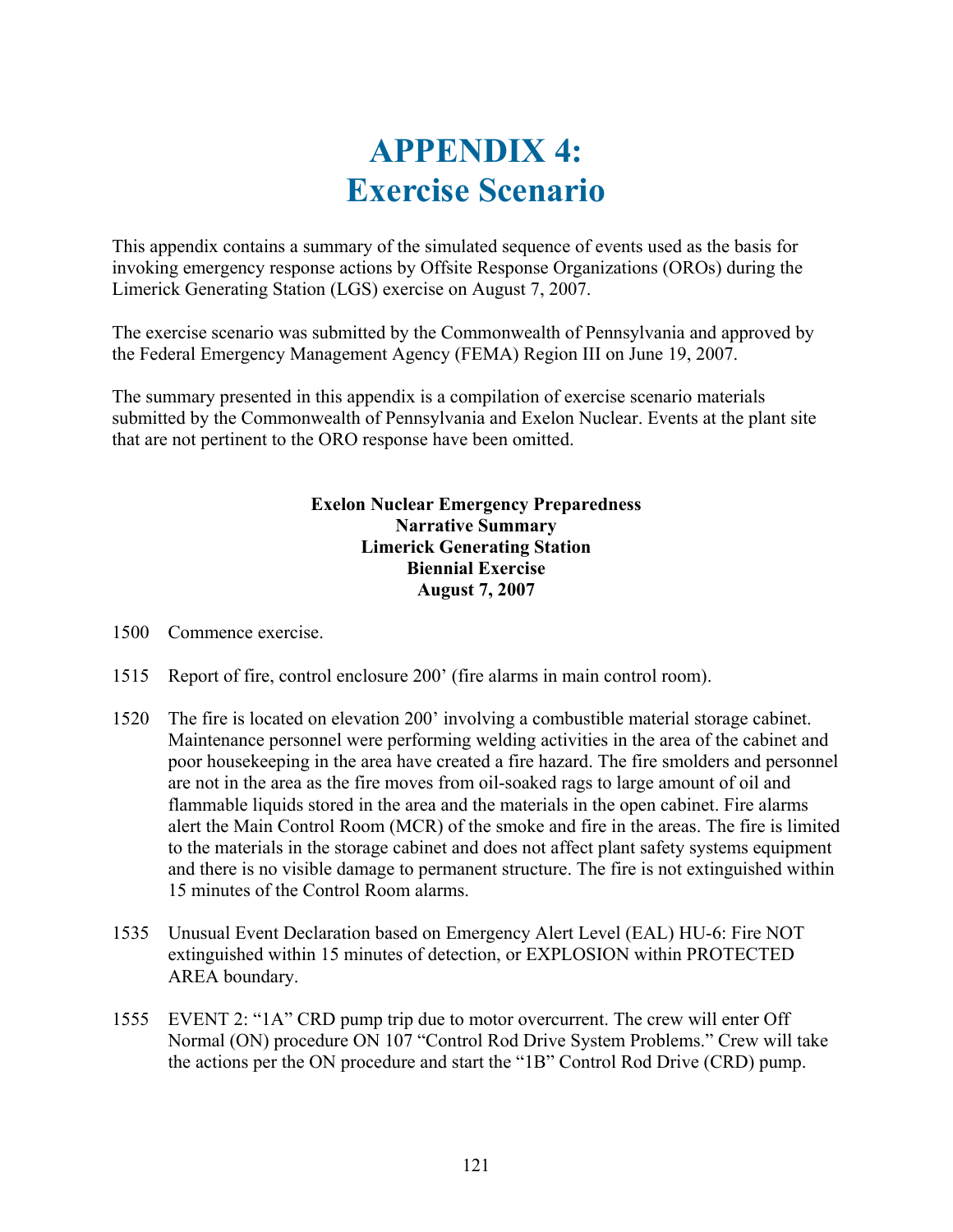# **APPENDIX 4: Exercise Scenario**

This appendix contains a summary of the simulated sequence of events used as the basis for invoking emergency response actions by Offsite Response Organizations (OROs) during the Limerick Generating Station (LGS) exercise on August 7, 2007.

The exercise scenario was submitted by the Commonwealth of Pennsylvania and approved by the Federal Emergency Management Agency (FEMA) Region III on June 19, 2007.

The summary presented in this appendix is a compilation of exercise scenario materials submitted by the Commonwealth of Pennsylvania and Exelon Nuclear. Events at the plant site that are not pertinent to the ORO response have been omitted.

## **Exelon Nuclear Emergency Preparedness Narrative Summary Limerick Generating Station Biennial Exercise August 7, 2007**

1500 Commence exercise.

- 1515 Report of fire, control enclosure 200' (fire alarms in main control room).
- 1520 The fire is located on elevation 200' involving a combustible material storage cabinet. Maintenance personnel were performing welding activities in the area of the cabinet and poor housekeeping in the area have created a fire hazard. The fire smolders and personnel are not in the area as the fire moves from oil-soaked rags to large amount of oil and flammable liquids stored in the area and the materials in the open cabinet. Fire alarms alert the Main Control Room (MCR) of the smoke and fire in the areas. The fire is limited to the materials in the storage cabinet and does not affect plant safety systems equipment and there is no visible damage to permanent structure. The fire is not extinguished within 15 minutes of the Control Room alarms.
- 1535 Unusual Event Declaration based on Emergency Alert Level (EAL) HU-6: Fire NOT extinguished within 15 minutes of detection, or EXPLOSION within PROTECTED AREA boundary.
- 1555 EVENT 2: "1A" CRD pump trip due to motor overcurrent. The crew will enter Off Normal (ON) procedure ON 107 "Control Rod Drive System Problems." Crew will take the actions per the ON procedure and start the "1B" Control Rod Drive (CRD) pump.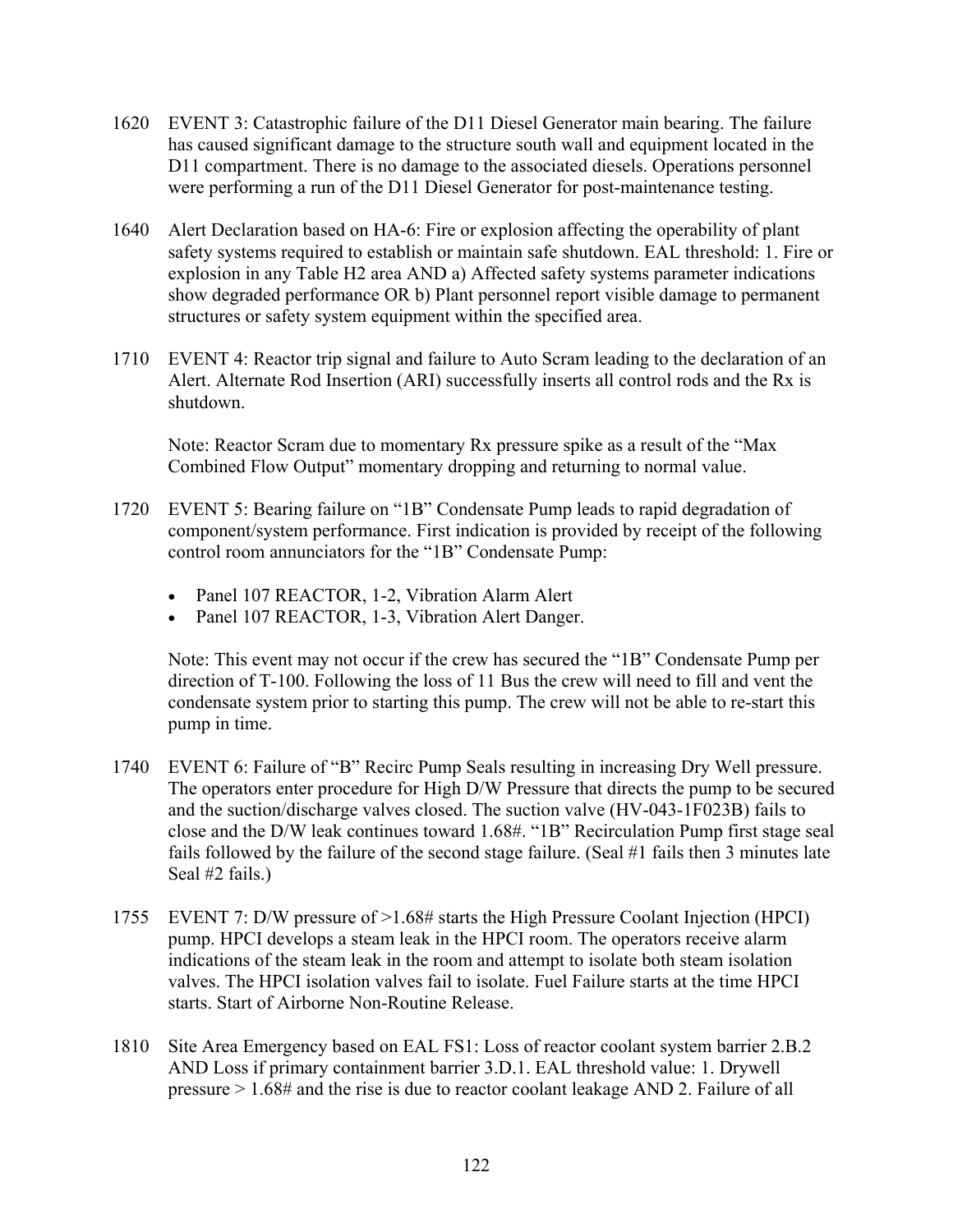- 1620 EVENT 3: Catastrophic failure of the D11 Diesel Generator main bearing. The failure has caused significant damage to the structure south wall and equipment located in the D11 compartment. There is no damage to the associated diesels. Operations personnel were performing a run of the D11 Diesel Generator for post-maintenance testing.
- 1640 Alert Declaration based on HA-6: Fire or explosion affecting the operability of plant safety systems required to establish or maintain safe shutdown. EAL threshold: 1. Fire or explosion in any Table H2 area AND a) Affected safety systems parameter indications show degraded performance OR b) Plant personnel report visible damage to permanent structures or safety system equipment within the specified area.
- 1710 EVENT 4: Reactor trip signal and failure to Auto Scram leading to the declaration of an Alert. Alternate Rod Insertion (ARI) successfully inserts all control rods and the Rx is shutdown.

Note: Reactor Scram due to momentary Rx pressure spike as a result of the "Max Combined Flow Output" momentary dropping and returning to normal value.

- 1720 EVENT 5: Bearing failure on "1B" Condensate Pump leads to rapid degradation of component/system performance. First indication is provided by receipt of the following control room annunciators for the "1B" Condensate Pump:
	- Panel 107 REACTOR, 1-2, Vibration Alarm Alert
	- Panel 107 REACTOR, 1-3, Vibration Alert Danger.

Note: This event may not occur if the crew has secured the "1B" Condensate Pump per direction of T-100. Following the loss of 11 Bus the crew will need to fill and vent the condensate system prior to starting this pump. The crew will not be able to re-start this pump in time.

- 1740 EVENT 6: Failure of "B" Recirc Pump Seals resulting in increasing Dry Well pressure. The operators enter procedure for High D/W Pressure that directs the pump to be secured and the suction/discharge valves closed. The suction valve (HV-043-1F023B) fails to close and the D/W leak continues toward 1.68#. "1B" Recirculation Pump first stage seal fails followed by the failure of the second stage failure. (Seal #1 fails then 3 minutes late Seal #2 fails.)
- 1755 EVENT 7: D/W pressure of >1.68# starts the High Pressure Coolant Injection (HPCI) pump. HPCI develops a steam leak in the HPCI room. The operators receive alarm indications of the steam leak in the room and attempt to isolate both steam isolation valves. The HPCI isolation valves fail to isolate. Fuel Failure starts at the time HPCI starts. Start of Airborne Non-Routine Release.
- 1810 Site Area Emergency based on EAL FS1: Loss of reactor coolant system barrier 2.B.2 AND Loss if primary containment barrier 3.D.1. EAL threshold value: 1. Drywell pressure > 1.68# and the rise is due to reactor coolant leakage AND 2. Failure of all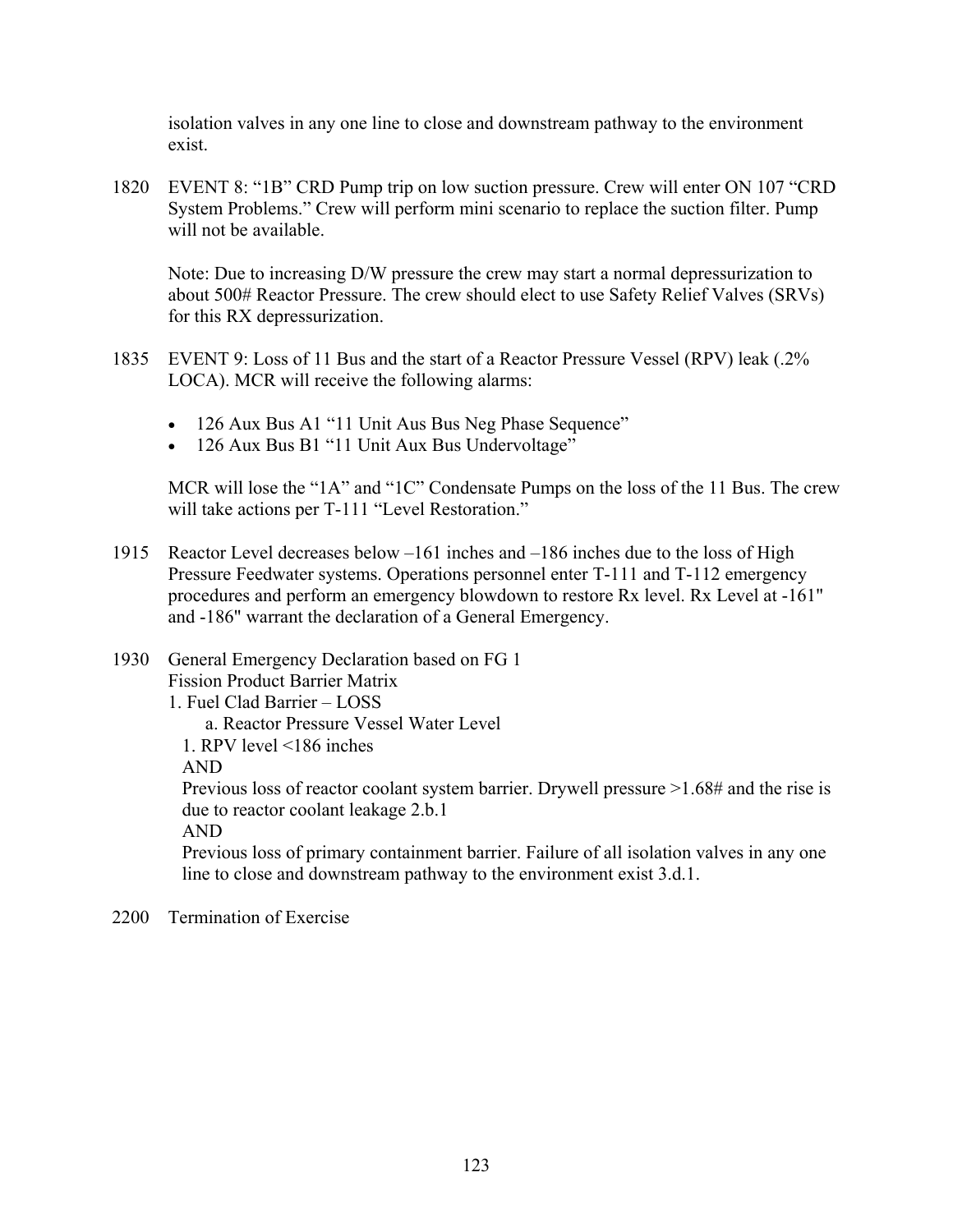isolation valves in any one line to close and downstream pathway to the environment exist.

1820 EVENT 8: "1B" CRD Pump trip on low suction pressure. Crew will enter ON 107 "CRD System Problems." Crew will perform mini scenario to replace the suction filter. Pump will not be available.

Note: Due to increasing D/W pressure the crew may start a normal depressurization to about 500# Reactor Pressure. The crew should elect to use Safety Relief Valves (SRVs) for this RX depressurization.

- 1835 EVENT 9: Loss of 11 Bus and the start of a Reactor Pressure Vessel (RPV) leak (.2% LOCA). MCR will receive the following alarms:
	- 126 Aux Bus A1 "11 Unit Aus Bus Neg Phase Sequence"
	- 126 Aux Bus B1 "11 Unit Aux Bus Undervoltage"

MCR will lose the "1A" and "1C" Condensate Pumps on the loss of the 11 Bus. The crew will take actions per T-111 "Level Restoration."

- 1915 Reactor Level decreases below –161 inches and –186 inches due to the loss of High Pressure Feedwater systems. Operations personnel enter T-111 and T-112 emergency procedures and perform an emergency blowdown to restore Rx level. Rx Level at -161" and -186" warrant the declaration of a General Emergency.
- 1930 General Emergency Declaration based on FG 1 Fission Product Barrier Matrix 1. Fuel Clad Barrier – LOSS a. Reactor Pressure Vessel Water Level 1. RPV level <186 inches AND Previous loss of reactor coolant system barrier. Drywell pressure >1.68# and the rise is due to reactor coolant leakage 2.b.1 AND Previous loss of primary containment barrier. Failure of all isolation valves in any one line to close and downstream pathway to the environment exist 3.d.1.
- 2200 Termination of Exercise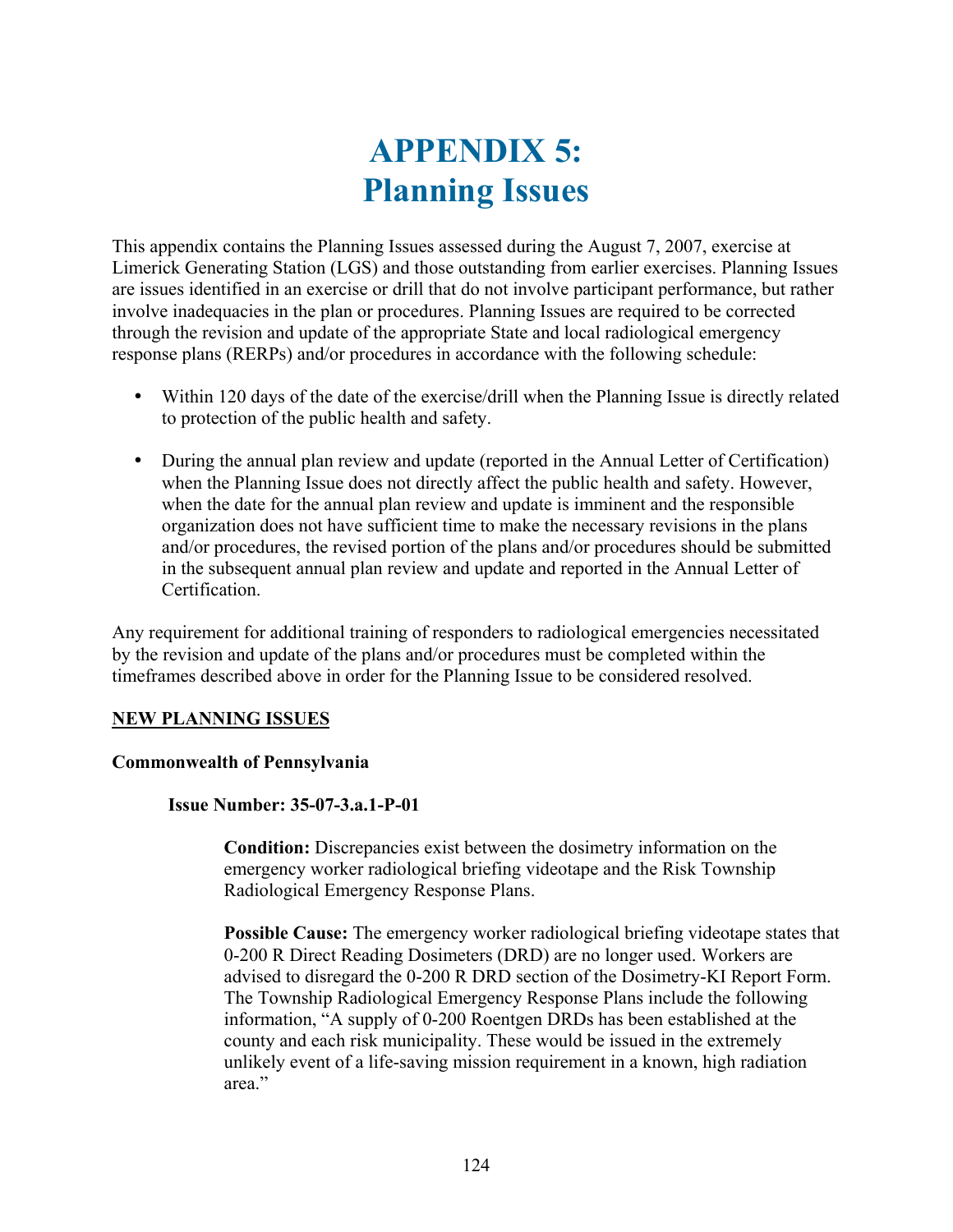# **APPENDIX 5: Planning Issues**

This appendix contains the Planning Issues assessed during the August 7, 2007, exercise at Limerick Generating Station (LGS) and those outstanding from earlier exercises. Planning Issues are issues identified in an exercise or drill that do not involve participant performance, but rather involve inadequacies in the plan or procedures. Planning Issues are required to be corrected through the revision and update of the appropriate State and local radiological emergency response plans (RERPs) and/or procedures in accordance with the following schedule:

- y Within 120 days of the date of the exercise/drill when the Planning Issue is directly related to protection of the public health and safety.
- During the annual plan review and update (reported in the Annual Letter of Certification) when the Planning Issue does not directly affect the public health and safety. However, when the date for the annual plan review and update is imminent and the responsible organization does not have sufficient time to make the necessary revisions in the plans and/or procedures, the revised portion of the plans and/or procedures should be submitted in the subsequent annual plan review and update and reported in the Annual Letter of Certification.

Any requirement for additional training of responders to radiological emergencies necessitated by the revision and update of the plans and/or procedures must be completed within the timeframes described above in order for the Planning Issue to be considered resolved.

#### **NEW PLANNING ISSUES**

#### **Commonwealth of Pennsylvania**

#### **Issue Number: 35-07-3.a.1-P-01**

**Condition:** Discrepancies exist between the dosimetry information on the emergency worker radiological briefing videotape and the Risk Township Radiological Emergency Response Plans.

**Possible Cause:** The emergency worker radiological briefing videotape states that 0-200 R Direct Reading Dosimeters (DRD) are no longer used. Workers are advised to disregard the 0-200 R DRD section of the Dosimetry-KI Report Form. The Township Radiological Emergency Response Plans include the following information, "A supply of 0-200 Roentgen DRDs has been established at the county and each risk municipality. These would be issued in the extremely unlikely event of a life-saving mission requirement in a known, high radiation area<sup>"</sup>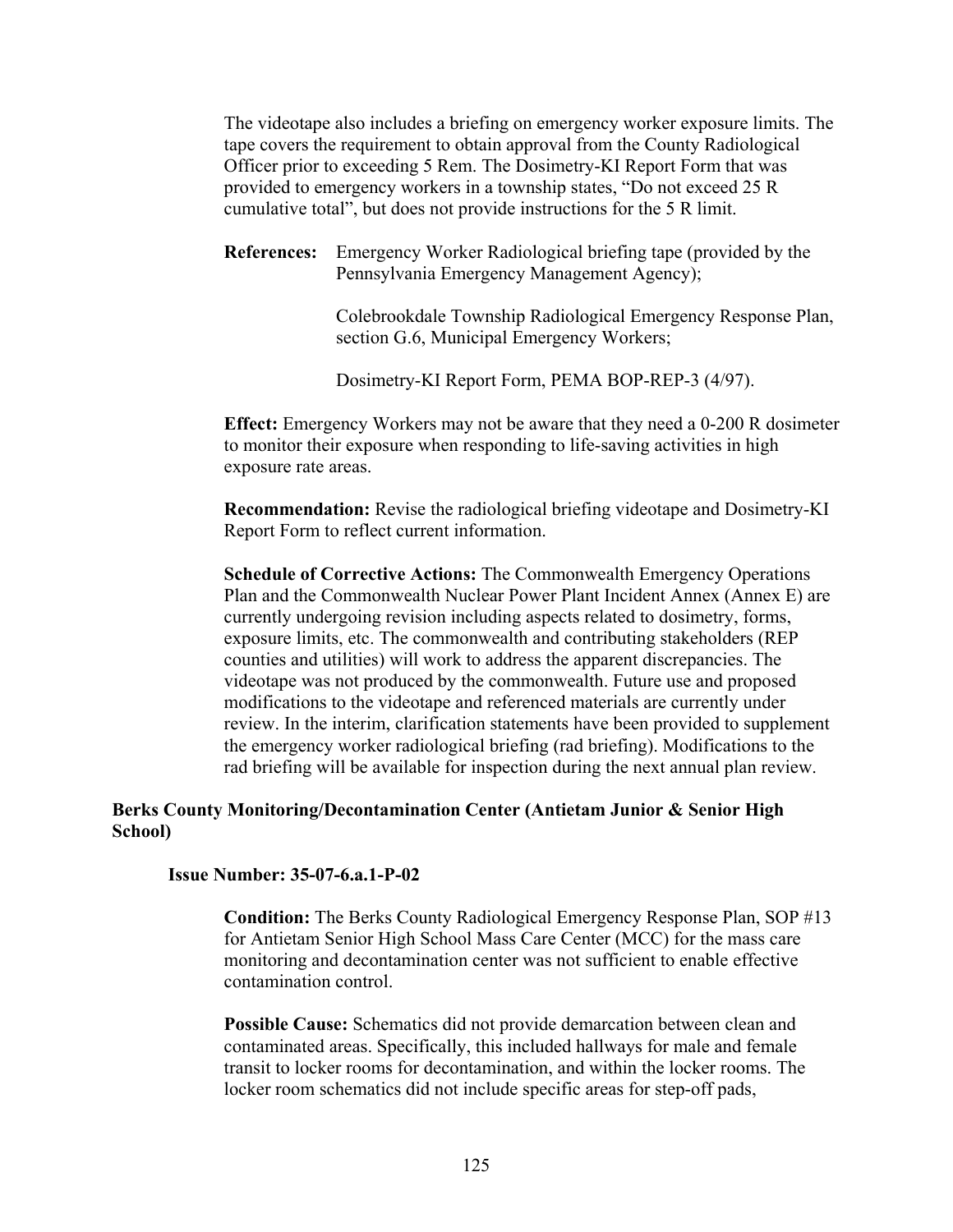The videotape also includes a briefing on emergency worker exposure limits. The tape covers the requirement to obtain approval from the County Radiological Officer prior to exceeding 5 Rem. The Dosimetry-KI Report Form that was provided to emergency workers in a township states, "Do not exceed 25 R cumulative total", but does not provide instructions for the 5 R limit.

**References:** Emergency Worker Radiological briefing tape (provided by the Pennsylvania Emergency Management Agency);

> Colebrookdale Township Radiological Emergency Response Plan, section G.6, Municipal Emergency Workers;

Dosimetry-KI Report Form, PEMA BOP-REP-3 (4/97).

**Effect:** Emergency Workers may not be aware that they need a 0-200 R dosimeter to monitor their exposure when responding to life-saving activities in high exposure rate areas.

**Recommendation:** Revise the radiological briefing videotape and Dosimetry-KI Report Form to reflect current information.

**Schedule of Corrective Actions:** The Commonwealth Emergency Operations Plan and the Commonwealth Nuclear Power Plant Incident Annex (Annex E) are currently undergoing revision including aspects related to dosimetry, forms, exposure limits, etc. The commonwealth and contributing stakeholders (REP counties and utilities) will work to address the apparent discrepancies. The videotape was not produced by the commonwealth. Future use and proposed modifications to the videotape and referenced materials are currently under review. In the interim, clarification statements have been provided to supplement the emergency worker radiological briefing (rad briefing). Modifications to the rad briefing will be available for inspection during the next annual plan review.

#### **Berks County Monitoring/Decontamination Center (Antietam Junior & Senior High School)**

#### **Issue Number: 35-07-6.a.1-P-02**

**Condition:** The Berks County Radiological Emergency Response Plan, SOP #13 for Antietam Senior High School Mass Care Center (MCC) for the mass care monitoring and decontamination center was not sufficient to enable effective contamination control.

**Possible Cause:** Schematics did not provide demarcation between clean and contaminated areas. Specifically, this included hallways for male and female transit to locker rooms for decontamination, and within the locker rooms. The locker room schematics did not include specific areas for step-off pads,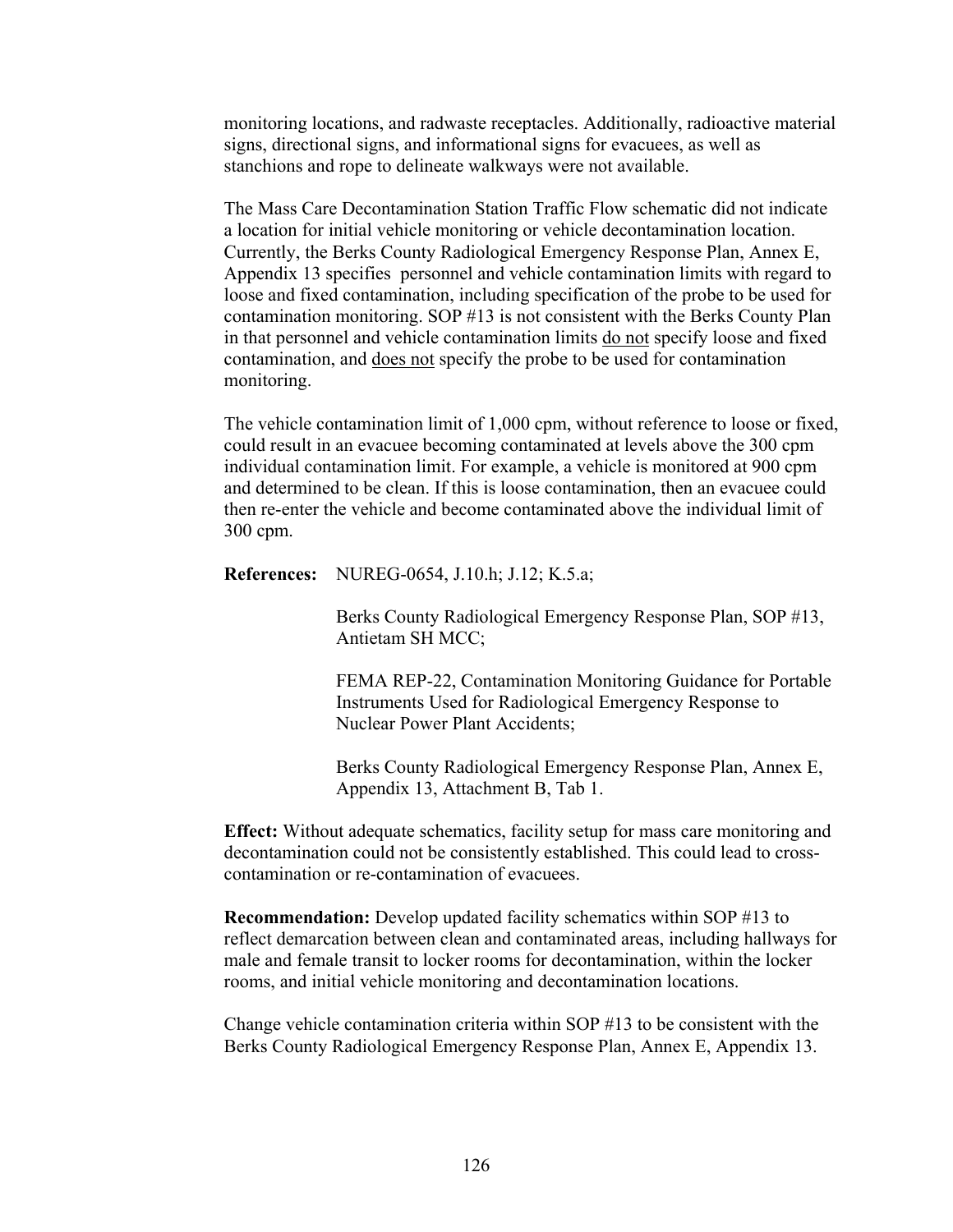monitoring locations, and radwaste receptacles. Additionally, radioactive material signs, directional signs, and informational signs for evacuees, as well as stanchions and rope to delineate walkways were not available.

The Mass Care Decontamination Station Traffic Flow schematic did not indicate a location for initial vehicle monitoring or vehicle decontamination location. Currently, the Berks County Radiological Emergency Response Plan, Annex E, Appendix 13 specifies personnel and vehicle contamination limits with regard to loose and fixed contamination, including specification of the probe to be used for contamination monitoring. SOP #13 is not consistent with the Berks County Plan in that personnel and vehicle contamination limits do not specify loose and fixed contamination, and does not specify the probe to be used for contamination monitoring.

The vehicle contamination limit of 1,000 cpm, without reference to loose or fixed, could result in an evacuee becoming contaminated at levels above the 300 cpm individual contamination limit. For example, a vehicle is monitored at 900 cpm and determined to be clean. If this is loose contamination, then an evacuee could then re-enter the vehicle and become contaminated above the individual limit of 300 cpm.

**References:** NUREG-0654, J.10.h; J.12; K.5.a;

Berks County Radiological Emergency Response Plan, SOP #13, Antietam SH MCC;

FEMA REP-22, Contamination Monitoring Guidance for Portable Instruments Used for Radiological Emergency Response to Nuclear Power Plant Accidents;

Berks County Radiological Emergency Response Plan, Annex E, Appendix 13, Attachment B, Tab 1.

**Effect:** Without adequate schematics, facility setup for mass care monitoring and decontamination could not be consistently established. This could lead to crosscontamination or re-contamination of evacuees.

**Recommendation:** Develop updated facility schematics within SOP #13 to reflect demarcation between clean and contaminated areas, including hallways for male and female transit to locker rooms for decontamination, within the locker rooms, and initial vehicle monitoring and decontamination locations.

Change vehicle contamination criteria within SOP #13 to be consistent with the Berks County Radiological Emergency Response Plan, Annex E, Appendix 13.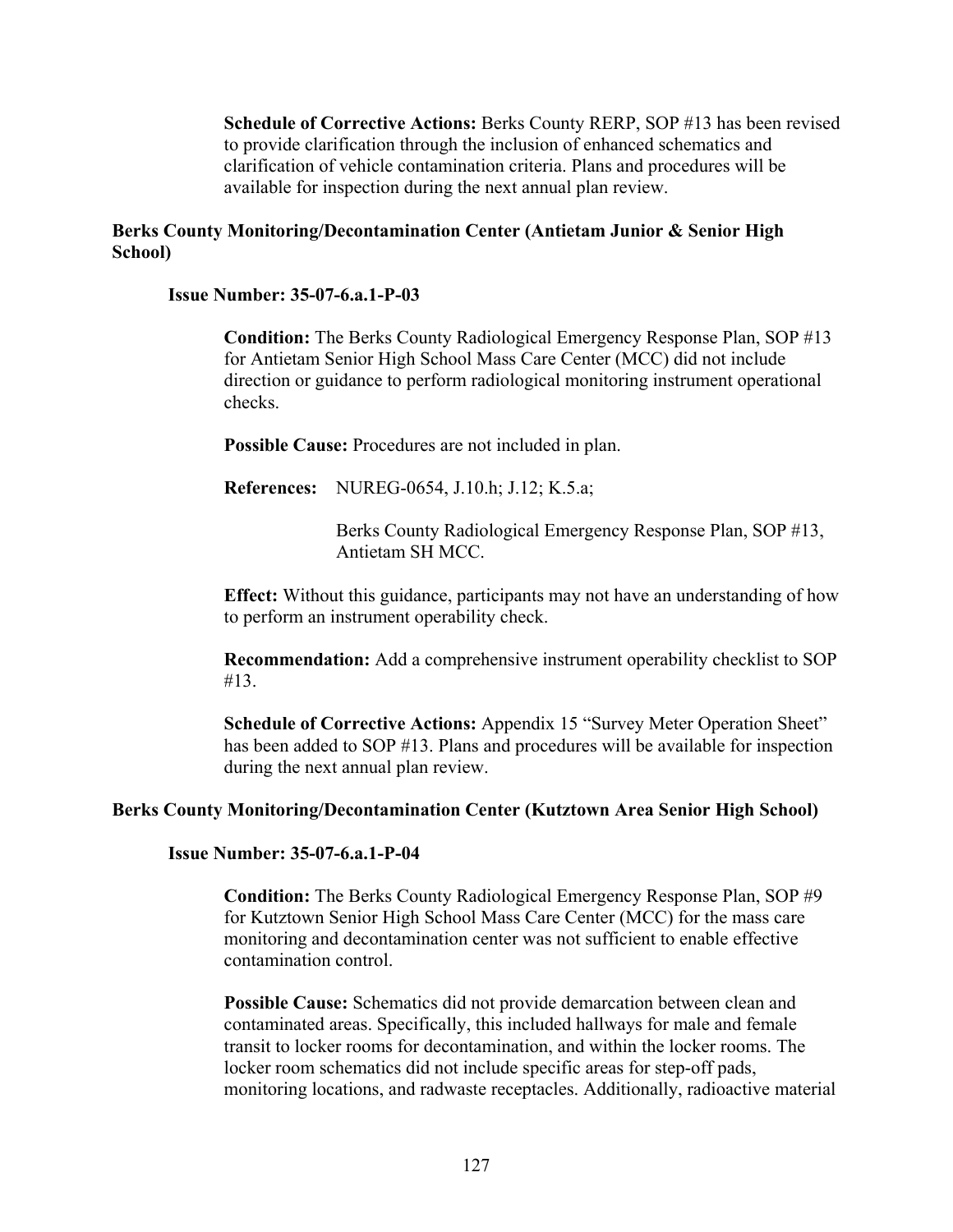**Schedule of Corrective Actions:** Berks County RERP, SOP #13 has been revised to provide clarification through the inclusion of enhanced schematics and clarification of vehicle contamination criteria. Plans and procedures will be available for inspection during the next annual plan review.

#### **Berks County Monitoring/Decontamination Center (Antietam Junior & Senior High School)**

#### **Issue Number: 35-07-6.a.1-P-03**

**Condition:** The Berks County Radiological Emergency Response Plan, SOP #13 for Antietam Senior High School Mass Care Center (MCC) did not include direction or guidance to perform radiological monitoring instrument operational checks.

**Possible Cause:** Procedures are not included in plan.

**References:** NUREG-0654, J.10.h; J.12; K.5.a;

Berks County Radiological Emergency Response Plan, SOP #13, Antietam SH MCC.

**Effect:** Without this guidance, participants may not have an understanding of how to perform an instrument operability check.

**Recommendation:** Add a comprehensive instrument operability checklist to SOP #13.

**Schedule of Corrective Actions: Appendix 15 "Survey Meter Operation Sheet"** has been added to SOP #13. Plans and procedures will be available for inspection during the next annual plan review.

#### **Berks County Monitoring/Decontamination Center (Kutztown Area Senior High School)**

#### **Issue Number: 35-07-6.a.1-P-04**

**Condition:** The Berks County Radiological Emergency Response Plan, SOP #9 for Kutztown Senior High School Mass Care Center (MCC) for the mass care monitoring and decontamination center was not sufficient to enable effective contamination control.

**Possible Cause:** Schematics did not provide demarcation between clean and contaminated areas. Specifically, this included hallways for male and female transit to locker rooms for decontamination, and within the locker rooms. The locker room schematics did not include specific areas for step-off pads, monitoring locations, and radwaste receptacles. Additionally, radioactive material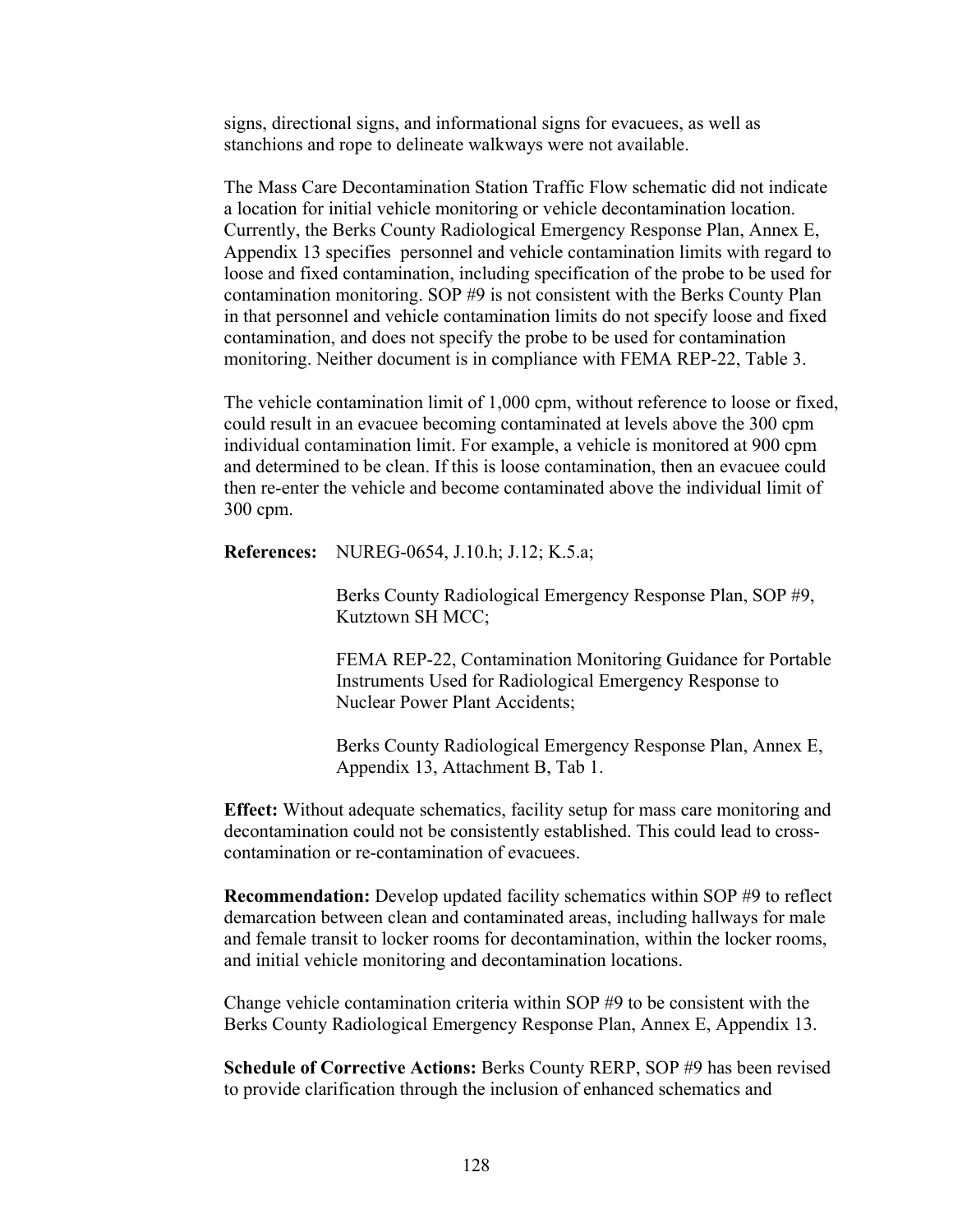signs, directional signs, and informational signs for evacuees, as well as stanchions and rope to delineate walkways were not available.

The Mass Care Decontamination Station Traffic Flow schematic did not indicate a location for initial vehicle monitoring or vehicle decontamination location. Currently, the Berks County Radiological Emergency Response Plan, Annex E, Appendix 13 specifies personnel and vehicle contamination limits with regard to loose and fixed contamination, including specification of the probe to be used for contamination monitoring. SOP #9 is not consistent with the Berks County Plan in that personnel and vehicle contamination limits do not specify loose and fixed contamination, and does not specify the probe to be used for contamination monitoring. Neither document is in compliance with FEMA REP-22, Table 3.

The vehicle contamination limit of 1,000 cpm, without reference to loose or fixed, could result in an evacuee becoming contaminated at levels above the 300 cpm individual contamination limit. For example, a vehicle is monitored at 900 cpm and determined to be clean. If this is loose contamination, then an evacuee could then re-enter the vehicle and become contaminated above the individual limit of 300 cpm.

**References:** NUREG-0654, J.10.h; J.12; K.5.a;

Berks County Radiological Emergency Response Plan, SOP #9, Kutztown SH MCC;

FEMA REP-22, Contamination Monitoring Guidance for Portable Instruments Used for Radiological Emergency Response to Nuclear Power Plant Accidents;

Berks County Radiological Emergency Response Plan, Annex E, Appendix 13, Attachment B, Tab 1.

**Effect:** Without adequate schematics, facility setup for mass care monitoring and decontamination could not be consistently established. This could lead to crosscontamination or re-contamination of evacuees.

**Recommendation:** Develop updated facility schematics within SOP #9 to reflect demarcation between clean and contaminated areas, including hallways for male and female transit to locker rooms for decontamination, within the locker rooms, and initial vehicle monitoring and decontamination locations.

Change vehicle contamination criteria within SOP  $#9$  to be consistent with the Berks County Radiological Emergency Response Plan, Annex E, Appendix 13.

**Schedule of Corrective Actions:** Berks County RERP, SOP #9 has been revised to provide clarification through the inclusion of enhanced schematics and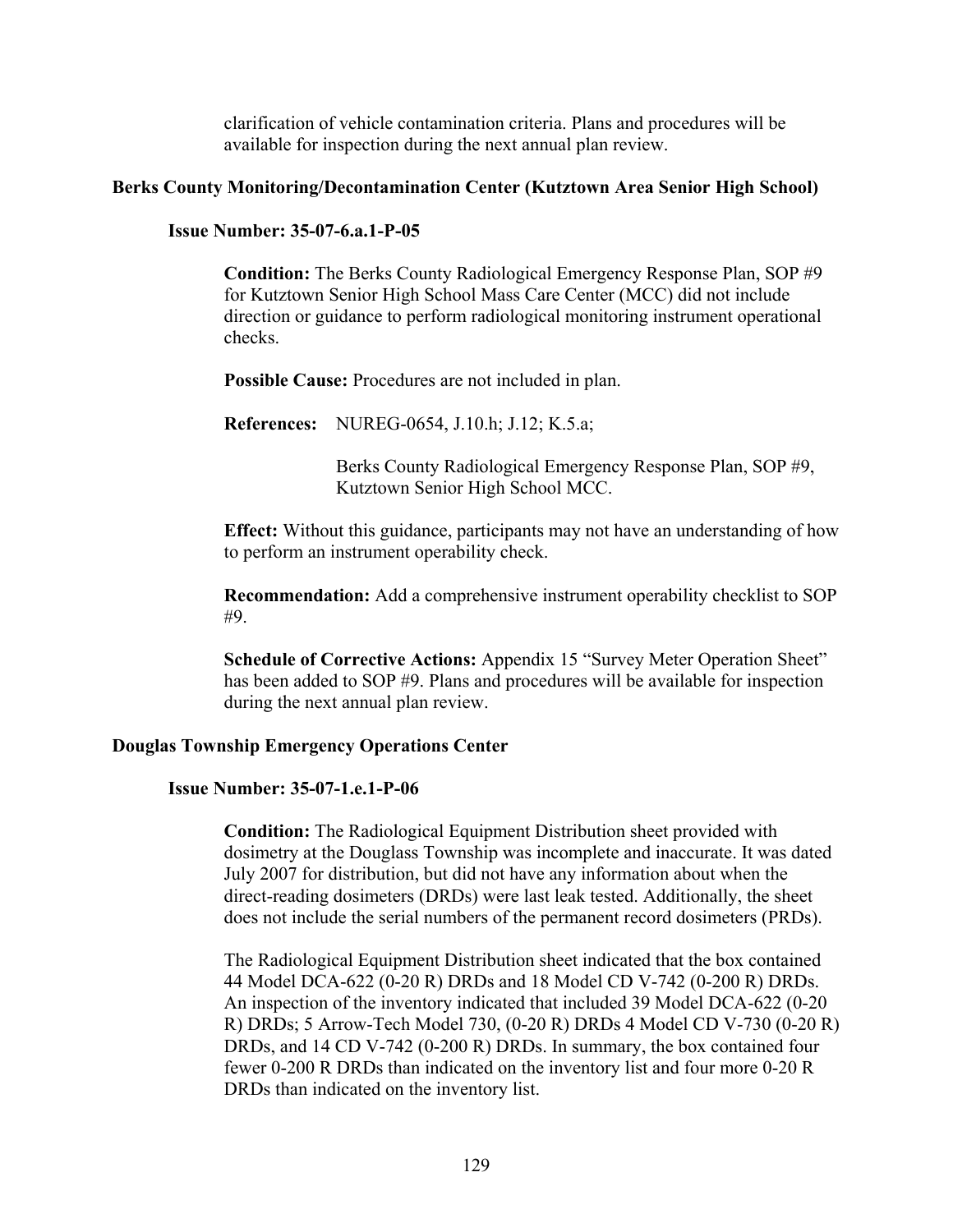clarification of vehicle contamination criteria. Plans and procedures will be available for inspection during the next annual plan review.

#### **Berks County Monitoring/Decontamination Center (Kutztown Area Senior High School)**

#### **Issue Number: 35-07-6.a.1-P-05**

**Condition:** The Berks County Radiological Emergency Response Plan, SOP #9 for Kutztown Senior High School Mass Care Center (MCC) did not include direction or guidance to perform radiological monitoring instrument operational checks.

**Possible Cause:** Procedures are not included in plan.

**References:** NUREG-0654, J.10.h; J.12; K.5.a;

Berks County Radiological Emergency Response Plan, SOP #9, Kutztown Senior High School MCC.

**Effect:** Without this guidance, participants may not have an understanding of how to perform an instrument operability check.

**Recommendation:** Add a comprehensive instrument operability checklist to SOP #9.

**Schedule of Corrective Actions:** Appendix 15 "Survey Meter Operation Sheet" has been added to SOP #9. Plans and procedures will be available for inspection during the next annual plan review.

#### **Douglas Township Emergency Operations Center**

#### **Issue Number: 35-07-1.e.1-P-06**

**Condition:** The Radiological Equipment Distribution sheet provided with dosimetry at the Douglass Township was incomplete and inaccurate. It was dated July 2007 for distribution, but did not have any information about when the direct-reading dosimeters (DRDs) were last leak tested. Additionally, the sheet does not include the serial numbers of the permanent record dosimeters (PRDs).

The Radiological Equipment Distribution sheet indicated that the box contained 44 Model DCA-622 (0-20 R) DRDs and 18 Model CD V-742 (0-200 R) DRDs. An inspection of the inventory indicated that included 39 Model DCA-622 (0-20 R) DRDs; 5 Arrow-Tech Model 730, (0-20 R) DRDs 4 Model CD V-730 (0-20 R) DRDs, and 14 CD V-742 (0-200 R) DRDs. In summary, the box contained four fewer 0-200 R DRDs than indicated on the inventory list and four more 0-20 R DRDs than indicated on the inventory list.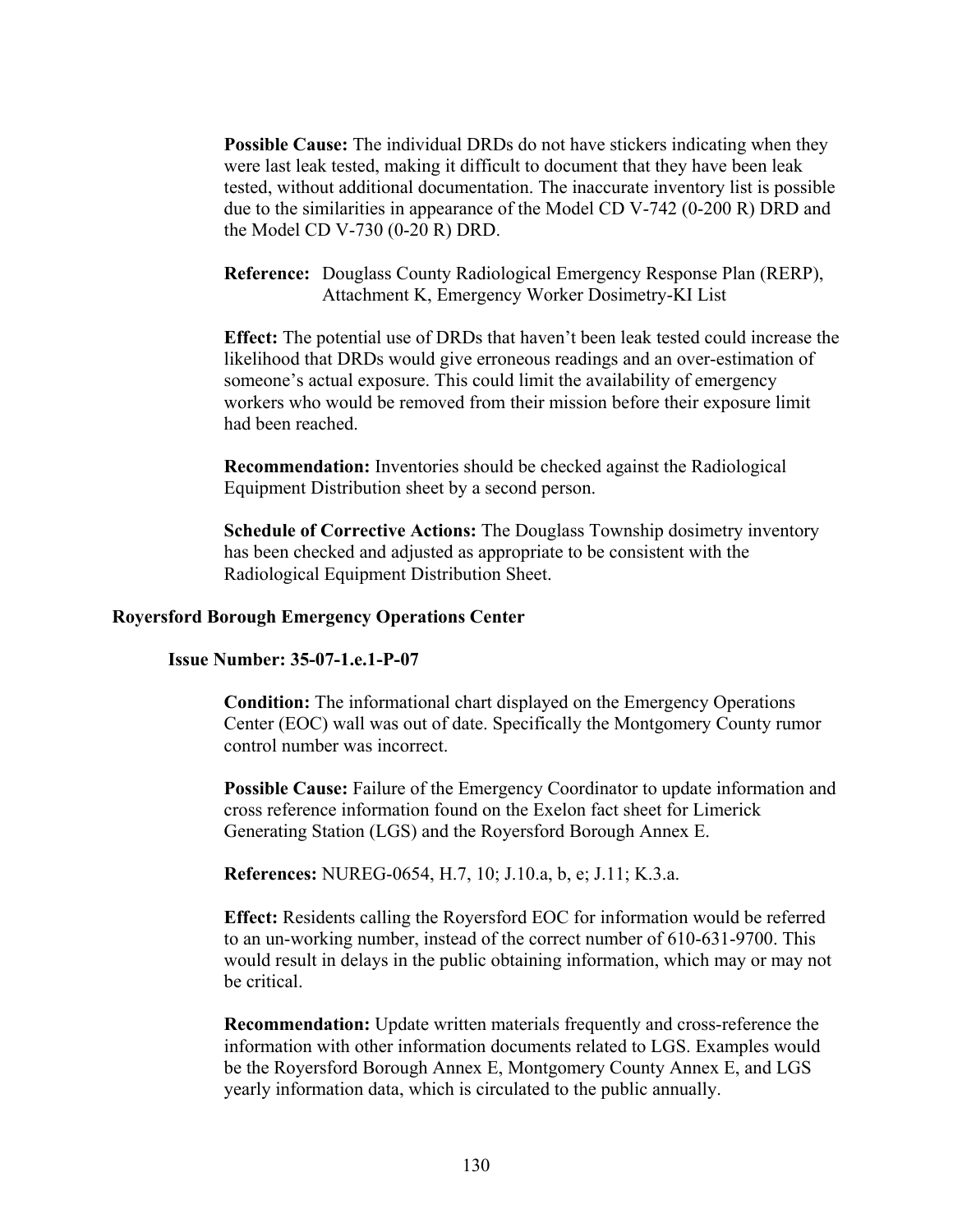**Possible Cause:** The individual DRDs do not have stickers indicating when they were last leak tested, making it difficult to document that they have been leak tested, without additional documentation. The inaccurate inventory list is possible due to the similarities in appearance of the Model CD V-742 (0-200 R) DRD and the Model CD V-730 (0-20 R) DRD.

**Reference:** Douglass County Radiological Emergency Response Plan (RERP), Attachment K, Emergency Worker Dosimetry-KI List

**Effect:** The potential use of DRDs that haven't been leak tested could increase the likelihood that DRDs would give erroneous readings and an over-estimation of someone's actual exposure. This could limit the availability of emergency workers who would be removed from their mission before their exposure limit had been reached.

**Recommendation:** Inventories should be checked against the Radiological Equipment Distribution sheet by a second person.

**Schedule of Corrective Actions:** The Douglass Township dosimetry inventory has been checked and adjusted as appropriate to be consistent with the Radiological Equipment Distribution Sheet.

#### **Royersford Borough Emergency Operations Center**

#### **Issue Number: 35-07-1.e.1-P-07**

**Condition:** The informational chart displayed on the Emergency Operations Center (EOC) wall was out of date. Specifically the Montgomery County rumor control number was incorrect.

**Possible Cause:** Failure of the Emergency Coordinator to update information and cross reference information found on the Exelon fact sheet for Limerick Generating Station (LGS) and the Royersford Borough Annex E.

**References:** NUREG-0654, H.7, 10; J.10.a, b, e; J.11; K.3.a.

**Effect:** Residents calling the Royersford EOC for information would be referred to an un-working number, instead of the correct number of 610-631-9700. This would result in delays in the public obtaining information, which may or may not be critical.

**Recommendation:** Update written materials frequently and cross-reference the information with other information documents related to LGS. Examples would be the Royersford Borough Annex E, Montgomery County Annex E, and LGS yearly information data, which is circulated to the public annually.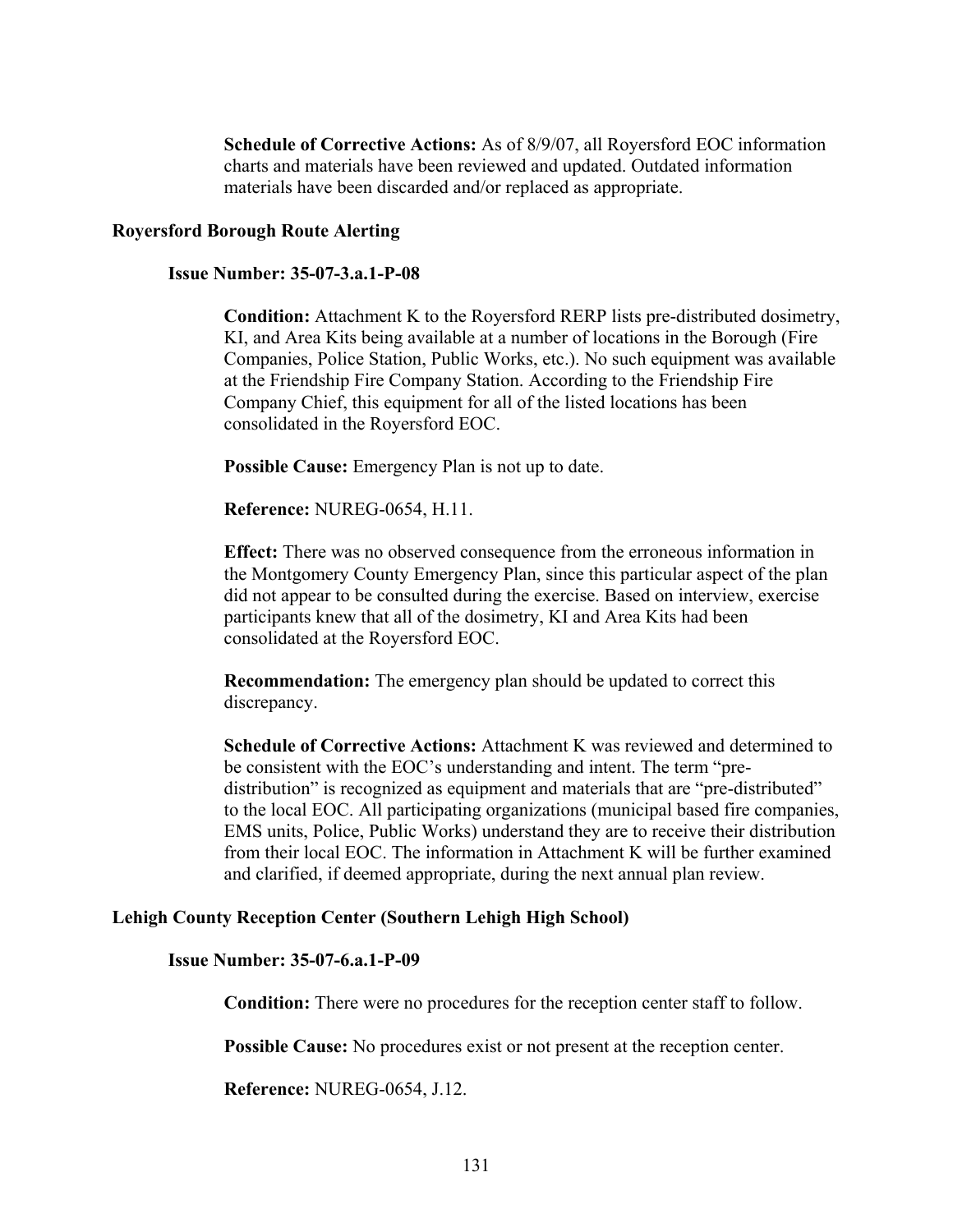**Schedule of Corrective Actions:** As of 8/9/07, all Royersford EOC information charts and materials have been reviewed and updated. Outdated information materials have been discarded and/or replaced as appropriate.

#### **Royersford Borough Route Alerting**

#### **Issue Number: 35-07-3.a.1-P-08**

**Condition:** Attachment K to the Royersford RERP lists pre-distributed dosimetry, KI, and Area Kits being available at a number of locations in the Borough (Fire Companies, Police Station, Public Works, etc.). No such equipment was available at the Friendship Fire Company Station. According to the Friendship Fire Company Chief, this equipment for all of the listed locations has been consolidated in the Royersford EOC.

**Possible Cause:** Emergency Plan is not up to date.

**Reference:** NUREG-0654, H.11.

**Effect:** There was no observed consequence from the erroneous information in the Montgomery County Emergency Plan, since this particular aspect of the plan did not appear to be consulted during the exercise. Based on interview, exercise participants knew that all of the dosimetry, KI and Area Kits had been consolidated at the Royersford EOC.

**Recommendation:** The emergency plan should be updated to correct this discrepancy.

**Schedule of Corrective Actions:** Attachment K was reviewed and determined to be consistent with the EOC's understanding and intent. The term "predistribution" is recognized as equipment and materials that are "pre-distributed" to the local EOC. All participating organizations (municipal based fire companies, EMS units, Police, Public Works) understand they are to receive their distribution from their local EOC. The information in Attachment K will be further examined and clarified, if deemed appropriate, during the next annual plan review.

#### **Lehigh County Reception Center (Southern Lehigh High School)**

#### **Issue Number: 35-07-6.a.1-P-09**

**Condition:** There were no procedures for the reception center staff to follow.

**Possible Cause:** No procedures exist or not present at the reception center.

**Reference:** NUREG-0654, J.12.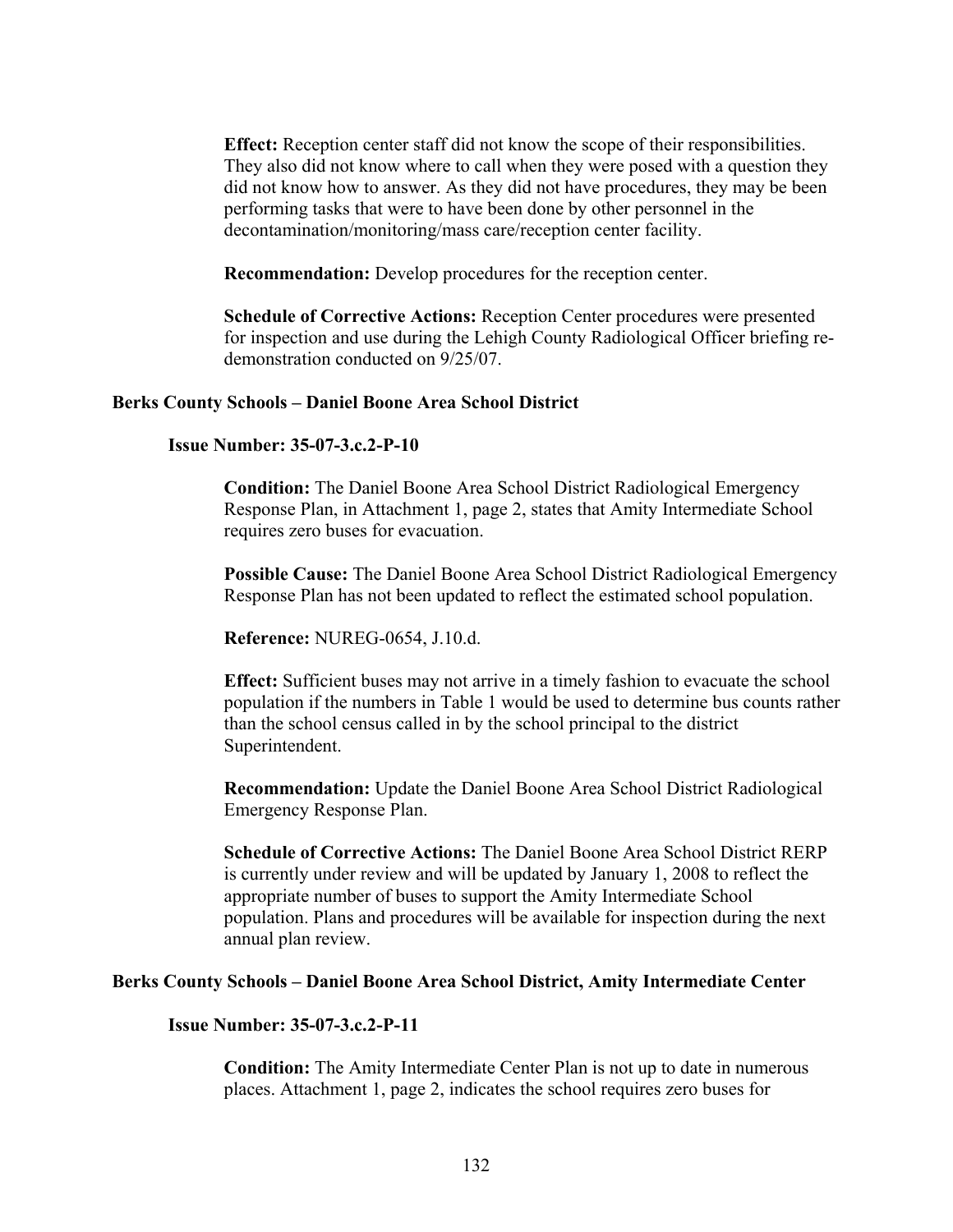**Effect:** Reception center staff did not know the scope of their responsibilities. They also did not know where to call when they were posed with a question they did not know how to answer. As they did not have procedures, they may be been performing tasks that were to have been done by other personnel in the decontamination/monitoring/mass care/reception center facility.

**Recommendation:** Develop procedures for the reception center.

**Schedule of Corrective Actions:** Reception Center procedures were presented for inspection and use during the Lehigh County Radiological Officer briefing redemonstration conducted on 9/25/07.

#### **Berks County Schools – Daniel Boone Area School District**

#### **Issue Number: 35-07-3.c.2-P-10**

**Condition:** The Daniel Boone Area School District Radiological Emergency Response Plan, in Attachment 1, page 2, states that Amity Intermediate School requires zero buses for evacuation.

**Possible Cause:** The Daniel Boone Area School District Radiological Emergency Response Plan has not been updated to reflect the estimated school population.

**Reference:** NUREG-0654, J.10.d.

**Effect:** Sufficient buses may not arrive in a timely fashion to evacuate the school population if the numbers in Table 1 would be used to determine bus counts rather than the school census called in by the school principal to the district Superintendent.

**Recommendation:** Update the Daniel Boone Area School District Radiological Emergency Response Plan.

**Schedule of Corrective Actions:** The Daniel Boone Area School District RERP is currently under review and will be updated by January 1, 2008 to reflect the appropriate number of buses to support the Amity Intermediate School population. Plans and procedures will be available for inspection during the next annual plan review.

#### **Berks County Schools – Daniel Boone Area School District, Amity Intermediate Center**

#### **Issue Number: 35-07-3.c.2-P-11**

**Condition:** The Amity Intermediate Center Plan is not up to date in numerous places. Attachment 1, page 2, indicates the school requires zero buses for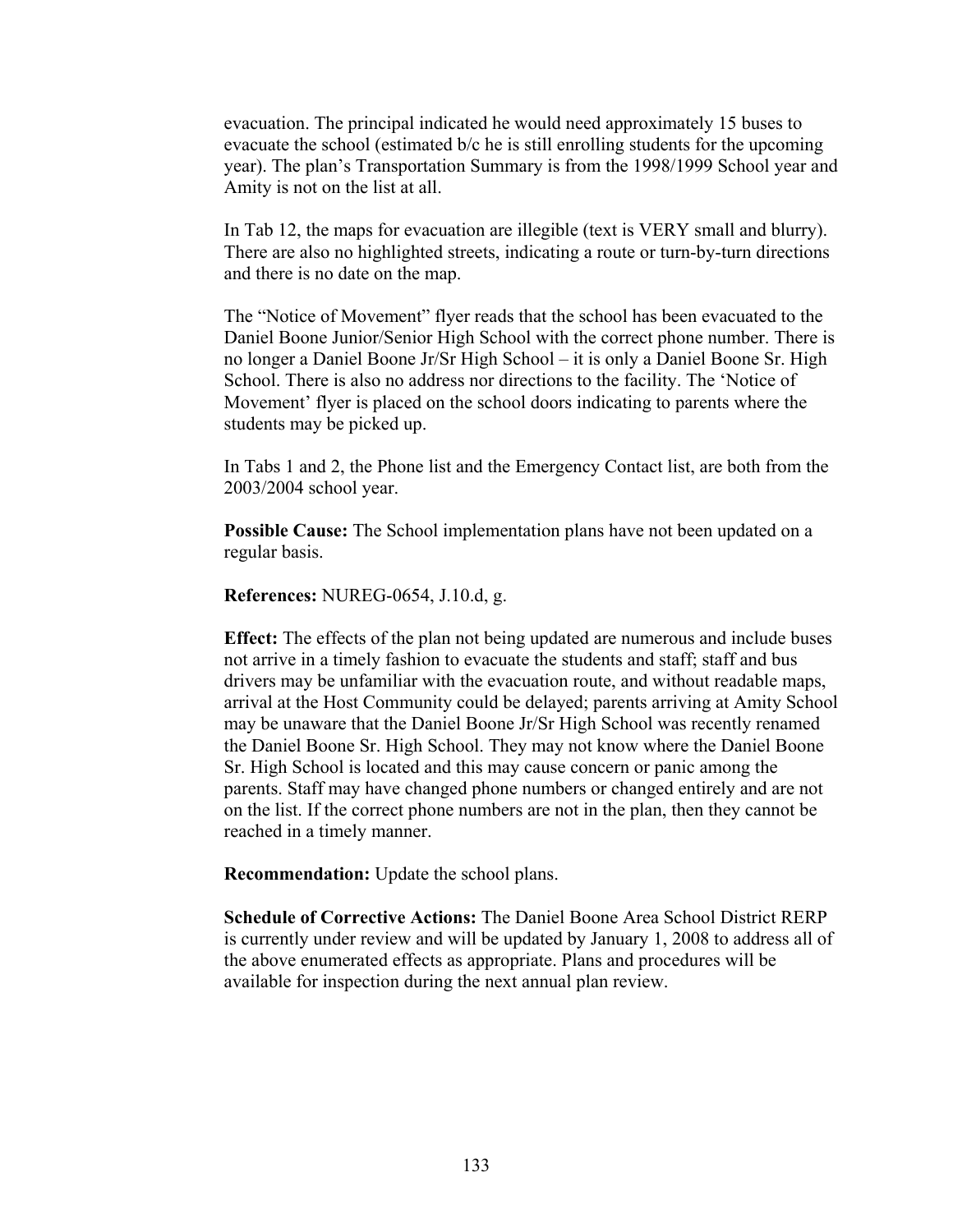evacuation. The principal indicated he would need approximately 15 buses to evacuate the school (estimated b/c he is still enrolling students for the upcoming year). The plan's Transportation Summary is from the 1998/1999 School year and Amity is not on the list at all.

In Tab 12, the maps for evacuation are illegible (text is VERY small and blurry). There are also no highlighted streets, indicating a route or turn-by-turn directions and there is no date on the map.

The "Notice of Movement" flyer reads that the school has been evacuated to the Daniel Boone Junior/Senior High School with the correct phone number. There is no longer a Daniel Boone Jr/Sr High School – it is only a Daniel Boone Sr. High School. There is also no address nor directions to the facility. The 'Notice of Movement' flyer is placed on the school doors indicating to parents where the students may be picked up.

In Tabs 1 and 2, the Phone list and the Emergency Contact list, are both from the 2003/2004 school year.

**Possible Cause:** The School implementation plans have not been updated on a regular basis.

**References:** NUREG-0654, J.10.d, g.

**Effect:** The effects of the plan not being updated are numerous and include buses not arrive in a timely fashion to evacuate the students and staff; staff and bus drivers may be unfamiliar with the evacuation route, and without readable maps, arrival at the Host Community could be delayed; parents arriving at Amity School may be unaware that the Daniel Boone Jr/Sr High School was recently renamed the Daniel Boone Sr. High School. They may not know where the Daniel Boone Sr. High School is located and this may cause concern or panic among the parents. Staff may have changed phone numbers or changed entirely and are not on the list. If the correct phone numbers are not in the plan, then they cannot be reached in a timely manner.

**Recommendation:** Update the school plans.

**Schedule of Corrective Actions:** The Daniel Boone Area School District RERP is currently under review and will be updated by January 1, 2008 to address all of the above enumerated effects as appropriate. Plans and procedures will be available for inspection during the next annual plan review.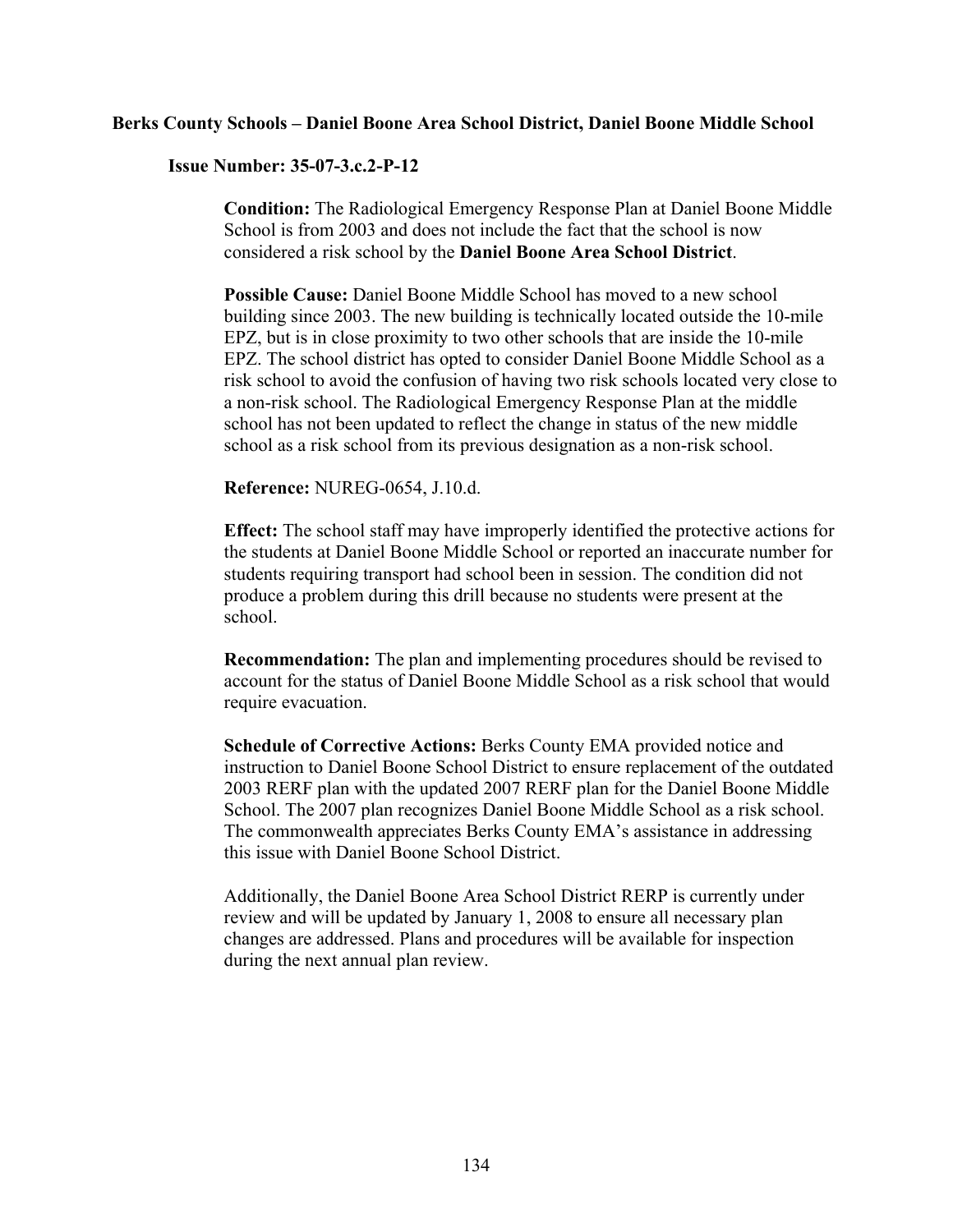#### **Berks County Schools – Daniel Boone Area School District, Daniel Boone Middle School**

#### **Issue Number: 35-07-3.c.2-P-12**

**Condition:** The Radiological Emergency Response Plan at Daniel Boone Middle School is from 2003 and does not include the fact that the school is now considered a risk school by the **Daniel Boone Area School District**.

**Possible Cause:** Daniel Boone Middle School has moved to a new school building since 2003. The new building is technically located outside the 10-mile EPZ, but is in close proximity to two other schools that are inside the 10-mile EPZ. The school district has opted to consider Daniel Boone Middle School as a risk school to avoid the confusion of having two risk schools located very close to a non-risk school. The Radiological Emergency Response Plan at the middle school has not been updated to reflect the change in status of the new middle school as a risk school from its previous designation as a non-risk school.

#### **Reference:** NUREG-0654, J.10.d.

**Effect:** The school staff may have improperly identified the protective actions for the students at Daniel Boone Middle School or reported an inaccurate number for students requiring transport had school been in session. The condition did not produce a problem during this drill because no students were present at the school.

**Recommendation:** The plan and implementing procedures should be revised to account for the status of Daniel Boone Middle School as a risk school that would require evacuation.

**Schedule of Corrective Actions:** Berks County EMA provided notice and instruction to Daniel Boone School District to ensure replacement of the outdated 2003 RERF plan with the updated 2007 RERF plan for the Daniel Boone Middle School. The 2007 plan recognizes Daniel Boone Middle School as a risk school. The commonwealth appreciates Berks County EMA's assistance in addressing this issue with Daniel Boone School District.

Additionally, the Daniel Boone Area School District RERP is currently under review and will be updated by January 1, 2008 to ensure all necessary plan changes are addressed. Plans and procedures will be available for inspection during the next annual plan review.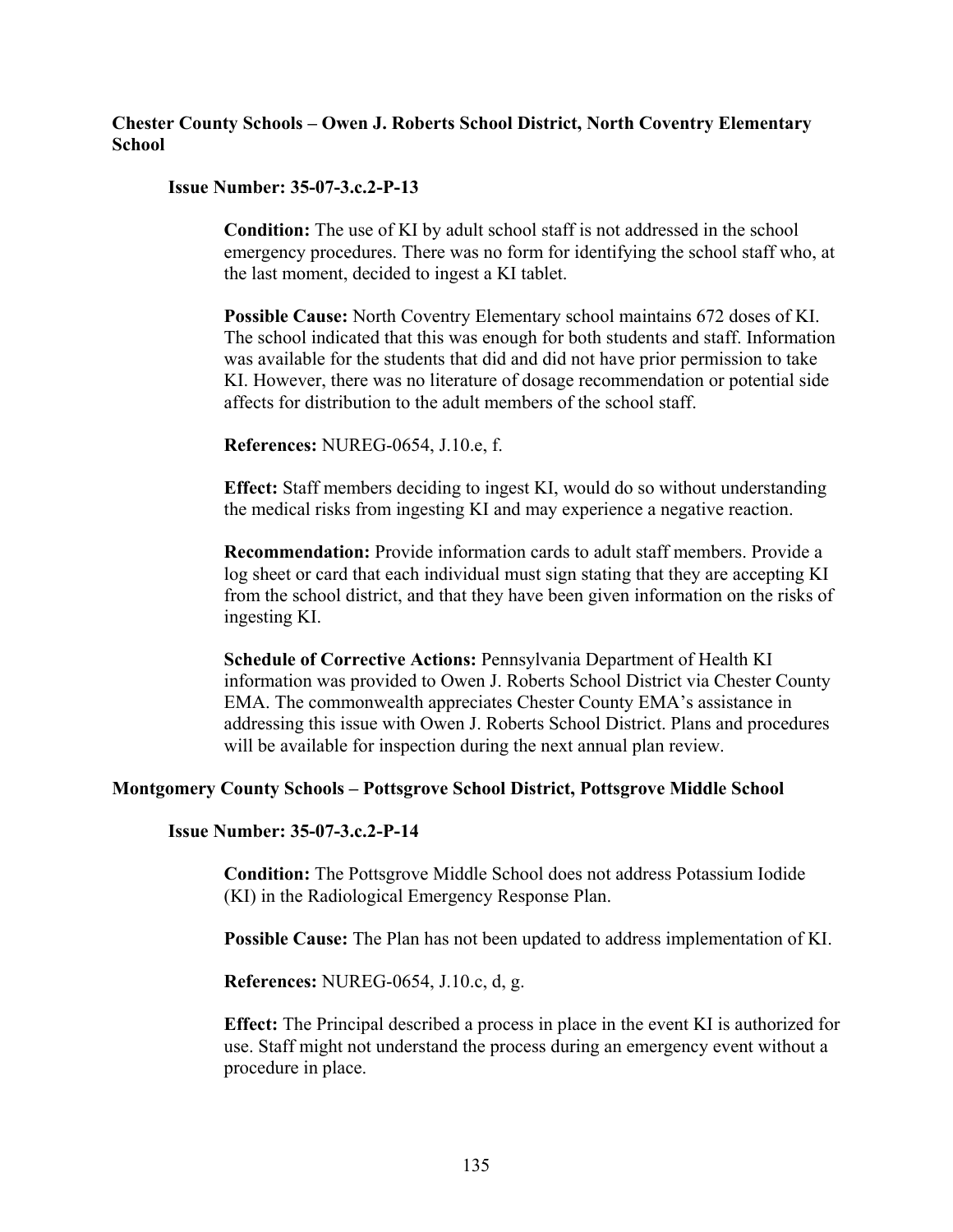#### **Chester County Schools – Owen J. Roberts School District, North Coventry Elementary School**

#### **Issue Number: 35-07-3.c.2-P-13**

**Condition:** The use of KI by adult school staff is not addressed in the school emergency procedures. There was no form for identifying the school staff who, at the last moment, decided to ingest a KI tablet.

**Possible Cause:** North Coventry Elementary school maintains 672 doses of KI. The school indicated that this was enough for both students and staff. Information was available for the students that did and did not have prior permission to take KI. However, there was no literature of dosage recommendation or potential side affects for distribution to the adult members of the school staff.

**References:** NUREG-0654, J.10.e, f.

**Effect:** Staff members deciding to ingest KI, would do so without understanding the medical risks from ingesting KI and may experience a negative reaction.

**Recommendation:** Provide information cards to adult staff members. Provide a log sheet or card that each individual must sign stating that they are accepting KI from the school district, and that they have been given information on the risks of ingesting KI.

**Schedule of Corrective Actions:** Pennsylvania Department of Health KI information was provided to Owen J. Roberts School District via Chester County EMA. The commonwealth appreciates Chester County EMA's assistance in addressing this issue with Owen J. Roberts School District. Plans and procedures will be available for inspection during the next annual plan review.

#### **Montgomery County Schools – Pottsgrove School District, Pottsgrove Middle School**

**Issue Number: 35-07-3.c.2-P-14** 

**Condition:** The Pottsgrove Middle School does not address Potassium Iodide (KI) in the Radiological Emergency Response Plan.

**Possible Cause:** The Plan has not been updated to address implementation of KI.

**References:** NUREG-0654, J.10.c, d, g.

**Effect:** The Principal described a process in place in the event KI is authorized for use. Staff might not understand the process during an emergency event without a procedure in place.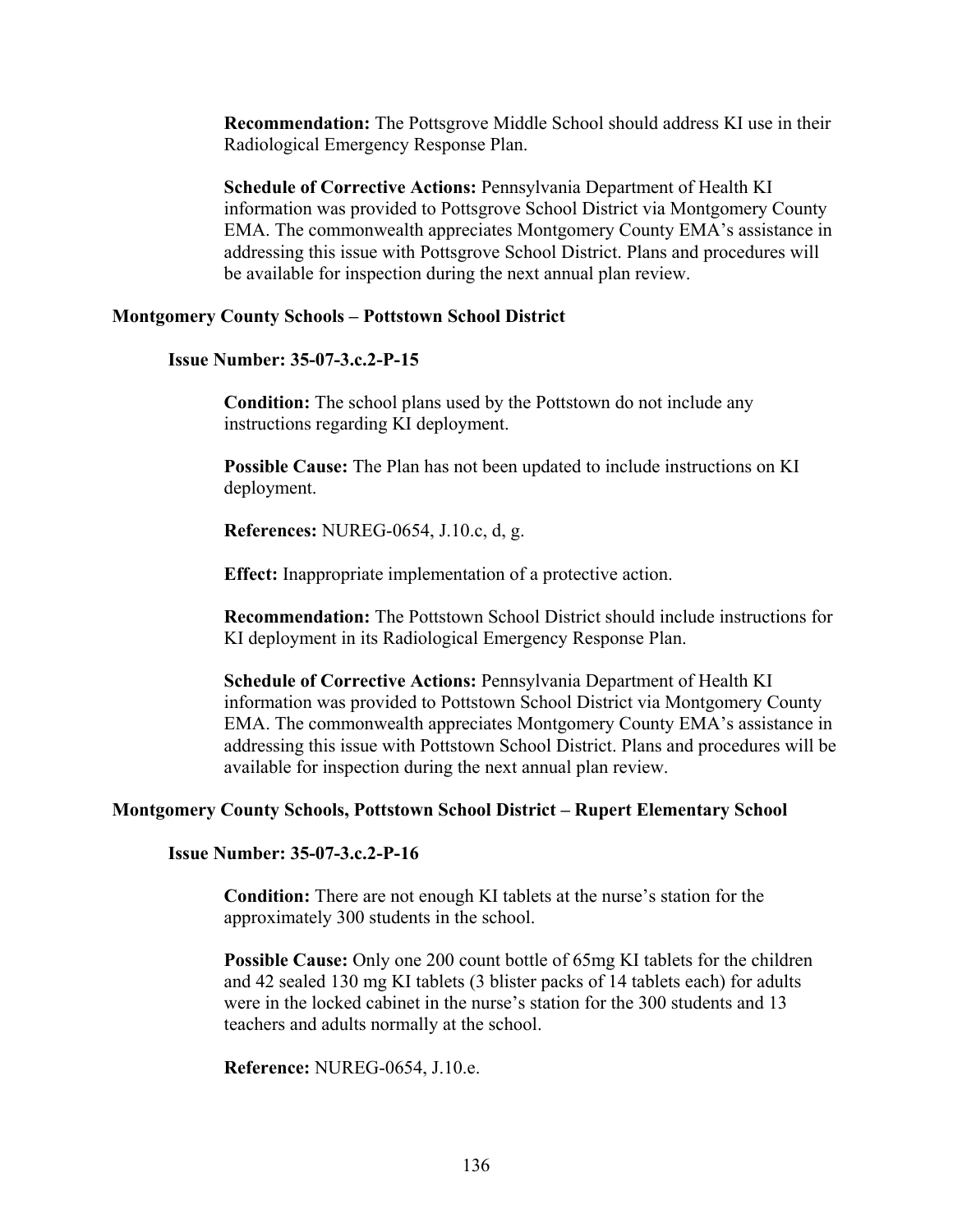**Recommendation:** The Pottsgrove Middle School should address KI use in their Radiological Emergency Response Plan.

**Schedule of Corrective Actions:** Pennsylvania Department of Health KI information was provided to Pottsgrove School District via Montgomery County EMA. The commonwealth appreciates Montgomery County EMA's assistance in addressing this issue with Pottsgrove School District. Plans and procedures will be available for inspection during the next annual plan review.

#### **Montgomery County Schools – Pottstown School District**

#### **Issue Number: 35-07-3.c.2-P-15**

**Condition:** The school plans used by the Pottstown do not include any instructions regarding KI deployment.

**Possible Cause:** The Plan has not been updated to include instructions on KI deployment.

**References:** NUREG-0654, J.10.c, d, g.

**Effect:** Inappropriate implementation of a protective action.

**Recommendation:** The Pottstown School District should include instructions for KI deployment in its Radiological Emergency Response Plan.

**Schedule of Corrective Actions:** Pennsylvania Department of Health KI information was provided to Pottstown School District via Montgomery County EMA. The commonwealth appreciates Montgomery County EMA's assistance in addressing this issue with Pottstown School District. Plans and procedures will be available for inspection during the next annual plan review.

#### **Montgomery County Schools, Pottstown School District – Rupert Elementary School**

**Issue Number: 35-07-3.c.2-P-16** 

**Condition:** There are not enough KI tablets at the nurse's station for the approximately 300 students in the school.

**Possible Cause:** Only one 200 count bottle of 65mg KI tablets for the children and 42 sealed 130 mg KI tablets (3 blister packs of 14 tablets each) for adults were in the locked cabinet in the nurse's station for the 300 students and 13 teachers and adults normally at the school.

**Reference:** NUREG-0654, J.10.e.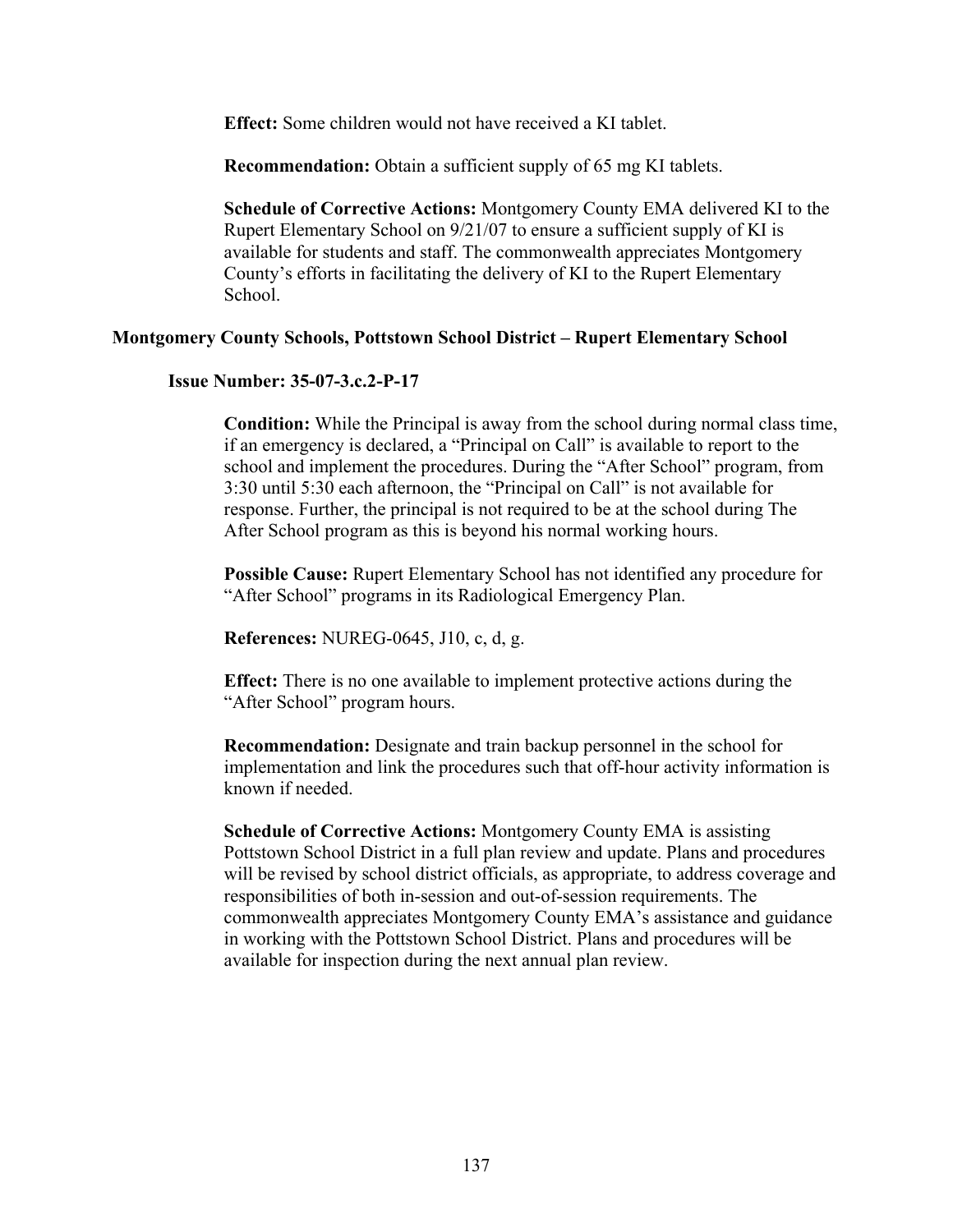**Effect:** Some children would not have received a KI tablet.

**Recommendation:** Obtain a sufficient supply of 65 mg KI tablets.

**Schedule of Corrective Actions:** Montgomery County EMA delivered KI to the Rupert Elementary School on 9/21/07 to ensure a sufficient supply of KI is available for students and staff. The commonwealth appreciates Montgomery County's efforts in facilitating the delivery of KI to the Rupert Elementary School.

#### **Montgomery County Schools, Pottstown School District – Rupert Elementary School**

#### **Issue Number: 35-07-3.c.2-P-17**

**Condition:** While the Principal is away from the school during normal class time, if an emergency is declared, a "Principal on Call" is available to report to the school and implement the procedures. During the "After School" program, from 3:30 until 5:30 each afternoon, the "Principal on Call" is not available for response. Further, the principal is not required to be at the school during The After School program as this is beyond his normal working hours.

**Possible Cause:** Rupert Elementary School has not identified any procedure for "After School" programs in its Radiological Emergency Plan.

**References:** NUREG-0645, J10, c, d, g.

**Effect:** There is no one available to implement protective actions during the "After School" program hours.

**Recommendation:** Designate and train backup personnel in the school for implementation and link the procedures such that off-hour activity information is known if needed.

**Schedule of Corrective Actions:** Montgomery County EMA is assisting Pottstown School District in a full plan review and update. Plans and procedures will be revised by school district officials, as appropriate, to address coverage and responsibilities of both in-session and out-of-session requirements. The commonwealth appreciates Montgomery County EMA's assistance and guidance in working with the Pottstown School District. Plans and procedures will be available for inspection during the next annual plan review.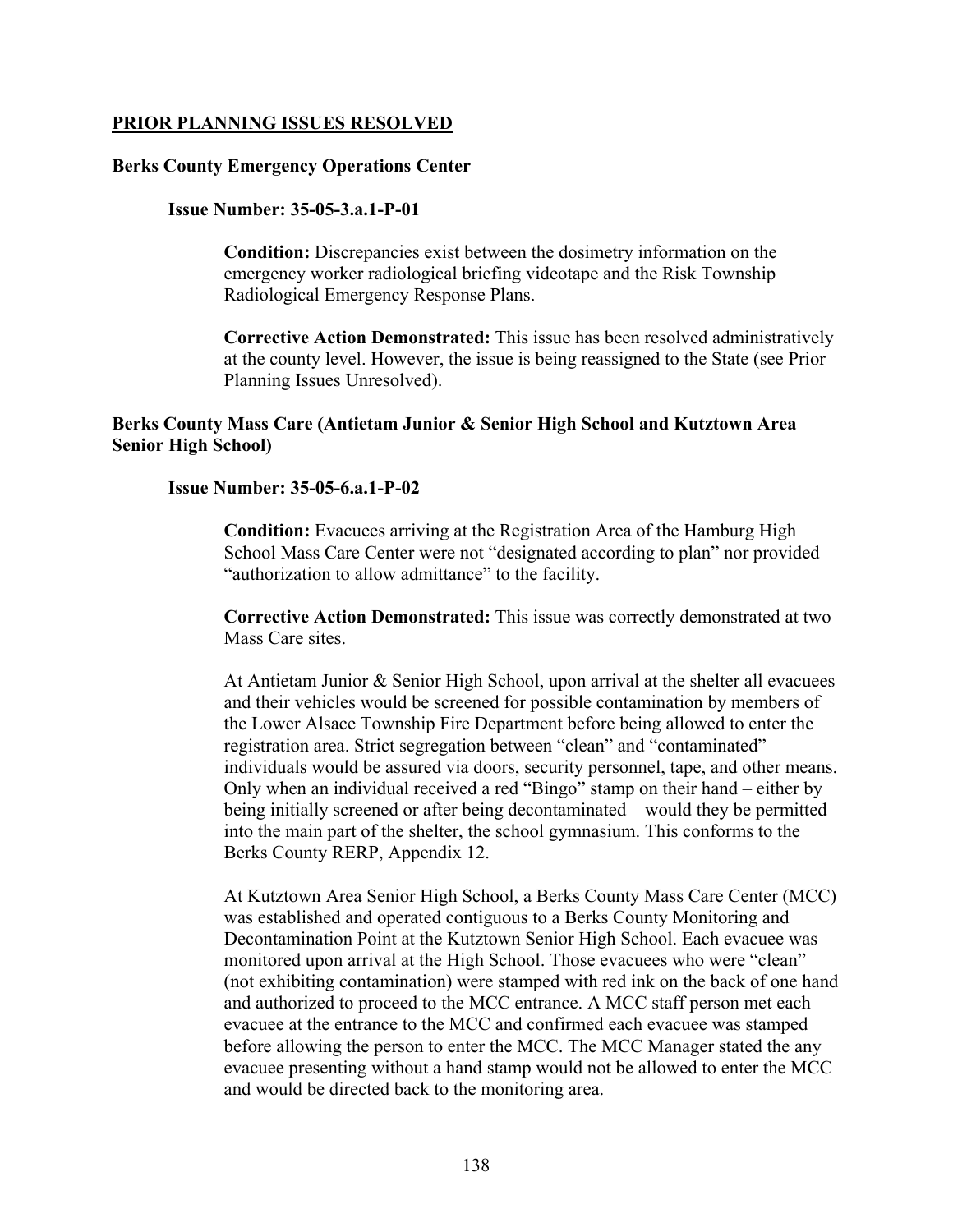## **PRIOR PLANNING ISSUES RESOLVED**

## **Berks County Emergency Operations Center**

## **Issue Number: 35-05-3.a.1-P-01**

**Condition:** Discrepancies exist between the dosimetry information on the emergency worker radiological briefing videotape and the Risk Township Radiological Emergency Response Plans.

**Corrective Action Demonstrated:** This issue has been resolved administratively at the county level. However, the issue is being reassigned to the State (see Prior Planning Issues Unresolved).

# **Berks County Mass Care (Antietam Junior & Senior High School and Kutztown Area Senior High School)**

## **Issue Number: 35-05-6.a.1-P-02**

**Condition:** Evacuees arriving at the Registration Area of the Hamburg High School Mass Care Center were not "designated according to plan" nor provided "authorization to allow admittance" to the facility.

**Corrective Action Demonstrated:** This issue was correctly demonstrated at two Mass Care sites.

At Antietam Junior & Senior High School, upon arrival at the shelter all evacuees and their vehicles would be screened for possible contamination by members of the Lower Alsace Township Fire Department before being allowed to enter the registration area. Strict segregation between "clean" and "contaminated" individuals would be assured via doors, security personnel, tape, and other means. Only when an individual received a red "Bingo" stamp on their hand – either by being initially screened or after being decontaminated – would they be permitted into the main part of the shelter, the school gymnasium. This conforms to the Berks County RERP, Appendix 12.

At Kutztown Area Senior High School, a Berks County Mass Care Center (MCC) was established and operated contiguous to a Berks County Monitoring and Decontamination Point at the Kutztown Senior High School. Each evacuee was monitored upon arrival at the High School. Those evacuees who were "clean" (not exhibiting contamination) were stamped with red ink on the back of one hand and authorized to proceed to the MCC entrance. A MCC staff person met each evacuee at the entrance to the MCC and confirmed each evacuee was stamped before allowing the person to enter the MCC. The MCC Manager stated the any evacuee presenting without a hand stamp would not be allowed to enter the MCC and would be directed back to the monitoring area.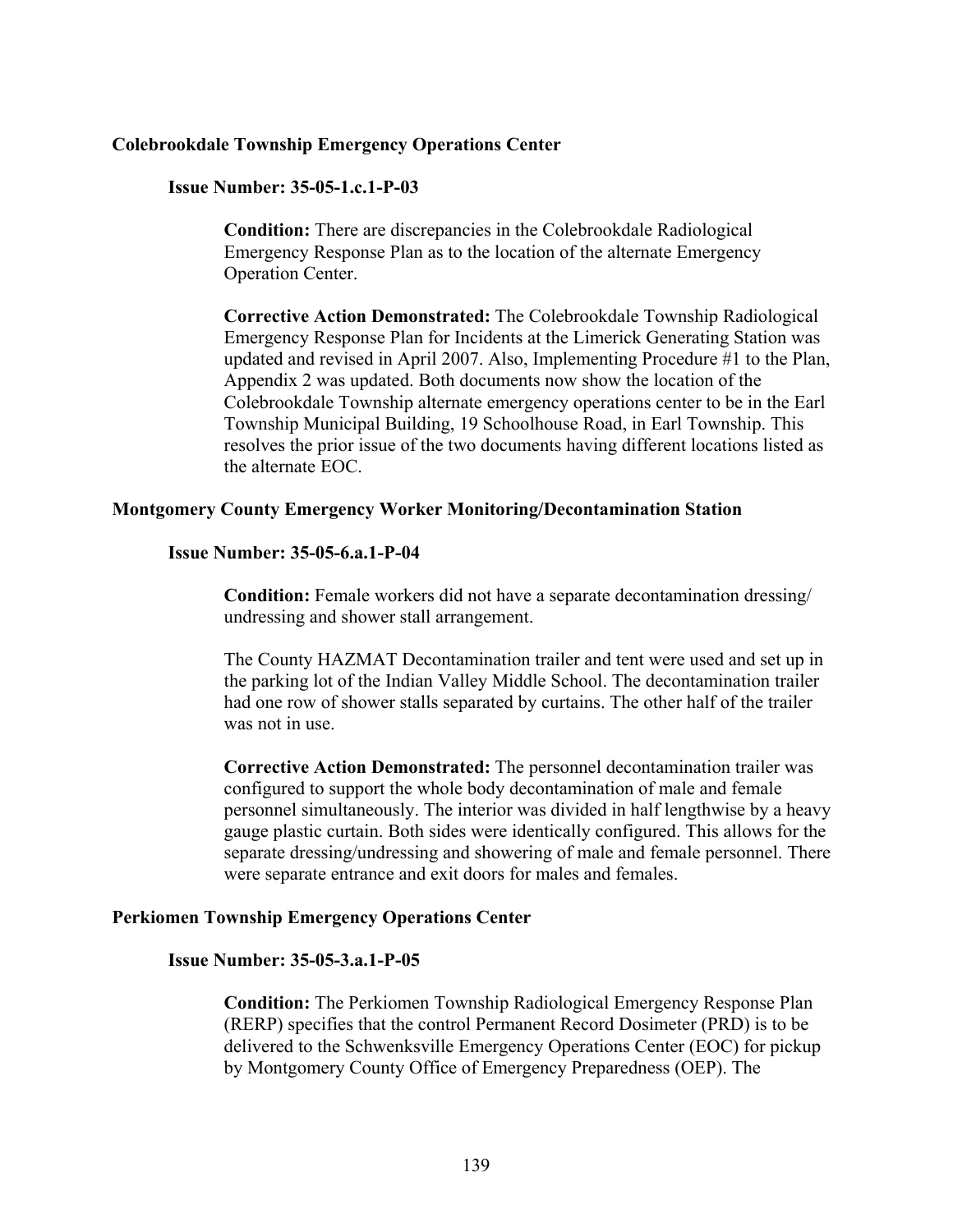### **Colebrookdale Township Emergency Operations Center**

#### **Issue Number: 35-05-1.c.1-P-03**

**Condition:** There are discrepancies in the Colebrookdale Radiological Emergency Response Plan as to the location of the alternate Emergency Operation Center.

**Corrective Action Demonstrated:** The Colebrookdale Township Radiological Emergency Response Plan for Incidents at the Limerick Generating Station was updated and revised in April 2007. Also, Implementing Procedure #1 to the Plan, Appendix 2 was updated. Both documents now show the location of the Colebrookdale Township alternate emergency operations center to be in the Earl Township Municipal Building, 19 Schoolhouse Road, in Earl Township. This resolves the prior issue of the two documents having different locations listed as the alternate EOC.

#### **Montgomery County Emergency Worker Monitoring/Decontamination Station**

#### **Issue Number: 35-05-6.a.1-P-04**

**Condition:** Female workers did not have a separate decontamination dressing/ undressing and shower stall arrangement.

The County HAZMAT Decontamination trailer and tent were used and set up in the parking lot of the Indian Valley Middle School. The decontamination trailer had one row of shower stalls separated by curtains. The other half of the trailer was not in use.

**Corrective Action Demonstrated:** The personnel decontamination trailer was configured to support the whole body decontamination of male and female personnel simultaneously. The interior was divided in half lengthwise by a heavy gauge plastic curtain. Both sides were identically configured. This allows for the separate dressing/undressing and showering of male and female personnel. There were separate entrance and exit doors for males and females.

### **Perkiomen Township Emergency Operations Center**

### **Issue Number: 35-05-3.a.1-P-05**

**Condition:** The Perkiomen Township Radiological Emergency Response Plan (RERP) specifies that the control Permanent Record Dosimeter (PRD) is to be delivered to the Schwenksville Emergency Operations Center (EOC) for pickup by Montgomery County Office of Emergency Preparedness (OEP). The